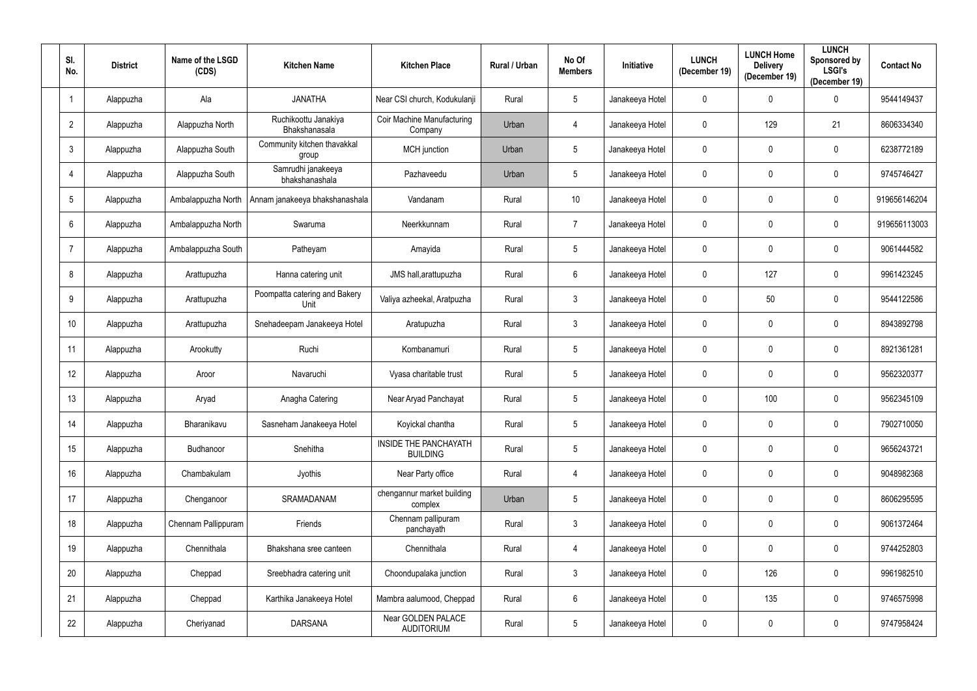| SI.<br>No.      | <b>District</b> | Name of the LSGD<br>(CDS) | <b>Kitchen Name</b>                   | <b>Kitchen Place</b>                            | Rural / Urban | No Of<br><b>Members</b> | <b>Initiative</b> | <b>LUNCH</b><br>(December 19) | <b>LUNCH Home</b><br><b>Delivery</b><br>(December 19) | <b>LUNCH</b><br>Sponsored by<br><b>LSGI's</b><br>(December 19) | <b>Contact No</b> |
|-----------------|-----------------|---------------------------|---------------------------------------|-------------------------------------------------|---------------|-------------------------|-------------------|-------------------------------|-------------------------------------------------------|----------------------------------------------------------------|-------------------|
|                 | Alappuzha       | Ala                       | <b>JANATHA</b>                        | Near CSI church, Kodukulanji                    | Rural         | $\overline{5}$          | Janakeeya Hotel   | $\mathbf 0$                   | 0                                                     | $\mathbf 0$                                                    | 9544149437        |
| $\overline{2}$  | Alappuzha       | Alappuzha North           | Ruchikoottu Janakiya<br>Bhakshanasala | Coir Machine Manufacturing<br>Company           | Urban         | 4                       | Janakeeya Hotel   | $\mathbf 0$                   | 129                                                   | 21                                                             | 8606334340        |
| $\mathbf{3}$    | Alappuzha       | Alappuzha South           | Community kitchen thavakkal<br>group  | MCH junction                                    | Urban         | $\overline{5}$          | Janakeeya Hotel   | $\mathbf 0$                   | 0                                                     | $\mathbf 0$                                                    | 6238772189        |
| 4               | Alappuzha       | Alappuzha South           | Samrudhi janakeeya<br>bhakshanashala  | Pazhaveedu                                      | Urban         | $5\phantom{.0}$         | Janakeeya Hotel   | $\pmb{0}$                     | 0                                                     | $\mathbf 0$                                                    | 9745746427        |
| 5               | Alappuzha       | Ambalappuzha North        | Annam janakeeya bhakshanashala        | Vandanam                                        | Rural         | 10                      | Janakeeya Hotel   | $\mathbf 0$                   | 0                                                     | $\mathbf 0$                                                    | 919656146204      |
| $6\phantom{1}$  | Alappuzha       | Ambalappuzha North        | Swaruma                               | Neerkkunnam                                     | Rural         | $\overline{7}$          | Janakeeya Hotel   | $\mathbf 0$                   |                                                       | $\mathbf 0$                                                    | 919656113003      |
| $\overline{7}$  | Alappuzha       | Ambalappuzha South        | Patheyam                              | Amayida                                         | Rural         | $5\phantom{.0}$         | Janakeeya Hotel   | $\mathbf 0$                   | 0                                                     | $\mathbf 0$                                                    | 9061444582        |
| 8               | Alappuzha       | Arattupuzha               | Hanna catering unit                   | JMS hall, arattupuzha                           | Rural         | $6\phantom{.}6$         | Janakeeya Hotel   | $\mathbf 0$                   | 127                                                   | $\mathbf 0$                                                    | 9961423245        |
| 9               | Alappuzha       | Arattupuzha               | Poompatta catering and Bakery<br>Unit | Valiya azheekal, Aratpuzha                      | Rural         | $\mathfrak{Z}$          | Janakeeya Hotel   | $\mathbf 0$                   | 50                                                    | $\mathbf 0$                                                    | 9544122586        |
| 10 <sup>°</sup> | Alappuzha       | Arattupuzha               | Snehadeepam Janakeeya Hotel           | Aratupuzha                                      | Rural         | $\mathfrak{Z}$          | Janakeeya Hotel   | $\mathbf 0$                   | 0                                                     | $\mathbf 0$                                                    | 8943892798        |
| 11              | Alappuzha       | Arookutty                 | Ruchi                                 | Kombanamuri                                     | Rural         | $5\phantom{.0}$         | Janakeeya Hotel   | $\mathbf 0$                   | 0                                                     | $\mathbf 0$                                                    | 8921361281        |
| 12 <sup>°</sup> | Alappuzha       | Aroor                     | Navaruchi                             | Vyasa charitable trust                          | Rural         | $5\phantom{.0}$         | Janakeeya Hotel   | $\mathbf 0$                   | 0                                                     | $\boldsymbol{0}$                                               | 9562320377        |
| 13              | Alappuzha       | Aryad                     | Anagha Catering                       | Near Aryad Panchayat                            | Rural         | $5\phantom{.0}$         | Janakeeya Hotel   | $\mathbf 0$                   | 100                                                   | $\mathbf 0$                                                    | 9562345109        |
| 14              | Alappuzha       | Bharanikavu               | Sasneham Janakeeya Hotel              | Koyickal chantha                                | Rural         | $\overline{5}$          | Janakeeya Hotel   | $\mathbf 0$                   | 0                                                     | $\mathbf 0$                                                    | 7902710050        |
| 15              | Alappuzha       | Budhanoor                 | Snehitha                              | <b>INSIDE THE PANCHAYATH</b><br><b>BUILDING</b> | Rural         | $\overline{5}$          | Janakeeya Hotel   | $\mathbf 0$                   | $\mathbf 0$                                           | $\mathbf 0$                                                    | 9656243721        |
| 16              | Alappuzha       | Chambakulam               | Jyothis                               | Near Party office                               | Rural         | $\overline{4}$          | Janakeeya Hotel   | $\mathbf 0$                   | 0                                                     | $\boldsymbol{0}$                                               | 9048982368        |
| 17              | Alappuzha       | Chenganoor                | SRAMADANAM                            | chengannur market building<br>complex           | Urban         | $5\phantom{.0}$         | Janakeeya Hotel   | $\mathbf 0$                   | 0                                                     | $\mathbf 0$                                                    | 8606295595        |
| 18              | Alappuzha       | Chennam Pallippuram       | Friends                               | Chennam pallipuram<br>panchayath                | Rural         | $\mathfrak{Z}$          | Janakeeya Hotel   | $\mathbf 0$                   | 0                                                     | $\mathbf 0$                                                    | 9061372464        |
| 19              | Alappuzha       | Chennithala               | Bhakshana sree canteen                | Chennithala                                     | Rural         | $\overline{4}$          | Janakeeya Hotel   | $\mathbf 0$                   | 0                                                     | $\overline{0}$                                                 | 9744252803        |
| 20              | Alappuzha       | Cheppad                   | Sreebhadra catering unit              | Choondupalaka junction                          | Rural         | $\mathfrak{Z}$          | Janakeeya Hotel   | $\mathbf 0$                   | 126                                                   | $\mathbf 0$                                                    | 9961982510        |
| 21              | Alappuzha       | Cheppad                   | Karthika Janakeeya Hotel              | Mambra aalumood, Cheppad                        | Rural         | $6\phantom{.}6$         | Janakeeya Hotel   | $\mathbf 0$                   | 135                                                   | $\mathbf 0$                                                    | 9746575998        |
| 22              | Alappuzha       | Cheriyanad                | <b>DARSANA</b>                        | Near GOLDEN PALACE<br><b>AUDITORIUM</b>         | Rural         | $\sqrt{5}$              | Janakeeya Hotel   | $\boldsymbol{0}$              | 0                                                     | $\mathbf 0$                                                    | 9747958424        |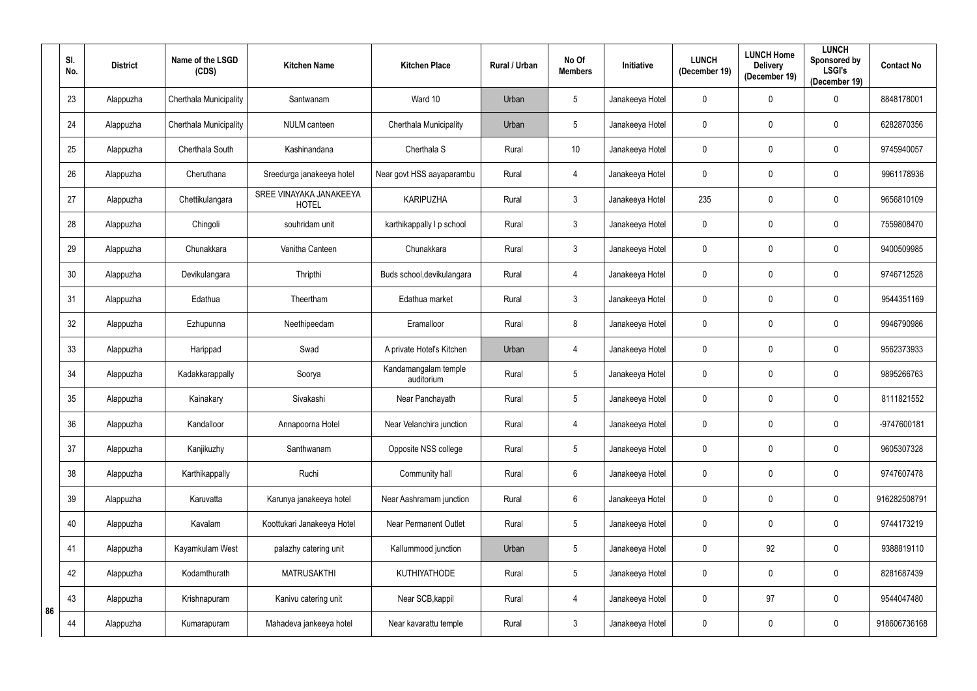|    | SI.<br>No. | <b>District</b> | Name of the LSGD<br>(CDS) | <b>Kitchen Name</b>                     | <b>Kitchen Place</b>               | Rural / Urban | No Of<br><b>Members</b> | <b>Initiative</b> | <b>LUNCH</b><br>(December 19) | <b>LUNCH Home</b><br><b>Delivery</b><br>(December 19) | <b>LUNCH</b><br>Sponsored by<br><b>LSGI's</b><br>(December 19) | <b>Contact No</b> |
|----|------------|-----------------|---------------------------|-----------------------------------------|------------------------------------|---------------|-------------------------|-------------------|-------------------------------|-------------------------------------------------------|----------------------------------------------------------------|-------------------|
|    | 23         | Alappuzha       | Cherthala Municipality    | Santwanam                               | Ward 10                            | Urban         | $\overline{5}$          | Janakeeya Hotel   | $\mathbf 0$                   | 0                                                     | $\mathbf 0$                                                    | 8848178001        |
|    | 24         | Alappuzha       | Cherthala Municipality    | <b>NULM</b> canteen                     | Cherthala Municipality             | Urban         | $5\phantom{.0}$         | Janakeeya Hotel   | $\mathbf 0$                   | 0                                                     | $\mathbf 0$                                                    | 6282870356        |
|    | 25         | Alappuzha       | Cherthala South           | Kashinandana                            | Cherthala S                        | Rural         | 10 <sup>°</sup>         | Janakeeya Hotel   | $\mathbf 0$                   | 0                                                     | $\mathbf 0$                                                    | 9745940057        |
|    | 26         | Alappuzha       | Cheruthana                | Sreedurga janakeeya hotel               | Near govt HSS aayaparambu          | Rural         | 4                       | Janakeeya Hotel   | $\mathbf 0$                   | 0                                                     | $\mathbf 0$                                                    | 9961178936        |
|    | 27         | Alappuzha       | Chettikulangara           | SREE VINAYAKA JANAKEEYA<br><b>HOTEL</b> | <b>KARIPUZHA</b>                   | Rural         | $\mathfrak{Z}$          | Janakeeya Hotel   | 235                           | 0                                                     | $\mathbf 0$                                                    | 9656810109        |
|    | 28         | Alappuzha       | Chingoli                  | souhridam unit                          | karthikappally I p school          | Rural         | $\mathfrak{Z}$          | Janakeeya Hotel   | $\mathbf 0$                   | 0                                                     | $\mathbf 0$                                                    | 7559808470        |
|    | 29         | Alappuzha       | Chunakkara                | Vanitha Canteen                         | Chunakkara                         | Rural         | $\mathfrak{Z}$          | Janakeeya Hotel   | $\mathbf 0$                   | 0                                                     | $\mathbf 0$                                                    | 9400509985        |
|    | 30         | Alappuzha       | Devikulangara             | Thripthi                                | Buds school, devikulangara         | Rural         | 4                       | Janakeeya Hotel   | $\mathbf 0$                   | 0                                                     | $\mathbf 0$                                                    | 9746712528        |
|    | 31         | Alappuzha       | Edathua                   | Theertham                               | Edathua market                     | Rural         | $\mathfrak{Z}$          | Janakeeya Hotel   | $\mathbf 0$                   | 0                                                     | $\mathbf 0$                                                    | 9544351169        |
|    | 32         | Alappuzha       | Ezhupunna                 | Neethipeedam                            | Eramalloor                         | Rural         | 8                       | Janakeeya Hotel   | $\mathbf 0$                   | 0                                                     | $\mathbf 0$                                                    | 9946790986        |
|    | 33         | Alappuzha       | Harippad                  | Swad                                    | A private Hotel's Kitchen          | Urban         | 4                       | Janakeeya Hotel   | $\mathbf 0$                   | 0                                                     | $\mathbf 0$                                                    | 9562373933        |
|    | 34         | Alappuzha       | Kadakkarappally           | Soorya                                  | Kandamangalam temple<br>auditorium | Rural         | $5\,$                   | Janakeeya Hotel   | $\mathbf 0$                   | 0                                                     | $\mathbf 0$                                                    | 9895266763        |
|    | 35         | Alappuzha       | Kainakary                 | Sivakashi                               | Near Panchayath                    | Rural         | $5\phantom{.0}$         | Janakeeya Hotel   | $\mathbf 0$                   | 0                                                     | $\mathbf 0$                                                    | 8111821552        |
|    | 36         | Alappuzha       | Kandalloor                | Annapoorna Hotel                        | Near Velanchira junction           | Rural         | 4                       | Janakeeya Hotel   | $\mathbf 0$                   | 0                                                     | $\mathbf 0$                                                    | -9747600181       |
|    | 37         | Alappuzha       | Kanjikuzhy                | Santhwanam                              | Opposite NSS college               | Rural         | $\overline{5}$          | Janakeeya Hotel   | $\mathbf 0$                   | 0                                                     | $\mathbf 0$                                                    | 9605307328        |
|    | 38         | Alappuzha       | Karthikappally            | Ruchi                                   | Community hall                     | Rural         | $6\,$                   | Janakeeya Hotel   | $\mathbf 0$                   | 0                                                     | $\mathbf 0$                                                    | 9747607478        |
|    | 39         | Alappuzha       | Karuvatta                 | Karunya janakeeya hotel                 | Near Aashramam junction            | Rural         | $6\,$                   | Janakeeya Hotel   | $\mathbf 0$                   | 0                                                     | $\mathbf 0$                                                    | 916282508791      |
|    | 40         | Alappuzha       | Kavalam                   | Koottukari Janakeeya Hotel              | Near Permanent Outlet              | Rural         | $\overline{5}$          | Janakeeya Hotel   | $\mathbf 0$                   | 0                                                     | $\mathbf 0$                                                    | 9744173219        |
|    | 41         | Alappuzha       | Kayamkulam West           | palazhy catering unit                   | Kallummood junction                | Urban         | $\sqrt{5}$              | Janakeeya Hotel   | $\mathbf 0$                   | 92                                                    | $\overline{0}$                                                 | 9388819110        |
|    | 42         | Alappuzha       | Kodamthurath              | <b>MATRUSAKTHI</b>                      | <b>KUTHIYATHODE</b>                | Rural         | $\overline{5}$          | Janakeeya Hotel   | $\mathbf 0$                   | 0                                                     | $\mathbf 0$                                                    | 8281687439        |
| 86 | 43         | Alappuzha       | Krishnapuram              | Kanivu catering unit                    | Near SCB, kappil                   | Rural         | $\overline{4}$          | Janakeeya Hotel   | $\mathbf 0$                   | 97                                                    | $\overline{0}$                                                 | 9544047480        |
|    | 44         | Alappuzha       | Kumarapuram               | Mahadeva jankeeya hotel                 | Near kavarattu temple              | Rural         | $\mathfrak{Z}$          | Janakeeya Hotel   | $\mathbf 0$                   | 0                                                     | $\mathbf 0$                                                    | 918606736168      |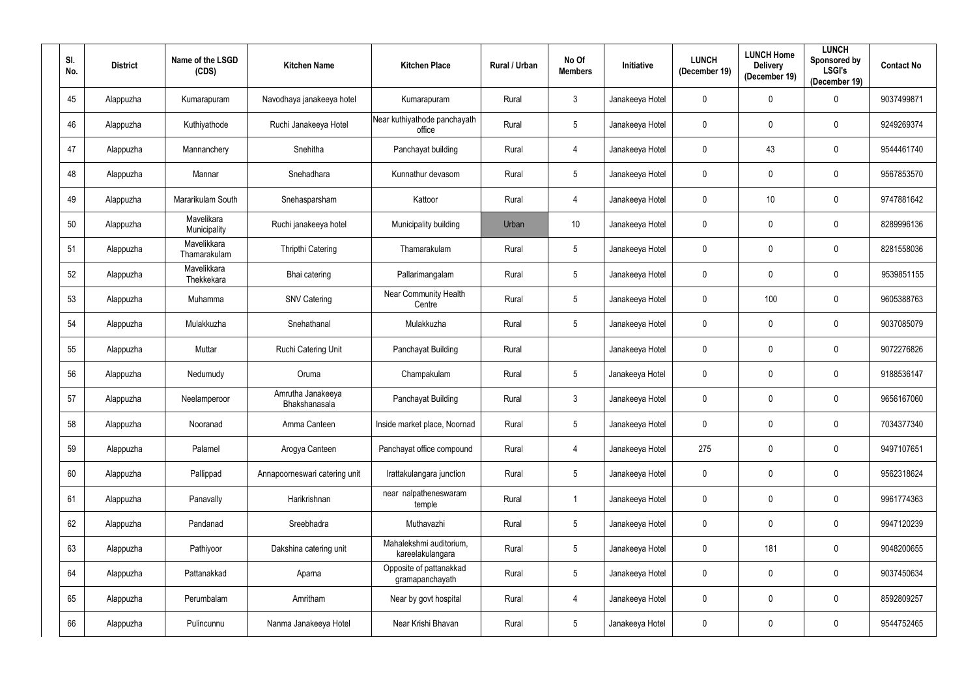| SI.<br>No. | <b>District</b> | Name of the LSGD<br>(CDS)   | <b>Kitchen Name</b>                | <b>Kitchen Place</b>                        | Rural / Urban | No Of<br><b>Members</b> | Initiative      | <b>LUNCH</b><br>(December 19) | <b>LUNCH Home</b><br><b>Delivery</b><br>(December 19) | <b>LUNCH</b><br>Sponsored by<br><b>LSGI's</b><br>(December 19) | <b>Contact No</b> |
|------------|-----------------|-----------------------------|------------------------------------|---------------------------------------------|---------------|-------------------------|-----------------|-------------------------------|-------------------------------------------------------|----------------------------------------------------------------|-------------------|
| 45         | Alappuzha       | Kumarapuram                 | Navodhaya janakeeya hotel          | Kumarapuram                                 | Rural         | $\mathbf{3}$            | Janakeeya Hotel | $\mathbf 0$                   | $\mathbf 0$                                           | $\mathbf 0$                                                    | 9037499871        |
| 46         | Alappuzha       | Kuthiyathode                | Ruchi Janakeeya Hotel              | Near kuthiyathode panchayath<br>office      | Rural         | $5\phantom{.0}$         | Janakeeya Hotel | $\mathbf 0$                   | $\mathbf 0$                                           | $\overline{0}$                                                 | 9249269374        |
| 47         | Alappuzha       | Mannanchery                 | Snehitha                           | Panchayat building                          | Rural         | 4                       | Janakeeya Hotel | $\mathbf 0$                   | 43                                                    | $\mathbf 0$                                                    | 9544461740        |
| 48         | Alappuzha       | Mannar                      | Snehadhara                         | Kunnathur devasom                           | Rural         | $5\phantom{.0}$         | Janakeeya Hotel | $\mathbf 0$                   | $\mathbf 0$                                           | $\boldsymbol{0}$                                               | 9567853570        |
| 49         | Alappuzha       | Mararikulam South           | Snehasparsham                      | Kattoor                                     | Rural         | 4                       | Janakeeya Hotel | $\mathbf 0$                   | 10 <sup>1</sup>                                       | $\boldsymbol{0}$                                               | 9747881642        |
| 50         | Alappuzha       | Mavelikara<br>Municipality  | Ruchi janakeeya hotel              | Municipality building                       | Urban         | 10                      | Janakeeya Hotel | $\mathbf 0$                   | $\mathbf 0$                                           | $\boldsymbol{0}$                                               | 8289996136        |
| 51         | Alappuzha       | Mavelikkara<br>Thamarakulam | <b>Thripthi Catering</b>           | Thamarakulam                                | Rural         | $5\phantom{.0}$         | Janakeeya Hotel | $\mathbf 0$                   | $\mathbf 0$                                           | $\overline{0}$                                                 | 8281558036        |
| 52         | Alappuzha       | Mavelikkara<br>Thekkekara   | Bhai catering                      | Pallarimangalam                             | Rural         | $5\phantom{.0}$         | Janakeeya Hotel | $\mathbf 0$                   | 0                                                     | $\boldsymbol{0}$                                               | 9539851155        |
| 53         | Alappuzha       | Muhamma                     | <b>SNV Catering</b>                | <b>Near Community Health</b><br>Centre      | Rural         | $5\phantom{.0}$         | Janakeeya Hotel | $\mathbf 0$                   | 100                                                   | $\mathbf 0$                                                    | 9605388763        |
| 54         | Alappuzha       | Mulakkuzha                  | Snehathanal                        | Mulakkuzha                                  | Rural         | $5\phantom{.0}$         | Janakeeya Hotel | $\mathbf 0$                   | 0                                                     | $\boldsymbol{0}$                                               | 9037085079        |
| 55         | Alappuzha       | Muttar                      | Ruchi Catering Unit                | Panchayat Building                          | Rural         |                         | Janakeeya Hotel | $\mathbf 0$                   | $\mathbf 0$                                           | $\overline{0}$                                                 | 9072276826        |
| 56         | Alappuzha       | Nedumudy                    | Oruma                              | Champakulam                                 | Rural         | $5\phantom{.0}$         | Janakeeya Hotel | $\boldsymbol{0}$              | 0                                                     | $\boldsymbol{0}$                                               | 9188536147        |
| 57         | Alappuzha       | Neelamperoor                | Amrutha Janakeeya<br>Bhakshanasala | Panchayat Building                          | Rural         | $\mathbf{3}$            | Janakeeya Hotel | $\mathbf 0$                   | $\mathbf 0$                                           | $\boldsymbol{0}$                                               | 9656167060        |
| 58         | Alappuzha       | Nooranad                    | Amma Canteen                       | Inside market place, Noornad                | Rural         | $5\phantom{.0}$         | Janakeeya Hotel | $\mathbf 0$                   | $\mathbf 0$                                           | $\mathbf 0$                                                    | 7034377340        |
| 59         | Alappuzha       | Palamel                     | Arogya Canteen                     | Panchayat office compound                   | Rural         | $\overline{4}$          | Janakeeya Hotel | 275                           | $\mathbf 0$                                           | $\mathbf 0$                                                    | 9497107651        |
| 60         | Alappuzha       | Pallippad                   | Annapoorneswari catering unit      | Irattakulangara junction                    | Rural         | $5\phantom{.0}$         | Janakeeya Hotel | $\pmb{0}$                     | $\mathbf 0$                                           | $\overline{0}$                                                 | 9562318624        |
| 61         | Alappuzha       | Panavally                   | Harikrishnan                       | near nalpatheneswaram<br>temple             | Rural         | $\mathbf{1}$            | Janakeeya Hotel | $\mathbf 0$                   | $\mathbf 0$                                           | $\overline{0}$                                                 | 9961774363        |
| 62         | Alappuzha       | Pandanad                    | Sreebhadra                         | Muthavazhi                                  | Rural         | $5\phantom{.0}$         | Janakeeya Hotel | $\mathbf 0$                   | $\mathbf 0$                                           | $\mathbf 0$                                                    | 9947120239        |
| 63         | Alappuzha       | Pathiyoor                   | Dakshina catering unit             | Mahalekshmi auditorium,<br>kareelakulangara | Rural         | $\overline{5}$          | Janakeeya Hotel | $\mathbf 0$                   | 181                                                   | $\pmb{0}$                                                      | 9048200655        |
| 64         | Alappuzha       | Pattanakkad                 | Aparna                             | Opposite of pattanakkad<br>gramapanchayath  | Rural         | $5\phantom{.0}$         | Janakeeya Hotel | $\pmb{0}$                     | $\mathbf 0$                                           | $\pmb{0}$                                                      | 9037450634        |
| 65         | Alappuzha       | Perumbalam                  | Amritham                           | Near by govt hospital                       | Rural         | $\overline{4}$          | Janakeeya Hotel | $\mathbf 0$                   | $\mathbf 0$                                           | $\mathbf 0$                                                    | 8592809257        |
| 66         | Alappuzha       | Pulincunnu                  | Nanma Janakeeya Hotel              | Near Krishi Bhavan                          | Rural         | $5\phantom{.0}$         | Janakeeya Hotel | $\pmb{0}$                     | $\mathbf 0$                                           | $\mathbf 0$                                                    | 9544752465        |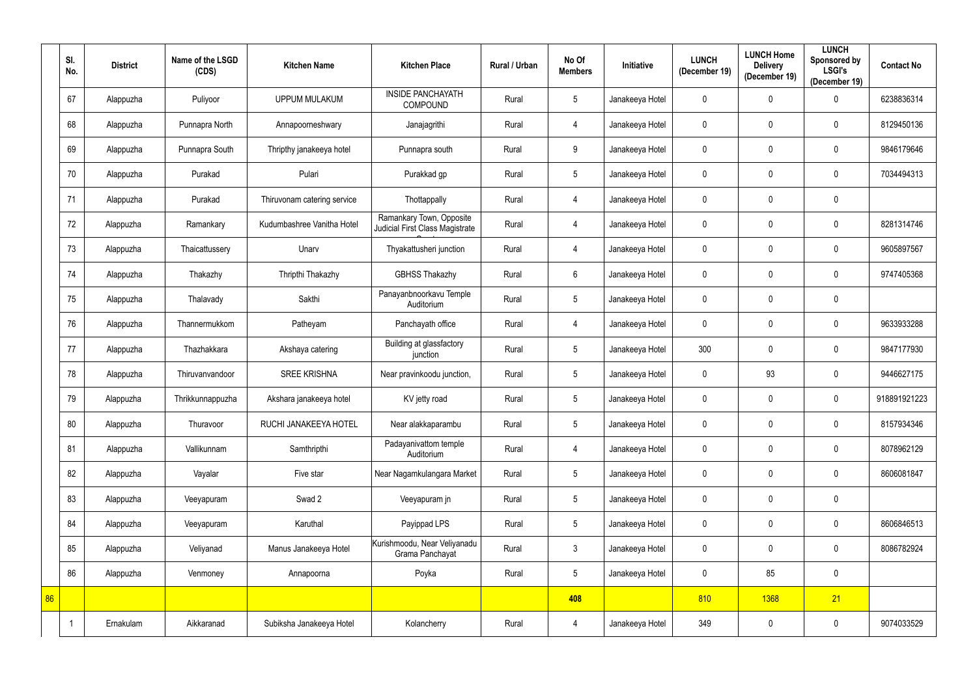|    | SI.<br>No. | <b>District</b> | Name of the LSGD<br>(CDS) | <b>Kitchen Name</b>         | <b>Kitchen Place</b>                                        | Rural / Urban | No Of<br><b>Members</b> | Initiative      | <b>LUNCH</b><br>(December 19) | <b>LUNCH Home</b><br><b>Delivery</b><br>(December 19) | <b>LUNCH</b><br>Sponsored by<br><b>LSGI's</b><br>(December 19) | <b>Contact No</b> |
|----|------------|-----------------|---------------------------|-----------------------------|-------------------------------------------------------------|---------------|-------------------------|-----------------|-------------------------------|-------------------------------------------------------|----------------------------------------------------------------|-------------------|
|    | 67         | Alappuzha       | Puliyoor                  | <b>UPPUM MULAKUM</b>        | <b>INSIDE PANCHAYATH</b><br><b>COMPOUND</b>                 | Rural         | $\sqrt{5}$              | Janakeeya Hotel | 0                             | 0                                                     | $\mathbf 0$                                                    | 6238836314        |
|    | 68         | Alappuzha       | Punnapra North            | Annapoorneshwary            | Janajagrithi                                                | Rural         | $\overline{4}$          | Janakeeya Hotel | 0                             | 0                                                     | $\mathbf 0$                                                    | 8129450136        |
|    | 69         | Alappuzha       | Punnapra South            | Thripthy janakeeya hotel    | Punnapra south                                              | Rural         | 9                       | Janakeeya Hotel | $\pmb{0}$                     | 0                                                     | $\mathbf 0$                                                    | 9846179646        |
|    | 70         | Alappuzha       | Purakad                   | Pulari                      | Purakkad gp                                                 | Rural         | $5\phantom{.0}$         | Janakeeya Hotel | 0                             | 0                                                     | $\mathbf 0$                                                    | 7034494313        |
|    | 71         | Alappuzha       | Purakad                   | Thiruvonam catering service | Thottappally                                                | Rural         | $\overline{4}$          | Janakeeya Hotel | 0                             | 0                                                     | $\mathbf 0$                                                    |                   |
|    | 72         | Alappuzha       | Ramankary                 | Kudumbashree Vanitha Hotel  | Ramankary Town, Opposite<br>Judicial First Class Magistrate | Rural         | $\overline{4}$          | Janakeeya Hotel | 0                             | 0                                                     | $\mathbf 0$                                                    | 8281314746        |
|    | 73         | Alappuzha       | Thaicattussery            | Unarv                       | Thyakattusheri junction                                     | Rural         | $\overline{4}$          | Janakeeya Hotel | 0                             | 0                                                     | $\mathbf 0$                                                    | 9605897567        |
|    | 74         | Alappuzha       | Thakazhy                  | Thripthi Thakazhy           | <b>GBHSS Thakazhy</b>                                       | Rural         | $6\,$                   | Janakeeya Hotel | 0                             | 0                                                     | $\mathbf 0$                                                    | 9747405368        |
|    | 75         | Alappuzha       | Thalavady                 | Sakthi                      | Panayanbnoorkavu Temple<br>Auditorium                       | Rural         | $\sqrt{5}$              | Janakeeya Hotel | 0                             | 0                                                     | $\mathbf 0$                                                    |                   |
|    | 76         | Alappuzha       | Thannermukkom             | Patheyam                    | Panchayath office                                           | Rural         | $\overline{4}$          | Janakeeya Hotel | 0                             | 0                                                     | $\mathbf 0$                                                    | 9633933288        |
|    | 77         | Alappuzha       | Thazhakkara               | Akshaya catering            | Building at glassfactory<br>junction                        | Rural         | $\sqrt{5}$              | Janakeeya Hotel | 300                           | 0                                                     | $\mathbf 0$                                                    | 9847177930        |
|    | 78         | Alappuzha       | Thiruvanvandoor           | <b>SREE KRISHNA</b>         | Near pravinkoodu junction,                                  | Rural         | $\sqrt{5}$              | Janakeeya Hotel | 0                             | 93                                                    | $\mathbf 0$                                                    | 9446627175        |
|    | 79         | Alappuzha       | Thrikkunnappuzha          | Akshara janakeeya hotel     | KV jetty road                                               | Rural         | $5\phantom{.0}$         | Janakeeya Hotel | 0                             | 0                                                     | $\mathbf 0$                                                    | 918891921223      |
|    | 80         | Alappuzha       | Thuravoor                 | RUCHI JANAKEEYA HOTEL       | Near alakkaparambu                                          | Rural         | $5\phantom{.0}$         | Janakeeya Hotel | $\mathbf 0$                   | 0                                                     | $\mathbf 0$                                                    | 8157934346        |
|    | 81         | Alappuzha       | Vallikunnam               | Samthripthi                 | Padayanivattom temple<br>Auditorium                         | Rural         | $\overline{4}$          | Janakeeya Hotel | $\mathbf 0$                   | $\pmb{0}$                                             | $\mathbf 0$                                                    | 8078962129        |
|    | 82         | Alappuzha       | Vayalar                   | Five star                   | Near Nagamkulangara Market                                  | Rural         | $\sqrt{5}$              | Janakeeya Hotel | $\mathbf 0$                   | $\mathbf 0$                                           | $\mathbf 0$                                                    | 8606081847        |
|    | 83         | Alappuzha       | Veeyapuram                | Swad 2                      | Veeyapuram jn                                               | Rural         | $\sqrt{5}$              | Janakeeya Hotel | $\mathbf 0$                   | $\pmb{0}$                                             | $\mathbf 0$                                                    |                   |
|    | 84         | Alappuzha       | Veeyapuram                | Karuthal                    | Payippad LPS                                                | Rural         | $\sqrt{5}$              | Janakeeya Hotel | 0                             | 0                                                     | $\mathbf 0$                                                    | 8606846513        |
|    | 85         | Alappuzha       | Veliyanad                 | Manus Janakeeya Hotel       | Kurishmoodu, Near Veliyanadu<br>Grama Panchayat             | Rural         | $\mathfrak{Z}$          | Janakeeya Hotel | $\mathbf 0$                   | 0                                                     | $\mathbf 0$                                                    | 8086782924        |
|    | 86         | Alappuzha       | Venmoney                  | Annapoorna                  | Poyka                                                       | Rural         | $5\phantom{.0}$         | Janakeeya Hotel | 0                             | 85                                                    | $\mathbf 0$                                                    |                   |
| 86 |            |                 |                           |                             |                                                             |               | 408                     |                 | 810                           | 1368                                                  | 21                                                             |                   |
|    |            | Ernakulam       | Aikkaranad                | Subiksha Janakeeya Hotel    | Kolancherry                                                 | Rural         | $\overline{4}$          | Janakeeya Hotel | 349                           | 0                                                     | $\overline{0}$                                                 | 9074033529        |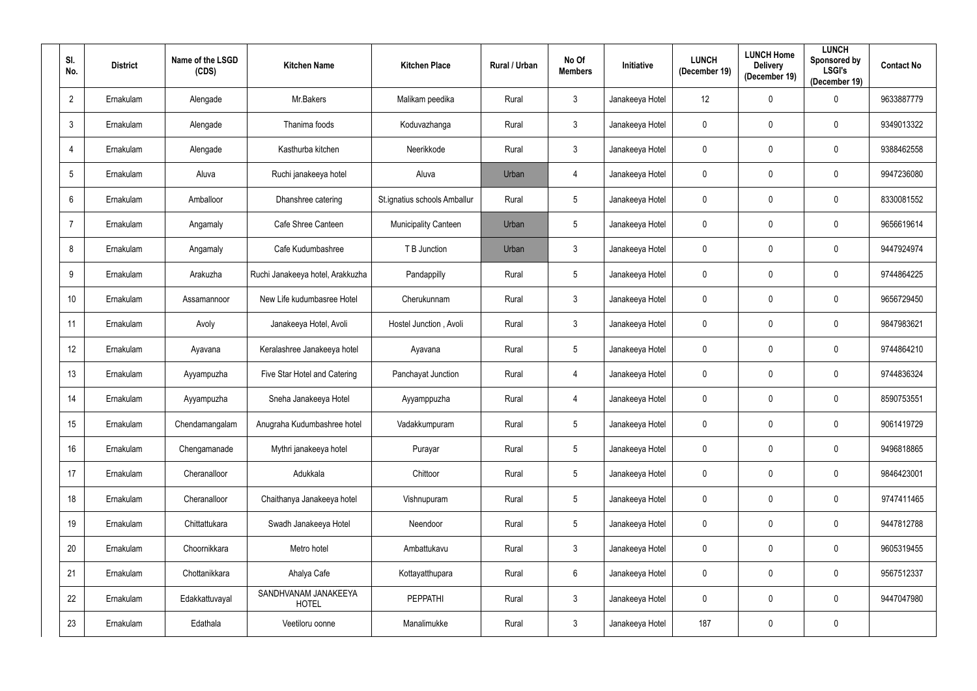| SI.<br>No.       | <b>District</b> | Name of the LSGD<br>(CDS) | <b>Kitchen Name</b>                  | <b>Kitchen Place</b>         | Rural / Urban | No Of<br><b>Members</b> | Initiative      | <b>LUNCH</b><br>(December 19) | <b>LUNCH Home</b><br><b>Delivery</b><br>(December 19) | <b>LUNCH</b><br>Sponsored by<br><b>LSGI's</b><br>(December 19) | <b>Contact No</b> |
|------------------|-----------------|---------------------------|--------------------------------------|------------------------------|---------------|-------------------------|-----------------|-------------------------------|-------------------------------------------------------|----------------------------------------------------------------|-------------------|
| $\overline{2}$   | Ernakulam       | Alengade                  | Mr.Bakers                            | Malikam peedika              | Rural         | $\mathbf{3}$            | Janakeeya Hotel | 12                            | 0                                                     | $\mathbf 0$                                                    | 9633887779        |
| $\mathbf{3}$     | Ernakulam       | Alengade                  | Thanima foods                        | Koduvazhanga                 | Rural         | $\mathbf{3}$            | Janakeeya Hotel | $\mathbf 0$                   | 0                                                     | $\mathbf 0$                                                    | 9349013322        |
| 4                | Ernakulam       | Alengade                  | Kasthurba kitchen                    | Neerikkode                   | Rural         | $\mathfrak{Z}$          | Janakeeya Hotel | $\mathbf 0$                   | 0                                                     | $\pmb{0}$                                                      | 9388462558        |
| $5\phantom{.0}$  | Ernakulam       | Aluva                     | Ruchi janakeeya hotel                | Aluva                        | Urban         | 4                       | Janakeeya Hotel | $\mathbf 0$                   | 0                                                     | $\boldsymbol{0}$                                               | 9947236080        |
| $6\phantom{.}$   | Ernakulam       | Amballoor                 | Dhanshree catering                   | St.ignatius schools Amballur | Rural         | $5\phantom{.0}$         | Janakeeya Hotel | $\pmb{0}$                     | 0                                                     | $\boldsymbol{0}$                                               | 8330081552        |
| $\overline{7}$   | Ernakulam       | Angamaly                  | Cafe Shree Canteen                   | <b>Municipality Canteen</b>  | Urban         | $5\phantom{.0}$         | Janakeeya Hotel | $\mathbf 0$                   | 0                                                     | $\boldsymbol{0}$                                               | 9656619614        |
| 8                | Ernakulam       | Angamaly                  | Cafe Kudumbashree                    | T B Junction                 | Urban         | $\mathbf{3}$            | Janakeeya Hotel | $\mathbf 0$                   | 0                                                     | $\mathbf 0$                                                    | 9447924974        |
| 9                | Ernakulam       | Arakuzha                  | Ruchi Janakeeya hotel, Arakkuzha     | Pandappilly                  | Rural         | $5\phantom{.0}$         | Janakeeya Hotel | $\overline{0}$                | 0                                                     | $\mathbf 0$                                                    | 9744864225        |
| 10 <sup>°</sup>  | Ernakulam       | Assamannoor               | New Life kudumbasree Hotel           | Cherukunnam                  | Rural         | $\mathfrak{Z}$          | Janakeeya Hotel | $\overline{0}$                | 0                                                     | $\mathbf 0$                                                    | 9656729450        |
| 11               | Ernakulam       | Avoly                     | Janakeeya Hotel, Avoli               | Hostel Junction, Avoli       | Rural         | $\mathbf{3}$            | Janakeeya Hotel | $\mathbf 0$                   | 0                                                     | $\boldsymbol{0}$                                               | 9847983621        |
| 12 <sup>°</sup>  | Ernakulam       | Ayavana                   | Keralashree Janakeeya hotel          | Ayavana                      | Rural         | $5\phantom{.0}$         | Janakeeya Hotel | $\boldsymbol{0}$              | 0                                                     | $\mathbf 0$                                                    | 9744864210        |
| 13 <sup>°</sup>  | Ernakulam       | Ayyampuzha                | Five Star Hotel and Catering         | Panchayat Junction           | Rural         | 4                       | Janakeeya Hotel | $\mathbf 0$                   | 0                                                     | $\boldsymbol{0}$                                               | 9744836324        |
| 14               | Ernakulam       | Ayyampuzha                | Sneha Janakeeya Hotel                | Ayyamppuzha                  | Rural         | 4                       | Janakeeya Hotel | $\mathbf 0$                   | 0                                                     | $\mathbf 0$                                                    | 8590753551        |
| 15 <sub>15</sub> | Ernakulam       | Chendamangalam            | Anugraha Kudumbashree hotel          | Vadakkumpuram                | Rural         | $5\phantom{.0}$         | Janakeeya Hotel | $\mathbf 0$                   | 0                                                     | $\mathbf 0$                                                    | 9061419729        |
| 16 <sup>°</sup>  | Ernakulam       | Chengamanade              | Mythri janakeeya hotel               | Purayar                      | Rural         | $\sqrt{5}$              | Janakeeya Hotel | $\mathbf 0$                   | 0                                                     | $\boldsymbol{0}$                                               | 9496818865        |
| 17               | Ernakulam       | Cheranalloor              | Adukkala                             | Chittoor                     | Rural         | $5\,$                   | Janakeeya Hotel | $\pmb{0}$                     | 0                                                     | $\boldsymbol{0}$                                               | 9846423001        |
| 18               | Ernakulam       | Cheranalloor              | Chaithanya Janakeeya hotel           | Vishnupuram                  | Rural         | $5\,$                   | Janakeeya Hotel | $\mathbf 0$                   | $\mathbf 0$                                           | $\overline{0}$                                                 | 9747411465        |
| 19               | Ernakulam       | Chittattukara             | Swadh Janakeeya Hotel                | Neendoor                     | Rural         | $5\,$                   | Janakeeya Hotel | $\mathbf 0$                   | 0                                                     | $\mathbf 0$                                                    | 9447812788        |
| 20               | Ernakulam       | Choornikkara              | Metro hotel                          | Ambattukavu                  | Rural         | $\mathfrak{Z}$          | Janakeeya Hotel | $\pmb{0}$                     | 0                                                     | $\overline{0}$                                                 | 9605319455        |
| 21               | Ernakulam       | Chottanikkara             | Ahalya Cafe                          | Kottayatthupara              | Rural         | $6\,$                   | Janakeeya Hotel | $\pmb{0}$                     | 0                                                     | $\mathbf 0$                                                    | 9567512337        |
| 22               | Ernakulam       | Edakkattuvayal            | SANDHVANAM JANAKEEYA<br><b>HOTEL</b> | PEPPATHI                     | Rural         | $\mathfrak{Z}$          | Janakeeya Hotel | $\mathbf 0$                   | 0                                                     | $\mathbf 0$                                                    | 9447047980        |
| 23               | Ernakulam       | Edathala                  | Veetiloru oonne                      | Manalimukke                  | Rural         | $\mathfrak{Z}$          | Janakeeya Hotel | 187                           | 0                                                     | $\pmb{0}$                                                      |                   |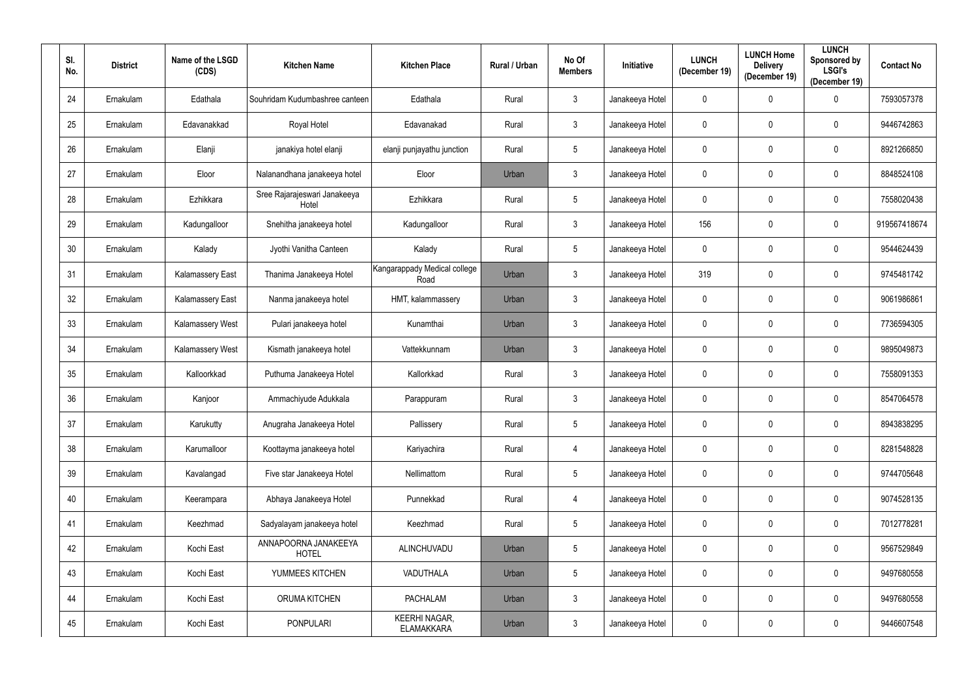| SI.<br>No. | <b>District</b> | Name of the LSGD<br>(CDS) | <b>Kitchen Name</b>                   | <b>Kitchen Place</b>                      | Rural / Urban | No Of<br><b>Members</b> | <b>Initiative</b> | <b>LUNCH</b><br>(December 19) | <b>LUNCH Home</b><br><b>Delivery</b><br>(December 19) | <b>LUNCH</b><br>Sponsored by<br><b>LSGI's</b><br>(December 19) | <b>Contact No</b> |
|------------|-----------------|---------------------------|---------------------------------------|-------------------------------------------|---------------|-------------------------|-------------------|-------------------------------|-------------------------------------------------------|----------------------------------------------------------------|-------------------|
| 24         | Ernakulam       | Edathala                  | Souhridam Kudumbashree canteen        | Edathala                                  | Rural         | $\mathbf{3}$            | Janakeeya Hotel   | $\mathbf 0$                   | $\mathbf 0$                                           | $\overline{0}$                                                 | 7593057378        |
| 25         | Ernakulam       | Edavanakkad               | Royal Hotel                           | Edavanakad                                | Rural         | $\mathbf{3}$            | Janakeeya Hotel   | $\pmb{0}$                     | $\mathbf 0$                                           | $\mathbf 0$                                                    | 9446742863        |
| 26         | Ernakulam       | Elanji                    | janakiya hotel elanji                 | elanji punjayathu junction                | Rural         | $5\phantom{.0}$         | Janakeeya Hotel   | $\mathbf 0$                   | $\mathbf 0$                                           | $\bf{0}$                                                       | 8921266850        |
| 27         | Ernakulam       | Eloor                     | Nalanandhana janakeeya hotel          | Eloor                                     | Urban         | $\mathbf{3}$            | Janakeeya Hotel   | $\pmb{0}$                     | $\mathbf 0$                                           | $\mathbf 0$                                                    | 8848524108        |
| 28         | Ernakulam       | Ezhikkara                 | Sree Rajarajeswari Janakeeya<br>Hotel | Ezhikkara                                 | Rural         | $5\phantom{.0}$         | Janakeeya Hotel   | $\mathbf 0$                   | $\mathbf 0$                                           | $\bf{0}$                                                       | 7558020438        |
| 29         | Ernakulam       | Kadungalloor              | Snehitha janakeeya hotel              | Kadungalloor                              | Rural         | $\mathbf{3}$            | Janakeeya Hotel   | 156                           | $\mathbf 0$                                           | $\mathbf 0$                                                    | 919567418674      |
| 30         | Ernakulam       | Kalady                    | Jyothi Vanitha Canteen                | Kalady                                    | Rural         | $5\phantom{.0}$         | Janakeeya Hotel   | $\mathbf 0$                   | $\mathbf 0$                                           | $\mathbf 0$                                                    | 9544624439        |
| 31         | Ernakulam       | <b>Kalamassery East</b>   | Thanima Janakeeya Hotel               | Kangarappady Medical college<br>Road      | Urban         | $\mathbf{3}$            | Janakeeya Hotel   | 319                           | $\mathbf 0$                                           | $\mathbf 0$                                                    | 9745481742        |
| 32         | Ernakulam       | <b>Kalamassery East</b>   | Nanma janakeeya hotel                 | HMT, kalammassery                         | Urban         | $\mathbf{3}$            | Janakeeya Hotel   | $\mathbf 0$                   | $\mathbf 0$                                           | $\mathbf 0$                                                    | 9061986861        |
| 33         | Ernakulam       | Kalamassery West          | Pulari janakeeya hotel                | Kunamthai                                 | Urban         | $\mathbf{3}$            | Janakeeya Hotel   | $\mathbf 0$                   | $\mathbf 0$                                           | $\mathbf 0$                                                    | 7736594305        |
| 34         | Ernakulam       | Kalamassery West          | Kismath janakeeya hotel               | Vattekkunnam                              | Urban         | $\mathfrak{Z}$          | Janakeeya Hotel   | $\overline{0}$                | $\mathbf 0$                                           | $\mathbf 0$                                                    | 9895049873        |
| 35         | Ernakulam       | Kalloorkkad               | Puthuma Janakeeya Hotel               | Kallorkkad                                | Rural         | $\mathfrak{Z}$          | Janakeeya Hotel   | $\pmb{0}$                     | $\boldsymbol{0}$                                      | $\bf{0}$                                                       | 7558091353        |
| 36         | Ernakulam       | Kanjoor                   | Ammachiyude Adukkala                  | Parappuram                                | Rural         | $\mathbf{3}$            | Janakeeya Hotel   | $\pmb{0}$                     | $\mathbf 0$                                           | $\mathbf 0$                                                    | 8547064578        |
| 37         | Ernakulam       | Karukutty                 | Anugraha Janakeeya Hotel              | Pallissery                                | Rural         | $5\phantom{.0}$         | Janakeeya Hotel   | $\mathbf 0$                   | $\mathbf 0$                                           | $\mathbf 0$                                                    | 8943838295        |
| 38         | Ernakulam       | Karumalloor               | Koottayma janakeeya hotel             | Kariyachira                               | Rural         | $\overline{4}$          | Janakeeya Hotel   | $\mathbf 0$                   | $\mathbf 0$                                           | $\overline{0}$                                                 | 8281548828        |
| 39         | Ernakulam       | Kavalangad                | Five star Janakeeya Hotel             | Nellimattom                               | Rural         | $\overline{5}$          | Janakeeya Hotel   | $\pmb{0}$                     | $\mathbf 0$                                           | $\overline{0}$                                                 | 9744705648        |
| 40         | Ernakulam       | Keerampara                | Abhaya Janakeeya Hotel                | Punnekkad                                 | Rural         | 4                       | Janakeeya Hotel   | $\mathbf 0$                   | $\mathbf 0$                                           | $\overline{0}$                                                 | 9074528135        |
| 41         | Ernakulam       | Keezhmad                  | Sadyalayam janakeeya hotel            | Keezhmad                                  | Rural         | $\overline{5}$          | Janakeeya Hotel   | $\mathbf 0$                   | $\mathbf 0$                                           | $\overline{0}$                                                 | 7012778281        |
| 42         | Ernakulam       | Kochi East                | ANNAPOORNA JANAKEEYA<br><b>HOTEL</b>  | ALINCHUVADU                               | Urban         | $5\phantom{.0}$         | Janakeeya Hotel   | $\mathbf 0$                   | $\mathbf 0$                                           | $\overline{0}$                                                 | 9567529849        |
| 43         | Ernakulam       | Kochi East                | YUMMEES KITCHEN                       | VADUTHALA                                 | Urban         | $\overline{5}$          | Janakeeya Hotel   | $\mathbf 0$                   | $\mathbf 0$                                           | $\overline{0}$                                                 | 9497680558        |
| 44         | Ernakulam       | Kochi East                | <b>ORUMA KITCHEN</b>                  | <b>PACHALAM</b>                           | Urban         | $\mathfrak{Z}$          | Janakeeya Hotel   | $\mathbf 0$                   | $\mathbf 0$                                           | $\overline{0}$                                                 | 9497680558        |
| 45         | Ernakulam       | Kochi East                | <b>PONPULARI</b>                      | <b>KEERHI NAGAR,</b><br><b>ELAMAKKARA</b> | Urban         | $\mathfrak{Z}$          | Janakeeya Hotel   | $\pmb{0}$                     | 0                                                     | $\mathbf 0$                                                    | 9446607548        |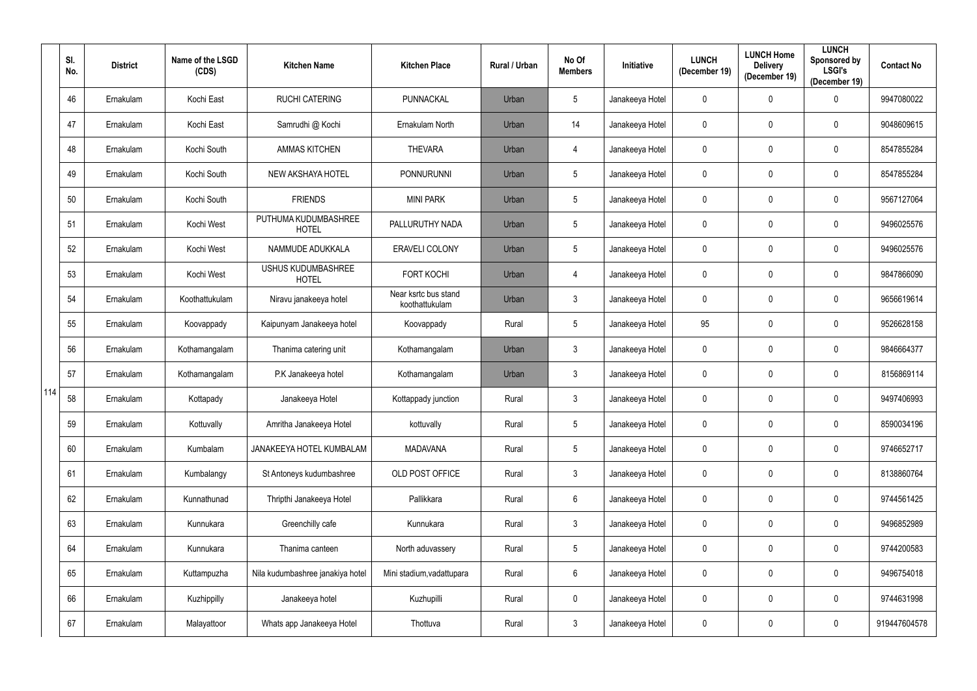|     | SI.<br>No. | <b>District</b> | Name of the LSGD<br>(CDS) | <b>Kitchen Name</b>                       | <b>Kitchen Place</b>                   | Rural / Urban | No Of<br><b>Members</b> | <b>Initiative</b> | <b>LUNCH</b><br>(December 19) | <b>LUNCH Home</b><br><b>Delivery</b><br>(December 19) | <b>LUNCH</b><br>Sponsored by<br><b>LSGI's</b><br>(December 19) | <b>Contact No</b> |
|-----|------------|-----------------|---------------------------|-------------------------------------------|----------------------------------------|---------------|-------------------------|-------------------|-------------------------------|-------------------------------------------------------|----------------------------------------------------------------|-------------------|
|     | 46         | Ernakulam       | Kochi East                | <b>RUCHI CATERING</b>                     | PUNNACKAL                              | Urban         | $\sqrt{5}$              | Janakeeya Hotel   | $\mathbf 0$                   | 0                                                     | 0                                                              | 9947080022        |
|     | 47         | Ernakulam       | Kochi East                | Samrudhi @ Kochi                          | Ernakulam North                        | Urban         | 14                      | Janakeeya Hotel   | $\mathbf 0$                   | 0                                                     | $\mathbf 0$                                                    | 9048609615        |
|     | 48         | Ernakulam       | Kochi South               | <b>AMMAS KITCHEN</b>                      | <b>THEVARA</b>                         | Urban         | 4                       | Janakeeya Hotel   | $\mathbf 0$                   | 0                                                     | $\overline{0}$                                                 | 8547855284        |
|     | 49         | Ernakulam       | Kochi South               | NEW AKSHAYA HOTEL                         | <b>PONNURUNNI</b>                      | Urban         | $\sqrt{5}$              | Janakeeya Hotel   | $\mathbf 0$                   |                                                       | $\boldsymbol{0}$                                               | 8547855284        |
|     | 50         | Ernakulam       | Kochi South               | <b>FRIENDS</b>                            | <b>MINI PARK</b>                       | Urban         | $\sqrt{5}$              | Janakeeya Hotel   | $\mathbf 0$                   | 0                                                     | $\boldsymbol{0}$                                               | 9567127064        |
|     | 51         | Ernakulam       | Kochi West                | PUTHUMA KUDUMBASHREE<br><b>HOTEL</b>      | PALLURUTHY NADA                        | Urban         | $\overline{5}$          | Janakeeya Hotel   | $\mathbf 0$                   |                                                       | $\boldsymbol{0}$                                               | 9496025576        |
|     | 52         | Ernakulam       | Kochi West                | NAMMUDE ADUKKALA                          | <b>ERAVELI COLONY</b>                  | Urban         | $\sqrt{5}$              | Janakeeya Hotel   | $\mathbf 0$                   |                                                       | $\boldsymbol{0}$                                               | 9496025576        |
|     | 53         | Ernakulam       | Kochi West                | <b>USHUS KUDUMBASHREE</b><br><b>HOTEL</b> | <b>FORT KOCHI</b>                      | Urban         | 4                       | Janakeeya Hotel   | $\mathbf 0$                   | 0                                                     | $\mathbf 0$                                                    | 9847866090        |
|     | 54         | Ernakulam       | Koothattukulam            | Niravu janakeeya hotel                    | Near ksrtc bus stand<br>koothattukulam | Urban         | $\mathfrak{Z}$          | Janakeeya Hotel   | $\mathbf 0$                   | 0                                                     | $\mathbf 0$                                                    | 9656619614        |
|     | 55         | Ernakulam       | Koovappady                | Kaipunyam Janakeeya hotel                 | Koovappady                             | Rural         | $\sqrt{5}$              | Janakeeya Hotel   | 95                            | 0                                                     | $\mathbf 0$                                                    | 9526628158        |
|     | 56         | Ernakulam       | Kothamangalam             | Thanima catering unit                     | Kothamangalam                          | Urban         | $\mathfrak{Z}$          | Janakeeya Hotel   | $\mathbf 0$                   | 0                                                     | $\boldsymbol{0}$                                               | 9846664377        |
|     | 57         | Ernakulam       | Kothamangalam             | P.K Janakeeya hotel                       | Kothamangalam                          | Urban         | $\mathfrak{Z}$          | Janakeeya Hotel   | $\mathbf 0$                   | 0                                                     | 0                                                              | 8156869114        |
| 114 | 58         | Ernakulam       | Kottapady                 | Janakeeya Hotel                           | Kottappady junction                    | Rural         | 3                       | Janakeeya Hotel   | $\mathbf 0$                   | 0                                                     | 0                                                              | 9497406993        |
|     | 59         | Ernakulam       | Kottuvally                | Amritha Janakeeya Hotel                   | kottuvally                             | Rural         | $\sqrt{5}$              | Janakeeya Hotel   | $\mathbf 0$                   | 0                                                     | $\mathbf 0$                                                    | 8590034196        |
|     | 60         | Ernakulam       | Kumbalam                  | JANAKEEYA HOTEL KUMBALAM                  | <b>MADAVANA</b>                        | Rural         | $\sqrt{5}$              | Janakeeya Hotel   | $\mathbf 0$                   | 0                                                     | $\mathbf 0$                                                    | 9746652717        |
|     | 61         | Ernakulam       | Kumbalangy                | St Antoneys kudumbashree                  | OLD POST OFFICE                        | Rural         | $\mathfrak{Z}$          | Janakeeya Hotel   | $\mathbf 0$                   | 0                                                     | $\mathbf 0$                                                    | 8138860764        |
|     | 62         | Ernakulam       | Kunnathunad               | Thripthi Janakeeya Hotel                  | Pallikkara                             | Rural         | $\boldsymbol{6}$        | Janakeeya Hotel   | $\mathbf 0$                   | 0                                                     | $\overline{0}$                                                 | 9744561425        |
|     | 63         | Ernakulam       | Kunnukara                 | Greenchilly cafe                          | Kunnukara                              | Rural         | $\mathfrak{Z}$          | Janakeeya Hotel   | $\mathbf 0$                   | 0                                                     | $\mathbf 0$                                                    | 9496852989        |
|     | 64         | Ernakulam       | Kunnukara                 | Thanima canteen                           | North aduvassery                       | Rural         | $\sqrt{5}$              | Janakeeya Hotel   | $\mathbf 0$                   | 0                                                     | $\pmb{0}$                                                      | 9744200583        |
|     | 65         | Ernakulam       | Kuttampuzha               | Nila kudumbashree janakiya hotel          | Mini stadium, vadattupara              | Rural         | $6\,$                   | Janakeeya Hotel   | $\mathbf 0$                   | 0                                                     | $\overline{0}$                                                 | 9496754018        |
|     | 66         | Ernakulam       | Kuzhippilly               | Janakeeya hotel                           | Kuzhupilli                             | Rural         | $\pmb{0}$               | Janakeeya Hotel   | $\mathbf 0$                   | 0                                                     | $\overline{0}$                                                 | 9744631998        |
|     | 67         | Ernakulam       | Malayattoor               | Whats app Janakeeya Hotel                 | Thottuva                               | Rural         | $\mathfrak{Z}$          | Janakeeya Hotel   | $\mathbf 0$                   | 0                                                     | $\mathbf 0$                                                    | 919447604578      |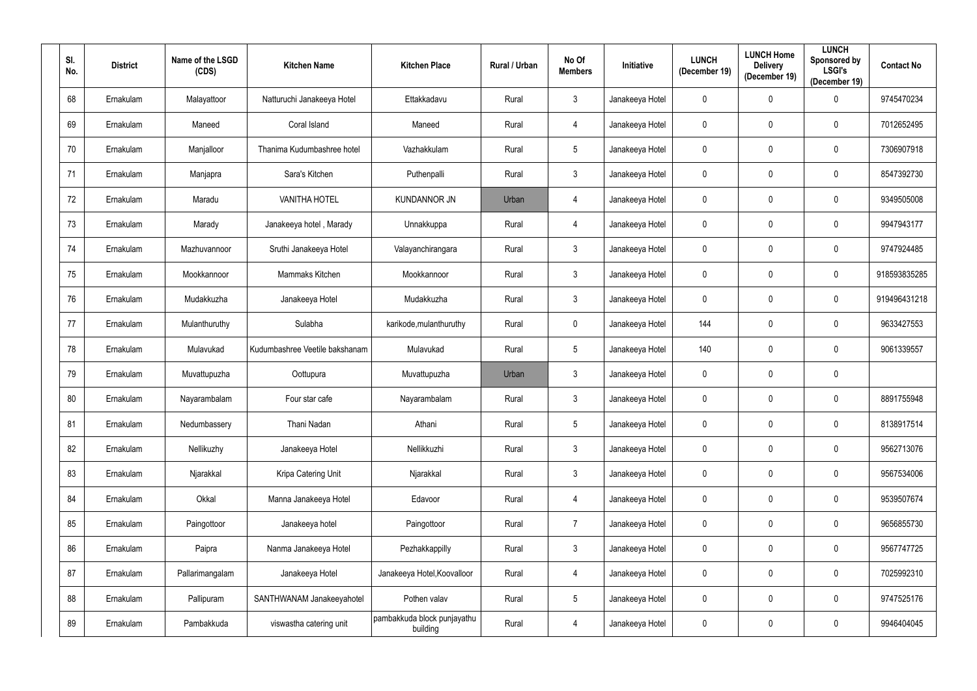| SI.<br>No. | <b>District</b> | Name of the LSGD<br>(CDS) | <b>Kitchen Name</b>            | <b>Kitchen Place</b>                    | Rural / Urban | No Of<br><b>Members</b> | Initiative      | <b>LUNCH</b><br>(December 19) | <b>LUNCH Home</b><br><b>Delivery</b><br>(December 19) | <b>LUNCH</b><br>Sponsored by<br><b>LSGI's</b><br>(December 19) | <b>Contact No</b> |
|------------|-----------------|---------------------------|--------------------------------|-----------------------------------------|---------------|-------------------------|-----------------|-------------------------------|-------------------------------------------------------|----------------------------------------------------------------|-------------------|
| 68         | Ernakulam       | Malayattoor               | Natturuchi Janakeeya Hotel     | Ettakkadavu                             | Rural         | $3\phantom{.0}$         | Janakeeya Hotel | $\pmb{0}$                     | $\mathbf 0$                                           | $\mathbf 0$                                                    | 9745470234        |
| 69         | Ernakulam       | Maneed                    | Coral Island                   | Maneed                                  | Rural         | 4                       | Janakeeya Hotel | $\mathbf 0$                   | $\mathbf 0$                                           | $\mathbf 0$                                                    | 7012652495        |
| 70         | Ernakulam       | Manjalloor                | Thanima Kudumbashree hotel     | Vazhakkulam                             | Rural         | $5\phantom{.0}$         | Janakeeya Hotel | $\mathbf 0$                   | 0                                                     | $\overline{0}$                                                 | 7306907918        |
| 71         | Ernakulam       | Manjapra                  | Sara's Kitchen                 | Puthenpalli                             | Rural         | $3\phantom{.0}$         | Janakeeya Hotel | $\mathbf 0$                   | $\mathbf 0$                                           | $\boldsymbol{0}$                                               | 8547392730        |
| 72         | Ernakulam       | Maradu                    | <b>VANITHA HOTEL</b>           | <b>KUNDANNOR JN</b>                     | Urban         | 4                       | Janakeeya Hotel | $\mathbf 0$                   | 0                                                     | $\boldsymbol{0}$                                               | 9349505008        |
| 73         | Ernakulam       | Marady                    | Janakeeya hotel, Marady        | Unnakkuppa                              | Rural         | 4                       | Janakeeya Hotel | $\boldsymbol{0}$              | $\mathbf 0$                                           | $\boldsymbol{0}$                                               | 9947943177        |
| 74         | Ernakulam       | Mazhuvannoor              | Sruthi Janakeeya Hotel         | Valayanchirangara                       | Rural         | $3\phantom{.0}$         | Janakeeya Hotel | $\mathbf 0$                   | $\mathbf 0$                                           | $\mathbf 0$                                                    | 9747924485        |
| 75         | Ernakulam       | Mookkannoor               | Mammaks Kitchen                | Mookkannoor                             | Rural         | $\mathfrak{Z}$          | Janakeeya Hotel | $\boldsymbol{0}$              | $\mathbf 0$                                           | $\boldsymbol{0}$                                               | 918593835285      |
| 76         | Ernakulam       | Mudakkuzha                | Janakeeya Hotel                | Mudakkuzha                              | Rural         | $3\phantom{.0}$         | Janakeeya Hotel | $\mathbf 0$                   | $\mathbf 0$                                           | $\mathbf 0$                                                    | 919496431218      |
| 77         | Ernakulam       | Mulanthuruthy             | Sulabha                        | karikode, mulanthuruthy                 | Rural         | $\pmb{0}$               | Janakeeya Hotel | 144                           | 0                                                     | $\overline{0}$                                                 | 9633427553        |
| 78         | Ernakulam       | Mulavukad                 | Kudumbashree Veetile bakshanam | Mulavukad                               | Rural         | $5\phantom{.0}$         | Janakeeya Hotel | 140                           | $\mathbf 0$                                           | $\mathbf 0$                                                    | 9061339557        |
| 79         | Ernakulam       | Muvattupuzha              | Oottupura                      | Muvattupuzha                            | Urban         | $\mathfrak{Z}$          | Janakeeya Hotel | $\boldsymbol{0}$              | 0                                                     | $\boldsymbol{0}$                                               |                   |
| 80         | Ernakulam       | Nayarambalam              | Four star cafe                 | Nayarambalam                            | Rural         | $\mathbf{3}$            | Janakeeya Hotel | $\mathbf 0$                   | $\mathbf 0$                                           | $\boldsymbol{0}$                                               | 8891755948        |
| 81         | Ernakulam       | Nedumbassery              | Thani Nadan                    | Athani                                  | Rural         | $5\phantom{.0}$         | Janakeeya Hotel | $\mathbf 0$                   | $\mathbf 0$                                           | $\mathbf 0$                                                    | 8138917514        |
| 82         | Ernakulam       | Nellikuzhy                | Janakeeya Hotel                | Nellikkuzhi                             | Rural         | $\mathfrak{Z}$          | Janakeeya Hotel | $\mathbf 0$                   | $\mathbf 0$                                           | $\mathbf 0$                                                    | 9562713076        |
| 83         | Ernakulam       | Njarakkal                 | Kripa Catering Unit            | Njarakkal                               | Rural         | $\mathfrak{Z}$          | Janakeeya Hotel | $\pmb{0}$                     | $\mathbf 0$                                           | $\overline{0}$                                                 | 9567534006        |
| 84         | Ernakulam       | Okkal                     | Manna Janakeeya Hotel          | Edavoor                                 | Rural         | 4                       | Janakeeya Hotel | $\mathbf 0$                   | $\mathbf 0$                                           | $\overline{0}$                                                 | 9539507674        |
| 85         | Ernakulam       | Paingottoor               | Janakeeya hotel                | Paingottoor                             | Rural         | $\overline{7}$          | Janakeeya Hotel | $\pmb{0}$                     | $\mathbf 0$                                           | $\mathbf 0$                                                    | 9656855730        |
| 86         | Ernakulam       | Paipra                    | Nanma Janakeeya Hotel          | Pezhakkappilly                          | Rural         | $\mathfrak{Z}$          | Janakeeya Hotel | $\pmb{0}$                     | $\mathbf 0$                                           | $\mathbf 0$                                                    | 9567747725        |
| 87         | Ernakulam       | Pallarimangalam           | Janakeeya Hotel                | Janakeeya Hotel, Koovalloor             | Rural         | 4                       | Janakeeya Hotel | $\pmb{0}$                     | $\mathbf 0$                                           | $\overline{0}$                                                 | 7025992310        |
| 88         | Ernakulam       | Pallipuram                | SANTHWANAM Janakeeyahotel      | Pothen valav                            | Rural         | $\overline{5}$          | Janakeeya Hotel | $\mathbf 0$                   | $\mathbf 0$                                           | $\overline{0}$                                                 | 9747525176        |
| 89         | Ernakulam       | Pambakkuda                | viswastha catering unit        | pambakkuda block punjayathu<br>building | Rural         | $\overline{4}$          | Janakeeya Hotel | $\mathbf 0$                   | $\mathbf 0$                                           | $\mathbf 0$                                                    | 9946404045        |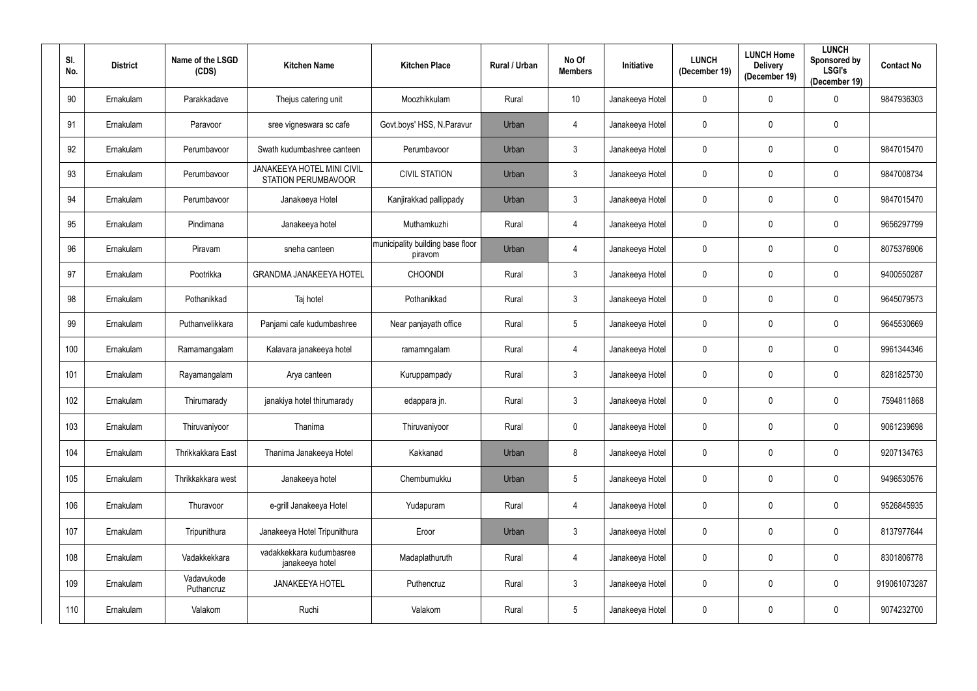| SI.<br>No. | <b>District</b> | Name of the LSGD<br>(CDS) | <b>Kitchen Name</b>                                             | <b>Kitchen Place</b>                        | <b>Rural / Urban</b> | No Of<br><b>Members</b> | <b>Initiative</b> | <b>LUNCH</b><br>(December 19) | <b>LUNCH Home</b><br><b>Delivery</b><br>(December 19) | <b>LUNCH</b><br>Sponsored by<br><b>LSGI's</b><br>(December 19) | <b>Contact No</b> |
|------------|-----------------|---------------------------|-----------------------------------------------------------------|---------------------------------------------|----------------------|-------------------------|-------------------|-------------------------------|-------------------------------------------------------|----------------------------------------------------------------|-------------------|
| 90         | Ernakulam       | Parakkadave               | Thejus catering unit                                            | Moozhikkulam                                | Rural                | 10                      | Janakeeya Hotel   | $\mathbf 0$                   | $\mathbf 0$                                           | $\overline{0}$                                                 | 9847936303        |
| 91         | Ernakulam       | Paravoor                  | sree vigneswara sc cafe                                         | Govt.boys' HSS, N.Paravur                   | Urban                | 4                       | Janakeeya Hotel   | $\pmb{0}$                     | $\mathbf 0$                                           | $\mathbf 0$                                                    |                   |
| 92         | Ernakulam       | Perumbavoor               | Swath kudumbashree canteen                                      | Perumbavoor                                 | Urban                | $\mathfrak{Z}$          | Janakeeya Hotel   | $\mathbf 0$                   | $\mathbf 0$                                           | $\bf{0}$                                                       | 9847015470        |
| 93         | Ernakulam       | Perumbavoor               | <b>JANAKEEYA HOTEL MINI CIVIL</b><br><b>STATION PERUMBAVOOR</b> | <b>CIVIL STATION</b>                        | Urban                | $3\phantom{.0}$         | Janakeeya Hotel   | $\pmb{0}$                     | $\mathbf 0$                                           | $\mathbf 0$                                                    | 9847008734        |
| 94         | Ernakulam       | Perumbavoor               | Janakeeya Hotel                                                 | Kanjirakkad pallippady                      | Urban                | $\mathfrak{Z}$          | Janakeeya Hotel   | $\pmb{0}$                     | $\mathbf 0$                                           | $\bf{0}$                                                       | 9847015470        |
| 95         | Ernakulam       | Pindimana                 | Janakeeya hotel                                                 | Muthamkuzhi                                 | Rural                | 4                       | Janakeeya Hotel   | $\pmb{0}$                     | $\mathbf 0$                                           | $\mathbf 0$                                                    | 9656297799        |
| 96         | Ernakulam       | Piravam                   | sneha canteen                                                   | municipality building base floor<br>piravom | Urban                | 4                       | Janakeeya Hotel   | $\mathbf 0$                   | $\mathbf 0$                                           | $\mathbf 0$                                                    | 8075376906        |
| 97         | Ernakulam       | Pootrikka                 | <b>GRANDMA JANAKEEYA HOTEL</b>                                  | <b>CHOONDI</b>                              | Rural                | $3\phantom{.0}$         | Janakeeya Hotel   | $\mathbf 0$                   | 0                                                     | $\mathbf 0$                                                    | 9400550287        |
| 98         | Ernakulam       | Pothanikkad               | Taj hotel                                                       | Pothanikkad                                 | Rural                | $\mathfrak{Z}$          | Janakeeya Hotel   | $\overline{0}$                | $\mathbf 0$                                           | $\mathbf 0$                                                    | 9645079573        |
| 99         | Ernakulam       | Puthanvelikkara           | Panjami cafe kudumbashree                                       | Near panjayath office                       | Rural                | $5\phantom{.0}$         | Janakeeya Hotel   | $\mathbf 0$                   | $\mathbf 0$                                           | $\mathbf 0$                                                    | 9645530669        |
| 100        | Ernakulam       | Ramamangalam              | Kalavara janakeeya hotel                                        | ramamngalam                                 | Rural                | 4                       | Janakeeya Hotel   | $\overline{0}$                | $\mathbf 0$                                           | $\mathbf 0$                                                    | 9961344346        |
| 101        | Ernakulam       | Rayamangalam              | Arya canteen                                                    | Kuruppampady                                | Rural                | $\mathbf{3}$            | Janakeeya Hotel   | $\overline{0}$                | $\boldsymbol{0}$                                      | $\bf{0}$                                                       | 8281825730        |
| 102        | Ernakulam       | Thirumarady               | janakiya hotel thirumarady                                      | edappara jn.                                | Rural                | $\mathfrak{Z}$          | Janakeeya Hotel   | $\mathbf 0$                   | $\mathbf 0$                                           | $\mathbf 0$                                                    | 7594811868        |
| 103        | Ernakulam       | Thiruvaniyoor             | Thanima                                                         | Thiruvaniyoor                               | Rural                | $\pmb{0}$               | Janakeeya Hotel   | $\mathbf 0$                   | $\mathbf{0}$                                          | $\mathbf 0$                                                    | 9061239698        |
| 104        | Ernakulam       | Thrikkakkara East         | Thanima Janakeeya Hotel                                         | Kakkanad                                    | Urban                | 8                       | Janakeeya Hotel   | $\pmb{0}$                     | $\mathbf 0$                                           | $\mathbf 0$                                                    | 9207134763        |
| 105        | Ernakulam       | Thrikkakkara west         | Janakeeya hotel                                                 | Chembumukku                                 | Urban                | $\overline{5}$          | Janakeeya Hotel   | $\mathbf 0$                   | $\mathbf 0$                                           | $\mathbf 0$                                                    | 9496530576        |
| 106        | Ernakulam       | Thuravoor                 | e-grill Janakeeya Hotel                                         | Yudapuram                                   | Rural                | $\overline{4}$          | Janakeeya Hotel   | $\mathbf 0$                   | $\mathbf 0$                                           | $\overline{0}$                                                 | 9526845935        |
| 107        | Ernakulam       | Tripunithura              | Janakeeya Hotel Tripunithura                                    | Eroor                                       | Urban                | $\mathfrak{Z}$          | Janakeeya Hotel   | $\pmb{0}$                     | $\mathbf 0$                                           | $\overline{0}$                                                 | 8137977644        |
| 108        | Ernakulam       | Vadakkekkara              | vadakkekkara kudumbasree<br>janakeeya hotel                     | Madaplathuruth                              | Rural                | $\overline{4}$          | Janakeeya Hotel   | $\mathbf 0$                   | $\mathbf 0$                                           | $\pmb{0}$                                                      | 8301806778        |
| 109        | Ernakulam       | Vadavukode<br>Puthancruz  | <b>JANAKEEYA HOTEL</b>                                          | Puthencruz                                  | Rural                | $\mathfrak{Z}$          | Janakeeya Hotel   | $\mathbf 0$                   | $\mathbf 0$                                           | $\overline{0}$                                                 | 919061073287      |
| 110        | Ernakulam       | Valakom                   | Ruchi                                                           | Valakom                                     | Rural                | $5\phantom{.0}$         | Janakeeya Hotel   | $\mathbf 0$                   | $\pmb{0}$                                             | $\overline{0}$                                                 | 9074232700        |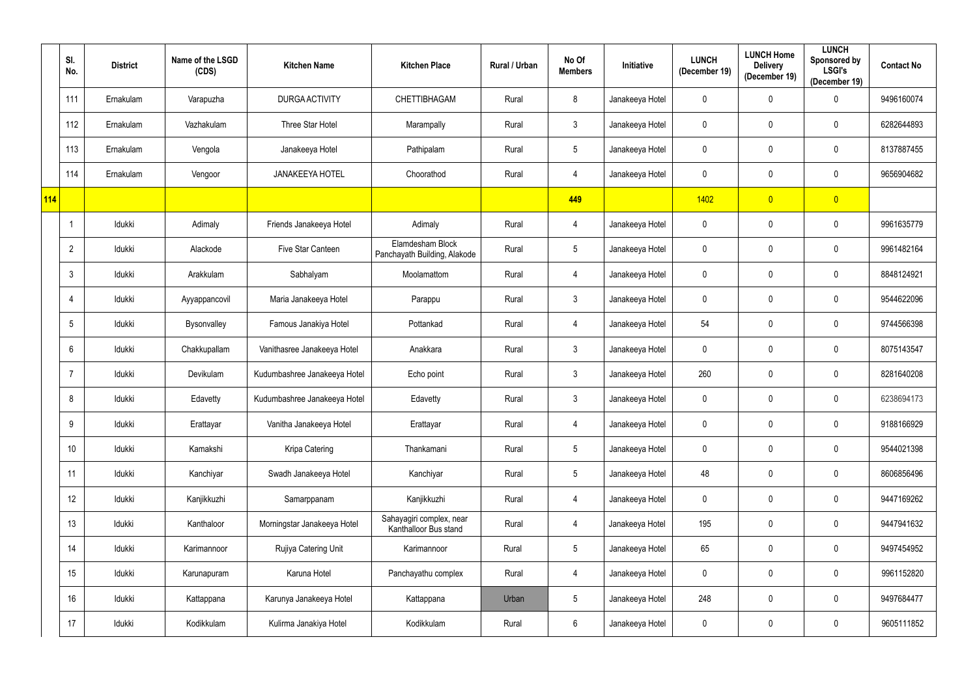|            | SI.<br>No.     | <b>District</b> | Name of the LSGD<br>(CDS) | <b>Kitchen Name</b>          | <b>Kitchen Place</b>                              | Rural / Urban | No Of<br><b>Members</b> | Initiative      | <b>LUNCH</b><br>(December 19) | <b>LUNCH Home</b><br><b>Delivery</b><br>(December 19) | <b>LUNCH</b><br>Sponsored by<br><b>LSGI's</b><br>(December 19) | <b>Contact No</b> |
|------------|----------------|-----------------|---------------------------|------------------------------|---------------------------------------------------|---------------|-------------------------|-----------------|-------------------------------|-------------------------------------------------------|----------------------------------------------------------------|-------------------|
|            | 111            | Ernakulam       | Varapuzha                 | DURGA ACTIVITY               | CHETTIBHAGAM                                      | Rural         | 8                       | Janakeeya Hotel | $\mathbf 0$                   | $\mathbf 0$                                           | $\mathbf 0$                                                    | 9496160074        |
|            | 112            | Ernakulam       | Vazhakulam                | Three Star Hotel             | Marampally                                        | Rural         | $\mathfrak{Z}$          | Janakeeya Hotel | $\mathbf 0$                   | 0                                                     | $\mathbf 0$                                                    | 6282644893        |
|            | 113            | Ernakulam       | Vengola                   | Janakeeya Hotel              | Pathipalam                                        | Rural         | $\overline{5}$          | Janakeeya Hotel | $\mathbf 0$                   | 0                                                     | $\mathbf 0$                                                    | 8137887455        |
|            | 114            | Ernakulam       | Vengoor                   | <b>JANAKEEYA HOTEL</b>       | Choorathod                                        | Rural         | 4                       | Janakeeya Hotel | $\mathbf 0$                   | 0                                                     | $\mathbf 0$                                                    | 9656904682        |
| <b>114</b> |                |                 |                           |                              |                                                   |               | 449                     |                 | 1402                          | $\overline{0}$                                        | $\overline{0}$                                                 |                   |
|            | -1             | Idukki          | Adimaly                   | Friends Janakeeya Hotel      | Adimaly                                           | Rural         | $\overline{4}$          | Janakeeya Hotel | $\mathbf 0$                   | 0                                                     | $\mathbf 0$                                                    | 9961635779        |
|            | $\overline{2}$ | Idukki          | Alackode                  | Five Star Canteen            | Elamdesham Block<br>Panchayath Building, Alakode  | Rural         | $\overline{5}$          | Janakeeya Hotel | $\mathbf 0$                   | 0                                                     | $\mathbf 0$                                                    | 9961482164        |
|            | 3              | Idukki          | Arakkulam                 | Sabhalyam                    | Moolamattom                                       | Rural         | $\overline{4}$          | Janakeeya Hotel | $\mathbf 0$                   | 0                                                     | $\mathbf 0$                                                    | 8848124921        |
|            |                | Idukki          | Ayyappancovil             | Maria Janakeeya Hotel        | Parappu                                           | Rural         | $\mathfrak{Z}$          | Janakeeya Hotel | $\mathbf 0$                   | 0                                                     | $\mathbf 0$                                                    | 9544622096        |
|            | 5              | Idukki          | Bysonvalley               | Famous Janakiya Hotel        | Pottankad                                         | Rural         | $\overline{4}$          | Janakeeya Hotel | 54                            | 0                                                     | $\mathbf 0$                                                    | 9744566398        |
|            | 6              | Idukki          | Chakkupallam              | Vanithasree Janakeeya Hotel  | Anakkara                                          | Rural         | $\mathfrak{Z}$          | Janakeeya Hotel | $\mathbf 0$                   | 0                                                     | $\mathbf 0$                                                    | 8075143547        |
|            |                | Idukki          | Devikulam                 | Kudumbashree Janakeeya Hotel | Echo point                                        | Rural         | $\mathfrak{Z}$          | Janakeeya Hotel | 260                           | 0                                                     | $\mathbf 0$                                                    | 8281640208        |
|            | 8              | Idukki          | Edavetty                  | Kudumbashree Janakeeya Hotel | Edavetty                                          | Rural         | $\mathbf{3}$            | Janakeeya Hotel | $\mathbf 0$                   | 0                                                     | $\mathbf 0$                                                    | 6238694173        |
|            | 9              | Idukki          | Erattayar                 | Vanitha Janakeeya Hotel      | Erattayar                                         | Rural         | $\overline{4}$          | Janakeeya Hotel | $\mathbf 0$                   | 0                                                     | $\mathbf 0$                                                    | 9188166929        |
|            | 10             | Idukki          | Kamakshi                  | Kripa Catering               | Thankamani                                        | Rural         | $\overline{5}$          | Janakeeya Hotel | $\mathbf 0$                   | $\pmb{0}$                                             | $\mathbf 0$                                                    | 9544021398        |
|            | 11             | Idukki          | Kanchiyar                 | Swadh Janakeeya Hotel        | Kanchiyar                                         | Rural         | $\overline{5}$          | Janakeeya Hotel | 48                            | $\mathbf 0$                                           | $\mathbf 0$                                                    | 8606856496        |
|            | 12             | Idukki          | Kanjikkuzhi               | Samarppanam                  | Kanjikkuzhi                                       | Rural         | $\overline{4}$          | Janakeeya Hotel | $\mathbf 0$                   | $\pmb{0}$                                             | $\mathbf 0$                                                    | 9447169262        |
|            | 13             | Idukki          | Kanthaloor                | Morningstar Janakeeya Hotel  | Sahayagiri complex, near<br>Kanthalloor Bus stand | Rural         | $\overline{4}$          | Janakeeya Hotel | 195                           | 0                                                     | $\overline{0}$                                                 | 9447941632        |
|            | 14             | Idukki          | Karimannoor               | Rujiya Catering Unit         | Karimannoor                                       | Rural         | $\overline{5}$          | Janakeeya Hotel | 65                            | 0                                                     | $\overline{0}$                                                 | 9497454952        |
|            | 15             | Idukki          | Karunapuram               | Karuna Hotel                 | Panchayathu complex                               | Rural         | $\overline{4}$          | Janakeeya Hotel | $\mathbf 0$                   | 0                                                     | $\overline{0}$                                                 | 9961152820        |
|            | 16             | Idukki          | Kattappana                | Karunya Janakeeya Hotel      | Kattappana                                        | Urban         | $\sqrt{5}$              | Janakeeya Hotel | 248                           | 0                                                     | $\mathbf 0$                                                    | 9497684477        |
|            | 17             | Idukki          | Kodikkulam                | Kulirma Janakiya Hotel       | Kodikkulam                                        | Rural         | $\,6\,$                 | Janakeeya Hotel | $\mathbf 0$                   | 0                                                     | $\mathbf 0$                                                    | 9605111852        |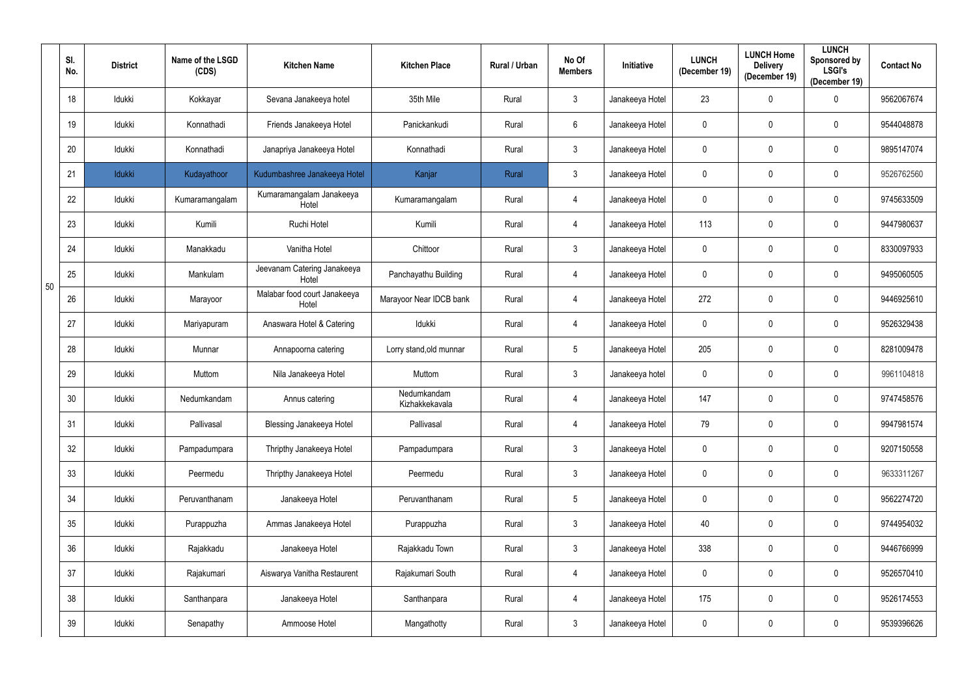|    | SI.<br>No. | <b>District</b> | Name of the LSGD<br>(CDS) | <b>Kitchen Name</b>                   | <b>Kitchen Place</b>          | <b>Rural / Urban</b> | No Of<br><b>Members</b> | Initiative      | <b>LUNCH</b><br>(December 19) | <b>LUNCH Home</b><br><b>Delivery</b><br>(December 19) | <b>LUNCH</b><br>Sponsored by<br><b>LSGI's</b><br>(December 19) | <b>Contact No</b> |
|----|------------|-----------------|---------------------------|---------------------------------------|-------------------------------|----------------------|-------------------------|-----------------|-------------------------------|-------------------------------------------------------|----------------------------------------------------------------|-------------------|
|    | 18         | Idukki          | Kokkayar                  | Sevana Janakeeya hotel                | 35th Mile                     | Rural                | $\mathbf{3}$            | Janakeeya Hotel | 23                            | 0                                                     | $\mathbf 0$                                                    | 9562067674        |
|    | 19         | Idukki          | Konnathadi                | Friends Janakeeya Hotel               | Panickankudi                  | Rural                | $6\phantom{.}6$         | Janakeeya Hotel | $\mathbf 0$                   | 0                                                     | $\mathbf 0$                                                    | 9544048878        |
|    | 20         | Idukki          | Konnathadi                | Janapriya Janakeeya Hotel             | Konnathadi                    | Rural                | $\mathfrak{Z}$          | Janakeeya Hotel | $\mathbf 0$                   | 0                                                     | $\mathbf 0$                                                    | 9895147074        |
|    | 21         | Idukki          | Kudayathoor               | Kudumbashree Janakeeya Hotel          | Kanjar                        | Rural                | $\mathfrak{Z}$          | Janakeeya Hotel | $\pmb{0}$                     | 0                                                     | $\boldsymbol{0}$                                               | 9526762560        |
|    | 22         | Idukki          | Kumaramangalam            | Kumaramangalam Janakeeya<br>Hotel     | Kumaramangalam                | Rural                | 4                       | Janakeeya Hotel | $\mathbf 0$                   | 0                                                     | $\mathbf 0$                                                    | 9745633509        |
|    | 23         | Idukki          | Kumili                    | Ruchi Hotel                           | Kumili                        | Rural                | 4                       | Janakeeya Hotel | 113                           | 0                                                     | $\mathbf 0$                                                    | 9447980637        |
|    | 24         | Idukki          | Manakkadu                 | Vanitha Hotel                         | Chittoor                      | Rural                | $\mathbf{3}$            | Janakeeya Hotel | $\mathbf 0$                   | 0                                                     | $\mathbf 0$                                                    | 8330097933        |
| 50 | 25         | Idukki          | Mankulam                  | Jeevanam Catering Janakeeya<br>Hotel  | Panchayathu Building          | Rural                | 4                       | Janakeeya Hotel | $\mathbf 0$                   | 0                                                     | $\mathbf 0$                                                    | 9495060505        |
|    | 26         | Idukki          | Marayoor                  | Malabar food court Janakeeya<br>Hotel | Marayoor Near IDCB bank       | Rural                | 4                       | Janakeeya Hotel | 272                           | 0                                                     | $\mathbf 0$                                                    | 9446925610        |
|    | 27         | Idukki          | Mariyapuram               | Anaswara Hotel & Catering             | Idukki                        | Rural                | 4                       | Janakeeya Hotel | $\mathbf 0$                   | 0                                                     | $\mathbf 0$                                                    | 9526329438        |
|    | 28         | Idukki          | Munnar                    | Annapoorna catering                   | Lorry stand, old munnar       | Rural                | $5\phantom{.0}$         | Janakeeya Hotel | 205                           | 0                                                     | $\mathbf 0$                                                    | 8281009478        |
|    | 29         | Idukki          | Muttom                    | Nila Janakeeya Hotel                  | Muttom                        | Rural                | $\mathfrak{Z}$          | Janakeeya hotel | $\pmb{0}$                     | 0                                                     | $\boldsymbol{0}$                                               | 9961104818        |
|    | 30         | Idukki          | Nedumkandam               | Annus catering                        | Nedumkandam<br>Kizhakkekavala | Rural                | 4                       | Janakeeya Hotel | 147                           | 0                                                     | $\mathbf 0$                                                    | 9747458576        |
|    | 31         | Idukki          | Pallivasal                | <b>Blessing Janakeeya Hotel</b>       | Pallivasal                    | Rural                | 4                       | Janakeeya Hotel | 79                            | $\mathbf 0$                                           | $\mathbf 0$                                                    | 9947981574        |
|    | 32         | Idukki          | Pampadumpara              | Thripthy Janakeeya Hotel              | Pampadumpara                  | Rural                | $\mathbf{3}$            | Janakeeya Hotel | $\mathbf 0$                   | 0                                                     | $\mathbf 0$                                                    | 9207150558        |
|    | 33         | Idukki          | Peermedu                  | Thripthy Janakeeya Hotel              | Peermedu                      | Rural                | $\mathbf{3}$            | Janakeeya Hotel | $\mathbf 0$                   | 0                                                     | $\boldsymbol{0}$                                               | 9633311267        |
|    | 34         | Idukki          | Peruvanthanam             | Janakeeya Hotel                       | Peruvanthanam                 | Rural                | $5\phantom{.0}$         | Janakeeya Hotel | $\mathbf 0$                   | 0                                                     | $\mathbf 0$                                                    | 9562274720        |
|    | 35         | Idukki          | Purappuzha                | Ammas Janakeeya Hotel                 | Purappuzha                    | Rural                | $\mathfrak{Z}$          | Janakeeya Hotel | 40                            | 0                                                     | $\overline{0}$                                                 | 9744954032        |
|    | 36         | Idukki          | Rajakkadu                 | Janakeeya Hotel                       | Rajakkadu Town                | Rural                | $\mathfrak{Z}$          | Janakeeya Hotel | 338                           | 0                                                     | $\overline{0}$                                                 | 9446766999        |
|    | 37         | Idukki          | Rajakumari                | Aiswarya Vanitha Restaurent           | Rajakumari South              | Rural                | 4                       | Janakeeya Hotel | $\mathbf 0$                   | 0                                                     | $\boldsymbol{0}$                                               | 9526570410        |
|    | 38         | Idukki          | Santhanpara               | Janakeeya Hotel                       | Santhanpara                   | Rural                | $\overline{4}$          | Janakeeya Hotel | 175                           | 0                                                     | $\mathbf 0$                                                    | 9526174553        |
|    | 39         | Idukki          | Senapathy                 | Ammoose Hotel                         | Mangathotty                   | Rural                | $\mathbf{3}$            | Janakeeya Hotel | $\mathbf 0$                   | 0                                                     | $\mathbf 0$                                                    | 9539396626        |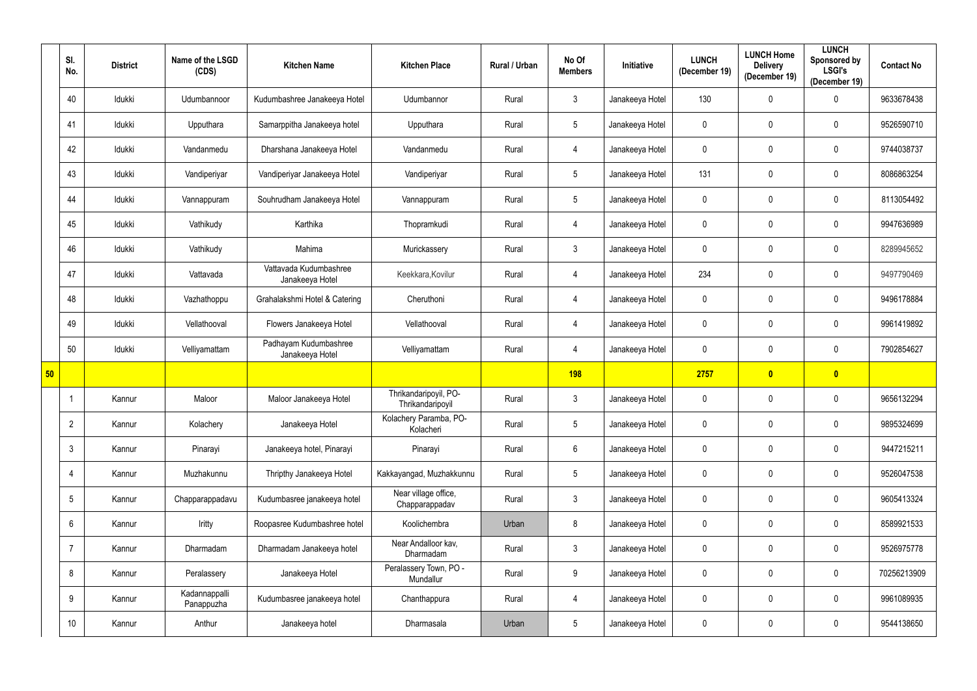|    | SI.<br>No.      | <b>District</b> | Name of the LSGD<br>(CDS)   | <b>Kitchen Name</b>                       | <b>Kitchen Place</b>                      | Rural / Urban | No Of<br><b>Members</b> | Initiative      | <b>LUNCH</b><br>(December 19) | <b>LUNCH Home</b><br><b>Delivery</b><br>(December 19) | <b>LUNCH</b><br>Sponsored by<br><b>LSGI's</b><br>(December 19) | <b>Contact No</b> |
|----|-----------------|-----------------|-----------------------------|-------------------------------------------|-------------------------------------------|---------------|-------------------------|-----------------|-------------------------------|-------------------------------------------------------|----------------------------------------------------------------|-------------------|
|    | 40              | Idukki          | Udumbannoor                 | Kudumbashree Janakeeya Hotel              | Udumbannor                                | Rural         | $\mathfrak{Z}$          | Janakeeya Hotel | 130                           | 0                                                     | $\mathbf 0$                                                    | 9633678438        |
|    | 41              | Idukki          | Upputhara                   | Samarppitha Janakeeya hotel               | Upputhara                                 | Rural         | $\sqrt{5}$              | Janakeeya Hotel | 0                             | 0                                                     | $\mathbf 0$                                                    | 9526590710        |
|    | 42              | Idukki          | Vandanmedu                  | Dharshana Janakeeya Hotel                 | Vandanmedu                                | Rural         | $\overline{4}$          | Janakeeya Hotel | $\mathbf 0$                   | 0                                                     | $\mathbf 0$                                                    | 9744038737        |
|    | 43              | Idukki          | Vandiperiyar                | Vandiperiyar Janakeeya Hotel              | Vandiperiyar                              | Rural         | $5\phantom{.0}$         | Janakeeya Hotel | 131                           | 0                                                     | $\mathbf 0$                                                    | 8086863254        |
|    | 44              | Idukki          | Vannappuram                 | Souhrudham Janakeeya Hotel                | Vannappuram                               | Rural         | $\sqrt{5}$              | Janakeeya Hotel | 0                             | 0                                                     | $\mathbf 0$                                                    | 8113054492        |
|    | 45              | Idukki          | Vathikudy                   | Karthika                                  | Thopramkudi                               | Rural         | $\overline{4}$          | Janakeeya Hotel | 0                             | 0                                                     | $\mathbf 0$                                                    | 9947636989        |
|    | 46              | Idukki          | Vathikudy                   | Mahima                                    | Murickassery                              | Rural         | $\mathbf{3}$            | Janakeeya Hotel | 0                             | 0                                                     | $\mathbf 0$                                                    | 8289945652        |
|    | 47              | Idukki          | Vattavada                   | Vattavada Kudumbashree<br>Janakeeya Hotel | Keekkara, Kovilur                         | Rural         | $\overline{4}$          | Janakeeya Hotel | 234                           | 0                                                     | $\mathbf 0$                                                    | 9497790469        |
|    | 48              | Idukki          | Vazhathoppu                 | Grahalakshmi Hotel & Catering             | Cheruthoni                                | Rural         | 4                       | Janakeeya Hotel | 0                             | 0                                                     | $\mathbf 0$                                                    | 9496178884        |
|    | 49              | Idukki          | Vellathooval                | Flowers Janakeeya Hotel                   | Vellathooval                              | Rural         | $\overline{4}$          | Janakeeya Hotel | $\mathbf 0$                   | 0                                                     | $\mathbf 0$                                                    | 9961419892        |
|    | 50              | Idukki          | Velliyamattam               | Padhayam Kudumbashree<br>Janakeeya Hotel  | Velliyamattam                             | Rural         | 4                       | Janakeeya Hotel | 0                             | 0                                                     | $\mathbf 0$                                                    | 7902854627        |
| 50 |                 |                 |                             |                                           |                                           |               | <b>198</b>              |                 | 2757                          | $\mathbf{0}$                                          | $\bullet$                                                      |                   |
|    |                 | Kannur          | Maloor                      | Maloor Janakeeya Hotel                    | Thrikandaripoyil, PO-<br>Thrikandaripoyil | Rural         | $\mathbf{3}$            | Janakeeya Hotel | 0                             | 0                                                     | $\mathbf 0$                                                    | 9656132294        |
|    | $\overline{2}$  | Kannur          | Kolachery                   | Janakeeya Hotel                           | Kolachery Paramba, PO-<br>Kolacheri       | Rural         | $5\phantom{.0}$         | Janakeeya Hotel | $\mathbf 0$                   | 0                                                     | $\mathbf 0$                                                    | 9895324699        |
|    | $\mathbf{3}$    | Kannur          | Pinarayi                    | Janakeeya hotel, Pinarayi                 | Pinarayi                                  | Rural         | $6\,$                   | Janakeeya Hotel | $\mathbf 0$                   | $\mathbf 0$                                           | $\mathbf 0$                                                    | 9447215211        |
|    | $\overline{4}$  | Kannur          | Muzhakunnu                  | Thripthy Janakeeya Hotel                  | Kakkayangad, Muzhakkunnu                  | Rural         | $\sqrt{5}$              | Janakeeya Hotel | $\pmb{0}$                     | 0                                                     | $\mathbf 0$                                                    | 9526047538        |
|    | $5\overline{)}$ | Kannur          | Chapparappadavu             | Kudumbasree janakeeya hotel               | Near village office,<br>Chapparappadav    | Rural         | $\mathfrak{Z}$          | Janakeeya Hotel | $\mathbf 0$                   | $\pmb{0}$                                             | $\mathbf 0$                                                    | 9605413324        |
|    | $6^{\circ}$     | Kannur          | Iritty                      | Roopasree Kudumbashree hotel              | Koolichembra                              | Urban         | $\bf 8$                 | Janakeeya Hotel | $\mathbf 0$                   | 0                                                     | $\mathbf 0$                                                    | 8589921533        |
|    | $\overline{7}$  | Kannur          | Dharmadam                   | Dharmadam Janakeeya hotel                 | Near Andalloor kav,<br>Dharmadam          | Rural         | $\mathfrak{Z}$          | Janakeeya Hotel | $\mathbf 0$                   | 0                                                     | $\mathbf 0$                                                    | 9526975778        |
|    | 8               | Kannur          | Peralassery                 | Janakeeya Hotel                           | Peralassery Town, PO -<br>Mundallur       | Rural         | $9\,$                   | Janakeeya Hotel | $\mathbf 0$                   | 0                                                     | $\mathbf 0$                                                    | 70256213909       |
|    | 9               | Kannur          | Kadannappalli<br>Panappuzha | Kudumbasree janakeeya hotel               | Chanthappura                              | Rural         | $\overline{4}$          | Janakeeya Hotel | $\mathbf 0$                   | 0                                                     | $\mathbf 0$                                                    | 9961089935        |
|    | 10              | Kannur          | Anthur                      | Janakeeya hotel                           | Dharmasala                                | Urban         | $\sqrt{5}$              | Janakeeya Hotel | 0                             | 0                                                     | $\mathbf 0$                                                    | 9544138650        |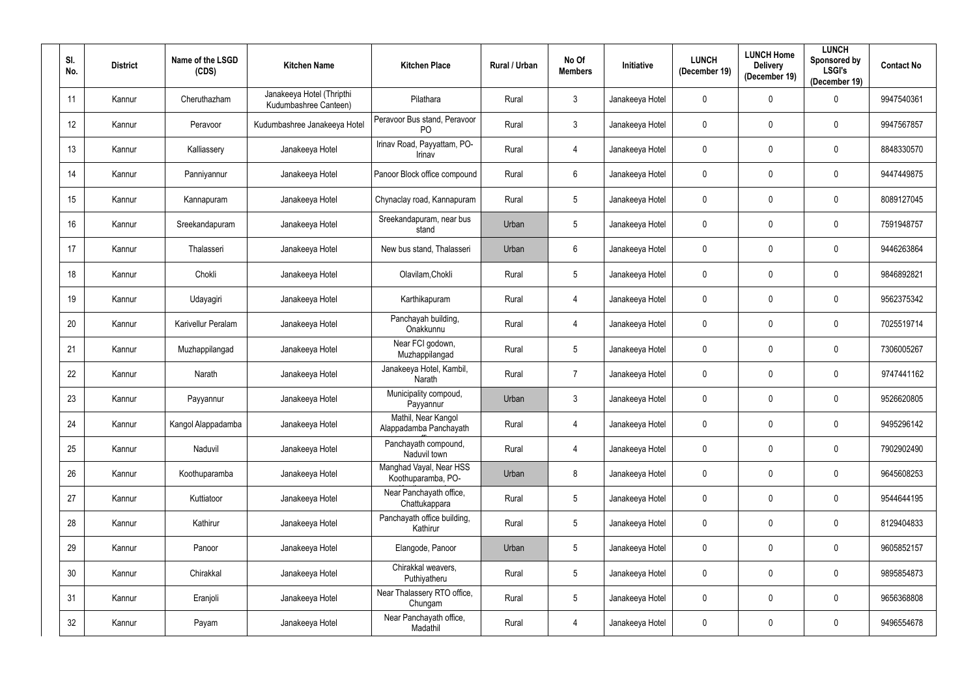| SI.<br>No. | <b>District</b> | Name of the LSGD<br>(CDS) | <b>Kitchen Name</b>                                | <b>Kitchen Place</b>                           | Rural / Urban | No Of<br><b>Members</b> | Initiative      | <b>LUNCH</b><br>(December 19) | <b>LUNCH Home</b><br><b>Delivery</b><br>(December 19) | <b>LUNCH</b><br>Sponsored by<br><b>LSGI's</b><br>(December 19) | <b>Contact No</b> |
|------------|-----------------|---------------------------|----------------------------------------------------|------------------------------------------------|---------------|-------------------------|-----------------|-------------------------------|-------------------------------------------------------|----------------------------------------------------------------|-------------------|
| 11         | Kannur          | Cheruthazham              | Janakeeya Hotel (Thripthi<br>Kudumbashree Canteen) | Pilathara                                      | Rural         | $\mathbf{3}$            | Janakeeya Hotel | $\pmb{0}$                     | $\mathbf 0$                                           | $\mathbf 0$                                                    | 9947540361        |
| 12         | Kannur          | Peravoor                  | Kudumbashree Janakeeya Hotel                       | Peravoor Bus stand, Peravoor<br>P <sub>O</sub> | Rural         | $\mathbf{3}$            | Janakeeya Hotel | $\mathbf 0$                   | $\mathbf 0$                                           | $\mathbf 0$                                                    | 9947567857        |
| 13         | Kannur          | Kalliassery               | Janakeeya Hotel                                    | Irinav Road, Payyattam, PO-<br>Irinav          | Rural         | 4                       | Janakeeya Hotel | $\mathbf 0$                   | $\mathbf 0$                                           | $\bf{0}$                                                       | 8848330570        |
| 14         | Kannur          | Panniyannur               | Janakeeya Hotel                                    | Panoor Block office compound                   | Rural         | $6\phantom{.}6$         | Janakeeya Hotel | $\mathbf 0$                   | $\mathbf 0$                                           | $\mathbf 0$                                                    | 9447449875        |
| 15         | Kannur          | Kannapuram                | Janakeeya Hotel                                    | Chynaclay road, Kannapuram                     | Rural         | $5\phantom{.0}$         | Janakeeya Hotel | $\mathbf 0$                   | 0                                                     | $\bf{0}$                                                       | 8089127045        |
| 16         | Kannur          | Sreekandapuram            | Janakeeya Hotel                                    | Sreekandapuram, near bus<br>stand              | Urban         | $5\phantom{.0}$         | Janakeeya Hotel | $\mathbf 0$                   | $\mathbf 0$                                           | $\mathbf 0$                                                    | 7591948757        |
| 17         | Kannur          | Thalasseri                | Janakeeya Hotel                                    | New bus stand, Thalasseri                      | Urban         | $6\phantom{.}6$         | Janakeeya Hotel | $\mathbf 0$                   | $\mathbf 0$                                           | $\mathbf 0$                                                    | 9446263864        |
| 18         | Kannur          | Chokli                    | Janakeeya Hotel                                    | Olavilam, Chokli                               | Rural         | $5\phantom{.0}$         | Janakeeya Hotel | $\mathbf 0$                   | $\mathbf 0$                                           | $\mathbf 0$                                                    | 9846892821        |
| 19         | Kannur          | Udayagiri                 | Janakeeya Hotel                                    | Karthikapuram                                  | Rural         | 4                       | Janakeeya Hotel | $\mathbf 0$                   | $\mathbf 0$                                           | $\mathbf 0$                                                    | 9562375342        |
| 20         | Kannur          | Karivellur Peralam        | Janakeeya Hotel                                    | Panchayah building,<br>Onakkunnu               | Rural         | 4                       | Janakeeya Hotel | $\mathbf 0$                   | $\mathbf 0$                                           | $\mathbf 0$                                                    | 7025519714        |
| 21         | Kannur          | Muzhappilangad            | Janakeeya Hotel                                    | Near FCI godown,<br>Muzhappilangad             | Rural         | $5\phantom{.0}$         | Janakeeya Hotel | $\mathbf 0$                   | $\mathbf 0$                                           | $\mathbf 0$                                                    | 7306005267        |
| 22         | Kannur          | Narath                    | Janakeeya Hotel                                    | Janakeeya Hotel, Kambil,<br>Narath             | Rural         | $\overline{7}$          | Janakeeya Hotel | $\mathbf 0$                   | $\mathbf 0$                                           | $\boldsymbol{0}$                                               | 9747441162        |
| 23         | Kannur          | Payyannur                 | Janakeeya Hotel                                    | Municipality compoud,<br>Payyannur             | Urban         | 3                       | Janakeeya Hotel | $\mathbf 0$                   | $\mathbf 0$                                           | $\mathbf 0$                                                    | 9526620805        |
| 24         | Kannur          | Kangol Alappadamba        | Janakeeya Hotel                                    | Mathil, Near Kangol<br>Alappadamba Panchayath  | Rural         | 4                       | Janakeeya Hotel | $\mathbf 0$                   | $\mathbf 0$                                           | $\mathbf 0$                                                    | 9495296142        |
| 25         | Kannur          | Naduvil                   | Janakeeya Hotel                                    | Panchayath compound,<br>Naduvil town           | Rural         | 4                       | Janakeeya Hotel | $\mathbf 0$                   | $\mathbf 0$                                           | $\overline{0}$                                                 | 7902902490        |
| 26         | Kannur          | Koothuparamba             | Janakeeya Hotel                                    | Manghad Vayal, Near HSS<br>Koothuparamba, PO-  | Urban         | $8\,$                   | Janakeeya Hotel | $\pmb{0}$                     | $\mathbf 0$                                           | $\overline{0}$                                                 | 9645608253        |
| 27         | Kannur          | Kuttiatoor                | Janakeeya Hotel                                    | Near Panchayath office,<br>Chattukappara       | Rural         | $5\,$                   | Janakeeya Hotel | $\mathbf 0$                   | $\mathbf 0$                                           | $\overline{0}$                                                 | 9544644195        |
| 28         | Kannur          | Kathirur                  | Janakeeya Hotel                                    | Panchayath office building,<br>Kathirur        | Rural         | $5\,$                   | Janakeeya Hotel | $\pmb{0}$                     | $\mathbf 0$                                           | $\overline{0}$                                                 | 8129404833        |
| 29         | Kannur          | Panoor                    | Janakeeya Hotel                                    | Elangode, Panoor                               | Urban         | $5\,$                   | Janakeeya Hotel | $\overline{0}$                | $\mathbf 0$                                           | $\overline{0}$                                                 | 9605852157        |
| 30         | Kannur          | Chirakkal                 | Janakeeya Hotel                                    | Chirakkal weavers,<br>Puthiyatheru             | Rural         | $5\phantom{.0}$         | Janakeeya Hotel | $\pmb{0}$                     | $\mathbf 0$                                           | $\mathbf 0$                                                    | 9895854873        |
| 31         | Kannur          | Eranjoli                  | Janakeeya Hotel                                    | Near Thalassery RTO office,<br>Chungam         | Rural         | $5\,$                   | Janakeeya Hotel | $\pmb{0}$                     | $\mathbf 0$                                           | $\mathbf 0$                                                    | 9656368808        |
| 32         | Kannur          | Payam                     | Janakeeya Hotel                                    | Near Panchayath office,<br>Madathil            | Rural         | 4                       | Janakeeya Hotel | $\pmb{0}$                     | $\mathbf 0$                                           | $\pmb{0}$                                                      | 9496554678        |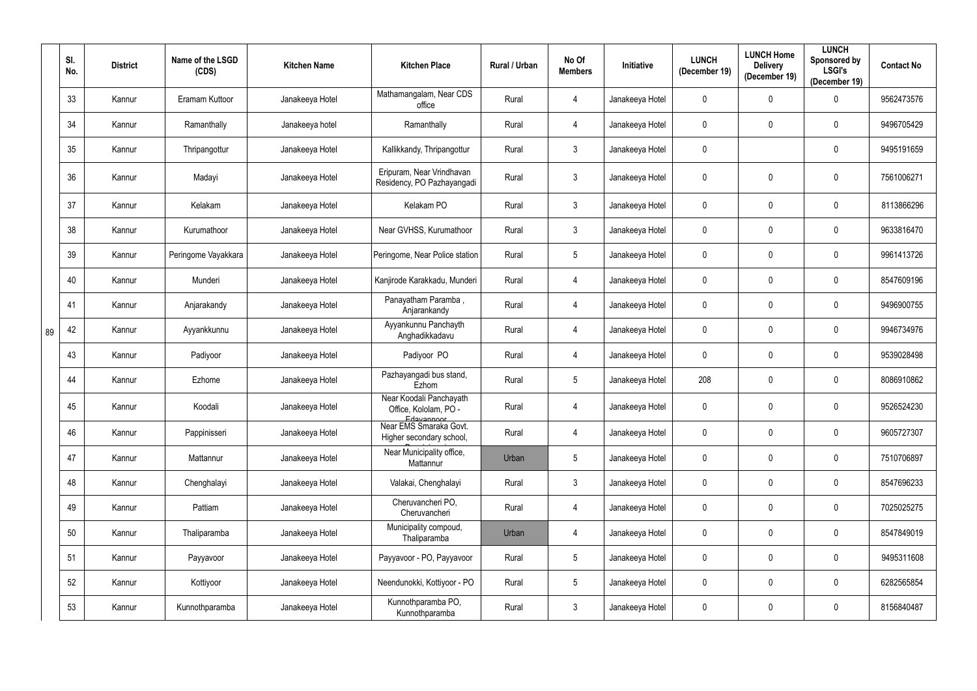|    | SI.<br>No. | <b>District</b> | Name of the LSGD<br>(CDS) | <b>Kitchen Name</b> | <b>Kitchen Place</b>                                           | Rural / Urban | No Of<br><b>Members</b> | Initiative      | <b>LUNCH</b><br>(December 19) | <b>LUNCH Home</b><br><b>Delivery</b><br>(December 19) | <b>LUNCH</b><br>Sponsored by<br><b>LSGI's</b><br>(December 19) | <b>Contact No</b> |
|----|------------|-----------------|---------------------------|---------------------|----------------------------------------------------------------|---------------|-------------------------|-----------------|-------------------------------|-------------------------------------------------------|----------------------------------------------------------------|-------------------|
|    | 33         | Kannur          | Eramam Kuttoor            | Janakeeya Hotel     | Mathamangalam, Near CDS<br>office                              | Rural         | 4                       | Janakeeya Hotel | $\mathbf 0$                   | 0                                                     | $\mathbf 0$                                                    | 9562473576        |
|    | 34         | Kannur          | Ramanthally               | Janakeeya hotel     | Ramanthally                                                    | Rural         | 4                       | Janakeeya Hotel | $\mathbf 0$                   | 0                                                     | $\mathbf 0$                                                    | 9496705429        |
|    | 35         | Kannur          | Thripangottur             | Janakeeya Hotel     | Kallikkandy, Thripangottur                                     | Rural         | $\mathfrak{Z}$          | Janakeeya Hotel | $\mathbf 0$                   |                                                       | $\mathbf 0$                                                    | 9495191659        |
|    | 36         | Kannur          | Madayi                    | Janakeeya Hotel     | Eripuram, Near Vrindhavan<br>Residency, PO Pazhayangadi        | Rural         | $\mathfrak{Z}$          | Janakeeya Hotel | $\mathbf 0$                   | 0                                                     | $\mathbf 0$                                                    | 7561006271        |
|    | 37         | Kannur          | Kelakam                   | Janakeeya Hotel     | Kelakam PO                                                     | Rural         | $\mathfrak{Z}$          | Janakeeya Hotel | $\mathbf 0$                   | 0                                                     | $\mathbf 0$                                                    | 8113866296        |
|    | 38         | Kannur          | Kurumathoor               | Janakeeya Hotel     | Near GVHSS, Kurumathoor                                        | Rural         | $\mathfrak{Z}$          | Janakeeya Hotel | $\mathbf 0$                   | 0                                                     | $\mathbf 0$                                                    | 9633816470        |
|    | 39         | Kannur          | Peringome Vayakkara       | Janakeeya Hotel     | Peringome, Near Police station                                 | Rural         | $\sqrt{5}$              | Janakeeya Hotel | $\mathbf 0$                   | 0                                                     | $\mathbf 0$                                                    | 9961413726        |
|    | 40         | Kannur          | Munderi                   | Janakeeya Hotel     | Kanjirode Karakkadu, Munderi                                   | Rural         | 4                       | Janakeeya Hotel | $\mathbf 0$                   | 0                                                     | $\mathbf 0$                                                    | 8547609196        |
|    | 41         | Kannur          | Anjarakandy               | Janakeeya Hotel     | Panayatham Paramba,<br>Anjarankandy                            | Rural         | $\overline{4}$          | Janakeeya Hotel | $\mathbf 0$                   | 0                                                     | $\mathbf 0$                                                    | 9496900755        |
| 89 | 42         | Kannur          | Ayyankkunnu               | Janakeeya Hotel     | Ayyankunnu Panchayth<br>Anghadikkadavu                         | Rural         | $\overline{4}$          | Janakeeya Hotel | $\mathbf 0$                   | 0                                                     | $\mathbf 0$                                                    | 9946734976        |
|    | 43         | Kannur          | Padiyoor                  | Janakeeya Hotel     | Padiyoor PO                                                    | Rural         | $\overline{4}$          | Janakeeya Hotel | $\mathbf 0$                   | 0                                                     | $\mathbf 0$                                                    | 9539028498        |
|    | 44         | Kannur          | Ezhome                    | Janakeeya Hotel     | Pazhayangadi bus stand,<br>Ezhom                               | Rural         | $\overline{5}$          | Janakeeya Hotel | 208                           | 0                                                     | $\overline{0}$                                                 | 8086910862        |
|    | 45         | Kannur          | Koodali                   | Janakeeya Hotel     | Near Koodali Panchayath<br>Office, Kololam, PO -<br>Edgygnnoor | Rural         |                         | Janakeeya Hotel | 0                             |                                                       | 0                                                              | 9526524230        |
|    | 46         | Kannur          | Pappinisseri              | Janakeeya Hotel     | Near EMS Smaraka Govt.<br>Higher secondary school,             | Rural         | $\overline{4}$          | Janakeeya Hotel | $\mathbf 0$                   | 0                                                     | $\mathbf 0$                                                    | 9605727307        |
|    | 47         | Kannur          | Mattannur                 | Janakeeya Hotel     | Near Municipality office,<br>Mattannur                         | Urban         | $\sqrt{5}$              | Janakeeya Hotel | $\mathbf 0$                   | 0                                                     | $\mathbf 0$                                                    | 7510706897        |
|    | 48         | Kannur          | Chenghalayi               | Janakeeya Hotel     | Valakai, Chenghalayi                                           | Rural         | $\mathfrak{Z}$          | Janakeeya Hotel | $\mathbf 0$                   | 0                                                     | $\overline{0}$                                                 | 8547696233        |
|    | 49         | Kannur          | Pattiam                   | Janakeeya Hotel     | Cheruvancheri PO,<br>Cheruvancheri                             | Rural         | $\overline{4}$          | Janakeeya Hotel | $\mathbf 0$                   | 0                                                     | $\overline{0}$                                                 | 7025025275        |
|    | 50         | Kannur          | Thaliparamba              | Janakeeya Hotel     | Municipality compoud,<br>Thaliparamba                          | Urban         | $\overline{4}$          | Janakeeya Hotel | $\mathbf 0$                   | 0                                                     | $\overline{0}$                                                 | 8547849019        |
|    | 51         | Kannur          | Payyavoor                 | Janakeeya Hotel     | Payyavoor - PO, Payyavoor                                      | Rural         | $\overline{5}$          | Janakeeya Hotel | $\mathbf 0$                   | $\mathbf 0$                                           | $\overline{0}$                                                 | 9495311608        |
|    | 52         | Kannur          | Kottiyoor                 | Janakeeya Hotel     | Neendunokki, Kottiyoor - PO                                    | Rural         | $\overline{5}$          | Janakeeya Hotel | $\mathbf 0$                   | 0                                                     | $\overline{0}$                                                 | 6282565854        |
|    | 53         | Kannur          | Kunnothparamba            | Janakeeya Hotel     | Kunnothparamba PO,<br>Kunnothparamba                           | Rural         | $\mathfrak{Z}$          | Janakeeya Hotel | $\mathbf 0$                   | 0                                                     | $\mathbf 0$                                                    | 8156840487        |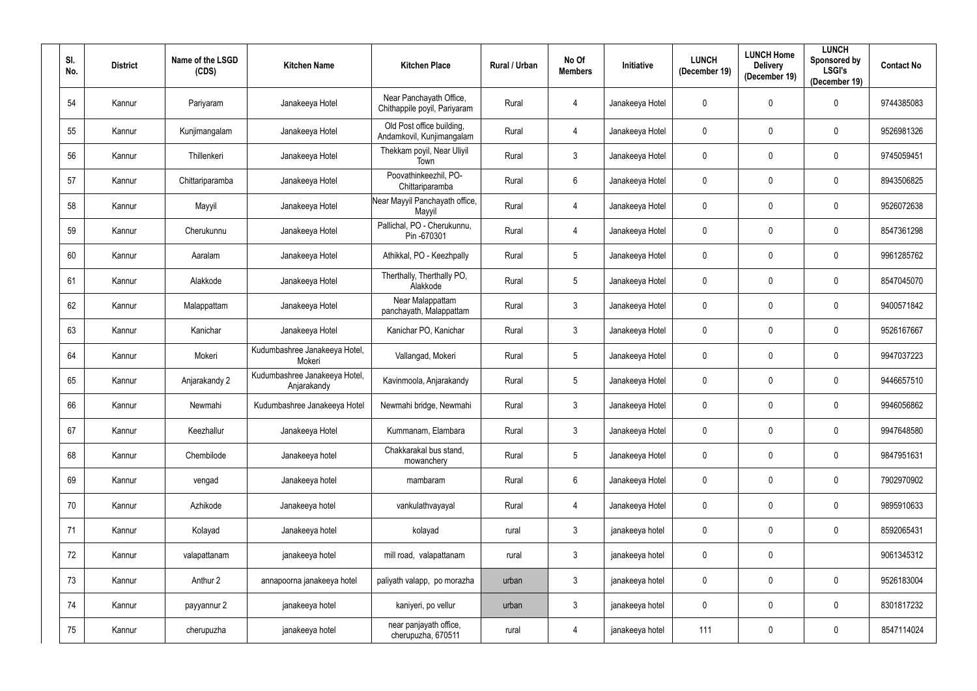| SI.<br>No. | <b>District</b> | Name of the LSGD<br>(CDS) | <b>Kitchen Name</b>                          | <b>Kitchen Place</b>                                    | Rural / Urban | No Of<br><b>Members</b> | <b>Initiative</b> | <b>LUNCH</b><br>(December 19) | <b>LUNCH Home</b><br><b>Delivery</b><br>(December 19) | <b>LUNCH</b><br>Sponsored by<br><b>LSGI's</b><br>(December 19) | <b>Contact No</b> |
|------------|-----------------|---------------------------|----------------------------------------------|---------------------------------------------------------|---------------|-------------------------|-------------------|-------------------------------|-------------------------------------------------------|----------------------------------------------------------------|-------------------|
| 54         | Kannur          | Pariyaram                 | Janakeeya Hotel                              | Near Panchayath Office,<br>Chithappile poyil, Pariyaram | Rural         | 4                       | Janakeeya Hotel   | $\mathbf 0$                   | 0                                                     | $\mathbf 0$                                                    | 9744385083        |
| 55         | Kannur          | Kunjimangalam             | Janakeeya Hotel                              | Old Post office building,<br>Andamkovil, Kunjimangalam  | Rural         | $\overline{4}$          | Janakeeya Hotel   | $\mathbf 0$                   | 0                                                     | $\mathbf 0$                                                    | 9526981326        |
| 56         | Kannur          | Thillenkeri               | Janakeeya Hotel                              | Thekkam poyil, Near Uliyil<br>Town                      | Rural         | $\mathfrak{Z}$          | Janakeeya Hotel   | $\mathbf 0$                   | 0                                                     | $\mathbf 0$                                                    | 9745059451        |
| 57         | Kannur          | Chittariparamba           | Janakeeya Hotel                              | Poovathinkeezhil, PO-<br>Chittariparamba                | Rural         | $6\phantom{.}6$         | Janakeeya Hotel   | $\mathbf 0$                   | 0                                                     | $\mathbf 0$                                                    | 8943506825        |
| 58         | Kannur          | Mayyil                    | Janakeeya Hotel                              | Near Mayyil Panchayath office,<br>Mayyil                | Rural         | 4                       | Janakeeya Hotel   | $\mathbf 0$                   | 0                                                     | $\mathbf 0$                                                    | 9526072638        |
| 59         | Kannur          | Cherukunnu                | Janakeeya Hotel                              | Pallichal, PO - Cherukunnu,<br>Pin -670301              | Rural         | 4                       | Janakeeya Hotel   | $\pmb{0}$                     | 0                                                     | $\mathbf 0$                                                    | 8547361298        |
| 60         | Kannur          | Aaralam                   | Janakeeya Hotel                              | Athikkal, PO - Keezhpally                               | Rural         | $\overline{5}$          | Janakeeya Hotel   | $\mathbf 0$                   | 0                                                     | $\mathbf 0$                                                    | 9961285762        |
| 61         | Kannur          | Alakkode                  | Janakeeya Hotel                              | Therthally, Therthally PO,<br>Alakkode                  | Rural         | $\overline{5}$          | Janakeeya Hotel   | $\mathbf 0$                   | 0                                                     | $\mathbf 0$                                                    | 8547045070        |
| 62         | Kannur          | Malappattam               | Janakeeya Hotel                              | Near Malappattam<br>panchayath, Malappattam             | Rural         | 3                       | Janakeeya Hotel   | $\mathbf 0$                   | 0                                                     | $\mathbf 0$                                                    | 9400571842        |
| 63         | Kannur          | Kanichar                  | Janakeeya Hotel                              | Kanichar PO, Kanichar                                   | Rural         | $\mathfrak{Z}$          | Janakeeya Hotel   | $\mathbf 0$                   | 0                                                     | $\mathbf 0$                                                    | 9526167667        |
| 64         | Kannur          | Mokeri                    | Kudumbashree Janakeeya Hotel,<br>Mokeri      | Vallangad, Mokeri                                       | Rural         | $\overline{5}$          | Janakeeya Hotel   | $\mathbf 0$                   | 0                                                     | $\mathbf 0$                                                    | 9947037223        |
| 65         | Kannur          | Anjarakandy 2             | Kudumbashree Janakeeya Hotel,<br>Anjarakandy | Kavinmoola, Anjarakandy                                 | Rural         | $\overline{5}$          | Janakeeya Hotel   | $\mathbf 0$                   | 0                                                     | $\mathbf 0$                                                    | 9446657510        |
| 66         | Kannur          | Newmahi                   | Kudumbashree Janakeeya Hotel                 | Newmahi bridge, Newmahi                                 | Rural         | 3                       | Janakeeya Hotel   | $\mathbf 0$                   | 0                                                     | $\mathbf 0$                                                    | 9946056862        |
| 67         | Kannur          | Keezhallur                | Janakeeya Hotel                              | Kummanam, Elambara                                      | Rural         | $\mathfrak{Z}$          | Janakeeya Hotel   | $\mathbf 0$                   | 0                                                     | $\mathbf 0$                                                    | 9947648580        |
| 68         | Kannur          | Chembilode                | Janakeeya hotel                              | Chakkarakal bus stand,<br>mowanchery                    | Rural         | $5\phantom{.0}$         | Janakeeya Hotel   | $\mathbf 0$                   | 0                                                     | $\mathbf 0$                                                    | 9847951631        |
| 69         | Kannur          | vengad                    | Janakeeya hotel                              | mambaram                                                | Rural         | $\,6\,$                 | Janakeeya Hotel   | $\mathbf 0$                   | $\mathbf 0$                                           | $\overline{0}$                                                 | 7902970902        |
| 70         | Kannur          | Azhikode                  | Janakeeya hotel                              | vankulathvayayal                                        | Rural         | $\overline{4}$          | Janakeeya Hotel   | $\mathbf 0$                   | 0                                                     | $\mathbf 0$                                                    | 9895910633        |
| 71         | Kannur          | Kolayad                   | Janakeeya hotel                              | kolayad                                                 | rural         | $\mathfrak{Z}$          | janakeeya hotel   | $\mathbf 0$                   | $\mathbf 0$                                           | $\overline{0}$                                                 | 8592065431        |
| 72         | Kannur          | valapattanam              | janakeeya hotel                              | mill road, valapattanam                                 | rural         | $\mathfrak{Z}$          | janakeeya hotel   | $\mathbf 0$                   | 0                                                     |                                                                | 9061345312        |
| 73         | Kannur          | Anthur 2                  | annapoorna janakeeya hotel                   | paliyath valapp, po morazha                             | urban         | $\mathfrak{Z}$          | janakeeya hotel   | $\boldsymbol{0}$              | 0                                                     | $\boldsymbol{0}$                                               | 9526183004        |
| 74         | Kannur          | payyannur 2               | janakeeya hotel                              | kaniyeri, po vellur                                     | urban         | $\mathfrak{Z}$          | janakeeya hotel   | $\boldsymbol{0}$              | 0                                                     | $\mathbf 0$                                                    | 8301817232        |
| 75         | Kannur          | cherupuzha                | janakeeya hotel                              | near panjayath office,<br>cherupuzha, 670511            | rural         | $\overline{4}$          | janakeeya hotel   | 111                           | 0                                                     | $\mathbf 0$                                                    | 8547114024        |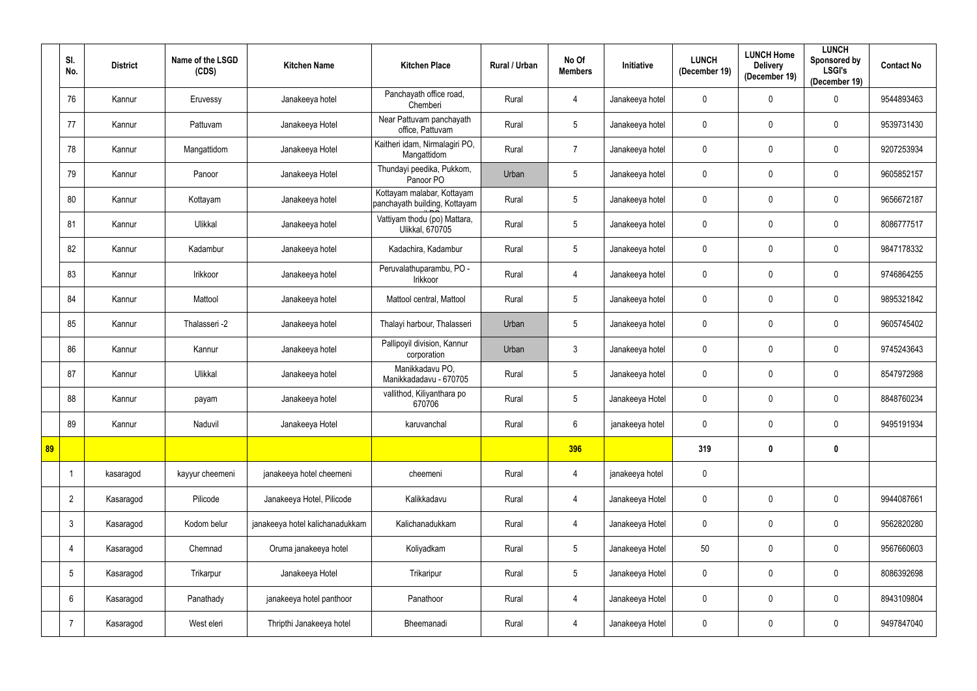|    | SI.<br>No.      | <b>District</b> | Name of the LSGD<br>(CDS) | <b>Kitchen Name</b>             | <b>Kitchen Place</b>                                        | Rural / Urban | No Of<br><b>Members</b> | <b>Initiative</b> | <b>LUNCH</b><br>(December 19) | <b>LUNCH Home</b><br><b>Delivery</b><br>(December 19) | <b>LUNCH</b><br>Sponsored by<br><b>LSGI's</b><br>(December 19) | <b>Contact No</b> |
|----|-----------------|-----------------|---------------------------|---------------------------------|-------------------------------------------------------------|---------------|-------------------------|-------------------|-------------------------------|-------------------------------------------------------|----------------------------------------------------------------|-------------------|
|    | 76              | Kannur          | Eruvessy                  | Janakeeya hotel                 | Panchayath office road,<br>Chemberi                         | Rural         | $\overline{4}$          | Janakeeya hotel   | 0                             | 0                                                     | $\mathbf 0$                                                    | 9544893463        |
|    | 77              | Kannur          | Pattuvam                  | Janakeeya Hotel                 | Near Pattuvam panchayath<br>office, Pattuvam                | Rural         | $5\phantom{.0}$         | Janakeeya hotel   | $\mathbf 0$                   | 0                                                     | $\mathbf 0$                                                    | 9539731430        |
|    | 78              | Kannur          | Mangattidom               | Janakeeya Hotel                 | Kaitheri idam, Nirmalagiri PO,<br>Mangattidom               | Rural         | $\overline{7}$          | Janakeeya hotel   | $\pmb{0}$                     | 0                                                     | $\mathbf 0$                                                    | 9207253934        |
|    | 79              | Kannur          | Panoor                    | Janakeeya Hotel                 | Thundayi peedika, Pukkom,<br>Panoor PO                      | Urban         | 5                       | Janakeeya hotel   | $\mathbf 0$                   | 0                                                     | $\mathbf 0$                                                    | 9605852157        |
|    | 80              | Kannur          | Kottayam                  | Janakeeya hotel                 | Kottayam malabar, Kottayam<br>panchayath building, Kottayam | Rural         | $5\phantom{.0}$         | Janakeeya hotel   | $\mathbf 0$                   | 0                                                     | $\mathbf 0$                                                    | 9656672187        |
|    | 81              | Kannur          | Ulikkal                   | Janakeeya hotel                 | Vattiyam thodu (po) Mattara,<br><b>Ulikkal, 670705</b>      | Rural         | $5\phantom{.0}$         | Janakeeya hotel   | $\mathbf 0$                   | 0                                                     | $\mathbf 0$                                                    | 8086777517        |
|    | 82              | Kannur          | Kadambur                  | Janakeeya hotel                 | Kadachira, Kadambur                                         | Rural         | $5\phantom{.0}$         | Janakeeya hotel   | $\mathbf 0$                   | 0                                                     | $\mathbf 0$                                                    | 9847178332        |
|    | 83              | Kannur          | Irikkoor                  | Janakeeya hotel                 | Peruvalathuparambu, PO -<br>Irikkoor                        | Rural         | $\overline{4}$          | Janakeeya hotel   | $\mathbf 0$                   | 0                                                     | $\mathbf 0$                                                    | 9746864255        |
|    | 84              | Kannur          | Mattool                   | Janakeeya hotel                 | Mattool central, Mattool                                    | Rural         | $5\phantom{.0}$         | Janakeeya hotel   | $\mathbf 0$                   | 0                                                     | $\mathbf 0$                                                    | 9895321842        |
|    | 85              | Kannur          | Thalasseri -2             | Janakeeya hotel                 | Thalayi harbour, Thalasseri                                 | Urban         | $5\phantom{.0}$         | Janakeeya hotel   | $\mathbf 0$                   | 0                                                     | $\mathbf 0$                                                    | 9605745402        |
|    | 86              | Kannur          | Kannur                    | Janakeeya hotel                 | Pallipoyil division, Kannur<br>corporation                  | Urban         | $\mathbf{3}$            | Janakeeya hotel   | $\mathbf 0$                   | 0                                                     | $\mathbf 0$                                                    | 9745243643        |
|    | 87              | Kannur          | Ulikkal                   | Janakeeya hotel                 | Manikkadavu PO,<br>Manikkadadavu - 670705                   | Rural         | $5\phantom{.0}$         | Janakeeya hotel   | $\mathbf 0$                   | 0                                                     | $\mathbf 0$                                                    | 8547972988        |
|    | 88              | Kannur          | payam                     | Janakeeya hotel                 | vallithod, Kiliyanthara po<br>670706                        | Rural         | $5\phantom{.0}$         | Janakeeya Hotel   | $\mathbf 0$                   | 0                                                     | $\mathbf 0$                                                    | 8848760234        |
|    | 89              | Kannur          | Naduvil                   | Janakeeya Hotel                 | karuvanchal                                                 | Rural         | $6\phantom{.}6$         | janakeeya hotel   | $\mathbf 0$                   | $\mathbf 0$                                           | $\mathbf 0$                                                    | 9495191934        |
| 89 |                 |                 |                           |                                 |                                                             |               | 396                     |                   | 319                           | $\pmb{0}$                                             | $\mathbf 0$                                                    |                   |
|    | $\mathbf{1}$    | kasaragod       | kayyur cheemeni           | janakeeya hotel cheemeni        | cheemeni                                                    | Rural         | $\overline{4}$          | janakeeya hotel   | $\pmb{0}$                     |                                                       |                                                                |                   |
|    | $\overline{2}$  | Kasaragod       | Pilicode                  | Janakeeya Hotel, Pilicode       | Kalikkadavu                                                 | Rural         | $\overline{4}$          | Janakeeya Hotel   | $\pmb{0}$                     | $\mathbf 0$                                           | $\overline{0}$                                                 | 9944087661        |
|    | $\mathfrak{Z}$  | Kasaragod       | Kodom belur               | janakeeya hotel kalichanadukkam | Kalichanadukkam                                             | Rural         | $\overline{4}$          | Janakeeya Hotel   | $\pmb{0}$                     | 0                                                     | $\mathbf 0$                                                    | 9562820280        |
|    | $\overline{4}$  | Kasaragod       | Chemnad                   | Oruma janakeeya hotel           | Koliyadkam                                                  | Rural         | $5\phantom{.0}$         | Janakeeya Hotel   | 50                            | 0                                                     | $\mathbf 0$                                                    | 9567660603        |
|    | $5\phantom{.0}$ | Kasaragod       | Trikarpur                 | Janakeeya Hotel                 | Trikaripur                                                  | Rural         | $5\phantom{.0}$         | Janakeeya Hotel   | $\pmb{0}$                     | 0                                                     | $\overline{0}$                                                 | 8086392698        |
|    | $6\phantom{.}$  | Kasaragod       | Panathady                 | janakeeya hotel panthoor        | Panathoor                                                   | Rural         | $\overline{4}$          | Janakeeya Hotel   | $\pmb{0}$                     | 0                                                     | $\overline{0}$                                                 | 8943109804        |
|    | $\overline{7}$  | Kasaragod       | West eleri                | Thripthi Janakeeya hotel        | Bheemanadi                                                  | Rural         | $\overline{4}$          | Janakeeya Hotel   | 0                             | 0                                                     | $\mathbf 0$                                                    | 9497847040        |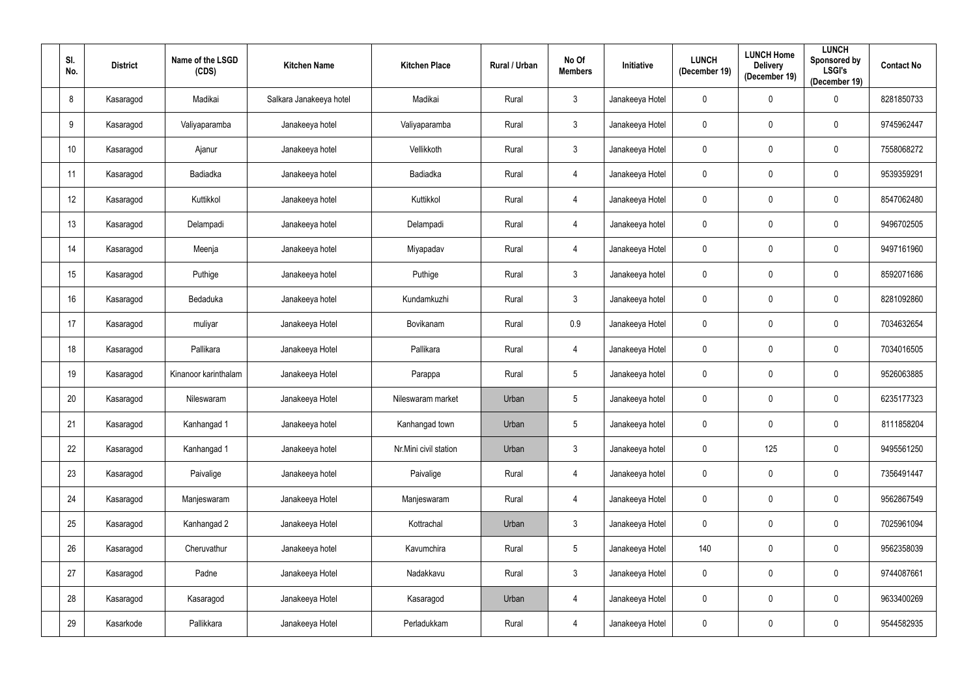| SI.<br>No.      | <b>District</b> | Name of the LSGD<br>(CDS) | <b>Kitchen Name</b>     | <b>Kitchen Place</b>  | Rural / Urban | No Of<br><b>Members</b> | Initiative      | <b>LUNCH</b><br>(December 19) | <b>LUNCH Home</b><br><b>Delivery</b><br>(December 19) | <b>LUNCH</b><br>Sponsored by<br><b>LSGI's</b><br>(December 19) | <b>Contact No</b> |
|-----------------|-----------------|---------------------------|-------------------------|-----------------------|---------------|-------------------------|-----------------|-------------------------------|-------------------------------------------------------|----------------------------------------------------------------|-------------------|
| 8               | Kasaragod       | Madikai                   | Salkara Janakeeya hotel | Madikai               | Rural         | $\mathbf{3}$            | Janakeeya Hotel | $\mathbf 0$                   | 0                                                     | $\mathbf 0$                                                    | 8281850733        |
| 9               | Kasaragod       | Valiyaparamba             | Janakeeya hotel         | Valiyaparamba         | Rural         | $\mathbf{3}$            | Janakeeya Hotel | 0                             | 0                                                     | $\mathbf 0$                                                    | 9745962447        |
| 10 <sup>°</sup> | Kasaragod       | Ajanur                    | Janakeeya hotel         | Vellikkoth            | Rural         | $\mathbf{3}$            | Janakeeya Hotel | $\pmb{0}$                     | $\mathbf 0$                                           | $\mathbf 0$                                                    | 7558068272        |
| 11              | Kasaragod       | <b>Badiadka</b>           | Janakeeya hotel         | Badiadka              | Rural         | $\overline{4}$          | Janakeeya Hotel | $\mathbf 0$                   | 0                                                     | $\mathbf 0$                                                    | 9539359291        |
| 12              | Kasaragod       | Kuttikkol                 | Janakeeya hotel         | Kuttikkol             | Rural         | $\overline{4}$          | Janakeeya Hotel | 0                             | 0                                                     | $\mathbf 0$                                                    | 8547062480        |
| 13              | Kasaragod       | Delampadi                 | Janakeeya hotel         | Delampadi             | Rural         | $\overline{4}$          | Janakeeya hotel | $\mathbf 0$                   | 0                                                     | $\mathbf 0$                                                    | 9496702505        |
| 14              | Kasaragod       | Meenja                    | Janakeeya hotel         | Miyapadav             | Rural         | $\overline{4}$          | Janakeeya Hotel | $\mathbf 0$                   | 0                                                     | $\mathbf 0$                                                    | 9497161960        |
| 15              | Kasaragod       | Puthige                   | Janakeeya hotel         | Puthige               | Rural         | $\mathbf{3}$            | Janakeeya hotel | $\mathbf 0$                   | 0                                                     | $\mathbf 0$                                                    | 8592071686        |
| 16              | Kasaragod       | Bedaduka                  | Janakeeya hotel         | Kundamkuzhi           | Rural         | $\mathbf{3}$            | Janakeeya hotel | $\mathbf 0$                   | 0                                                     | $\mathbf 0$                                                    | 8281092860        |
| 17              | Kasaragod       | muliyar                   | Janakeeya Hotel         | Bovikanam             | Rural         | 0.9                     | Janakeeya Hotel | 0                             | 0                                                     | $\mathbf 0$                                                    | 7034632654        |
| 18              | Kasaragod       | Pallikara                 | Janakeeya Hotel         | Pallikara             | Rural         | $\overline{4}$          | Janakeeya Hotel | 0                             | 0                                                     | $\mathbf 0$                                                    | 7034016505        |
| 19              | Kasaragod       | Kinanoor karinthalam      | Janakeeya Hotel         | Parappa               | Rural         | $5\phantom{.0}$         | Janakeeya hotel | 0                             | 0                                                     | $\mathbf 0$                                                    | 9526063885        |
| 20              | Kasaragod       | Nileswaram                | Janakeeya Hotel         | Nileswaram market     | Urban         | $5\phantom{.0}$         | Janakeeya hotel | $\mathbf 0$                   | $\mathbf 0$                                           | $\mathbf 0$                                                    | 6235177323        |
| 21              | Kasaragod       | Kanhangad 1               | Janakeeya hotel         | Kanhangad town        | Urban         | $5\phantom{.0}$         | Janakeeya hotel | 0                             | $\mathbf 0$                                           | $\mathbf 0$                                                    | 8111858204        |
| 22              | Kasaragod       | Kanhangad 1               | Janakeeya hotel         | Nr.Mini civil station | Urban         | $\mathbf{3}$            | Janakeeya hotel | 0                             | 125                                                   | $\mathbf 0$                                                    | 9495561250        |
| 23              | Kasaragod       | Paivalige                 | Janakeeya hotel         | Paivalige             | Rural         | $\overline{4}$          | Janakeeya hotel | $\pmb{0}$                     | 0                                                     | $\overline{0}$                                                 | 7356491447        |
| 24              | Kasaragod       | Manjeswaram               | Janakeeya Hotel         | Manjeswaram           | Rural         | $\overline{4}$          | Janakeeya Hotel | $\pmb{0}$                     | $\pmb{0}$                                             | $\mathbf 0$                                                    | 9562867549        |
| 25              | Kasaragod       | Kanhangad 2               | Janakeeya Hotel         | Kottrachal            | Urban         | $\mathbf{3}$            | Janakeeya Hotel | $\pmb{0}$                     | $\mathbf 0$                                           | $\mathbf 0$                                                    | 7025961094        |
| 26              | Kasaragod       | Cheruvathur               | Janakeeya hotel         | Kavumchira            | Rural         | $5\phantom{.0}$         | Janakeeya Hotel | 140                           | $\mathbf 0$                                           | $\mathbf 0$                                                    | 9562358039        |
| 27              | Kasaragod       | Padne                     | Janakeeya Hotel         | Nadakkavu             | Rural         | $\mathbf{3}$            | Janakeeya Hotel | $\pmb{0}$                     | 0                                                     | $\mathbf 0$                                                    | 9744087661        |
| 28              | Kasaragod       | Kasaragod                 | Janakeeya Hotel         | Kasaragod             | Urban         | $\overline{4}$          | Janakeeya Hotel | $\mathbf 0$                   | $\mathbf 0$                                           | $\mathbf 0$                                                    | 9633400269        |
| 29              | Kasarkode       | Pallikkara                | Janakeeya Hotel         | Perladukkam           | Rural         | $\overline{4}$          | Janakeeya Hotel | $\pmb{0}$                     | 0                                                     | $\mathbf 0$                                                    | 9544582935        |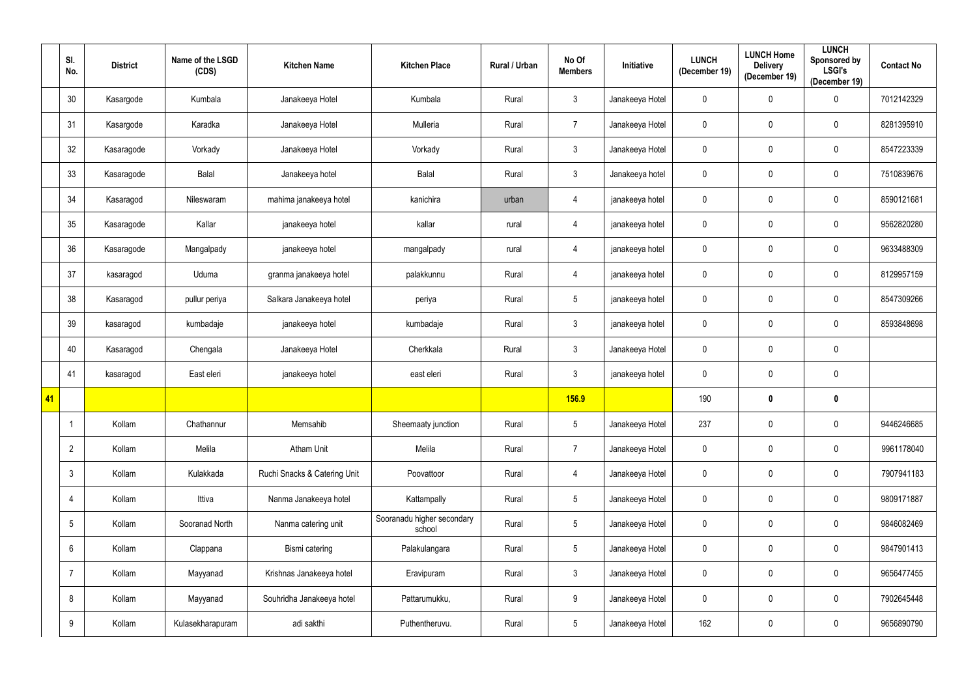|    | SI.<br>No.      | <b>District</b> | Name of the LSGD<br>(CDS) | <b>Kitchen Name</b>          | <b>Kitchen Place</b>                 | Rural / Urban | No Of<br><b>Members</b> | Initiative      | <b>LUNCH</b><br>(December 19) | <b>LUNCH Home</b><br><b>Delivery</b><br>(December 19) | <b>LUNCH</b><br><b>Sponsored by</b><br><b>LSGI's</b><br>(December 19) | <b>Contact No</b> |
|----|-----------------|-----------------|---------------------------|------------------------------|--------------------------------------|---------------|-------------------------|-----------------|-------------------------------|-------------------------------------------------------|-----------------------------------------------------------------------|-------------------|
|    | 30              | Kasargode       | Kumbala                   | Janakeeya Hotel              | Kumbala                              | Rural         | $\mathbf{3}$            | Janakeeya Hotel | 0                             | 0                                                     | $\overline{0}$                                                        | 7012142329        |
|    | 31              | Kasargode       | Karadka                   | Janakeeya Hotel              | Mulleria                             | Rural         | $\overline{7}$          | Janakeeya Hotel | $\pmb{0}$                     | 0                                                     | $\boldsymbol{0}$                                                      | 8281395910        |
|    | 32              | Kasaragode      | Vorkady                   | Janakeeya Hotel              | Vorkady                              | Rural         | $\mathbf{3}$            | Janakeeya Hotel | 0                             | 0                                                     | $\overline{0}$                                                        | 8547223339        |
|    | 33              | Kasaragode      | Balal                     | Janakeeya hotel              | Balal                                | Rural         | $\mathbf{3}$            | Janakeeya hotel | $\pmb{0}$                     | 0                                                     | $\boldsymbol{0}$                                                      | 7510839676        |
|    | 34              | Kasaragod       | Nileswaram                | mahima janakeeya hotel       | kanichira                            | urban         | 4                       | janakeeya hotel | $\pmb{0}$                     | 0                                                     | $\mathbf 0$                                                           | 8590121681        |
|    | 35              | Kasaragode      | Kallar                    | janakeeya hotel              | kallar                               | rural         | $\overline{4}$          | janakeeya hotel | $\pmb{0}$                     | 0                                                     | $\mathbf 0$                                                           | 9562820280        |
|    | 36              | Kasaragode      | Mangalpady                | janakeeya hotel              | mangalpady                           | rural         | $\overline{4}$          | janakeeya hotel | 0                             | 0                                                     | $\mathbf 0$                                                           | 9633488309        |
|    | 37              | kasaragod       | Uduma                     | granma janakeeya hotel       | palakkunnu                           | Rural         | 4                       | janakeeya hotel | 0                             | 0                                                     | $\boldsymbol{0}$                                                      | 8129957159        |
|    | 38              | Kasaragod       | pullur periya             | Salkara Janakeeya hotel      | periya                               | Rural         | $5\phantom{.0}$         | janakeeya hotel | 0                             | 0                                                     | $\mathbf 0$                                                           | 8547309266        |
|    | 39              | kasaragod       | kumbadaje                 | janakeeya hotel              | kumbadaje                            | Rural         | $\mathbf{3}$            | janakeeya hotel | 0                             | 0                                                     | $\overline{0}$                                                        | 8593848698        |
|    | 40              | Kasaragod       | Chengala                  | Janakeeya Hotel              | Cherkkala                            | Rural         | $\mathbf{3}$            | Janakeeya Hotel | $\pmb{0}$                     | 0                                                     | $\overline{0}$                                                        |                   |
|    | 41              | kasaragod       | East eleri                | janakeeya hotel              | east eleri                           | Rural         | $\mathfrak{Z}$          | janakeeya hotel | $\pmb{0}$                     | 0                                                     | $\overline{0}$                                                        |                   |
| 41 |                 |                 |                           |                              |                                      |               | <b>156.9</b>            |                 | 190                           | 0                                                     | $\boldsymbol{0}$                                                      |                   |
|    |                 | Kollam          | Chathannur                | Memsahib                     | Sheemaaty junction                   | Rural         | $5\phantom{.0}$         | Janakeeya Hotel | 237                           | 0                                                     | $\mathbf 0$                                                           | 9446246685        |
|    | $\overline{2}$  | Kollam          | Melila                    | <b>Atham Unit</b>            | Melila                               | Rural         | $\overline{7}$          | Janakeeya Hotel | 0                             | $\mathbf 0$                                           | $\overline{0}$                                                        | 9961178040        |
|    | $\mathbf{3}$    | Kollam          | Kulakkada                 | Ruchi Snacks & Catering Unit | Poovattoor                           | Rural         | $\overline{4}$          | Janakeeya Hotel | 0                             | 0                                                     | $\overline{0}$                                                        | 7907941183        |
|    | 4               | Kollam          | Ittiva                    | Nanma Janakeeya hotel        | Kattampally                          | Rural         | $5\phantom{.0}$         | Janakeeya Hotel | $\pmb{0}$                     | $\pmb{0}$                                             | $\overline{0}$                                                        | 9809171887        |
|    | $5\phantom{.0}$ | Kollam          | Sooranad North            | Nanma catering unit          | Sooranadu higher secondary<br>school | Rural         | $5\phantom{.0}$         | Janakeeya Hotel | 0                             | $\mathbf 0$                                           | $\mathbf 0$                                                           | 9846082469        |
|    | $6\phantom{.}6$ | Kollam          | Clappana                  | Bismi catering               | Palakulangara                        | Rural         | $5\phantom{.0}$         | Janakeeya Hotel | 0                             | 0                                                     | $\mathbf 0$                                                           | 9847901413        |
|    | $\overline{7}$  | Kollam          | Mayyanad                  | Krishnas Janakeeya hotel     | Eravipuram                           | Rural         | $\mathfrak{Z}$          | Janakeeya Hotel | 0                             | 0                                                     | $\mathbf 0$                                                           | 9656477455        |
|    | 8               | Kollam          | Mayyanad                  | Souhridha Janakeeya hotel    | Pattarumukku,                        | Rural         | 9                       | Janakeeya Hotel | 0                             | 0                                                     | $\mathbf 0$                                                           | 7902645448        |
|    | 9               | Kollam          | Kulasekharapuram          | adi sakthi                   | Puthentheruvu.                       | Rural         | $5\phantom{.0}$         | Janakeeya Hotel | 162                           | 0                                                     | $\mathbf 0$                                                           | 9656890790        |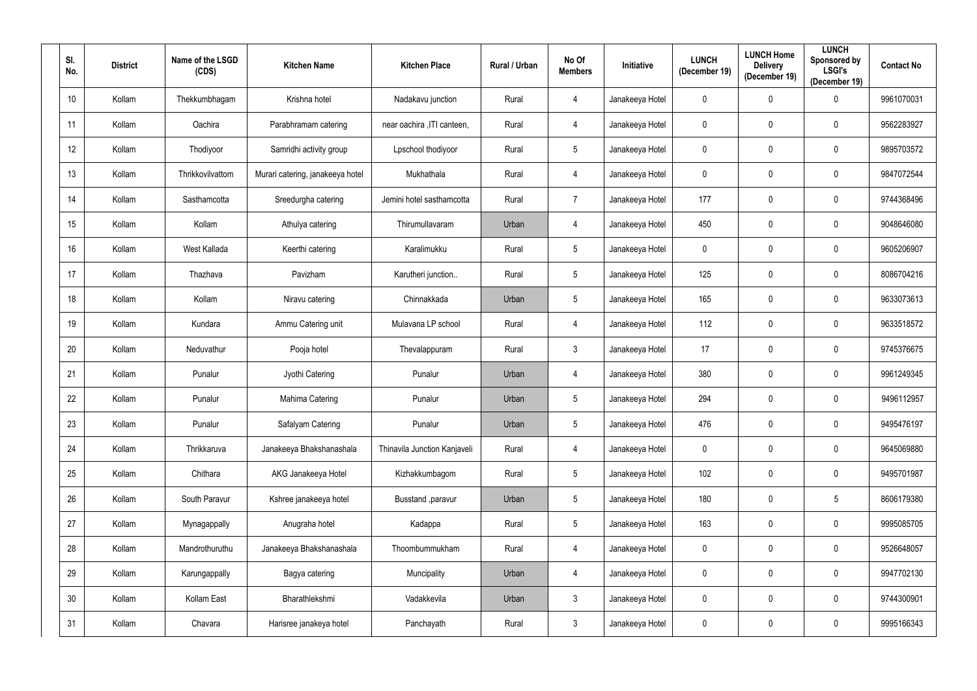| SI.<br>No. | <b>District</b> | Name of the LSGD<br>(CDS) | <b>Kitchen Name</b>              | <b>Kitchen Place</b>         | Rural / Urban | No Of<br><b>Members</b> | <b>Initiative</b> | <b>LUNCH</b><br>(December 19) | <b>LUNCH Home</b><br><b>Delivery</b><br>(December 19) | <b>LUNCH</b><br>Sponsored by<br><b>LSGI's</b><br>(December 19) | <b>Contact No</b> |
|------------|-----------------|---------------------------|----------------------------------|------------------------------|---------------|-------------------------|-------------------|-------------------------------|-------------------------------------------------------|----------------------------------------------------------------|-------------------|
| 10         | Kollam          | Thekkumbhagam             | Krishna hotel                    | Nadakavu junction            | Rural         | 4                       | Janakeeya Hotel   | $\mathbf 0$                   | $\mathbf 0$                                           | $\overline{0}$                                                 | 9961070031        |
| 11         | Kollam          | Oachira                   | Parabhramam catering             | near oachira , ITI canteen,  | Rural         | 4                       | Janakeeya Hotel   | $\mathbf 0$                   | $\mathbf 0$                                           | $\mathbf 0$                                                    | 9562283927        |
| 12         | Kollam          | Thodiyoor                 | Samridhi activity group          | Lpschool thodiyoor           | Rural         | $5\phantom{.0}$         | Janakeeya Hotel   | $\boldsymbol{0}$              | $\boldsymbol{0}$                                      | $\bf{0}$                                                       | 9895703572        |
| 13         | Kollam          | Thrikkovilvattom          | Murari catering, janakeeya hotel | Mukhathala                   | Rural         | 4                       | Janakeeya Hotel   | $\pmb{0}$                     | $\mathbf 0$                                           | $\mathbf 0$                                                    | 9847072544        |
| 14         | Kollam          | Sasthamcotta              | Sreedurgha catering              | Jemini hotel sasthamcotta    | Rural         | $\overline{7}$          | Janakeeya Hotel   | 177                           | $\mathbf 0$                                           | $\bf{0}$                                                       | 9744368496        |
| 15         | Kollam          | Kollam                    | Athulya catering                 | Thirumullavaram              | Urban         | 4                       | Janakeeya Hotel   | 450                           | $\mathbf 0$                                           | $\mathbf 0$                                                    | 9048646080        |
| 16         | Kollam          | West Kallada              | Keerthi catering                 | Karalimukku                  | Rural         | $5\overline{)}$         | Janakeeya Hotel   | $\mathbf 0$                   | $\mathbf 0$                                           | $\mathbf 0$                                                    | 9605206907        |
| 17         | Kollam          | Thazhava                  | Pavizham                         | Karutheri junction           | Rural         | $5\overline{)}$         | Janakeeya Hotel   | 125                           | $\mathbf 0$                                           | $\mathbf 0$                                                    | 8086704216        |
| 18         | Kollam          | Kollam                    | Niravu catering                  | Chinnakkada                  | Urban         | $5\phantom{.0}$         | Janakeeya Hotel   | 165                           | $\mathbf 0$                                           | $\mathbf 0$                                                    | 9633073613        |
| 19         | Kollam          | Kundara                   | Ammu Catering unit               | Mulavana LP school           | Rural         | 4                       | Janakeeya Hotel   | 112                           | $\boldsymbol{0}$                                      | $\mathbf 0$                                                    | 9633518572        |
| 20         | Kollam          | Neduvathur                | Pooja hotel                      | Thevalappuram                | Rural         | $\mathbf{3}$            | Janakeeya Hotel   | 17                            | $\mathbf 0$                                           | $\mathbf 0$                                                    | 9745376675        |
| 21         | Kollam          | Punalur                   | Jyothi Catering                  | Punalur                      | Urban         | 4                       | Janakeeya Hotel   | 380                           | $\mathbf 0$                                           | $\bf{0}$                                                       | 9961249345        |
| 22         | Kollam          | Punalur                   | Mahima Catering                  | Punalur                      | Urban         | $5\overline{)}$         | Janakeeya Hotel   | 294                           | $\mathbf 0$                                           | $\mathbf 0$                                                    | 9496112957        |
| 23         | Kollam          | Punalur                   | Safalyam Catering                | Punalur                      | Urban         | $5\overline{)}$         | Janakeeya Hotel   | 476                           | $\mathbf 0$                                           | $\mathbf 0$                                                    | 9495476197        |
| 24         | Kollam          | Thrikkaruva               | Janakeeya Bhakshanashala         | Thinavila Junction Kanjaveli | Rural         | $\overline{4}$          | Janakeeya Hotel   | $\mathbf 0$                   | $\mathbf 0$                                           | $\overline{0}$                                                 | 9645069880        |
| 25         | Kollam          | Chithara                  | AKG Janakeeya Hotel              | Kizhakkumbagom               | Rural         | $5\phantom{.0}$         | Janakeeya Hotel   | 102                           | $\mathbf 0$                                           | $\mathbf 0$                                                    | 9495701987        |
| 26         | Kollam          | South Paravur             | Kshree janakeeya hotel           | Busstand , paravur           | Urban         | $5\phantom{.0}$         | Janakeeya Hotel   | 180                           | $\mathbf 0$                                           | $5\overline{)}$                                                | 8606179380        |
| 27         | Kollam          | Mynagappally              | Anugraha hotel                   | Kadappa                      | Rural         | $5\phantom{.0}$         | Janakeeya Hotel   | 163                           | $\mathbf 0$                                           | $\mathbf 0$                                                    | 9995085705        |
| 28         | Kollam          | Mandrothuruthu            | Janakeeya Bhakshanashala         | Thoombummukham               | Rural         | $\overline{4}$          | Janakeeya Hotel   | $\mathbf 0$                   | $\pmb{0}$                                             | $\pmb{0}$                                                      | 9526648057        |
| 29         | Kollam          | Karungappally             | Bagya catering                   | Muncipality                  | Urban         | 4                       | Janakeeya Hotel   | $\mathbf 0$                   | $\mathbf 0$                                           | $\overline{0}$                                                 | 9947702130        |
| 30         | Kollam          | Kollam East               | Bharathlekshmi                   | Vadakkevila                  | Urban         | $\mathfrak{Z}$          | Janakeeya Hotel   | $\mathbf 0$                   | $\mathbf 0$                                           | $\overline{0}$                                                 | 9744300901        |
| 31         | Kollam          | Chavara                   | Harisree janakeya hotel          | Panchayath                   | Rural         | $\mathfrak{Z}$          | Janakeeya Hotel   | $\boldsymbol{0}$              | 0                                                     | $\mathbf 0$                                                    | 9995166343        |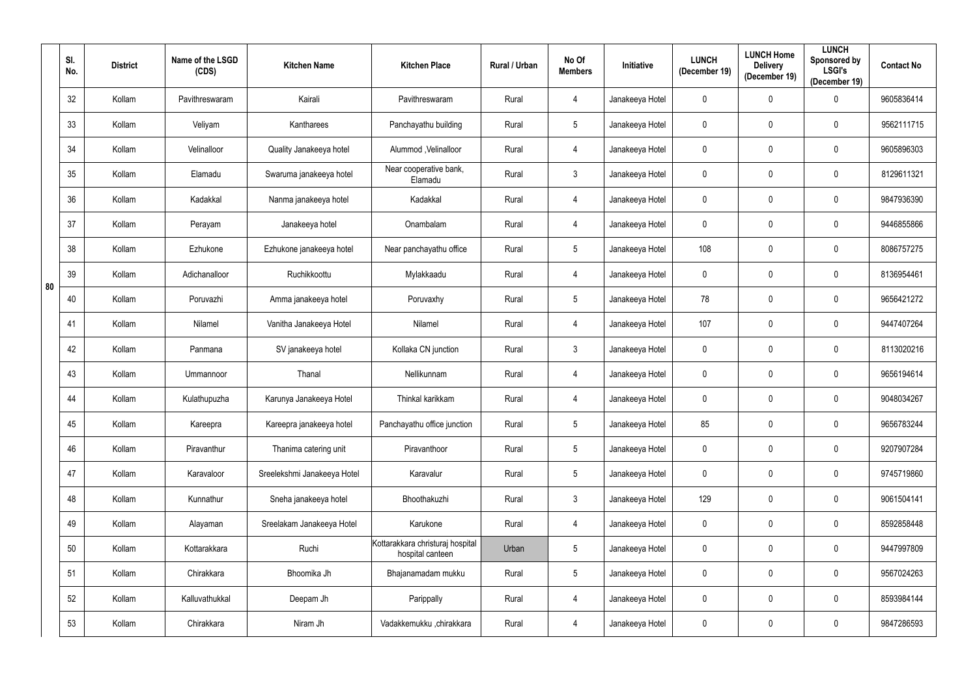|    | SI.<br>No. | <b>District</b> | Name of the LSGD<br>(CDS) | <b>Kitchen Name</b>         | <b>Kitchen Place</b>                                 | <b>Rural / Urban</b> | No Of<br><b>Members</b> | Initiative      | <b>LUNCH</b><br>(December 19) | <b>LUNCH Home</b><br><b>Delivery</b><br>(December 19) | <b>LUNCH</b><br>Sponsored by<br><b>LSGI's</b><br>(December 19) | <b>Contact No</b> |
|----|------------|-----------------|---------------------------|-----------------------------|------------------------------------------------------|----------------------|-------------------------|-----------------|-------------------------------|-------------------------------------------------------|----------------------------------------------------------------|-------------------|
|    | 32         | Kollam          | Pavithreswaram            | Kairali                     | Pavithreswaram                                       | Rural                | 4                       | Janakeeya Hotel | $\mathbf 0$                   | 0                                                     | $\mathbf 0$                                                    | 9605836414        |
|    | 33         | Kollam          | Veliyam                   | Kantharees                  | Panchayathu building                                 | Rural                | $5\phantom{.0}$         | Janakeeya Hotel | $\overline{0}$                | 0                                                     | $\mathbf 0$                                                    | 9562111715        |
|    | 34         | Kollam          | Velinalloor               | Quality Janakeeya hotel     | Alummod , Velinalloor                                | Rural                | 4                       | Janakeeya Hotel | $\mathbf 0$                   | 0                                                     | $\mathbf 0$                                                    | 9605896303        |
|    | 35         | Kollam          | Elamadu                   | Swaruma janakeeya hotel     | Near cooperative bank,<br>Elamadu                    | Rural                | $\mathfrak{Z}$          | Janakeeya Hotel | $\pmb{0}$                     | 0                                                     | $\mathbf 0$                                                    | 8129611321        |
|    | 36         | Kollam          | Kadakkal                  | Nanma janakeeya hotel       | Kadakkal                                             | Rural                | 4                       | Janakeeya Hotel | $\pmb{0}$                     | 0                                                     | $\mathbf 0$                                                    | 9847936390        |
|    | 37         | Kollam          | Perayam                   | Janakeeya hotel             | Onambalam                                            | Rural                | 4                       | Janakeeya Hotel | $\mathbf 0$                   | 0                                                     | $\mathbf 0$                                                    | 9446855866        |
|    | 38         | Kollam          | Ezhukone                  | Ezhukone janakeeya hotel    | Near panchayathu office                              | Rural                | $5\phantom{.0}$         | Janakeeya Hotel | 108                           | 0                                                     | $\mathbf 0$                                                    | 8086757275        |
| 80 | 39         | Kollam          | Adichanalloor             | Ruchikkoottu                | Mylakkaadu                                           | Rural                | 4                       | Janakeeya Hotel | $\mathbf 0$                   | 0                                                     | $\mathbf 0$                                                    | 8136954461        |
|    | 40         | Kollam          | Poruvazhi                 | Amma janakeeya hotel        | Poruvaxhy                                            | Rural                | $\overline{5}$          | Janakeeya Hotel | 78                            | 0                                                     | $\mathbf 0$                                                    | 9656421272        |
|    | 41         | Kollam          | Nilamel                   | Vanitha Janakeeya Hotel     | Nilamel                                              | Rural                | 4                       | Janakeeya Hotel | 107                           | 0                                                     | $\mathbf 0$                                                    | 9447407264        |
|    | 42         | Kollam          | Panmana                   | SV janakeeya hotel          | Kollaka CN junction                                  | Rural                | $\mathfrak{Z}$          | Janakeeya Hotel | $\mathbf 0$                   | 0                                                     | $\mathbf 0$                                                    | 8113020216        |
|    | 43         | Kollam          | Ummannoor                 | Thanal                      | Nellikunnam                                          | Rural                | 4                       | Janakeeya Hotel | $\pmb{0}$                     | 0                                                     | $\mathbf 0$                                                    | 9656194614        |
|    | 44         | Kollam          | Kulathupuzha              | Karunya Janakeeya Hotel     | Thinkal karikkam                                     | Rural                | 4                       | Janakeeya Hotel | $\mathbf 0$                   | 0                                                     | $\mathbf 0$                                                    | 9048034267        |
|    | 45         | Kollam          | Kareepra                  | Kareepra janakeeya hotel    | Panchayathu office junction                          | Rural                | $5\phantom{.0}$         | Janakeeya Hotel | 85                            | 0                                                     | $\mathbf 0$                                                    | 9656783244        |
|    | 46         | Kollam          | Piravanthur               | Thanima catering unit       | Piravanthoor                                         | Rural                | $\overline{5}$          | Janakeeya Hotel | $\mathbf 0$                   | 0                                                     | $\mathbf 0$                                                    | 9207907284        |
|    | 47         | Kollam          | Karavaloor                | Sreelekshmi Janakeeya Hotel | Karavalur                                            | Rural                | $\overline{5}$          | Janakeeya Hotel | $\mathbf 0$                   | 0                                                     | $\boldsymbol{0}$                                               | 9745719860        |
|    | 48         | Kollam          | Kunnathur                 | Sneha janakeeya hotel       | Bhoothakuzhi                                         | Rural                | $\mathbf{3}$            | Janakeeya Hotel | 129                           | 0                                                     | $\mathbf 0$                                                    | 9061504141        |
|    | 49         | Kollam          | Alayaman                  | Sreelakam Janakeeya Hotel   | Karukone                                             | Rural                | 4                       | Janakeeya Hotel | $\mathbf 0$                   | 0                                                     | $\mathbf 0$                                                    | 8592858448        |
|    | 50         | Kollam          | Kottarakkara              | Ruchi                       | Kottarakkara christuraj hospital<br>hospital canteen | Urban                | $5\phantom{.0}$         | Janakeeya Hotel | $\overline{0}$                | 0                                                     | $\overline{0}$                                                 | 9447997809        |
|    | 51         | Kollam          | Chirakkara                | Bhoomika Jh                 | Bhajanamadam mukku                                   | Rural                | $5\,$                   | Janakeeya Hotel | $\mathbf 0$                   | 0                                                     | $\mathbf 0$                                                    | 9567024263        |
|    | 52         | Kollam          | Kalluvathukkal            | Deepam Jh                   | Parippally                                           | Rural                | $\overline{4}$          | Janakeeya Hotel | $\mathbf 0$                   | 0                                                     | $\mathbf 0$                                                    | 8593984144        |
|    | 53         | Kollam          | Chirakkara                | Niram Jh                    | Vadakkemukku, chirakkara                             | Rural                | $\overline{4}$          | Janakeeya Hotel | $\mathbf 0$                   | 0                                                     | $\mathbf 0$                                                    | 9847286593        |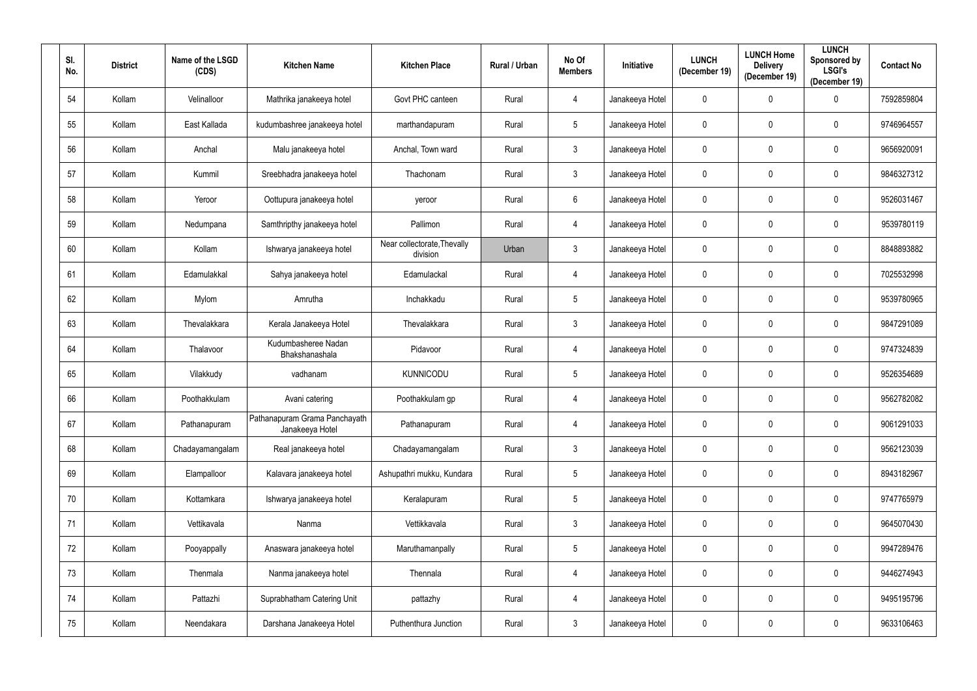| SI.<br>No. | <b>District</b> | Name of the LSGD<br>(CDS) | <b>Kitchen Name</b>                              | <b>Kitchen Place</b>                    | Rural / Urban | No Of<br><b>Members</b> | Initiative      | <b>LUNCH</b><br>(December 19) | <b>LUNCH Home</b><br><b>Delivery</b><br>(December 19) | <b>LUNCH</b><br>Sponsored by<br><b>LSGI's</b><br>(December 19) | <b>Contact No</b> |
|------------|-----------------|---------------------------|--------------------------------------------------|-----------------------------------------|---------------|-------------------------|-----------------|-------------------------------|-------------------------------------------------------|----------------------------------------------------------------|-------------------|
| 54         | Kollam          | Velinalloor               | Mathrika janakeeya hotel                         | Govt PHC canteen                        | Rural         | 4                       | Janakeeya Hotel | $\mathbf 0$                   | $\mathbf 0$                                           | $\mathbf 0$                                                    | 7592859804        |
| 55         | Kollam          | East Kallada              | kudumbashree janakeeya hotel                     | marthandapuram                          | Rural         | $5\phantom{.0}$         | Janakeeya Hotel | $\pmb{0}$                     | $\mathbf 0$                                           | $\mathbf 0$                                                    | 9746964557        |
| 56         | Kollam          | Anchal                    | Malu janakeeya hotel                             | Anchal, Town ward                       | Rural         | $\mathfrak{Z}$          | Janakeeya Hotel | $\mathbf 0$                   | $\mathbf 0$                                           | $\boldsymbol{0}$                                               | 9656920091        |
| 57         | Kollam          | Kummil                    | Sreebhadra janakeeya hotel                       | Thachonam                               | Rural         | $\mathbf{3}$            | Janakeeya Hotel | $\pmb{0}$                     | $\mathbf 0$                                           | $\mathbf 0$                                                    | 9846327312        |
| 58         | Kollam          | Yeroor                    | Oottupura janakeeya hotel                        | yeroor                                  | Rural         | $6\phantom{.}$          | Janakeeya Hotel | $\mathbf 0$                   | $\mathbf 0$                                           | $\boldsymbol{0}$                                               | 9526031467        |
| 59         | Kollam          | Nedumpana                 | Samthripthy janakeeya hotel                      | Pallimon                                | Rural         | 4                       | Janakeeya Hotel | $\pmb{0}$                     | $\mathbf 0$                                           | $\mathbf 0$                                                    | 9539780119        |
| 60         | Kollam          | Kollam                    | Ishwarya janakeeya hotel                         | Near collectorate, Thevally<br>division | Urban         | $\mathbf{3}$            | Janakeeya Hotel | $\mathbf 0$                   | $\mathbf 0$                                           | $\mathbf 0$                                                    | 8848893882        |
| 61         | Kollam          | Edamulakkal               | Sahya janakeeya hotel                            | Edamulackal                             | Rural         | $\overline{4}$          | Janakeeya Hotel | $\mathbf 0$                   | $\mathbf 0$                                           | $\mathbf 0$                                                    | 7025532998        |
| 62         | Kollam          | Mylom                     | Amrutha                                          | Inchakkadu                              | Rural         | $5\phantom{.0}$         | Janakeeya Hotel | $\overline{0}$                | $\mathbf 0$                                           | $\mathbf 0$                                                    | 9539780965        |
| 63         | Kollam          | Thevalakkara              | Kerala Janakeeya Hotel                           | Thevalakkara                            | Rural         | $\mathbf{3}$            | Janakeeya Hotel | $\mathbf 0$                   | $\mathbf 0$                                           | $\mathbf 0$                                                    | 9847291089        |
| 64         | Kollam          | Thalavoor                 | Kudumbasheree Nadan<br>Bhakshanashala            | Pidavoor                                | Rural         | $\overline{4}$          | Janakeeya Hotel | $\overline{0}$                | $\mathbf 0$                                           | $\mathbf 0$                                                    | 9747324839        |
| 65         | Kollam          | Vilakkudy                 | vadhanam                                         | <b>KUNNICODU</b>                        | Rural         | $5\phantom{.0}$         | Janakeeya Hotel | $\pmb{0}$                     | $\mathbf 0$                                           | $\bf{0}$                                                       | 9526354689        |
| 66         | Kollam          | Poothakkulam              | Avani catering                                   | Poothakkulam gp                         | Rural         | 4                       | Janakeeya Hotel | $\pmb{0}$                     | 0                                                     | $\mathbf 0$                                                    | 9562782082        |
| 67         | Kollam          | Pathanapuram              | Pathanapuram Grama Panchayath<br>Janakeeya Hotel | Pathanapuram                            | Rural         | $\overline{4}$          | Janakeeya Hotel | $\mathbf 0$                   | $\mathbf 0$                                           | $\mathbf 0$                                                    | 9061291033        |
| 68         | Kollam          | Chadayamangalam           | Real janakeeya hotel                             | Chadayamangalam                         | Rural         | $\mathfrak{Z}$          | Janakeeya Hotel | $\mathbf 0$                   | $\mathbf 0$                                           | $\overline{0}$                                                 | 9562123039        |
| 69         | Kollam          | Elampalloor               | Kalavara janakeeya hotel                         | Ashupathri mukku, Kundara               | Rural         | $\overline{5}$          | Janakeeya Hotel | $\pmb{0}$                     | $\mathbf 0$                                           | $\overline{0}$                                                 | 8943182967        |
| 70         | Kollam          | Kottamkara                | Ishwarya janakeeya hotel                         | Keralapuram                             | Rural         | $\overline{5}$          | Janakeeya Hotel | $\mathbf 0$                   | $\mathbf 0$                                           | $\overline{0}$                                                 | 9747765979        |
| 71         | Kollam          | Vettikavala               | Nanma                                            | Vettikkavala                            | Rural         | $\mathfrak{Z}$          | Janakeeya Hotel | $\mathbf 0$                   | $\mathbf 0$                                           | $\mathbf 0$                                                    | 9645070430        |
| 72         | Kollam          | Pooyappally               | Anaswara janakeeya hotel                         | Maruthamanpally                         | Rural         | $5\phantom{.0}$         | Janakeeya Hotel | $\pmb{0}$                     | $\mathbf 0$                                           | $\pmb{0}$                                                      | 9947289476        |
| 73         | Kollam          | Thenmala                  | Nanma janakeeya hotel                            | Thennala                                | Rural         | 4                       | Janakeeya Hotel | $\mathbf 0$                   | $\mathbf 0$                                           | $\overline{0}$                                                 | 9446274943        |
| 74         | Kollam          | Pattazhi                  | Suprabhatham Catering Unit                       | pattazhy                                | Rural         | $\overline{4}$          | Janakeeya Hotel | $\mathbf 0$                   | $\mathbf 0$                                           | $\overline{0}$                                                 | 9495195796        |
| 75         | Kollam          | Neendakara                | Darshana Janakeeya Hotel                         | Puthenthura Junction                    | Rural         | $\mathfrak{Z}$          | Janakeeya Hotel | $\pmb{0}$                     | $\boldsymbol{0}$                                      | $\pmb{0}$                                                      | 9633106463        |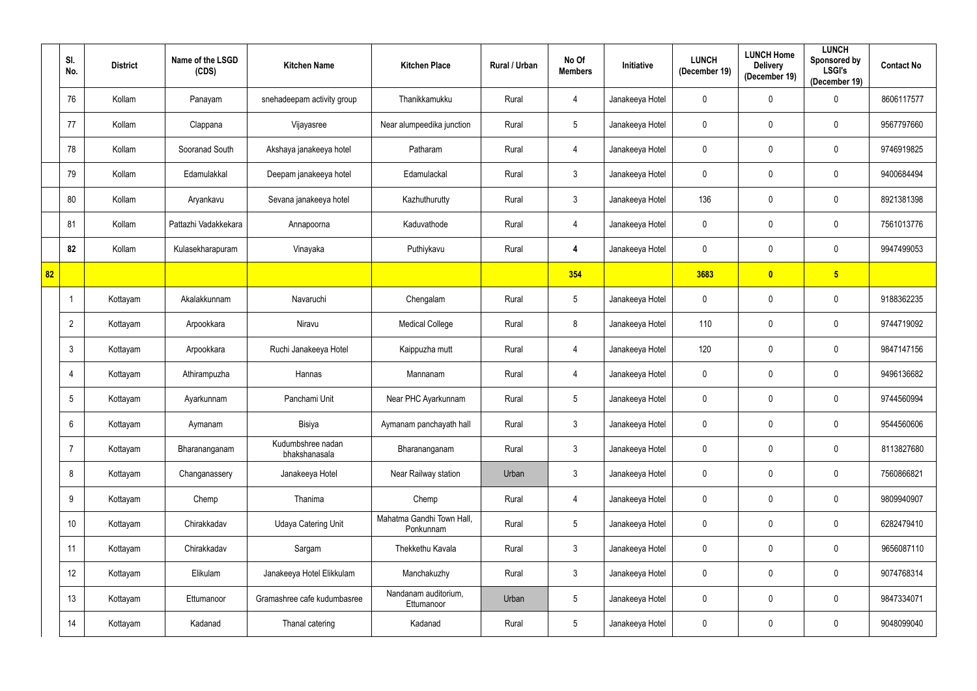|    | SI.<br>No.      | <b>District</b> | Name of the LSGD<br>(CDS) | <b>Kitchen Name</b>                | <b>Kitchen Place</b>                   | Rural / Urban | No Of<br><b>Members</b> | <b>Initiative</b> | <b>LUNCH</b><br>(December 19) | <b>LUNCH Home</b><br><b>Delivery</b><br>(December 19) | <b>LUNCH</b><br>Sponsored by<br><b>LSGI's</b><br>(December 19) | <b>Contact No</b> |
|----|-----------------|-----------------|---------------------------|------------------------------------|----------------------------------------|---------------|-------------------------|-------------------|-------------------------------|-------------------------------------------------------|----------------------------------------------------------------|-------------------|
|    | 76              | Kollam          | Panayam                   | snehadeepam activity group         | Thanikkamukku                          | Rural         | $\overline{4}$          | Janakeeya Hotel   | 0                             | 0                                                     | $\mathbf 0$                                                    | 8606117577        |
|    | 77              | Kollam          | Clappana                  | Vijayasree                         | Near alumpeedika junction              | Rural         | $\sqrt{5}$              | Janakeeya Hotel   | 0                             | 0                                                     | $\mathbf 0$                                                    | 9567797660        |
|    | 78              | Kollam          | Sooranad South            | Akshaya janakeeya hotel            | Patharam                               | Rural         | $\overline{4}$          | Janakeeya Hotel   | $\mathbf 0$                   | 0                                                     | $\mathbf 0$                                                    | 9746919825        |
|    | 79              | Kollam          | Edamulakkal               | Deepam janakeeya hotel             | Edamulackal                            | Rural         | $\mathbf{3}$            | Janakeeya Hotel   | 0                             | 0                                                     | $\mathbf 0$                                                    | 9400684494        |
|    | 80              | Kollam          | Aryankavu                 | Sevana janakeeya hotel             | Kazhuthurutty                          | Rural         | $\mathbf{3}$            | Janakeeya Hotel   | 136                           | 0                                                     | $\mathbf 0$                                                    | 8921381398        |
|    | 81              | Kollam          | Pattazhi Vadakkekara      | Annapoorna                         | Kaduvathode                            | Rural         | $\overline{4}$          | Janakeeya Hotel   | 0                             | 0                                                     | $\mathbf 0$                                                    | 7561013776        |
|    | 82              | Kollam          | Kulasekharapuram          | Vinayaka                           | Puthiykavu                             | Rural         | $\boldsymbol{4}$        | Janakeeya Hotel   | $\mathbf 0$                   | 0                                                     | $\mathbf 0$                                                    | 9947499053        |
| 82 |                 |                 |                           |                                    |                                        |               | 354                     |                   | 3683                          | $\overline{\mathbf{0}}$                               | 5 <sub>5</sub>                                                 |                   |
|    |                 | Kottayam        | Akalakkunnam              | Navaruchi                          | Chengalam                              | Rural         | $\sqrt{5}$              | Janakeeya Hotel   | 0                             | 0                                                     | $\mathbf 0$                                                    | 9188362235        |
|    | $\overline{2}$  | Kottayam        | Arpookkara                | Niravu                             | <b>Medical College</b>                 | Rural         | 8                       | Janakeeya Hotel   | 110                           | 0                                                     | $\mathbf 0$                                                    | 9744719092        |
|    | 3               | Kottayam        | Arpookkara                | Ruchi Janakeeya Hotel              | Kaippuzha mutt                         | Rural         | 4                       | Janakeeya Hotel   | 120                           | 0                                                     | $\mathbf 0$                                                    | 9847147156        |
|    | -4              | Kottayam        | Athirampuzha              | Hannas                             | Mannanam                               | Rural         | 4                       | Janakeeya Hotel   | 0                             | 0                                                     | $\mathbf 0$                                                    | 9496136682        |
|    | $5\overline{)}$ | Kottayam        | Ayarkunnam                | Panchami Unit                      | Near PHC Ayarkunnam                    | Rural         | $5\phantom{.0}$         | Janakeeya Hotel   | 0                             | 0                                                     | $\mathbf 0$                                                    | 9744560994        |
|    | $6^{\circ}$     | Kottayam        | Aymanam                   | Bisiya                             | Aymanam panchayath hall                | Rural         | $\mathbf{3}$            | Janakeeya Hotel   | 0                             | $\mathbf 0$                                           | $\mathbf 0$                                                    | 9544560606        |
|    | $\overline{7}$  | Kottayam        | Bharananganam             | Kudumbshree nadan<br>bhakshanasala | Bharananganam                          | Rural         | $\mathfrak{Z}$          | Janakeeya Hotel   | 0                             | 0                                                     | $\mathbf 0$                                                    | 8113827680        |
|    | 8               | Kottayam        | Changanassery             | Janakeeya Hotel                    | Near Railway station                   | Urban         | $\mathbf{3}$            | Janakeeya Hotel   | $\pmb{0}$                     | 0                                                     | $\mathbf 0$                                                    | 7560866821        |
|    | 9               | Kottayam        | Chemp                     | Thanima                            | Chemp                                  | Rural         | $\overline{4}$          | Janakeeya Hotel   | $\mathbf 0$                   | $\mathbf 0$                                           | $\mathbf 0$                                                    | 9809940907        |
|    | 10              | Kottayam        | Chirakkadav               | <b>Udaya Catering Unit</b>         | Mahatma Gandhi Town Hall,<br>Ponkunnam | Rural         | $\sqrt{5}$              | Janakeeya Hotel   | $\mathbf 0$                   | 0                                                     | $\mathbf 0$                                                    | 6282479410        |
|    | 11              | Kottayam        | Chirakkadav               | Sargam                             | Thekkethu Kavala                       | Rural         | $\mathfrak{Z}$          | Janakeeya Hotel   | $\mathbf 0$                   | 0                                                     | $\mathbf 0$                                                    | 9656087110        |
|    | 12              | Kottayam        | Elikulam                  | Janakeeya Hotel Elikkulam          | Manchakuzhy                            | Rural         | $\mathbf{3}$            | Janakeeya Hotel   | $\mathbf 0$                   | 0                                                     | $\mathbf 0$                                                    | 9074768314        |
|    | 13              | Kottayam        | Ettumanoor                | Gramashree cafe kudumbasree        | Nandanam auditorium,<br>Ettumanoor     | Urban         | $5\phantom{.0}$         | Janakeeya Hotel   | $\mathbf 0$                   | 0                                                     | $\mathbf 0$                                                    | 9847334071        |
|    | 14              | Kottayam        | Kadanad                   | Thanal catering                    | Kadanad                                | Rural         | $5\,$                   | Janakeeya Hotel   | 0                             | 0                                                     | $\mathbf 0$                                                    | 9048099040        |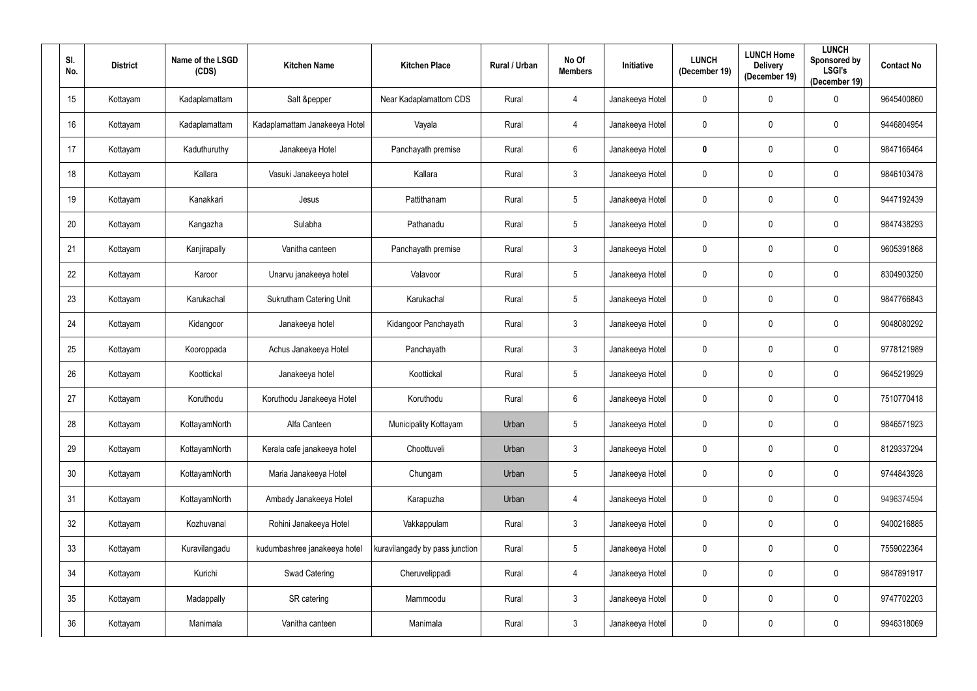| SI.<br>No. | <b>District</b> | Name of the LSGD<br>(CDS) | <b>Kitchen Name</b>            | <b>Kitchen Place</b>           | Rural / Urban | No Of<br><b>Members</b> | <b>Initiative</b> | <b>LUNCH</b><br>(December 19) | <b>LUNCH Home</b><br><b>Delivery</b><br>(December 19) | <b>LUNCH</b><br>Sponsored by<br><b>LSGI's</b><br>(December 19) | <b>Contact No</b> |
|------------|-----------------|---------------------------|--------------------------------|--------------------------------|---------------|-------------------------|-------------------|-------------------------------|-------------------------------------------------------|----------------------------------------------------------------|-------------------|
| 15         | Kottayam        | Kadaplamattam             | Salt &pepper                   | Near Kadaplamattom CDS         | Rural         | $\overline{4}$          | Janakeeya Hotel   | $\mathbf 0$                   | 0                                                     | $\mathbf 0$                                                    | 9645400860        |
| 16         | Kottayam        | Kadaplamattam             | Kadaplamattam Janakeeya Hotel  | Vayala                         | Rural         | $\overline{4}$          | Janakeeya Hotel   | $\pmb{0}$                     | $\mathbf 0$                                           | $\mathbf 0$                                                    | 9446804954        |
| 17         | Kottayam        | Kaduthuruthy              | Janakeeya Hotel                | Panchayath premise             | Rural         | $6\phantom{.}6$         | Janakeeya Hotel   | $\mathbf 0$                   | $\boldsymbol{0}$                                      | $\mathbf 0$                                                    | 9847166464        |
| 18         | Kottayam        | Kallara                   | Vasuki Janakeeya hotel         | Kallara                        | Rural         | $\mathbf{3}$            | Janakeeya Hotel   | $\pmb{0}$                     | $\mathbf 0$                                           | $\mathbf 0$                                                    | 9846103478        |
| 19         | Kottayam        | Kanakkari                 | Jesus                          | Pattithanam                    | Rural         | $5\phantom{.0}$         | Janakeeya Hotel   | $\pmb{0}$                     | $\mathbf 0$                                           | $\bf{0}$                                                       | 9447192439        |
| 20         | Kottayam        | Kangazha                  | Sulabha                        | Pathanadu                      | Rural         | $5\overline{)}$         | Janakeeya Hotel   | $\pmb{0}$                     | $\mathbf 0$                                           | $\mathbf 0$                                                    | 9847438293        |
| 21         | Kottayam        | Kanjirapally              | Vanitha canteen                | Panchayath premise             | Rural         | $\mathbf{3}$            | Janakeeya Hotel   | $\mathbf 0$                   | $\mathbf 0$                                           | $\mathbf 0$                                                    | 9605391868        |
| 22         | Kottayam        | Karoor                    | Unarvu janakeeya hotel         | Valavoor                       | Rural         | $5\overline{)}$         | Janakeeya Hotel   | $\mathbf 0$                   | $\mathbf 0$                                           | $\mathbf 0$                                                    | 8304903250        |
| 23         | Kottayam        | Karukachal                | <b>Sukrutham Catering Unit</b> | Karukachal                     | Rural         | $5\phantom{.0}$         | Janakeeya Hotel   | $\mathbf 0$                   | $\mathbf 0$                                           | $\mathbf 0$                                                    | 9847766843        |
| 24         | Kottayam        | Kidangoor                 | Janakeeya hotel                | Kidangoor Panchayath           | Rural         | $\mathbf{3}$            | Janakeeya Hotel   | $\mathbf 0$                   | $\boldsymbol{0}$                                      | $\mathbf 0$                                                    | 9048080292        |
| 25         | Kottayam        | Kooroppada                | Achus Janakeeya Hotel          | Panchayath                     | Rural         | $\mathbf{3}$            | Janakeeya Hotel   | $\mathbf 0$                   | $\mathbf 0$                                           | $\mathbf 0$                                                    | 9778121989        |
| 26         | Kottayam        | Koottickal                | Janakeeya hotel                | Koottickal                     | Rural         | $5\phantom{.0}$         | Janakeeya Hotel   | $\pmb{0}$                     | $\mathbf 0$                                           | $\mathbf 0$                                                    | 9645219929        |
| 27         | Kottayam        | Koruthodu                 | Koruthodu Janakeeya Hotel      | Koruthodu                      | Rural         | $6\overline{6}$         | Janakeeya Hotel   | $\pmb{0}$                     | $\mathbf 0$                                           | $\mathbf 0$                                                    | 7510770418        |
| 28         | Kottayam        | KottayamNorth             | Alfa Canteen                   | Municipality Kottayam          | Urban         | $5\phantom{.0}$         | Janakeeya Hotel   | $\mathbf 0$                   | $\mathbf 0$                                           | $\mathbf 0$                                                    | 9846571923        |
| 29         | Kottayam        | KottayamNorth             | Kerala cafe janakeeya hotel    | Choottuveli                    | Urban         | $\mathbf{3}$            | Janakeeya Hotel   | $\mathbf 0$                   | $\mathbf 0$                                           | $\overline{0}$                                                 | 8129337294        |
| $30\,$     | Kottayam        | KottayamNorth             | Maria Janakeeya Hotel          | Chungam                        | Urban         | $5\phantom{.0}$         | Janakeeya Hotel   | $\pmb{0}$                     | $\mathbf 0$                                           | $\mathbf 0$                                                    | 9744843928        |
| 31         | Kottayam        | KottayamNorth             | Ambady Janakeeya Hotel         | Karapuzha                      | Urban         | 4                       | Janakeeya Hotel   | $\mathbf 0$                   | $\mathbf 0$                                           | $\mathbf 0$                                                    | 9496374594        |
| 32         | Kottayam        | Kozhuvanal                | Rohini Janakeeya Hotel         | Vakkappulam                    | Rural         | $\mathfrak{Z}$          | Janakeeya Hotel   | $\boldsymbol{0}$              | $\mathbf 0$                                           | $\mathbf 0$                                                    | 9400216885        |
| 33         | Kottayam        | Kuravilangadu             | kudumbashree janakeeya hotel   | kuravilangady by pass junction | Rural         | $5\phantom{.0}$         | Janakeeya Hotel   | $\mathbf 0$                   | $\pmb{0}$                                             | $\pmb{0}$                                                      | 7559022364        |
| 34         | Kottayam        | Kurichi                   | Swad Catering                  | Cheruvelippadi                 | Rural         | 4                       | Janakeeya Hotel   | $\boldsymbol{0}$              | $\mathbf 0$                                           | $\overline{0}$                                                 | 9847891917        |
| 35         | Kottayam        | Madappally                | SR catering                    | Mammoodu                       | Rural         | $\mathfrak{Z}$          | Janakeeya Hotel   | $\mathbf 0$                   | $\mathbf 0$                                           | $\overline{0}$                                                 | 9747702203        |
| 36         | Kottayam        | Manimala                  | Vanitha canteen                | Manimala                       | Rural         | $\mathfrak{Z}$          | Janakeeya Hotel   | $\boldsymbol{0}$              | 0                                                     | $\overline{0}$                                                 | 9946318069        |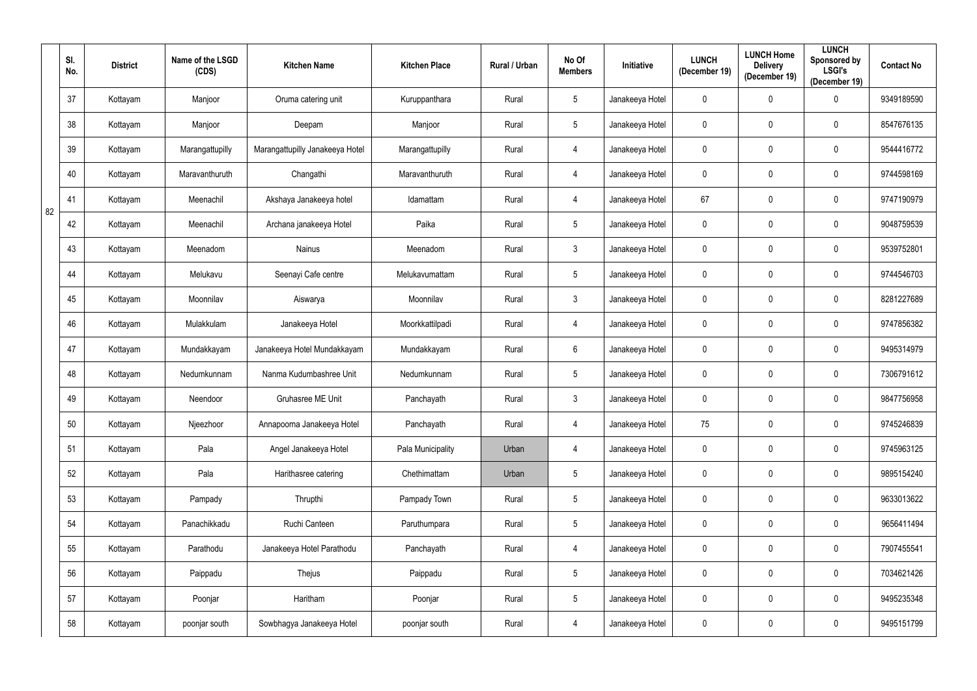|    | SI.<br>No. | <b>District</b> | Name of the LSGD<br>(CDS) | <b>Kitchen Name</b>             | <b>Kitchen Place</b> | Rural / Urban | No Of<br><b>Members</b> | <b>Initiative</b> | <b>LUNCH</b><br>(December 19) | <b>LUNCH Home</b><br><b>Delivery</b><br>(December 19) | <b>LUNCH</b><br><b>Sponsored by</b><br><b>LSGI's</b><br>(December 19) | <b>Contact No</b> |
|----|------------|-----------------|---------------------------|---------------------------------|----------------------|---------------|-------------------------|-------------------|-------------------------------|-------------------------------------------------------|-----------------------------------------------------------------------|-------------------|
|    | 37         | Kottayam        | Manjoor                   | Oruma catering unit             | Kuruppanthara        | Rural         | $\overline{5}$          | Janakeeya Hotel   | $\mathbf 0$                   | $\mathbf{0}$                                          | $\boldsymbol{0}$                                                      | 9349189590        |
|    | 38         | Kottayam        | Manjoor                   | Deepam                          | Manjoor              | Rural         | $\overline{5}$          | Janakeeya Hotel   | $\mathbf 0$                   | 0                                                     | $\overline{0}$                                                        | 8547676135        |
|    | 39         | Kottayam        | Marangattupilly           | Marangattupilly Janakeeya Hotel | Marangattupilly      | Rural         | $\overline{4}$          | Janakeeya Hotel   | $\mathbf 0$                   | 0                                                     | $\overline{0}$                                                        | 9544416772        |
|    | 40         | Kottayam        | Maravanthuruth            | Changathi                       | Maravanthuruth       | Rural         | 4                       | Janakeeya Hotel   | $\mathbf 0$                   | 0                                                     | $\pmb{0}$                                                             | 9744598169        |
| 82 | 41         | Kottayam        | Meenachil                 | Akshaya Janakeeya hotel         | Idamattam            | Rural         | 4                       | Janakeeya Hotel   | 67                            | 0                                                     | $\mathbf 0$                                                           | 9747190979        |
|    | 42         | Kottayam        | Meenachil                 | Archana janakeeya Hotel         | Paika                | Rural         | $5\phantom{.0}$         | Janakeeya Hotel   | $\mathbf 0$                   | 0                                                     | $\boldsymbol{0}$                                                      | 9048759539        |
|    | 43         | Kottayam        | Meenadom                  | <b>Nainus</b>                   | Meenadom             | Rural         | $\mathbf{3}$            | Janakeeya Hotel   | $\mathbf 0$                   | 0                                                     | $\pmb{0}$                                                             | 9539752801        |
|    | 44         | Kottayam        | Melukavu                  | Seenayi Cafe centre             | Melukavumattam       | Rural         | $\overline{5}$          | Janakeeya Hotel   | $\mathbf 0$                   | 0                                                     | $\mathbf 0$                                                           | 9744546703        |
|    | 45         | Kottayam        | Moonnilav                 | Aiswarya                        | Moonnilav            | Rural         | $\mathfrak{Z}$          | Janakeeya Hotel   | $\overline{0}$                | 0                                                     | $\mathbf 0$                                                           | 8281227689        |
|    | 46         | Kottayam        | Mulakkulam                | Janakeeya Hotel                 | Moorkkattilpadi      | Rural         | $\overline{4}$          | Janakeeya Hotel   | $\mathbf 0$                   | 0                                                     | $\mathbf 0$                                                           | 9747856382        |
|    | 47         | Kottayam        | Mundakkayam               | Janakeeya Hotel Mundakkayam     | Mundakkayam          | Rural         | $6\phantom{.}$          | Janakeeya Hotel   | $\mathbf 0$                   | 0                                                     | $\pmb{0}$                                                             | 9495314979        |
|    | 48         | Kottayam        | Nedumkunnam               | Nanma Kudumbashree Unit         | Nedumkunnam          | Rural         | $\sqrt{5}$              | Janakeeya Hotel   | $\pmb{0}$                     | 0                                                     | $\boldsymbol{0}$                                                      | 7306791612        |
|    | 49         | Kottayam        | Neendoor                  | <b>Gruhasree ME Unit</b>        | Panchayath           | Rural         | $\mathbf{3}$            | Janakeeya Hotel   | $\mathbf 0$                   | 0                                                     | $\boldsymbol{0}$                                                      | 9847756958        |
|    | 50         | Kottayam        | Njeezhoor                 | Annapoorna Janakeeya Hotel      | Panchayath           | Rural         | $\overline{4}$          | Janakeeya Hotel   | 75                            | $\mathbf 0$                                           | $\mathbf 0$                                                           | 9745246839        |
|    | 51         | Kottayam        | Pala                      | Angel Janakeeya Hotel           | Pala Municipality    | Urban         | 4                       | Janakeeya Hotel   | $\mathbf 0$                   | $\mathbf 0$                                           | $\overline{0}$                                                        | 9745963125        |
|    | 52         | Kottayam        | Pala                      | Harithasree catering            | Chethimattam         | Urban         | $\sqrt{5}$              | Janakeeya Hotel   | $\mathbf 0$                   | $\mathbf 0$                                           | $\mathbf 0$                                                           | 9895154240        |
|    | 53         | Kottayam        | Pampady                   | Thrupthi                        | Pampady Town         | Rural         | $5\phantom{.0}$         | Janakeeya Hotel   | $\mathbf 0$                   | $\mathbf 0$                                           | $\overline{0}$                                                        | 9633013622        |
|    | 54         | Kottayam        | Panachikkadu              | Ruchi Canteen                   | Paruthumpara         | Rural         | $\overline{5}$          | Janakeeya Hotel   | $\mathbf 0$                   | $\mathbf 0$                                           | $\overline{0}$                                                        | 9656411494        |
|    | 55         | Kottayam        | Parathodu                 | Janakeeya Hotel Parathodu       | Panchayath           | Rural         | $\overline{4}$          | Janakeeya Hotel   | $\mathbf 0$                   | 0                                                     | $\pmb{0}$                                                             | 7907455541        |
|    | 56         | Kottayam        | Paippadu                  | Thejus                          | Paippadu             | Rural         | $\overline{5}$          | Janakeeya Hotel   | $\overline{0}$                | $\mathbf 0$                                           | $\overline{0}$                                                        | 7034621426        |
|    | 57         | Kottayam        | Poonjar                   | Haritham                        | Poonjar              | Rural         | $\sqrt{5}$              | Janakeeya Hotel   | $\mathbf 0$                   | $\mathbf 0$                                           | $\overline{0}$                                                        | 9495235348        |
|    | 58         | Kottayam        | poonjar south             | Sowbhagya Janakeeya Hotel       | poonjar south        | Rural         | $\overline{4}$          | Janakeeya Hotel   | $\bf{0}$                      | 0                                                     | $\pmb{0}$                                                             | 9495151799        |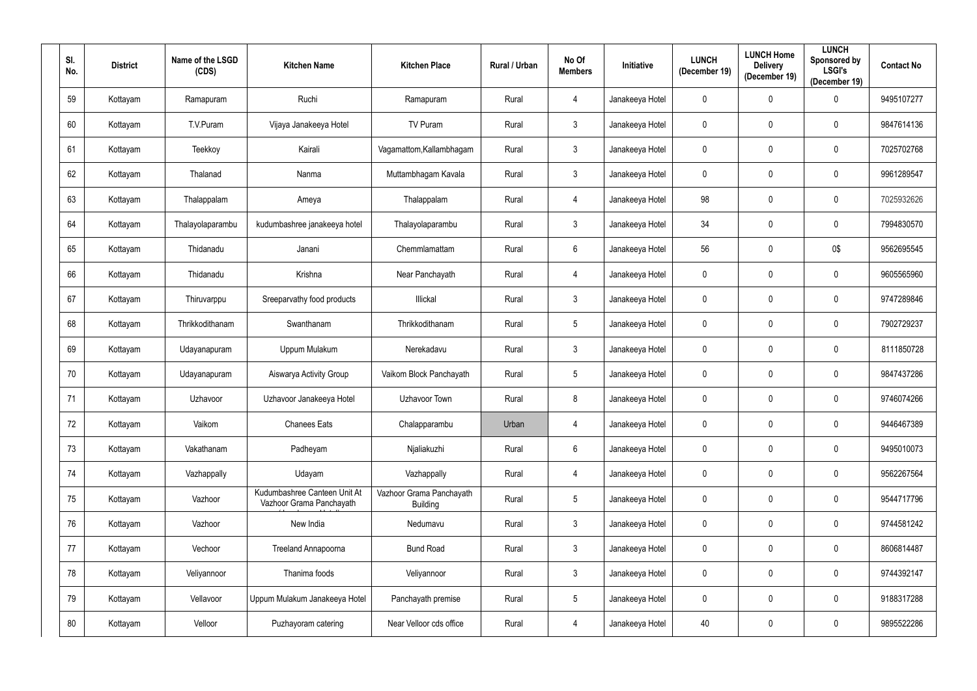| SI.<br>No. | <b>District</b> | Name of the LSGD<br>(CDS) | <b>Kitchen Name</b>                                      | <b>Kitchen Place</b>                        | Rural / Urban | No Of<br><b>Members</b> | <b>Initiative</b> | <b>LUNCH</b><br>(December 19) | <b>LUNCH Home</b><br><b>Delivery</b><br>(December 19) | <b>LUNCH</b><br>Sponsored by<br><b>LSGI's</b><br>(December 19) | <b>Contact No</b> |
|------------|-----------------|---------------------------|----------------------------------------------------------|---------------------------------------------|---------------|-------------------------|-------------------|-------------------------------|-------------------------------------------------------|----------------------------------------------------------------|-------------------|
| 59         | Kottayam        | Ramapuram                 | Ruchi                                                    | Ramapuram                                   | Rural         | $\overline{4}$          | Janakeeya Hotel   | $\mathbf 0$                   | $\mathbf 0$                                           | $\overline{0}$                                                 | 9495107277        |
| 60         | Kottayam        | T.V.Puram                 | Vijaya Janakeeya Hotel                                   | TV Puram                                    | Rural         | $\mathbf{3}$            | Janakeeya Hotel   | $\pmb{0}$                     | $\mathbf 0$                                           | $\mathbf 0$                                                    | 9847614136        |
| 61         | Kottayam        | Teekkoy                   | Kairali                                                  | Vagamattom, Kallambhagam                    | Rural         | $\mathfrak{Z}$          | Janakeeya Hotel   | $\mathbf 0$                   | $\mathbf 0$                                           | $\boldsymbol{0}$                                               | 7025702768        |
| 62         | Kottayam        | Thalanad                  | Nanma                                                    | Muttambhagam Kavala                         | Rural         | $\mathbf{3}$            | Janakeeya Hotel   | $\pmb{0}$                     | $\mathbf 0$                                           | $\mathbf 0$                                                    | 9961289547        |
| 63         | Kottayam        | Thalappalam               | Ameya                                                    | Thalappalam                                 | Rural         | 4                       | Janakeeya Hotel   | 98                            | $\mathbf 0$                                           | $\boldsymbol{0}$                                               | 7025932626        |
| 64         | Kottayam        | Thalayolaparambu          | kudumbashree janakeeya hotel                             | Thalayolaparambu                            | Rural         | $\mathbf{3}$            | Janakeeya Hotel   | 34                            | $\mathbf 0$                                           | $\mathbf 0$                                                    | 7994830570        |
| 65         | Kottayam        | Thidanadu                 | Janani                                                   | Chemmlamattam                               | Rural         | $6\phantom{.}$          | Janakeeya Hotel   | 56                            | $\mathbf 0$                                           | 0\$                                                            | 9562695545        |
| 66         | Kottayam        | Thidanadu                 | Krishna                                                  | Near Panchayath                             | Rural         | $\overline{4}$          | Janakeeya Hotel   | $\mathbf 0$                   | $\mathbf 0$                                           | $\mathbf 0$                                                    | 9605565960        |
| 67         | Kottayam        | Thiruvarppu               | Sreeparvathy food products                               | Illickal                                    | Rural         | $\mathfrak{Z}$          | Janakeeya Hotel   | $\overline{0}$                | $\mathbf 0$                                           | $\boldsymbol{0}$                                               | 9747289846        |
| 68         | Kottayam        | Thrikkodithanam           | Swanthanam                                               | Thrikkodithanam                             | Rural         | $5\phantom{.0}$         | Janakeeya Hotel   | $\mathbf 0$                   | $\mathbf 0$                                           | $\bf{0}$                                                       | 7902729237        |
| 69         | Kottayam        | Udayanapuram              | Uppum Mulakum                                            | Nerekadavu                                  | Rural         | $\mathbf{3}$            | Janakeeya Hotel   | $\overline{0}$                | $\mathbf 0$                                           | $\mathbf 0$                                                    | 8111850728        |
| 70         | Kottayam        | Udayanapuram              | Aiswarya Activity Group                                  | Vaikom Block Panchayath                     | Rural         | $5\phantom{.0}$         | Janakeeya Hotel   | $\pmb{0}$                     | $\mathbf 0$                                           | $\bf{0}$                                                       | 9847437286        |
| 71         | Kottayam        | Uzhavoor                  | Uzhavoor Janakeeya Hotel                                 | Uzhavoor Town                               | Rural         | 8                       | Janakeeya Hotel   | $\pmb{0}$                     | $\mathbf 0$                                           | $\mathbf 0$                                                    | 9746074266        |
| 72         | Kottayam        | Vaikom                    | <b>Chanees Eats</b>                                      | Chalapparambu                               | Urban         | $\overline{4}$          | Janakeeya Hotel   | $\mathbf 0$                   | $\mathbf 0$                                           | $\mathbf 0$                                                    | 9446467389        |
| 73         | Kottayam        | Vakathanam                | Padheyam                                                 | Njaliakuzhi                                 | Rural         | $6\,$                   | Janakeeya Hotel   | $\mathbf 0$                   | $\mathbf 0$                                           | $\overline{0}$                                                 | 9495010073        |
| 74         | Kottayam        | Vazhappally               | Udayam                                                   | Vazhappally                                 | Rural         | 4                       | Janakeeya Hotel   | $\pmb{0}$                     | $\mathbf 0$                                           | $\mathbf 0$                                                    | 9562267564        |
| 75         | Kottayam        | Vazhoor                   | Kudumbashree Canteen Unit At<br>Vazhoor Grama Panchayath | Vazhoor Grama Panchayath<br><b>Building</b> | Rural         | $\overline{5}$          | Janakeeya Hotel   | $\mathbf 0$                   | $\mathbf 0$                                           | $\overline{0}$                                                 | 9544717796        |
| 76         | Kottayam        | Vazhoor                   | New India                                                | Nedumavu                                    | Rural         | $\mathfrak{Z}$          | Janakeeya Hotel   | $\mathbf 0$                   | $\mathbf 0$                                           | $\mathbf 0$                                                    | 9744581242        |
| 77         | Kottayam        | Vechoor                   | Treeland Annapoorna                                      | <b>Bund Road</b>                            | Rural         | $\mathfrak{Z}$          | Janakeeya Hotel   | $\pmb{0}$                     | $\pmb{0}$                                             | $\overline{0}$                                                 | 8606814487        |
| 78         | Kottayam        | Veliyannoor               | Thanima foods                                            | Veliyannoor                                 | Rural         | $\mathbf{3}$            | Janakeeya Hotel   | $\mathbf 0$                   | $\mathbf 0$                                           | $\mathbf 0$                                                    | 9744392147        |
| 79         | Kottayam        | Vellavoor                 | Uppum Mulakum Janakeeya Hotel                            | Panchayath premise                          | Rural         | $\overline{5}$          | Janakeeya Hotel   | $\mathbf 0$                   | $\mathbf 0$                                           | $\overline{0}$                                                 | 9188317288        |
| $80\,$     | Kottayam        | Velloor                   | Puzhayoram catering                                      | Near Velloor cds office                     | Rural         | $\overline{4}$          | Janakeeya Hotel   | 40                            | $\boldsymbol{0}$                                      | $\bm{0}$                                                       | 9895522286        |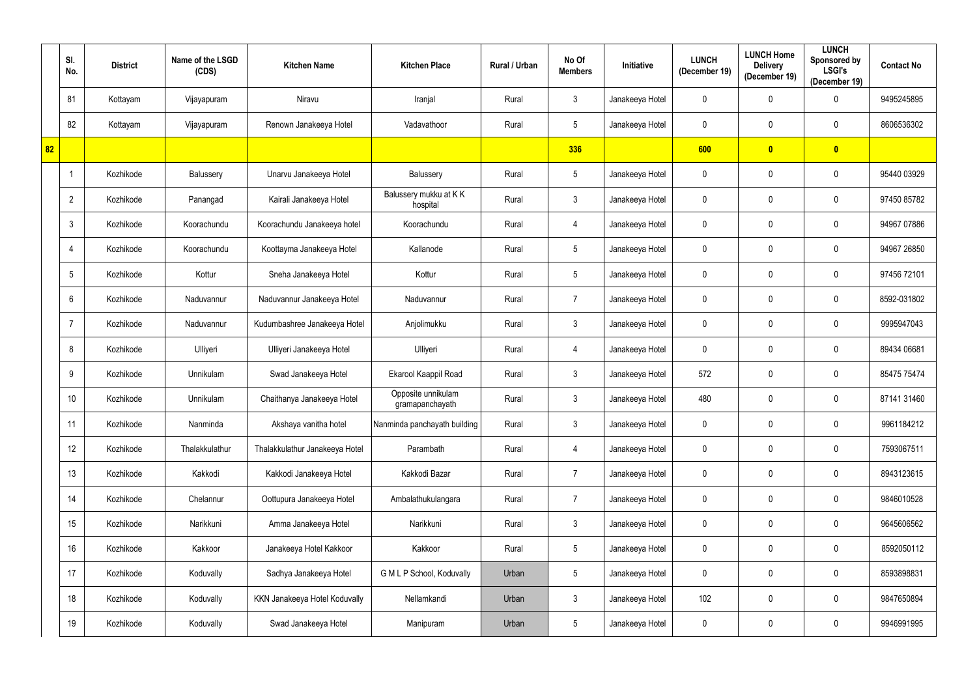|    | SI.<br>No.     | <b>District</b> | Name of the LSGD<br>(CDS) | <b>Kitchen Name</b>            | <b>Kitchen Place</b>                  | Rural / Urban | No Of<br><b>Members</b> | Initiative      | <b>LUNCH</b><br>(December 19) | <b>LUNCH Home</b><br><b>Delivery</b><br>(December 19) | <b>LUNCH</b><br>Sponsored by<br><b>LSGI's</b><br>(December 19) | <b>Contact No</b> |
|----|----------------|-----------------|---------------------------|--------------------------------|---------------------------------------|---------------|-------------------------|-----------------|-------------------------------|-------------------------------------------------------|----------------------------------------------------------------|-------------------|
|    | 81             | Kottayam        | Vijayapuram               | Niravu                         | Iranjal                               | Rural         | $\mathfrak{Z}$          | Janakeeya Hotel | 0                             | 0                                                     | $\mathbf 0$                                                    | 9495245895        |
|    | 82             | Kottayam        | Vijayapuram               | Renown Janakeeya Hotel         | Vadavathoor                           | Rural         | $5\phantom{.0}$         | Janakeeya Hotel | 0                             | 0                                                     | $\mathbf 0$                                                    | 8606536302        |
| 82 |                |                 |                           |                                |                                       |               | 336                     |                 | 600                           | $\bullet$                                             | $\bullet$                                                      |                   |
|    |                | Kozhikode       | Balussery                 | Unarvu Janakeeya Hotel         | Balussery                             | Rural         | $\sqrt{5}$              | Janakeeya Hotel | 0                             | 0                                                     | $\mathbf 0$                                                    | 95440 03929       |
|    | $\overline{2}$ | Kozhikode       | Panangad                  | Kairali Janakeeya Hotel        | Balussery mukku at KK<br>hospital     | Rural         | $\mathbf{3}$            | Janakeeya Hotel | 0                             | 0                                                     | $\mathbf 0$                                                    | 97450 85782       |
|    | $\mathbf{3}$   | Kozhikode       | Koorachundu               | Koorachundu Janakeeya hotel    | Koorachundu                           | Rural         | $\overline{4}$          | Janakeeya Hotel | 0                             | 0                                                     | $\mathbf 0$                                                    | 94967 07886       |
|    | -4             | Kozhikode       | Koorachundu               | Koottayma Janakeeya Hotel      | Kallanode                             | Rural         | $5\phantom{.0}$         | Janakeeya Hotel | 0                             | 0                                                     | $\mathbf 0$                                                    | 94967 26850       |
|    | 5              | Kozhikode       | Kottur                    | Sneha Janakeeya Hotel          | Kottur                                | Rural         | $\sqrt{5}$              | Janakeeya Hotel | 0                             | 0                                                     | $\mathbf 0$                                                    | 97456 72101       |
|    | 6              | Kozhikode       | Naduvannur                | Naduvannur Janakeeya Hotel     | Naduvannur                            | Rural         | $\overline{7}$          | Janakeeya Hotel | 0                             | 0                                                     | $\mathbf 0$                                                    | 8592-031802       |
|    |                | Kozhikode       | Naduvannur                | Kudumbashree Janakeeya Hotel   | Anjolimukku                           | Rural         | $\mathfrak{Z}$          | Janakeeya Hotel | 0                             | 0                                                     | $\mathbf 0$                                                    | 9995947043        |
|    | 8              | Kozhikode       | Ulliyeri                  | Ulliyeri Janakeeya Hotel       | Ulliyeri                              | Rural         | 4                       | Janakeeya Hotel | 0                             | 0                                                     | $\mathbf 0$                                                    | 89434 06681       |
|    | 9              | Kozhikode       | Unnikulam                 | Swad Janakeeya Hotel           | Ekarool Kaappil Road                  | Rural         | $\mathfrak{Z}$          | Janakeeya Hotel | 572                           | 0                                                     | $\mathbf 0$                                                    | 85475 75474       |
|    | 10             | Kozhikode       | Unnikulam                 | Chaithanya Janakeeya Hotel     | Opposite unnikulam<br>gramapanchayath | Rural         | $\mathbf{3}$            | Janakeeya Hotel | 480                           | 0                                                     | $\mathbf 0$                                                    | 87141 31460       |
|    | 11             | Kozhikode       | Nanminda                  | Akshaya vanitha hotel          | Nanminda panchayath building          | Rural         | $\mathfrak{Z}$          | Janakeeya Hotel | $\mathbf 0$                   | $\mathbf 0$                                           | $\mathbf 0$                                                    | 9961184212        |
|    | 12             | Kozhikode       | Thalakkulathur            | Thalakkulathur Janakeeya Hotel | Parambath                             | Rural         | $\overline{4}$          | Janakeeya Hotel | $\pmb{0}$                     | 0                                                     | $\mathbf 0$                                                    | 7593067511        |
|    | 13             | Kozhikode       | Kakkodi                   | Kakkodi Janakeeya Hotel        | Kakkodi Bazar                         | Rural         | $\overline{7}$          | Janakeeya Hotel | $\mathbf 0$                   | 0                                                     | $\mathbf 0$                                                    | 8943123615        |
|    | 14             | Kozhikode       | Chelannur                 | Oottupura Janakeeya Hotel      | Ambalathukulangara                    | Rural         | $\overline{7}$          | Janakeeya Hotel | $\mathbf 0$                   | 0                                                     | $\mathbf 0$                                                    | 9846010528        |
|    | 15             | Kozhikode       | Narikkuni                 | Amma Janakeeya Hotel           | Narikkuni                             | Rural         | $\mathbf{3}$            | Janakeeya Hotel | $\pmb{0}$                     | 0                                                     | $\mathbf 0$                                                    | 9645606562        |
|    | 16             | Kozhikode       | Kakkoor                   | Janakeeya Hotel Kakkoor        | Kakkoor                               | Rural         | $5\phantom{.0}$         | Janakeeya Hotel | $\mathbf 0$                   | 0                                                     | $\mathbf 0$                                                    | 8592050112        |
|    | 17             | Kozhikode       | Koduvally                 | Sadhya Janakeeya Hotel         | G M L P School, Koduvally             | Urban         | $\sqrt{5}$              | Janakeeya Hotel | 0                             | 0                                                     | $\mathbf 0$                                                    | 8593898831        |
|    | 18             | Kozhikode       | Koduvally                 | KKN Janakeeya Hotel Koduvally  | Nellamkandi                           | Urban         | $\mathfrak{Z}$          | Janakeeya Hotel | 102                           | 0                                                     | $\mathbf 0$                                                    | 9847650894        |
|    | 19             | Kozhikode       | Koduvally                 | Swad Janakeeya Hotel           | Manipuram                             | Urban         | $\sqrt{5}$              | Janakeeya Hotel | 0                             | 0                                                     | $\mathbf 0$                                                    | 9946991995        |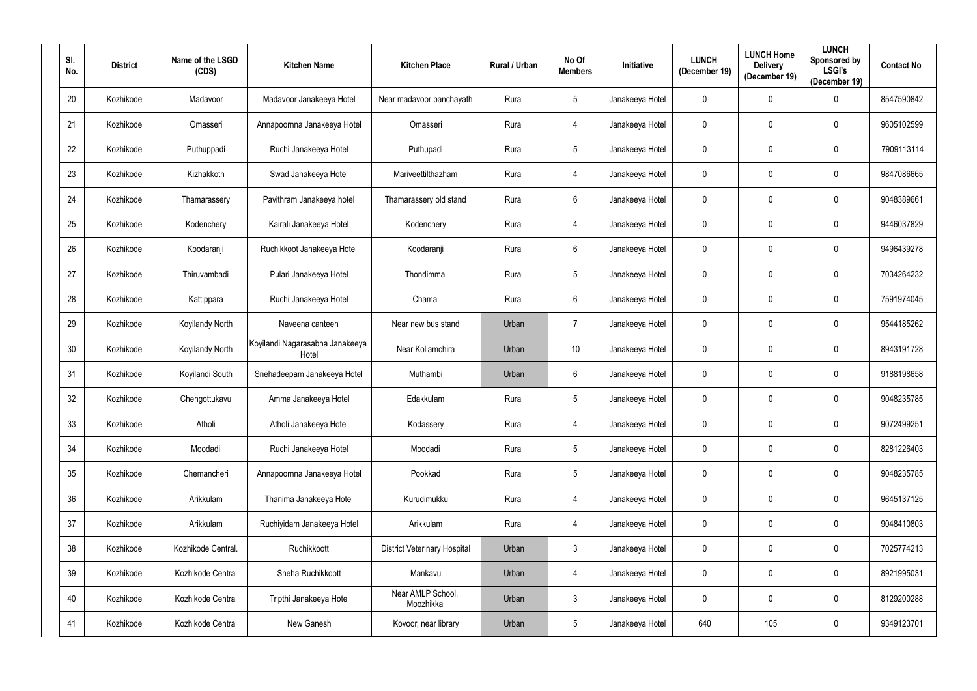| SI.<br>No.      | <b>District</b> | Name of the LSGD<br>(CDS) | <b>Kitchen Name</b>                      | <b>Kitchen Place</b>                | Rural / Urban | No Of<br><b>Members</b> | <b>Initiative</b> | <b>LUNCH</b><br>(December 19) | <b>LUNCH Home</b><br><b>Delivery</b><br>(December 19) | <b>LUNCH</b><br>Sponsored by<br><b>LSGI's</b><br>(December 19) | <b>Contact No</b> |
|-----------------|-----------------|---------------------------|------------------------------------------|-------------------------------------|---------------|-------------------------|-------------------|-------------------------------|-------------------------------------------------------|----------------------------------------------------------------|-------------------|
| 20              | Kozhikode       | Madavoor                  | Madavoor Janakeeya Hotel                 | Near madavoor panchayath            | Rural         | $5\phantom{.0}$         | Janakeeya Hotel   | $\mathbf 0$                   | 0                                                     | $\overline{0}$                                                 | 8547590842        |
| 21              | Kozhikode       | Omasseri                  | Annapoornna Janakeeya Hotel              | Omasseri                            | Rural         | 4                       | Janakeeya Hotel   | $\pmb{0}$                     | $\mathbf 0$                                           | $\mathbf 0$                                                    | 9605102599        |
| 22              | Kozhikode       | Puthuppadi                | Ruchi Janakeeya Hotel                    | Puthupadi                           | Rural         | $5\phantom{.0}$         | Janakeeya Hotel   | $\boldsymbol{0}$              | $\boldsymbol{0}$                                      | $\bf{0}$                                                       | 7909113114        |
| 23              | Kozhikode       | Kizhakkoth                | Swad Janakeeya Hotel                     | Mariveettilthazham                  | Rural         | 4                       | Janakeeya Hotel   | $\pmb{0}$                     | $\mathbf 0$                                           | $\mathbf 0$                                                    | 9847086665        |
| 24              | Kozhikode       | Thamarassery              | Pavithram Janakeeya hotel                | Thamarassery old stand              | Rural         | $6\overline{6}$         | Janakeeya Hotel   | $\pmb{0}$                     | $\mathbf 0$                                           | $\bf{0}$                                                       | 9048389661        |
| 25              | Kozhikode       | Kodenchery                | Kairali Janakeeya Hotel                  | Kodenchery                          | Rural         | 4                       | Janakeeya Hotel   | $\mathbf 0$                   | $\mathbf 0$                                           | $\mathbf 0$                                                    | 9446037829        |
| 26              | Kozhikode       | Koodaranji                | Ruchikkoot Janakeeya Hotel               | Koodaranji                          | Rural         | $6\overline{6}$         | Janakeeya Hotel   | $\mathbf 0$                   | $\mathbf 0$                                           | $\mathbf 0$                                                    | 9496439278        |
| 27              | Kozhikode       | Thiruvambadi              | Pulari Janakeeya Hotel                   | Thondimmal                          | Rural         | $5\overline{)}$         | Janakeeya Hotel   | $\mathbf 0$                   | $\mathbf 0$                                           | $\mathbf 0$                                                    | 7034264232        |
| 28              | Kozhikode       | Kattippara                | Ruchi Janakeeya Hotel                    | Chamal                              | Rural         | $6\phantom{.}6$         | Janakeeya Hotel   | $\mathbf 0$                   | $\mathbf 0$                                           | $\mathbf 0$                                                    | 7591974045        |
| 29              | Kozhikode       | Koyilandy North           | Naveena canteen                          | Near new bus stand                  | Urban         | $\overline{7}$          | Janakeeya Hotel   | $\mathbf 0$                   | $\boldsymbol{0}$                                      | $\mathbf 0$                                                    | 9544185262        |
| 30              | Kozhikode       | Koyilandy North           | Koyilandi Nagarasabha Janakeeya<br>Hotel | Near Kollamchira                    | Urban         | 10                      | Janakeeya Hotel   | $\mathbf 0$                   | $\mathbf 0$                                           | $\mathbf 0$                                                    | 8943191728        |
| 31              | Kozhikode       | Koyilandi South           | Snehadeepam Janakeeya Hotel              | Muthambi                            | Urban         | $6\phantom{.}6$         | Janakeeya Hotel   | $\pmb{0}$                     | 0                                                     | $\boldsymbol{0}$                                               | 9188198658        |
| 32 <sup>°</sup> | Kozhikode       | Chengottukavu             | Amma Janakeeya Hotel                     | Edakkulam                           | Rural         | $5\overline{)}$         | Janakeeya Hotel   | $\pmb{0}$                     | $\mathbf 0$                                           | $\mathbf 0$                                                    | 9048235785        |
| 33              | Kozhikode       | Atholi                    | Atholi Janakeeya Hotel                   | Kodassery                           | Rural         | 4                       | Janakeeya Hotel   | $\mathbf 0$                   | $\mathbf 0$                                           | $\mathbf 0$                                                    | 9072499251        |
| 34              | Kozhikode       | Moodadi                   | Ruchi Janakeeya Hotel                    | Moodadi                             | Rural         | $5\phantom{.0}$         | Janakeeya Hotel   | $\mathbf 0$                   | $\mathbf 0$                                           | $\overline{0}$                                                 | 8281226403        |
| 35              | Kozhikode       | Chemancheri               | Annapoornna Janakeeya Hotel              | Pookkad                             | Rural         | $5\phantom{.0}$         | Janakeeya Hotel   | $\pmb{0}$                     | $\mathbf 0$                                           | $\overline{0}$                                                 | 9048235785        |
| 36              | Kozhikode       | Arikkulam                 | Thanima Janakeeya Hotel                  | Kurudimukku                         | Rural         | $\overline{4}$          | Janakeeya Hotel   | $\mathbf 0$                   | $\mathbf 0$                                           | $\overline{0}$                                                 | 9645137125        |
| 37              | Kozhikode       | Arikkulam                 | Ruchiyidam Janakeeya Hotel               | Arikkulam                           | Rural         | 4                       | Janakeeya Hotel   | $\boldsymbol{0}$              | $\mathbf 0$                                           | $\overline{0}$                                                 | 9048410803        |
| 38              | Kozhikode       | Kozhikode Central.        | Ruchikkoott                              | <b>District Veterinary Hospital</b> | Urban         | $\mathfrak{Z}$          | Janakeeya Hotel   | $\mathbf 0$                   | $\pmb{0}$                                             | $\mathbf 0$                                                    | 7025774213        |
| 39              | Kozhikode       | Kozhikode Central         | Sneha Ruchikkoott                        | Mankavu                             | Urban         | $\overline{4}$          | Janakeeya Hotel   | $\mathbf 0$                   | $\mathbf 0$                                           | $\overline{0}$                                                 | 8921995031        |
| 40              | Kozhikode       | Kozhikode Central         | Tripthi Janakeeya Hotel                  | Near AMLP School,<br>Moozhikkal     | Urban         | $\mathfrak{Z}$          | Janakeeya Hotel   | $\mathbf 0$                   | $\mathbf 0$                                           | $\overline{0}$                                                 | 8129200288        |
| 41              | Kozhikode       | Kozhikode Central         | New Ganesh                               | Kovoor, near library                | Urban         | $5\phantom{.0}$         | Janakeeya Hotel   | 640                           | 105                                                   | $\mathbf 0$                                                    | 9349123701        |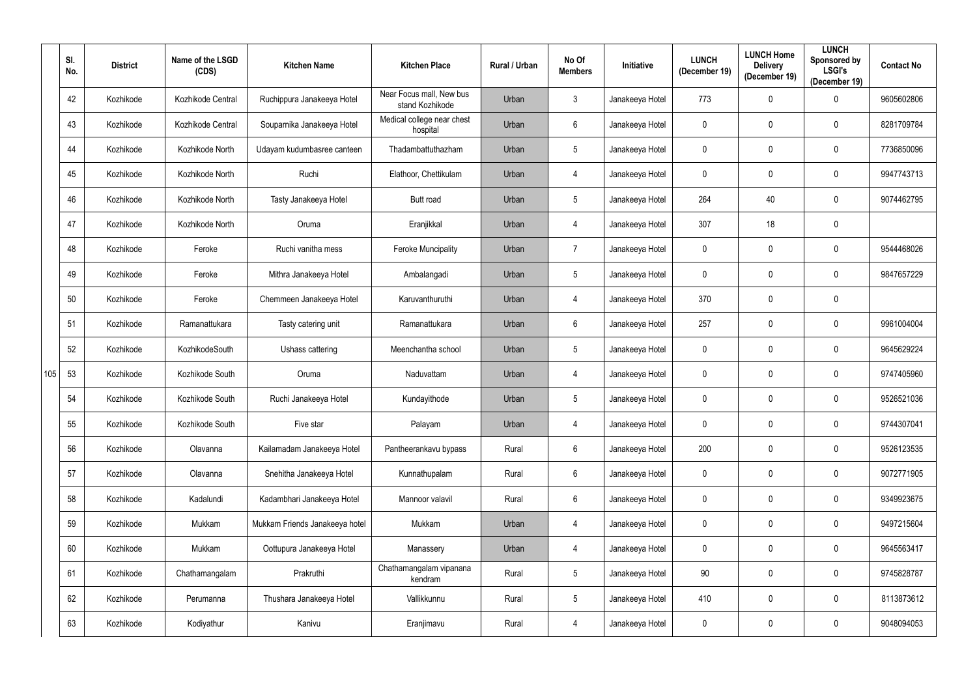|     | SI.<br>No. | <b>District</b> | Name of the LSGD<br>(CDS) | <b>Kitchen Name</b>            | <b>Kitchen Place</b>                        | Rural / Urban | No Of<br><b>Members</b> | <b>Initiative</b> | <b>LUNCH</b><br>(December 19) | <b>LUNCH Home</b><br><b>Delivery</b><br>(December 19) | <b>LUNCH</b><br>Sponsored by<br><b>LSGI's</b><br>(December 19) | <b>Contact No</b> |
|-----|------------|-----------------|---------------------------|--------------------------------|---------------------------------------------|---------------|-------------------------|-------------------|-------------------------------|-------------------------------------------------------|----------------------------------------------------------------|-------------------|
|     | 42         | Kozhikode       | Kozhikode Central         | Ruchippura Janakeeya Hotel     | Near Focus mall, New bus<br>stand Kozhikode | Urban         | $\mathfrak{Z}$          | Janakeeya Hotel   | 773                           | 0                                                     | $\mathbf 0$                                                    | 9605602806        |
|     | 43         | Kozhikode       | Kozhikode Central         | Souparnika Janakeeya Hotel     | Medical college near chest<br>hospital      | Urban         | $6\,$                   | Janakeeya Hotel   | 0                             | 0                                                     | $\mathbf 0$                                                    | 8281709784        |
|     | 44         | Kozhikode       | Kozhikode North           | Udayam kudumbasree canteen     | Thadambattuthazham                          | Urban         | $\sqrt{5}$              | Janakeeya Hotel   | $\mathbf 0$                   | 0                                                     | $\mathbf 0$                                                    | 7736850096        |
|     | 45         | Kozhikode       | Kozhikode North           | Ruchi                          | Elathoor, Chettikulam                       | Urban         | 4                       | Janakeeya Hotel   | 0                             | 0                                                     | $\mathbf 0$                                                    | 9947743713        |
|     | 46         | Kozhikode       | Kozhikode North           | Tasty Janakeeya Hotel          | Butt road                                   | Urban         | $\sqrt{5}$              | Janakeeya Hotel   | 264                           | 40                                                    | $\mathbf 0$                                                    | 9074462795        |
|     | 47         | Kozhikode       | Kozhikode North           | Oruma                          | Eranjikkal                                  | Urban         | $\overline{4}$          | Janakeeya Hotel   | 307                           | 18                                                    | $\mathbf 0$                                                    |                   |
|     | 48         | Kozhikode       | Feroke                    | Ruchi vanitha mess             | <b>Feroke Muncipality</b>                   | Urban         | $\overline{7}$          | Janakeeya Hotel   | $\mathbf 0$                   | 0                                                     | $\mathbf 0$                                                    | 9544468026        |
|     | 49         | Kozhikode       | Feroke                    | Mithra Janakeeya Hotel         | Ambalangadi                                 | Urban         | $\sqrt{5}$              | Janakeeya Hotel   | $\mathbf 0$                   | 0                                                     | $\mathbf 0$                                                    | 9847657229        |
|     | 50         | Kozhikode       | Feroke                    | Chemmeen Janakeeya Hotel       | Karuvanthuruthi                             | Urban         | 4                       | Janakeeya Hotel   | 370                           | 0                                                     | $\mathbf 0$                                                    |                   |
|     | 51         | Kozhikode       | Ramanattukara             | Tasty catering unit            | Ramanattukara                               | Urban         | $6\,$                   | Janakeeya Hotel   | 257                           | 0                                                     | $\mathbf 0$                                                    | 9961004004        |
|     | 52         | Kozhikode       | KozhikodeSouth            | Ushass cattering               | Meenchantha school                          | Urban         | $\sqrt{5}$              | Janakeeya Hotel   | $\mathbf 0$                   | 0                                                     | $\mathbf 0$                                                    | 9645629224        |
| 105 | 53         | Kozhikode       | Kozhikode South           | Oruma                          | Naduvattam                                  | Urban         | 4                       | Janakeeya Hotel   | 0                             | 0                                                     | $\mathbf 0$                                                    | 9747405960        |
|     | 54         | Kozhikode       | Kozhikode South           | Ruchi Janakeeya Hotel          | Kundayithode                                | Urban         | $5\phantom{.0}$         | Janakeeya Hotel   | $\mathbf 0$                   | 0                                                     | $\mathbf 0$                                                    | 9526521036        |
|     | 55         | Kozhikode       | Kozhikode South           | Five star                      | Palayam                                     | Urban         | $\overline{4}$          | Janakeeya Hotel   | $\mathbf 0$                   | 0                                                     | $\mathbf 0$                                                    | 9744307041        |
|     | 56         | Kozhikode       | Olavanna                  | Kailamadam Janakeeya Hotel     | Pantheerankavu bypass                       | Rural         | $6\phantom{.}6$         | Janakeeya Hotel   | 200                           | $\mathbf 0$                                           | $\mathbf 0$                                                    | 9526123535        |
|     | 57         | Kozhikode       | Olavanna                  | Snehitha Janakeeya Hotel       | Kunnathupalam                               | Rural         | $\,6\,$                 | Janakeeya Hotel   | $\mathbf 0$                   | 0                                                     | $\mathbf 0$                                                    | 9072771905        |
|     | 58         | Kozhikode       | Kadalundi                 | Kadambhari Janakeeya Hotel     | Mannoor valavil                             | Rural         | $\boldsymbol{6}$        | Janakeeya Hotel   | $\mathbf 0$                   | $\pmb{0}$                                             | $\mathbf 0$                                                    | 9349923675        |
|     | 59         | Kozhikode       | Mukkam                    | Mukkam Friends Janakeeya hotel | Mukkam                                      | Urban         | $\overline{4}$          | Janakeeya Hotel   | $\mathbf 0$                   | 0                                                     | $\mathbf 0$                                                    | 9497215604        |
|     | 60         | Kozhikode       | Mukkam                    | Oottupura Janakeeya Hotel      | Manassery                                   | Urban         | $\overline{4}$          | Janakeeya Hotel   | $\mathbf 0$                   | 0                                                     | $\mathbf 0$                                                    | 9645563417        |
|     | 61         | Kozhikode       | Chathamangalam            | Prakruthi                      | Chathamangalam vipanana<br>kendram          | Rural         | $\sqrt{5}$              | Janakeeya Hotel   | 90                            | 0                                                     | $\mathbf 0$                                                    | 9745828787        |
|     | 62         | Kozhikode       | Perumanna                 | Thushara Janakeeya Hotel       | Vallikkunnu                                 | Rural         | $\sqrt{5}$              | Janakeeya Hotel   | 410                           | 0                                                     | $\mathbf 0$                                                    | 8113873612        |
|     | 63         | Kozhikode       | Kodiyathur                | Kanivu                         | Eranjimavu                                  | Rural         | 4                       | Janakeeya Hotel   | 0                             | 0                                                     | $\mathbf 0$                                                    | 9048094053        |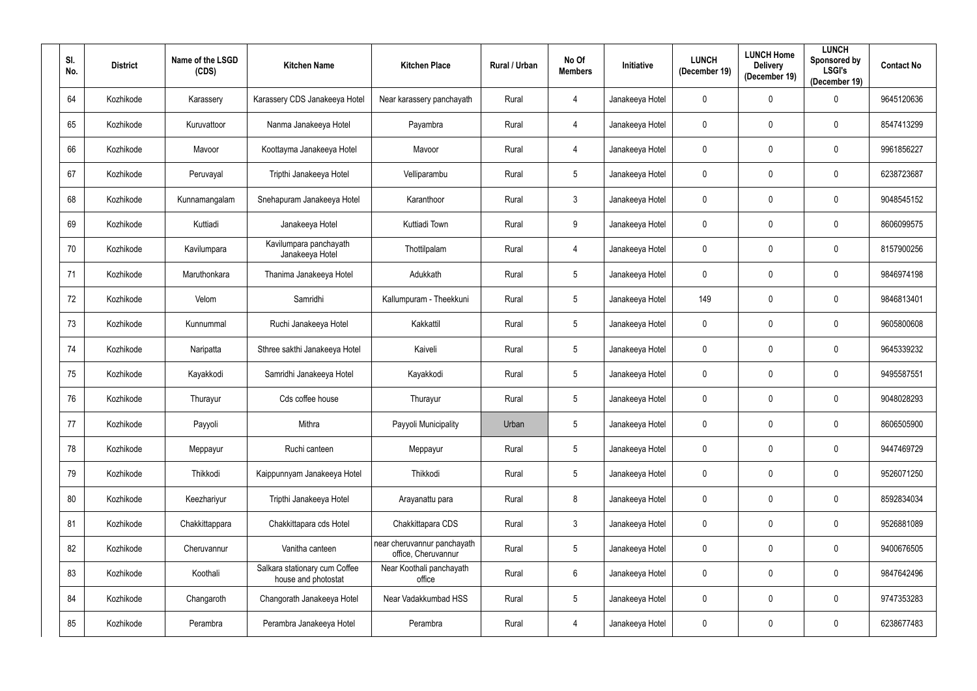| SI.<br>No. | <b>District</b> | Name of the LSGD<br>(CDS) | <b>Kitchen Name</b>                                  | <b>Kitchen Place</b>                               | Rural / Urban | No Of<br><b>Members</b> | <b>Initiative</b> | <b>LUNCH</b><br>(December 19) | <b>LUNCH Home</b><br><b>Delivery</b><br>(December 19) | <b>LUNCH</b><br>Sponsored by<br><b>LSGI's</b><br>(December 19) | <b>Contact No</b> |
|------------|-----------------|---------------------------|------------------------------------------------------|----------------------------------------------------|---------------|-------------------------|-------------------|-------------------------------|-------------------------------------------------------|----------------------------------------------------------------|-------------------|
| 64         | Kozhikode       | Karassery                 | Karassery CDS Janakeeya Hotel                        | Near karassery panchayath                          | Rural         | 4                       | Janakeeya Hotel   | $\mathbf 0$                   | 0                                                     | $\mathbf 0$                                                    | 9645120636        |
| 65         | Kozhikode       | Kuruvattoor               | Nanma Janakeeya Hotel                                | Payambra                                           | Rural         | 4                       | Janakeeya Hotel   | $\pmb{0}$                     | $\mathbf 0$                                           | $\mathbf 0$                                                    | 8547413299        |
| 66         | Kozhikode       | Mavoor                    | Koottayma Janakeeya Hotel                            | Mavoor                                             | Rural         | 4                       | Janakeeya Hotel   | $\mathbf 0$                   | $\mathbf 0$                                           | $\bf{0}$                                                       | 9961856227        |
| 67         | Kozhikode       | Peruvayal                 | Tripthi Janakeeya Hotel                              | Velliparambu                                       | Rural         | $5\phantom{.0}$         | Janakeeya Hotel   | $\pmb{0}$                     | $\mathbf 0$                                           | $\mathbf 0$                                                    | 6238723687        |
| 68         | Kozhikode       | Kunnamangalam             | Snehapuram Janakeeya Hotel                           | Karanthoor                                         | Rural         | $\mathfrak{Z}$          | Janakeeya Hotel   | $\pmb{0}$                     | $\mathbf 0$                                           | $\bf{0}$                                                       | 9048545152        |
| 69         | Kozhikode       | Kuttiadi                  | Janakeeya Hotel                                      | Kuttiadi Town                                      | Rural         | 9                       | Janakeeya Hotel   | $\pmb{0}$                     | $\mathbf 0$                                           | $\mathbf 0$                                                    | 8606099575        |
| 70         | Kozhikode       | Kavilumpara               | Kavilumpara panchayath<br>Janakeeya Hotel            | Thottilpalam                                       | Rural         | 4                       | Janakeeya Hotel   | $\overline{0}$                | $\mathbf 0$                                           | $\mathbf 0$                                                    | 8157900256        |
| 71         | Kozhikode       | Maruthonkara              | Thanima Janakeeya Hotel                              | Adukkath                                           | Rural         | $5\phantom{.0}$         | Janakeeya Hotel   | $\mathbf 0$                   | 0                                                     | $\mathbf 0$                                                    | 9846974198        |
| 72         | Kozhikode       | Velom                     | Samridhi                                             | Kallumpuram - Theekkuni                            | Rural         | $5\phantom{.0}$         | Janakeeya Hotel   | 149                           | $\mathbf 0$                                           | $\mathbf 0$                                                    | 9846813401        |
| 73         | Kozhikode       | Kunnummal                 | Ruchi Janakeeya Hotel                                | Kakkattil                                          | Rural         | $5\phantom{.0}$         | Janakeeya Hotel   | $\mathbf 0$                   | $\mathbf 0$                                           | $\mathbf 0$                                                    | 9605800608        |
| 74         | Kozhikode       | Naripatta                 | Sthree sakthi Janakeeya Hotel                        | Kaiveli                                            | Rural         | $5\phantom{.0}$         | Janakeeya Hotel   | $\overline{0}$                | $\mathbf 0$                                           | $\mathbf 0$                                                    | 9645339232        |
| 75         | Kozhikode       | Kayakkodi                 | Samridhi Janakeeya Hotel                             | Kayakkodi                                          | Rural         | $5\phantom{.0}$         | Janakeeya Hotel   | $\pmb{0}$                     | 0                                                     | $\pmb{0}$                                                      | 9495587551        |
| 76         | Kozhikode       | Thurayur                  | Cds coffee house                                     | Thurayur                                           | Rural         | $5\overline{)}$         | Janakeeya Hotel   | $\pmb{0}$                     | $\mathbf 0$                                           | $\mathbf 0$                                                    | 9048028293        |
| 77         | Kozhikode       | Payyoli                   | Mithra                                               | Payyoli Municipality                               | Urban         | $5\phantom{.0}$         | Janakeeya Hotel   | $\mathbf 0$                   | $\mathbf 0$                                           | $\mathbf 0$                                                    | 8606505900        |
| 78         | Kozhikode       | Meppayur                  | Ruchi canteen                                        | Meppayur                                           | Rural         | $5\phantom{.0}$         | Janakeeya Hotel   | $\mathbf 0$                   | $\mathbf 0$                                           | $\overline{0}$                                                 | 9447469729        |
| 79         | Kozhikode       | Thikkodi                  | Kaippunnyam Janakeeya Hotel                          | Thikkodi                                           | Rural         | $\overline{5}$          | Janakeeya Hotel   | $\pmb{0}$                     | $\mathbf 0$                                           | $\overline{0}$                                                 | 9526071250        |
| 80         | Kozhikode       | Keezhariyur               | Tripthi Janakeeya Hotel                              | Arayanattu para                                    | Rural         | 8                       | Janakeeya Hotel   | $\mathbf 0$                   | $\mathbf 0$                                           | $\overline{0}$                                                 | 8592834034        |
| 81         | Kozhikode       | Chakkittappara            | Chakkittapara cds Hotel                              | Chakkittapara CDS                                  | Rural         | $\mathfrak{Z}$          | Janakeeya Hotel   | $\mathbf 0$                   | $\mathbf{0}$                                          | $\overline{0}$                                                 | 9526881089        |
| 82         | Kozhikode       | Cheruvannur               | Vanitha canteen                                      | near cheruvannur panchayath<br>office, Cheruvannur | Rural         | $5\phantom{.0}$         | Janakeeya Hotel   | $\mathbf 0$                   | $\mathbf 0$                                           | $\overline{0}$                                                 | 9400676505        |
| 83         | Kozhikode       | Koothali                  | Salkara stationary cum Coffee<br>house and photostat | Near Koothali panchayath<br>office                 | Rural         | $6\phantom{.}$          | Janakeeya Hotel   | $\mathbf 0$                   | $\mathbf 0$                                           | $\mathbf 0$                                                    | 9847642496        |
| 84         | Kozhikode       | Changaroth                | Changorath Janakeeya Hotel                           | Near Vadakkumbad HSS                               | Rural         | $\overline{5}$          | Janakeeya Hotel   | $\mathbf 0$                   | $\mathbf 0$                                           | $\mathbf 0$                                                    | 9747353283        |
| 85         | Kozhikode       | Perambra                  | Perambra Janakeeya Hotel                             | Perambra                                           | Rural         | $\overline{4}$          | Janakeeya Hotel   | $\pmb{0}$                     | $\boldsymbol{0}$                                      | $\mathbf 0$                                                    | 6238677483        |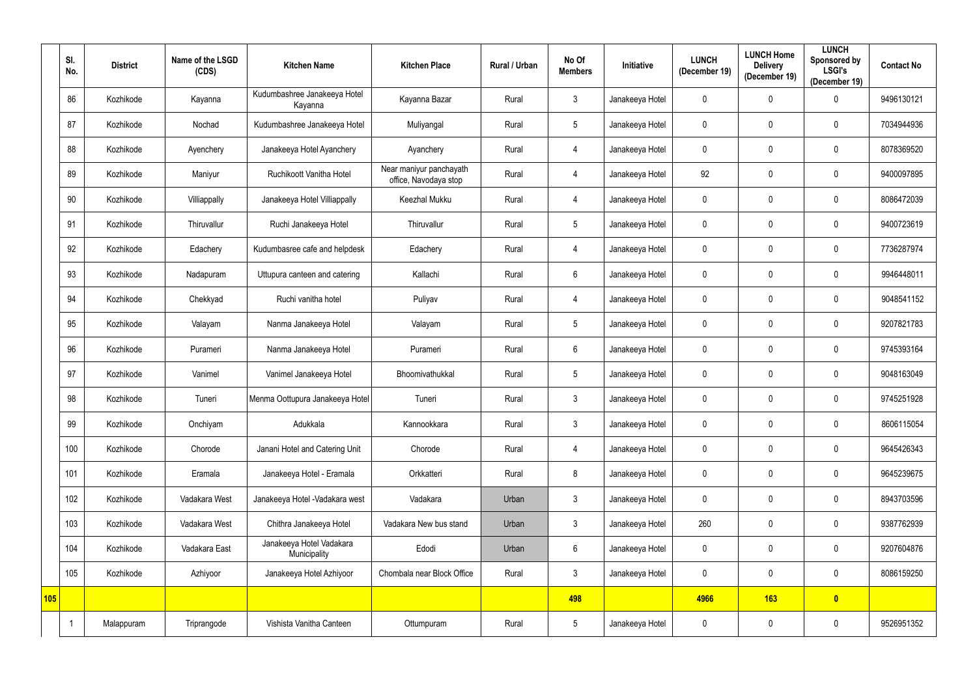|     | SI.<br>No. | <b>District</b> | Name of the LSGD<br>(CDS) | <b>Kitchen Name</b>                      | <b>Kitchen Place</b>                             | Rural / Urban | No Of<br><b>Members</b> | Initiative      | <b>LUNCH</b><br>(December 19) | <b>LUNCH Home</b><br><b>Delivery</b><br>(December 19) | <b>LUNCH</b><br>Sponsored by<br><b>LSGI's</b><br>(December 19) | <b>Contact No</b> |
|-----|------------|-----------------|---------------------------|------------------------------------------|--------------------------------------------------|---------------|-------------------------|-----------------|-------------------------------|-------------------------------------------------------|----------------------------------------------------------------|-------------------|
|     | 86         | Kozhikode       | Kayanna                   | Kudumbashree Janakeeya Hotel<br>Kayanna  | Kayanna Bazar                                    | Rural         | $\mathbf{3}$            | Janakeeya Hotel | 0                             | 0                                                     | $\mathbf{0}$                                                   | 9496130121        |
|     | 87         | Kozhikode       | Nochad                    | Kudumbashree Janakeeya Hotel             | Muliyangal                                       | Rural         | $\sqrt{5}$              | Janakeeya Hotel | 0                             | 0                                                     | $\mathbf 0$                                                    | 7034944936        |
|     | 88         | Kozhikode       | Ayenchery                 | Janakeeya Hotel Ayanchery                | Ayanchery                                        | Rural         | $\overline{4}$          | Janakeeya Hotel | 0                             | 0                                                     | $\mathbf 0$                                                    | 8078369520        |
|     | 89         | Kozhikode       | Maniyur                   | Ruchikoott Vanitha Hotel                 | Near maniyur panchayath<br>office, Navodaya stop | Rural         | $\overline{4}$          | Janakeeya Hotel | 92                            | 0                                                     | $\mathbf 0$                                                    | 9400097895        |
|     | 90         | Kozhikode       | Villiappally              | Janakeeya Hotel Villiappally             | Keezhal Mukku                                    | Rural         | $\overline{4}$          | Janakeeya Hotel | 0                             | 0                                                     | $\mathbf 0$                                                    | 8086472039        |
|     | 91         | Kozhikode       | Thiruvallur               | Ruchi Janakeeya Hotel                    | Thiruvallur                                      | Rural         | $5\phantom{.0}$         | Janakeeya Hotel | 0                             | 0                                                     | $\mathbf 0$                                                    | 9400723619        |
|     | 92         | Kozhikode       | Edachery                  | Kudumbasree cafe and helpdesk            | Edachery                                         | Rural         | $\overline{4}$          | Janakeeya Hotel | 0                             | 0                                                     | $\mathbf 0$                                                    | 7736287974        |
|     | 93         | Kozhikode       | Nadapuram                 | Uttupura canteen and catering            | Kallachi                                         | Rural         | $6\,$                   | Janakeeya Hotel | 0                             | 0                                                     | $\mathbf 0$                                                    | 9946448011        |
|     | 94         | Kozhikode       | Chekkyad                  | Ruchi vanitha hotel                      | Puliyav                                          | Rural         | 4                       | Janakeeya Hotel | 0                             | 0                                                     | $\mathbf 0$                                                    | 9048541152        |
|     | 95         | Kozhikode       | Valayam                   | Nanma Janakeeya Hotel                    | Valayam                                          | Rural         | $\sqrt{5}$              | Janakeeya Hotel | 0                             | 0                                                     | $\mathbf 0$                                                    | 9207821783        |
|     | 96         | Kozhikode       | Purameri                  | Nanma Janakeeya Hotel                    | Purameri                                         | Rural         | $6\,$                   | Janakeeya Hotel | 0                             | 0                                                     | $\mathbf 0$                                                    | 9745393164        |
|     | 97         | Kozhikode       | Vanimel                   | Vanimel Janakeeya Hotel                  | Bhoomivathukkal                                  | Rural         | $\sqrt{5}$              | Janakeeya Hotel | 0                             | 0                                                     | $\mathbf 0$                                                    | 9048163049        |
|     | 98         | Kozhikode       | Tuneri                    | Menma Oottupura Janakeeya Hotel          | Tuneri                                           | Rural         | $\mathbf{3}$            | Janakeeya Hotel | 0                             | 0                                                     | $\mathbf 0$                                                    | 9745251928        |
|     | 99         | Kozhikode       | Onchiyam                  | Adukkala                                 | Kannookkara                                      | Rural         | $\mathbf{3}$            | Janakeeya Hotel | 0                             | 0                                                     | $\mathbf 0$                                                    | 8606115054        |
|     | 100        | Kozhikode       | Chorode                   | Janani Hotel and Catering Unit           | Chorode                                          | Rural         | $\overline{4}$          | Janakeeya Hotel | 0                             | 0                                                     | $\mathbf 0$                                                    | 9645426343        |
|     | 101        | Kozhikode       | Eramala                   | Janakeeya Hotel - Eramala                | Orkkatteri                                       | Rural         | $\bf 8$                 | Janakeeya Hotel | $\pmb{0}$                     | 0                                                     | $\mathbf 0$                                                    | 9645239675        |
|     | 102        | Kozhikode       | Vadakara West             | Janakeeya Hotel - Vadakara west          | Vadakara                                         | Urban         | $\mathfrak{Z}$          | Janakeeya Hotel | $\mathbf 0$                   | $\pmb{0}$                                             | $\mathbf 0$                                                    | 8943703596        |
|     | 103        | Kozhikode       | Vadakara West             | Chithra Janakeeya Hotel                  | Vadakara New bus stand                           | Urban         | $\mathbf{3}$            | Janakeeya Hotel | 260                           | 0                                                     | $\mathbf 0$                                                    | 9387762939        |
|     | 104        | Kozhikode       | Vadakara East             | Janakeeya Hotel Vadakara<br>Municipality | Edodi                                            | Urban         | $\,6\,$                 | Janakeeya Hotel | $\mathbf 0$                   | 0                                                     | $\mathbf 0$                                                    | 9207604876        |
|     | 105        | Kozhikode       | Azhiyoor                  | Janakeeya Hotel Azhiyoor                 | Chombala near Block Office                       | Rural         | $\mathfrak{Z}$          | Janakeeya Hotel | $\mathbf 0$                   | 0                                                     | $\mathbf 0$                                                    | 8086159250        |
| 105 |            |                 |                           |                                          |                                                  |               | 498                     |                 | 4966                          | 163                                                   | $\bullet$                                                      |                   |
|     |            | Malappuram      | Triprangode               | Vishista Vanitha Canteen                 | Ottumpuram                                       | Rural         | $\sqrt{5}$              | Janakeeya Hotel | 0                             | 0                                                     | $\mathbf 0$                                                    | 9526951352        |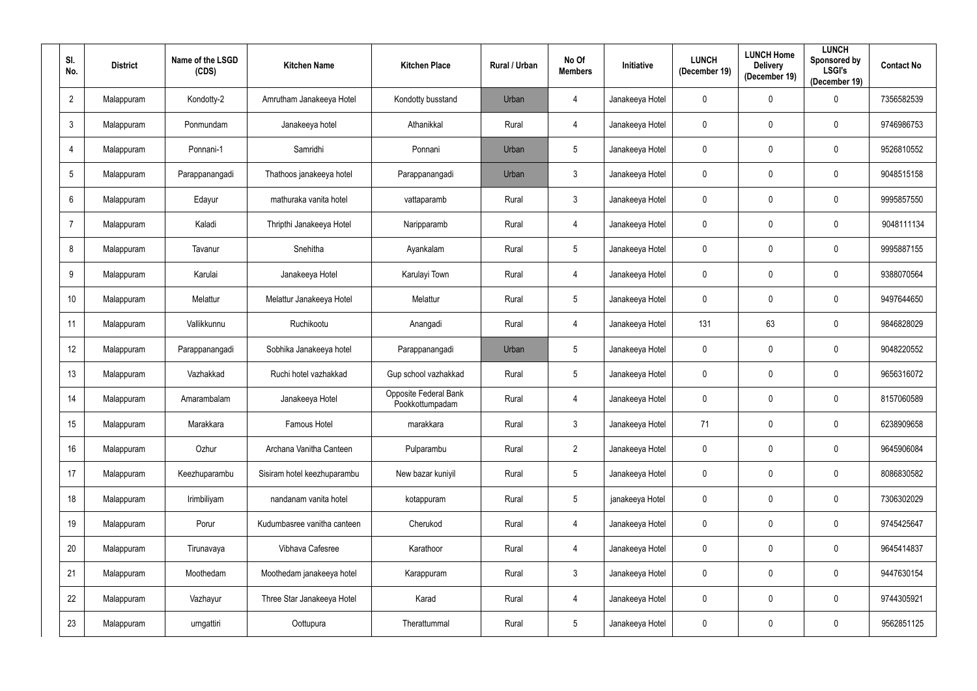| SI.<br>No.     | <b>District</b> | Name of the LSGD<br>(CDS) | <b>Kitchen Name</b>         | <b>Kitchen Place</b>                     | Rural / Urban | No Of<br><b>Members</b> | Initiative      | <b>LUNCH</b><br>(December 19) | <b>LUNCH Home</b><br><b>Delivery</b><br>(December 19) | <b>LUNCH</b><br>Sponsored by<br><b>LSGI's</b><br>(December 19) | <b>Contact No</b> |
|----------------|-----------------|---------------------------|-----------------------------|------------------------------------------|---------------|-------------------------|-----------------|-------------------------------|-------------------------------------------------------|----------------------------------------------------------------|-------------------|
| $\overline{2}$ | Malappuram      | Kondotty-2                | Amrutham Janakeeya Hotel    | Kondotty busstand                        | Urban         | 4                       | Janakeeya Hotel | $\pmb{0}$                     | $\mathbf 0$                                           | $\mathbf 0$                                                    | 7356582539        |
| $\mathfrak{Z}$ | Malappuram      | Ponmundam                 | Janakeeya hotel             | Athanikkal                               | Rural         | 4                       | Janakeeya Hotel | $\mathbf 0$                   | 0                                                     | $\mathbf 0$                                                    | 9746986753        |
| $\overline{4}$ | Malappuram      | Ponnani-1                 | Samridhi                    | Ponnani                                  | Urban         | $5\phantom{.0}$         | Janakeeya Hotel | $\mathbf 0$                   | 0                                                     | $\pmb{0}$                                                      | 9526810552        |
| $\overline{5}$ | Malappuram      | Parappanangadi            | Thathoos janakeeya hotel    | Parappanangadi                           | Urban         | $\mathbf{3}$            | Janakeeya Hotel | $\mathbf 0$                   | 0                                                     | $\mathbf 0$                                                    | 9048515158        |
| $6\phantom{.}$ | Malappuram      | Edayur                    | mathuraka vanita hotel      | vattaparamb                              | Rural         | $\mathfrak{Z}$          | Janakeeya Hotel | $\mathbf 0$                   | 0                                                     | $\mathbf 0$                                                    | 9995857550        |
| $\overline{7}$ | Malappuram      | Kaladi                    | Thripthi Janakeeya Hotel    | Naripparamb                              | Rural         | 4                       | Janakeeya Hotel | $\boldsymbol{0}$              | $\mathbf 0$                                           | $\mathbf 0$                                                    | 9048111134        |
| 8              | Malappuram      | Tavanur                   | Snehitha                    | Ayankalam                                | Rural         | $5\phantom{.0}$         | Janakeeya Hotel | $\mathbf 0$                   | $\mathbf 0$                                           | $\mathbf 0$                                                    | 9995887155        |
| 9              | Malappuram      | Karulai                   | Janakeeya Hotel             | Karulayi Town                            | Rural         | $\overline{4}$          | Janakeeya Hotel | $\boldsymbol{0}$              | 0                                                     | $\mathbf 0$                                                    | 9388070564        |
| 10             | Malappuram      | Melattur                  | Melattur Janakeeya Hotel    | Melattur                                 | Rural         | $5\phantom{.0}$         | Janakeeya Hotel | $\mathbf 0$                   | $\mathbf 0$                                           | $\mathbf 0$                                                    | 9497644650        |
| 11             | Malappuram      | Vallikkunnu               | Ruchikootu                  | Anangadi                                 | Rural         | 4                       | Janakeeya Hotel | 131                           | 63                                                    | $\mathbf 0$                                                    | 9846828029        |
| 12             | Malappuram      | Parappanangadi            | Sobhika Janakeeya hotel     | Parappanangadi                           | Urban         | $5\phantom{.0}$         | Janakeeya Hotel | $\mathbf 0$                   | $\mathbf 0$                                           | $\mathbf 0$                                                    | 9048220552        |
| 13             | Malappuram      | Vazhakkad                 | Ruchi hotel vazhakkad       | Gup school vazhakkad                     | Rural         | $5\phantom{.0}$         | Janakeeya Hotel | $\boldsymbol{0}$              | 0                                                     | $\boldsymbol{0}$                                               | 9656316072        |
| 14             | Malappuram      | Amarambalam               | Janakeeya Hotel             | Opposite Federal Bank<br>Pookkottumpadam | Rural         | 4                       | Janakeeya Hotel | $\mathbf 0$                   | $\mathbf 0$                                           | $\mathbf 0$                                                    | 8157060589        |
| 15             | Malappuram      | Marakkara                 | Famous Hotel                | marakkara                                | Rural         | $\mathbf{3}$            | Janakeeya Hotel | 71                            | $\mathbf 0$                                           | $\mathbf 0$                                                    | 6238909658        |
| 16             | Malappuram      | Ozhur                     | Archana Vanitha Canteen     | Pulparambu                               | Rural         | $\overline{2}$          | Janakeeya Hotel | $\overline{0}$                | $\mathbf 0$                                           | $\mathbf 0$                                                    | 9645906084        |
| 17             | Malappuram      | Keezhuparambu             | Sisiram hotel keezhuparambu | New bazar kuniyil                        | Rural         | $5\phantom{.0}$         | Janakeeya Hotel | $\pmb{0}$                     | $\mathbf 0$                                           | $\overline{0}$                                                 | 8086830582        |
| 18             | Malappuram      | Irimbiliyam               | nandanam vanita hotel       | kotappuram                               | Rural         | $\overline{5}$          | janakeeya Hotel | $\mathbf 0$                   | $\mathbf 0$                                           | $\overline{0}$                                                 | 7306302029        |
| 19             | Malappuram      | Porur                     | Kudumbasree vanitha canteen | Cherukod                                 | Rural         | 4                       | Janakeeya Hotel | $\pmb{0}$                     | $\mathbf 0$                                           | $\mathbf 0$                                                    | 9745425647        |
| 20             | Malappuram      | Tirunavaya                | Vibhava Cafesree            | Karathoor                                | Rural         | $\overline{4}$          | Janakeeya Hotel | $\mathbf 0$                   | $\mathbf 0$                                           | $\mathbf 0$                                                    | 9645414837        |
| 21             | Malappuram      | Moothedam                 | Moothedam janakeeya hotel   | Karappuram                               | Rural         | $\mathfrak{Z}$          | Janakeeya Hotel | $\pmb{0}$                     | $\mathbf 0$                                           | $\overline{0}$                                                 | 9447630154        |
| 22             | Malappuram      | Vazhayur                  | Three Star Janakeeya Hotel  | Karad                                    | Rural         | $\overline{4}$          | Janakeeya Hotel | $\mathbf 0$                   | $\mathbf 0$                                           | $\overline{0}$                                                 | 9744305921        |
| 23             | Malappuram      | urngattiri                | Oottupura                   | Therattummal                             | Rural         | $5\phantom{.0}$         | Janakeeya Hotel | $\mathbf 0$                   | $\mathbf 0$                                           | $\mathbf 0$                                                    | 9562851125        |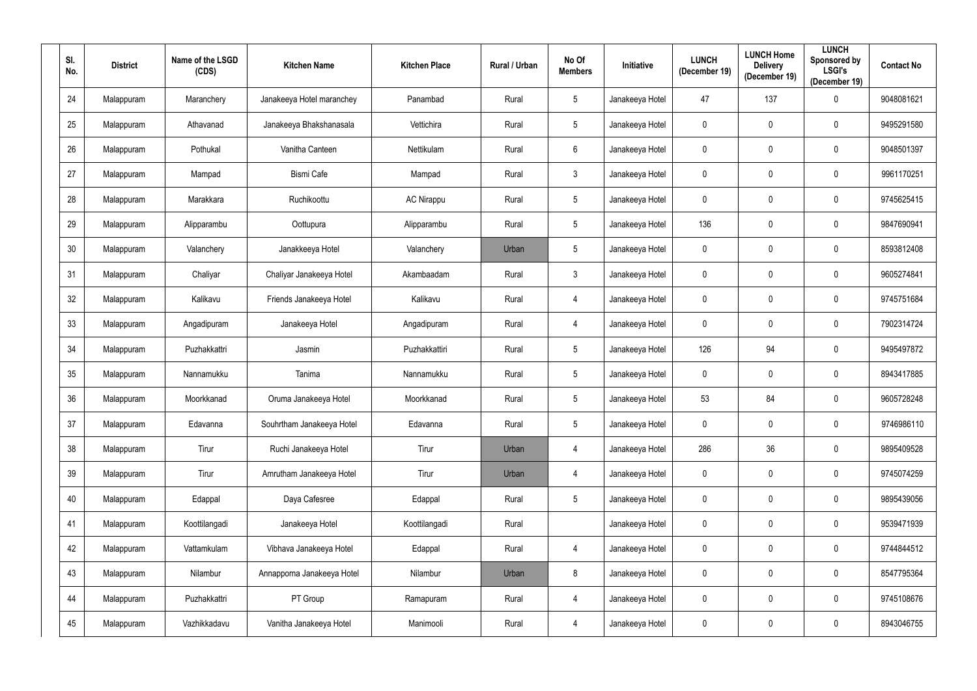| SI.<br>No. | <b>District</b> | Name of the LSGD<br>(CDS) | <b>Kitchen Name</b>        | <b>Kitchen Place</b> | Rural / Urban | No Of<br><b>Members</b> | <b>Initiative</b> | <b>LUNCH</b><br>(December 19) | <b>LUNCH Home</b><br><b>Delivery</b><br>(December 19) | <b>LUNCH</b><br>Sponsored by<br><b>LSGI's</b><br>(December 19) | <b>Contact No</b> |
|------------|-----------------|---------------------------|----------------------------|----------------------|---------------|-------------------------|-------------------|-------------------------------|-------------------------------------------------------|----------------------------------------------------------------|-------------------|
| 24         | Malappuram      | Maranchery                | Janakeeya Hotel maranchey  | Panambad             | Rural         | $5\phantom{.0}$         | Janakeeya Hotel   | 47                            | 137                                                   | $\boldsymbol{0}$                                               | 9048081621        |
| 25         | Malappuram      | Athavanad                 | Janakeeya Bhakshanasala    | Vettichira           | Rural         | $5\overline{)}$         | Janakeeya Hotel   | $\pmb{0}$                     | $\mathbf 0$                                           | $\mathbf 0$                                                    | 9495291580        |
| 26         | Malappuram      | Pothukal                  | Vanitha Canteen            | Nettikulam           | Rural         | $6\phantom{.}6$         | Janakeeya Hotel   | $\boldsymbol{0}$              | $\boldsymbol{0}$                                      | $\mathbf 0$                                                    | 9048501397        |
| 27         | Malappuram      | Mampad                    | <b>Bismi Cafe</b>          | Mampad               | Rural         | $\mathbf{3}$            | Janakeeya Hotel   | $\pmb{0}$                     | $\mathbf 0$                                           | $\mathbf 0$                                                    | 9961170251        |
| 28         | Malappuram      | Marakkara                 | Ruchikoottu                | <b>AC Nirappu</b>    | Rural         | $5\phantom{.0}$         | Janakeeya Hotel   | $\mathbf 0$                   | $\mathbf 0$                                           | $\bf{0}$                                                       | 9745625415        |
| 29         | Malappuram      | Alipparambu               | Oottupura                  | Alipparambu          | Rural         | $5\overline{)}$         | Janakeeya Hotel   | 136                           | $\mathbf 0$                                           | $\mathbf 0$                                                    | 9847690941        |
| 30         | Malappuram      | Valanchery                | Janakkeeya Hotel           | Valanchery           | Urban         | $5\phantom{.0}$         | Janakeeya Hotel   | $\mathbf 0$                   | $\mathbf 0$                                           | $\mathbf 0$                                                    | 8593812408        |
| 31         | Malappuram      | Chaliyar                  | Chaliyar Janakeeya Hotel   | Akambaadam           | Rural         | $\mathbf{3}$            | Janakeeya Hotel   | $\mathbf 0$                   | $\mathbf 0$                                           | $\mathbf 0$                                                    | 9605274841        |
| 32         | Malappuram      | Kalikavu                  | Friends Janakeeya Hotel    | Kalikavu             | Rural         | 4                       | Janakeeya Hotel   | $\mathbf 0$                   | $\mathbf 0$                                           | $\bf{0}$                                                       | 9745751684        |
| 33         | Malappuram      | Angadipuram               | Janakeeya Hotel            | Angadipuram          | Rural         | 4                       | Janakeeya Hotel   | $\mathbf 0$                   | $\boldsymbol{0}$                                      | $\bf{0}$                                                       | 7902314724        |
| 34         | Malappuram      | Puzhakkattri              | Jasmin                     | Puzhakkattiri        | Rural         | $5\overline{)}$         | Janakeeya Hotel   | 126                           | 94                                                    | $\mathbf 0$                                                    | 9495497872        |
| 35         | Malappuram      | Nannamukku                | Tanima                     | Nannamukku           | Rural         | $5\phantom{.0}$         | Janakeeya Hotel   | $\boldsymbol{0}$              | $\mathbf 0$                                           | $\mathbf 0$                                                    | 8943417885        |
| 36         | Malappuram      | Moorkkanad                | Oruma Janakeeya Hotel      | Moorkkanad           | Rural         | $5\overline{)}$         | Janakeeya Hotel   | 53                            | 84                                                    | $\mathbf 0$                                                    | 9605728248        |
| 37         | Malappuram      | Edavanna                  | Souhrtham Janakeeya Hotel  | Edavanna             | Rural         | $5\overline{)}$         | Janakeeya Hotel   | $\mathbf 0$                   | $\mathbf 0$                                           | $\mathbf 0$                                                    | 9746986110        |
| 38         | Malappuram      | Tirur                     | Ruchi Janakeeya Hotel      | Tirur                | Urban         | 4                       | Janakeeya Hotel   | 286                           | 36                                                    | $\mathbf 0$                                                    | 9895409528        |
| 39         | Malappuram      | Tirur                     | Amrutham Janakeeya Hotel   | Tirur                | Urban         | 4                       | Janakeeya Hotel   | $\pmb{0}$                     | $\pmb{0}$                                             | $\mathbf 0$                                                    | 9745074259        |
| 40         | Malappuram      | Edappal                   | Daya Cafesree              | Edappal              | Rural         | $5\phantom{.0}$         | Janakeeya Hotel   | $\mathbf 0$                   | $\overline{0}$                                        | $\mathbf 0$                                                    | 9895439056        |
| 41         | Malappuram      | Koottilangadi             | Janakeeya Hotel            | Koottilangadi        | Rural         |                         | Janakeeya Hotel   | $\boldsymbol{0}$              | $\pmb{0}$                                             | $\mathbf 0$                                                    | 9539471939        |
| 42         | Malappuram      | Vattamkulam               | Vibhava Janakeeya Hotel    | Edappal              | Rural         | $\overline{4}$          | Janakeeya Hotel   | $\mathbf 0$                   | $\pmb{0}$                                             | $\pmb{0}$                                                      | 9744844512        |
| 43         | Malappuram      | Nilambur                  | Annapporna Janakeeya Hotel | Nilambur             | Urban         | 8                       | Janakeeya Hotel   | $\mathbf 0$                   | $\mathbf 0$                                           | $\mathbf 0$                                                    | 8547795364        |
| 44         | Malappuram      | Puzhakkattri              | PT Group                   | Ramapuram            | Rural         | $\overline{4}$          | Janakeeya Hotel   | $\mathbf 0$                   | $\boldsymbol{0}$                                      | $\mathbf 0$                                                    | 9745108676        |
| 45         | Malappuram      | Vazhikkadavu              | Vanitha Janakeeya Hotel    | Manimooli            | Rural         | $\overline{4}$          | Janakeeya Hotel   | $\pmb{0}$                     | $\boldsymbol{0}$                                      | $\mathbf 0$                                                    | 8943046755        |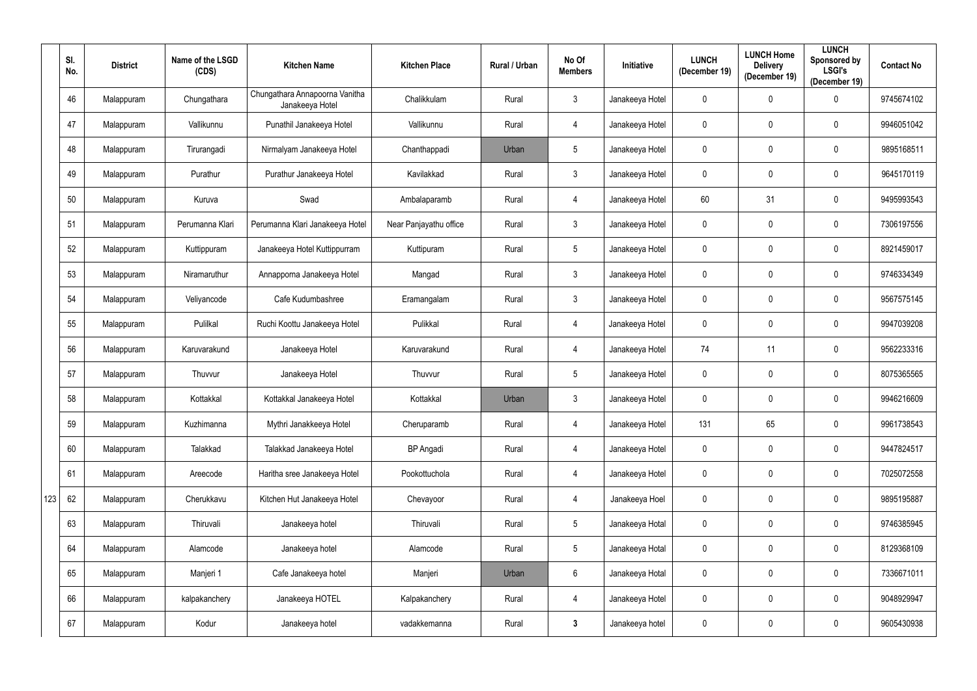|     | SI.<br>No. | <b>District</b> | Name of the LSGD<br>(CDS) | <b>Kitchen Name</b>                               | <b>Kitchen Place</b>   | Rural / Urban | No Of<br><b>Members</b> | <b>Initiative</b> | <b>LUNCH</b><br>(December 19) | <b>LUNCH Home</b><br><b>Delivery</b><br>(December 19) | <b>LUNCH</b><br>Sponsored by<br><b>LSGI's</b><br>(December 19) | <b>Contact No</b> |
|-----|------------|-----------------|---------------------------|---------------------------------------------------|------------------------|---------------|-------------------------|-------------------|-------------------------------|-------------------------------------------------------|----------------------------------------------------------------|-------------------|
|     | 46         | Malappuram      | Chungathara               | Chungathara Annapoorna Vanitha<br>Janakeeya Hotel | Chalikkulam            | Rural         | $\mathfrak{Z}$          | Janakeeya Hotel   | $\mathbf 0$                   | 0                                                     | $\mathbf 0$                                                    | 9745674102        |
|     | 47         | Malappuram      | Vallikunnu                | Punathil Janakeeya Hotel                          | Vallikunnu             | Rural         | 4                       | Janakeeya Hotel   | $\mathbf 0$                   | 0                                                     | $\mathbf 0$                                                    | 9946051042        |
|     | 48         | Malappuram      | Tirurangadi               | Nirmalyam Janakeeya Hotel                         | Chanthappadi           | Urban         | $\sqrt{5}$              | Janakeeya Hotel   | $\mathbf 0$                   | 0                                                     | $\overline{0}$                                                 | 9895168511        |
|     | 49         | Malappuram      | Purathur                  | Purathur Janakeeya Hotel                          | Kavilakkad             | Rural         | $\mathfrak{Z}$          | Janakeeya Hotel   | $\mathbf 0$                   | 0                                                     | $\mathbf 0$                                                    | 9645170119        |
|     | 50         | Malappuram      | Kuruva                    | Swad                                              | Ambalaparamb           | Rural         | $\overline{4}$          | Janakeeya Hotel   | 60                            | 31                                                    | $\pmb{0}$                                                      | 9495993543        |
|     | 51         | Malappuram      | Perumanna Klari           | Perumanna Klari Janakeeya Hotel                   | Near Panjayathu office | Rural         | $\mathfrak{Z}$          | Janakeeya Hotel   | $\mathbf 0$                   | 0                                                     | $\mathbf 0$                                                    | 7306197556        |
|     | 52         | Malappuram      | Kuttippuram               | Janakeeya Hotel Kuttippurram                      | Kuttipuram             | Rural         | $\sqrt{5}$              | Janakeeya Hotel   | $\mathbf 0$                   | 0                                                     | $\mathbf 0$                                                    | 8921459017        |
|     | 53         | Malappuram      | Niramaruthur              | Annapporna Janakeeya Hotel                        | Mangad                 | Rural         | $\mathfrak{Z}$          | Janakeeya Hotel   | $\mathbf 0$                   | 0                                                     | $\mathbf 0$                                                    | 9746334349        |
|     | 54         | Malappuram      | Veliyancode               | Cafe Kudumbashree                                 | Eramangalam            | Rural         | $\mathfrak{Z}$          | Janakeeya Hotel   | $\mathbf 0$                   | 0                                                     | $\mathbf 0$                                                    | 9567575145        |
|     | 55         | Malappuram      | Pulilkal                  | Ruchi Koottu Janakeeya Hotel                      | Pulikkal               | Rural         | $\overline{4}$          | Janakeeya Hotel   | $\mathbf 0$                   | 0                                                     | $\mathbf 0$                                                    | 9947039208        |
|     | 56         | Malappuram      | Karuvarakund              | Janakeeya Hotel                                   | Karuvarakund           | Rural         | 4                       | Janakeeya Hotel   | 74                            | 11                                                    | $\mathbf 0$                                                    | 9562233316        |
|     | 57         | Malappuram      | Thuvvur                   | Janakeeya Hotel                                   | Thuvvur                | Rural         | $\sqrt{5}$              | Janakeeya Hotel   | $\mathbf 0$                   | 0                                                     | $\pmb{0}$                                                      | 8075365565        |
|     | 58         | Malappuram      | Kottakkal                 | Kottakkal Janakeeya Hotel                         | Kottakkal              | Urban         | $\mathfrak{Z}$          | Janakeeya Hotel   | $\mathbf 0$                   | 0                                                     | $\mathbf 0$                                                    | 9946216609        |
|     | 59         | Malappuram      | Kuzhimanna                | Mythri Janakkeeya Hotel                           | Cheruparamb            | Rural         | $\overline{4}$          | Janakeeya Hotel   | 131                           | 65                                                    | $\mathbf 0$                                                    | 9961738543        |
|     | 60         | Malappuram      | Talakkad                  | Talakkad Janakeeya Hotel                          | <b>BP</b> Angadi       | Rural         | $\overline{4}$          | Janakeeya Hotel   | $\mathbf 0$                   | 0                                                     | $\overline{0}$                                                 | 9447824517        |
|     | 61         | Malappuram      | Areecode                  | Haritha sree Janakeeya Hotel                      | Pookottuchola          | Rural         | $\overline{4}$          | Janakeeya Hotel   | $\mathbf 0$                   | 0                                                     | $\mathbf 0$                                                    | 7025072558        |
| 123 | 62         | Malappuram      | Cherukkavu                | Kitchen Hut Janakeeya Hotel                       | Chevayoor              | Rural         | $\overline{4}$          | Janakeeya Hoel    | $\mathbf 0$                   | 0                                                     | $\overline{0}$                                                 | 9895195887        |
|     | 63         | Malappuram      | Thiruvali                 | Janakeeya hotel                                   | Thiruvali              | Rural         | $\sqrt{5}$              | Janakeeya Hotal   | $\mathbf 0$                   | 0                                                     | $\overline{0}$                                                 | 9746385945        |
|     | 64         | Malappuram      | Alamcode                  | Janakeeya hotel                                   | Alamcode               | Rural         | $\sqrt{5}$              | Janakeeya Hotal   | $\mathbf 0$                   | 0                                                     | $\mathbf 0$                                                    | 8129368109        |
|     | 65         | Malappuram      | Manjeri 1                 | Cafe Janakeeya hotel                              | Manjeri                | Urban         | $\boldsymbol{6}$        | Janakeeya Hotal   | $\mathbf 0$                   | 0                                                     | $\overline{0}$                                                 | 7336671011        |
|     | 66         | Malappuram      | kalpakanchery             | Janakeeya HOTEL                                   | Kalpakanchery          | Rural         | $\overline{4}$          | Janakeeya Hotel   | $\mathbf 0$                   | 0                                                     | $\overline{0}$                                                 | 9048929947        |
|     | 67         | Malappuram      | Kodur                     | Janakeeya hotel                                   | vadakkemanna           | Rural         | $\mathbf{3}$            | Janakeeya hotel   | $\mathbf 0$                   | 0                                                     | $\mathbf 0$                                                    | 9605430938        |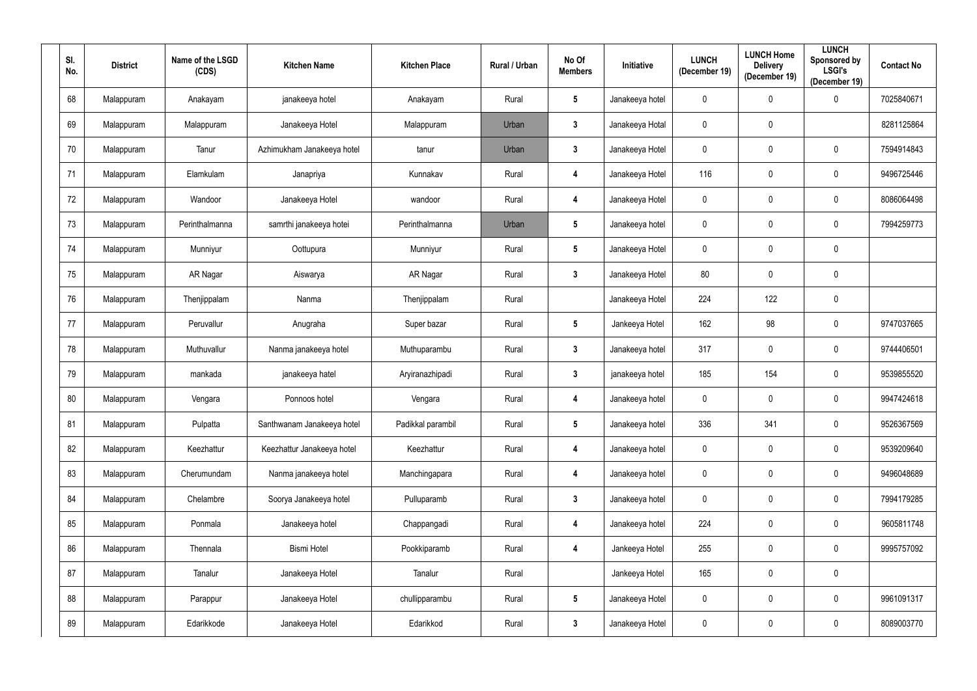| SI.<br>No. | <b>District</b> | Name of the LSGD<br>(CDS) | <b>Kitchen Name</b>        | <b>Kitchen Place</b> | Rural / Urban | No Of<br><b>Members</b> | <b>Initiative</b> | <b>LUNCH</b><br>(December 19) | <b>LUNCH Home</b><br><b>Delivery</b><br>(December 19) | <b>LUNCH</b><br>Sponsored by<br><b>LSGI's</b><br>(December 19) | <b>Contact No</b> |
|------------|-----------------|---------------------------|----------------------------|----------------------|---------------|-------------------------|-------------------|-------------------------------|-------------------------------------------------------|----------------------------------------------------------------|-------------------|
| 68         | Malappuram      | Anakayam                  | janakeeya hotel            | Anakayam             | Rural         | $5\phantom{.0}$         | Janakeeya hotel   | $\mathbf 0$                   | $\mathbf 0$                                           | $\overline{0}$                                                 | 7025840671        |
| 69         | Malappuram      | Malappuram                | Janakeeya Hotel            | Malappuram           | Urban         | $\mathbf{3}$            | Janakeeya Hotal   | $\pmb{0}$                     | $\mathbf 0$                                           |                                                                | 8281125864        |
| 70         | Malappuram      | Tanur                     | Azhimukham Janakeeya hotel | tanur                | Urban         | $3\phantom{a}$          | Janakeeya Hotel   | $\boldsymbol{0}$              | $\boldsymbol{0}$                                      | $\mathbf 0$                                                    | 7594914843        |
| 71         | Malappuram      | Elamkulam                 | Janapriya                  | Kunnakav             | Rural         | $\boldsymbol{4}$        | Janakeeya Hotel   | 116                           | $\mathbf 0$                                           | $\mathbf 0$                                                    | 9496725446        |
| 72         | Malappuram      | Wandoor                   | Janakeeya Hotel            | wandoor              | Rural         | $\boldsymbol{4}$        | Janakeeya Hotel   | $\boldsymbol{0}$              | $\mathbf 0$                                           | $\bf{0}$                                                       | 8086064498        |
| 73         | Malappuram      | Perinthalmanna            | samrthi janakeeya hotei    | Perinthalmanna       | Urban         | $5\phantom{.0}$         | Janakeeya hotel   | $\mathbf 0$                   | $\mathbf 0$                                           | $\mathbf 0$                                                    | 7994259773        |
| 74         | Malappuram      | Munniyur                  | Oottupura                  | Munniyur             | Rural         | $5\phantom{.0}$         | Janakeeya Hotel   | $\mathbf 0$                   | $\mathbf 0$                                           | $\bf{0}$                                                       |                   |
| 75         | Malappuram      | AR Nagar                  | Aiswarya                   | AR Nagar             | Rural         | $\mathbf{3}$            | Janakeeya Hotel   | 80                            | $\mathbf 0$                                           | $\mathbf 0$                                                    |                   |
| 76         | Malappuram      | Thenjippalam              | Nanma                      | Thenjippalam         | Rural         |                         | Janakeeya Hotel   | 224                           | 122                                                   | $\bf{0}$                                                       |                   |
| 77         | Malappuram      | Peruvallur                | Anugraha                   | Super bazar          | Rural         | $5\phantom{.0}$         | Jankeeya Hotel    | 162                           | 98                                                    | $\mathbf 0$                                                    | 9747037665        |
| 78         | Malappuram      | Muthuvallur               | Nanma janakeeya hotel      | Muthuparambu         | Rural         | $\mathbf{3}$            | Janakeeya hotel   | 317                           | $\mathbf 0$                                           | $\mathbf 0$                                                    | 9744406501        |
| 79         | Malappuram      | mankada                   | janakeeya hatel            | Aryiranazhipadi      | Rural         | $\mathbf{3}$            | janakeeya hotel   | 185                           | 154                                                   | $\mathbf 0$                                                    | 9539855520        |
| 80         | Malappuram      | Vengara                   | Ponnoos hotel              | Vengara              | Rural         | 4                       | Janakeeya hotel   | $\mathbf 0$                   | $\mathbf 0$                                           | $\mathbf 0$                                                    | 9947424618        |
| 81         | Malappuram      | Pulpatta                  | Santhwanam Janakeeya hotel | Padikkal parambil    | Rural         | $5\phantom{.0}$         | Janakeeya hotel   | 336                           | 341                                                   | $\mathbf 0$                                                    | 9526367569        |
| 82         | Malappuram      | Keezhattur                | Keezhattur Janakeeya hotel | Keezhattur           | Rural         | $\overline{\mathbf{4}}$ | Janakeeya hotel   | $\mathbf 0$                   | $\mathbf 0$                                           | $\mathbf 0$                                                    | 9539209640        |
| 83         | Malappuram      | Cherumundam               | Nanma janakeeya hotel      | Manchingapara        | Rural         | $\overline{\mathbf{4}}$ | Janakeeya hotel   | $\pmb{0}$                     | $\pmb{0}$                                             | $\mathbf 0$                                                    | 9496048689        |
| 84         | Malappuram      | Chelambre                 | Soorya Janakeeya hotel     | Pulluparamb          | Rural         | $3\phantom{a}$          | Janakeeya hotel   | $\mathbf 0$                   | $\mathbf 0$                                           | $\mathbf 0$                                                    | 7994179285        |
| 85         | Malappuram      | Ponmala                   | Janakeeya hotel            | Chappangadi          | Rural         | $\overline{\mathbf{4}}$ | Janakeeya hotel   | 224                           | $\mathbf 0$                                           | $\mathbf 0$                                                    | 9605811748        |
| 86         | Malappuram      | Thennala                  | <b>Bismi Hotel</b>         | Pookkiparamb         | Rural         | $\overline{\mathbf{4}}$ | Jankeeya Hotel    | 255                           | $\pmb{0}$                                             | $\overline{0}$                                                 | 9995757092        |
| 87         | Malappuram      | Tanalur                   | Janakeeya Hotel            | Tanalur              | Rural         |                         | Jankeeya Hotel    | 165                           | $\mathbf 0$                                           | $\mathbf 0$                                                    |                   |
| 88         | Malappuram      | Parappur                  | Janakeeya Hotel            | chullipparambu       | Rural         | $5\phantom{.0}$         | Janakeeya Hotel   | $\mathbf 0$                   | $\mathbf 0$                                           | $\overline{0}$                                                 | 9961091317        |
| 89         | Malappuram      | Edarikkode                | Janakeeya Hotel            | Edarikkod            | Rural         | $\mathbf{3}$            | Janakeeya Hotel   | $\pmb{0}$                     | $\mathbf 0$                                           | $\mathbf 0$                                                    | 8089003770        |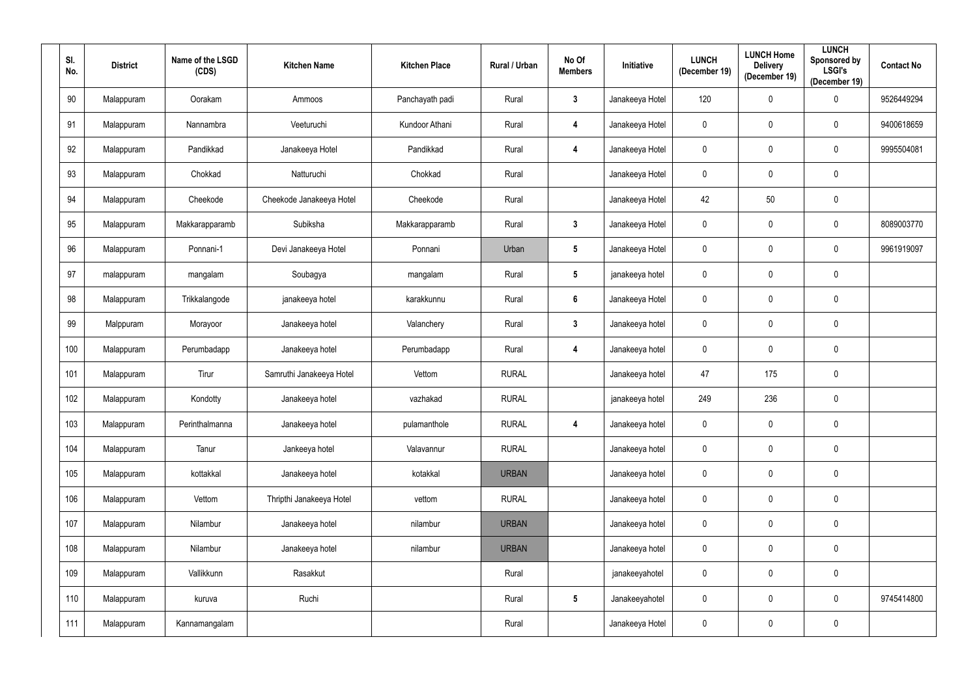| SI.<br>No. | <b>District</b> | Name of the LSGD<br>(CDS) | <b>Kitchen Name</b>      | <b>Kitchen Place</b> | Rural / Urban | No Of<br><b>Members</b> | Initiative      | <b>LUNCH</b><br>(December 19) | <b>LUNCH Home</b><br><b>Delivery</b><br>(December 19) | <b>LUNCH</b><br><b>Sponsored by</b><br><b>LSGI's</b><br>(December 19) | <b>Contact No</b> |
|------------|-----------------|---------------------------|--------------------------|----------------------|---------------|-------------------------|-----------------|-------------------------------|-------------------------------------------------------|-----------------------------------------------------------------------|-------------------|
| 90         | Malappuram      | Oorakam                   | Ammoos                   | Panchayath padi      | Rural         | $\mathbf{3}$            | Janakeeya Hotel | 120                           | $\mathbf 0$                                           | $\overline{0}$                                                        | 9526449294        |
| 91         | Malappuram      | Nannambra                 | Veeturuchi               | Kundoor Athani       | Rural         | $\overline{\mathbf{4}}$ | Janakeeya Hotel | $\mathbf 0$                   | 0                                                     | $\pmb{0}$                                                             | 9400618659        |
| 92         | Malappuram      | Pandikkad                 | Janakeeya Hotel          | Pandikkad            | Rural         | $\overline{\mathbf{4}}$ | Janakeeya Hotel | $\mathbf 0$                   | 0                                                     | $\pmb{0}$                                                             | 9995504081        |
| 93         | Malappuram      | Chokkad                   | Natturuchi               | Chokkad              | Rural         |                         | Janakeeya Hotel | $\mathbf 0$                   | 0                                                     | $\mathbf 0$                                                           |                   |
| 94         | Malappuram      | Cheekode                  | Cheekode Janakeeya Hotel | Cheekode             | Rural         |                         | Janakeeya Hotel | 42                            | 50                                                    | $\mathbf 0$                                                           |                   |
| 95         | Malappuram      | Makkarapparamb            | Subiksha                 | Makkarapparamb       | Rural         | $\mathbf{3}$            | Janakeeya Hotel | $\mathbf 0$                   | 0                                                     | $\mathbf 0$                                                           | 8089003770        |
| 96         | Malappuram      | Ponnani-1                 | Devi Janakeeya Hotel     | Ponnani              | Urban         | $5\phantom{.0}$         | Janakeeya Hotel | $\mathbf 0$                   | 0                                                     | $\mathbf 0$                                                           | 9961919097        |
| 97         | malappuram      | mangalam                  | Soubagya                 | mangalam             | Rural         | $5\phantom{.0}$         | janakeeya hotel | $\mathbf 0$                   | 0                                                     | $\pmb{0}$                                                             |                   |
| 98         | Malappuram      | Trikkalangode             | janakeeya hotel          | karakkunnu           | Rural         | $6\phantom{.}6$         | Janakeeya Hotel | $\mathbf 0$                   | 0                                                     | $\mathbf 0$                                                           |                   |
| 99         | Malppuram       | Morayoor                  | Janakeeya hotel          | Valanchery           | Rural         | $\mathbf{3}$            | Janakeeya hotel | $\mathbf 0$                   | $\mathbf 0$                                           | $\overline{0}$                                                        |                   |
| 100        | Malappuram      | Perumbadapp               | Janakeeya hotel          | Perumbadapp          | Rural         | $\overline{\mathbf{4}}$ | Janakeeya hotel | $\mathbf 0$                   | 0                                                     | $\boldsymbol{0}$                                                      |                   |
| 101        | Malappuram      | Tirur                     | Samruthi Janakeeya Hotel | Vettom               | <b>RURAL</b>  |                         | Janakeeya hotel | 47                            | 175                                                   | $\overline{0}$                                                        |                   |
| 102        | Malappuram      | Kondotty                  | Janakeeya hotel          | vazhakad             | <b>RURAL</b>  |                         | janakeeya hotel | 249                           | 236                                                   | $\mathbf 0$                                                           |                   |
| 103        | Malappuram      | Perinthalmanna            | Janakeeya hotel          | pulamanthole         | <b>RURAL</b>  | $\overline{\mathbf{4}}$ | Janakeeya hotel | $\mathbf 0$                   | $\mathbf 0$                                           | $\mathbf 0$                                                           |                   |
| 104        | Malappuram      | Tanur                     | Jankeeya hotel           | Valavannur           | <b>RURAL</b>  |                         | Janakeeya hotel | $\pmb{0}$                     | $\mathbf 0$                                           | $\mathbf 0$                                                           |                   |
| 105        | Malappuram      | kottakkal                 | Janakeeya hotel          | kotakkal             | <b>URBAN</b>  |                         | Janakeeya hotel | $\overline{0}$                | $\mathbf 0$                                           | $\overline{0}$                                                        |                   |
| 106        | Malappuram      | Vettom                    | Thripthi Janakeeya Hotel | vettom               | <b>RURAL</b>  |                         | Janakeeya hotel | $\pmb{0}$                     | $\mathbf 0$                                           | $\pmb{0}$                                                             |                   |
| 107        | Malappuram      | Nilambur                  | Janakeeya hotel          | nilambur             | <b>URBAN</b>  |                         | Janakeeya hotel | $\pmb{0}$                     | $\mathbf 0$                                           | $\overline{0}$                                                        |                   |
| 108        | Malappuram      | Nilambur                  | Janakeeya hotel          | nilambur             | <b>URBAN</b>  |                         | Janakeeya hotel | $\pmb{0}$                     | $\mathbf 0$                                           | $\overline{0}$                                                        |                   |
| 109        | Malappuram      | Vallikkunn                | Rasakkut                 |                      | Rural         |                         | janakeeyahotel  | $\pmb{0}$                     | $\mathbf 0$                                           | $\overline{0}$                                                        |                   |
| 110        | Malappuram      | kuruva                    | Ruchi                    |                      | Rural         | $5\phantom{.0}$         | Janakeeyahotel  | $\mathbf 0$                   | $\mathbf 0$                                           | $\overline{0}$                                                        | 9745414800        |
| 111        | Malappuram      | Kannamangalam             |                          |                      | Rural         |                         | Janakeeya Hotel | $\pmb{0}$                     | $\mathbf 0$                                           | $\boldsymbol{0}$                                                      |                   |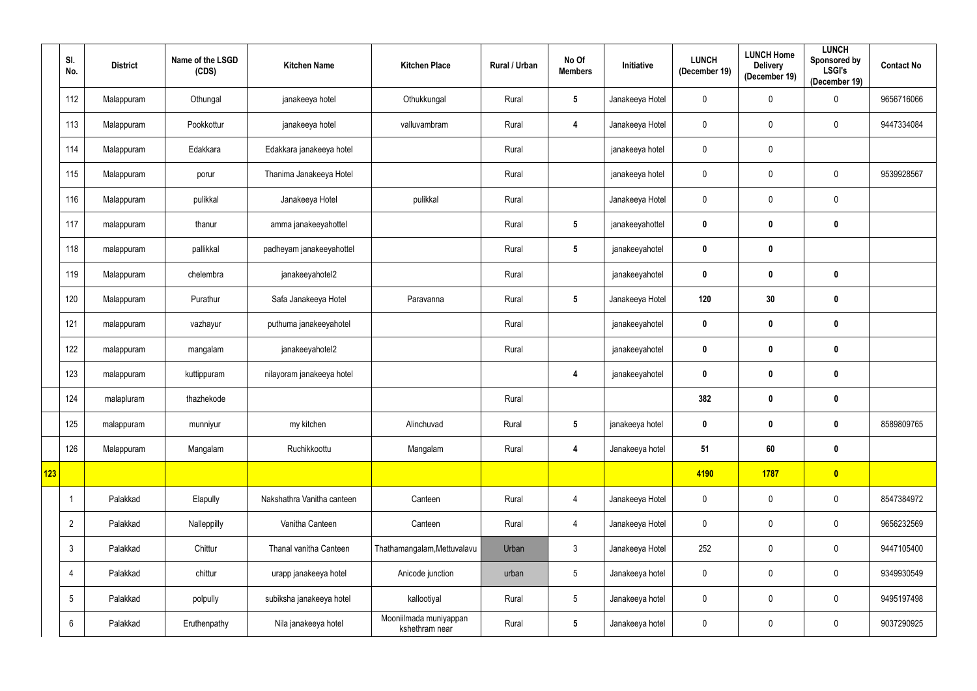|     | SI.<br>No.      | <b>District</b> | Name of the LSGD<br>(CDS) | <b>Kitchen Name</b>        | <b>Kitchen Place</b>                     | Rural / Urban | No Of<br><b>Members</b> | Initiative      | <b>LUNCH</b><br>(December 19) | <b>LUNCH Home</b><br><b>Delivery</b><br>(December 19) | <b>LUNCH</b><br>Sponsored by<br><b>LSGI's</b><br>(December 19) | <b>Contact No</b> |
|-----|-----------------|-----------------|---------------------------|----------------------------|------------------------------------------|---------------|-------------------------|-----------------|-------------------------------|-------------------------------------------------------|----------------------------------------------------------------|-------------------|
|     | 112             | Malappuram      | Othungal                  | janakeeya hotel            | Othukkungal                              | Rural         | $5\phantom{.0}$         | Janakeeya Hotel | 0                             | 0                                                     | $\overline{0}$                                                 | 9656716066        |
|     | 113             | Malappuram      | Pookkottur                | janakeeya hotel            | valluvambram                             | Rural         | $\boldsymbol{4}$        | Janakeeya Hotel | $\pmb{0}$                     | 0                                                     | $\mathbf 0$                                                    | 9447334084        |
|     | 114             | Malappuram      | Edakkara                  | Edakkara janakeeya hotel   |                                          | Rural         |                         | janakeeya hotel | 0                             | $\pmb{0}$                                             |                                                                |                   |
|     | 115             | Malappuram      | porur                     | Thanima Janakeeya Hotel    |                                          | Rural         |                         | janakeeya hotel | 0                             | 0                                                     | $\mathbf 0$                                                    | 9539928567        |
|     | 116             | Malappuram      | pulikkal                  | Janakeeya Hotel            | pulikkal                                 | Rural         |                         | Janakeeya Hotel | 0                             | 0                                                     | $\mathbf 0$                                                    |                   |
|     | 117             | malappuram      | thanur                    | amma janakeeyahottel       |                                          | Rural         | $5\phantom{.0}$         | janakeeyahottel | $\boldsymbol{0}$              | 0                                                     | $\boldsymbol{0}$                                               |                   |
|     | 118             | malappuram      | pallikkal                 | padheyam janakeeyahottel   |                                          | Rural         | $5\phantom{.0}$         | janakeeyahotel  | $\boldsymbol{0}$              | 0                                                     |                                                                |                   |
|     | 119             | Malappuram      | chelembra                 | janakeeyahotel2            |                                          | Rural         |                         | janakeeyahotel  | $\pmb{0}$                     | 0                                                     | $\boldsymbol{0}$                                               |                   |
|     | 120             | Malappuram      | Purathur                  | Safa Janakeeya Hotel       | Paravanna                                | Rural         | $5\phantom{.0}$         | Janakeeya Hotel | 120                           | 30                                                    | $\boldsymbol{0}$                                               |                   |
|     | 121             | malappuram      | vazhayur                  | puthuma janakeeyahotel     |                                          | Rural         |                         | janakeeyahotel  | $\pmb{0}$                     | 0                                                     | $\boldsymbol{0}$                                               |                   |
|     | 122             | malappuram      | mangalam                  | janakeeyahotel2            |                                          | Rural         |                         | janakeeyahotel  | $\boldsymbol{0}$              | 0                                                     | $\boldsymbol{0}$                                               |                   |
|     | 123             | malappuram      | kuttippuram               | nilayoram janakeeya hotel  |                                          |               | 4                       | janakeeyahotel  | $\boldsymbol{0}$              | 0                                                     | $\boldsymbol{0}$                                               |                   |
|     | 124             | malapluram      | thazhekode                |                            |                                          | Rural         |                         |                 | 382                           | 0                                                     | $\boldsymbol{0}$                                               |                   |
|     | 125             | malappuram      | munniyur                  | my kitchen                 | Alinchuvad                               | Rural         | $5\phantom{.0}$         | janakeeya hotel | $\mathbf{0}$                  | $\mathbf 0$                                           | $\mathbf 0$                                                    | 8589809765        |
|     | 126             | Malappuram      | Mangalam                  | Ruchikkoottu               | Mangalam                                 | Rural         | $\overline{\mathbf{4}}$ | Janakeeya hotel | 51                            | 60                                                    | $\mathbf 0$                                                    |                   |
| 123 |                 |                 |                           |                            |                                          |               |                         |                 | 4190                          | 1787                                                  | $\bullet$                                                      |                   |
|     |                 | Palakkad        | Elapully                  | Nakshathra Vanitha canteen | Canteen                                  | Rural         | $\overline{4}$          | Janakeeya Hotel | $\pmb{0}$                     | $\mathbf 0$                                           | $\mathbf 0$                                                    | 8547384972        |
|     | $\overline{2}$  | Palakkad        | Nalleppilly               | Vanitha Canteen            | Canteen                                  | Rural         | $\overline{4}$          | Janakeeya Hotel | 0                             | 0                                                     | $\boldsymbol{0}$                                               | 9656232569        |
|     | $\mathbf{3}$    | Palakkad        | Chittur                   | Thanal vanitha Canteen     | Thathamangalam, Mettuvalavu              | Urban         | $\mathfrak{Z}$          | Janakeeya Hotel | 252                           | 0                                                     | $\mathbf 0$                                                    | 9447105400        |
|     | 4               | Palakkad        | chittur                   | urapp janakeeya hotel      | Anicode junction                         | urban         | $5\phantom{.0}$         | Janakeeya hotel | 0                             | 0                                                     | $\mathbf 0$                                                    | 9349930549        |
|     | $5\phantom{.0}$ | Palakkad        | polpully                  | subiksha janakeeya hotel   | kallootiyal                              | Rural         | $5\phantom{.0}$         | Janakeeya hotel | $\pmb{0}$                     | 0                                                     | $\overline{0}$                                                 | 9495197498        |
|     | 6               | Palakkad        | Eruthenpathy              | Nila janakeeya hotel       | Mooniilmada muniyappan<br>kshethram near | Rural         | $5\phantom{.0}$         | Janakeeya hotel | 0                             | 0                                                     | $\mathbf 0$                                                    | 9037290925        |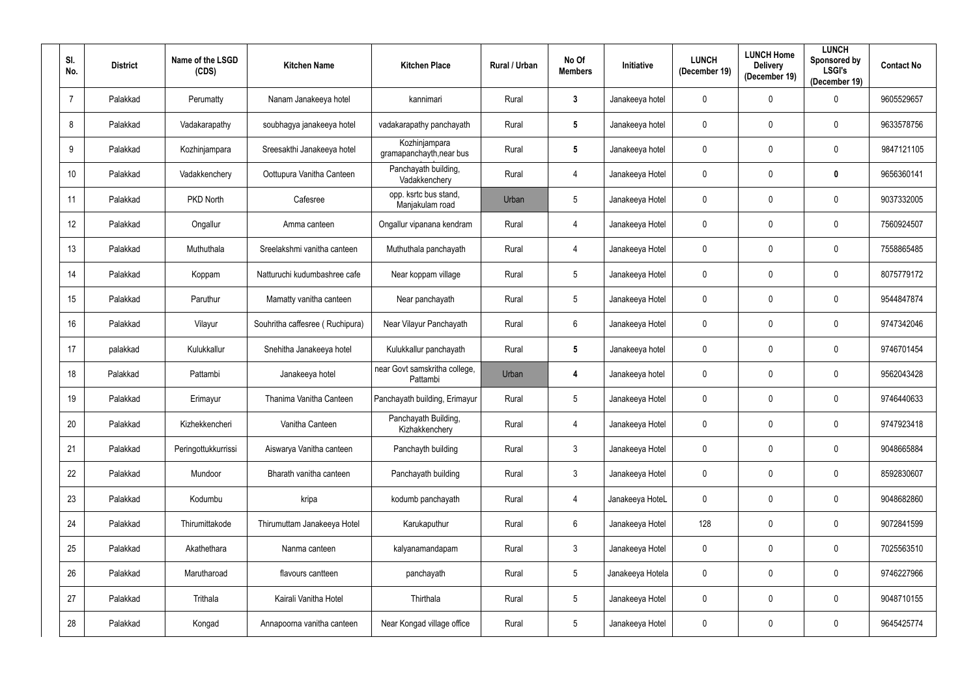| SI.<br>No.      | <b>District</b> | Name of the LSGD<br>(CDS) | <b>Kitchen Name</b>             | <b>Kitchen Place</b>                      | Rural / Urban | No Of<br><b>Members</b> | Initiative       | <b>LUNCH</b><br>(December 19) | <b>LUNCH Home</b><br><b>Delivery</b><br>(December 19) | <b>LUNCH</b><br>Sponsored by<br><b>LSGI's</b><br>(December 19) | <b>Contact No</b> |
|-----------------|-----------------|---------------------------|---------------------------------|-------------------------------------------|---------------|-------------------------|------------------|-------------------------------|-------------------------------------------------------|----------------------------------------------------------------|-------------------|
| $\overline{7}$  | Palakkad        | Perumatty                 | Nanam Janakeeya hotel           | kannimari                                 | Rural         | $\mathbf{3}$            | Janakeeya hotel  | $\mathbf 0$                   | 0                                                     | $\mathbf 0$                                                    | 9605529657        |
| 8               | Palakkad        | Vadakarapathy             | soubhagya janakeeya hotel       | vadakarapathy panchayath                  | Rural         | $5\phantom{.0}$         | Janakeeya hotel  | $\pmb{0}$                     | $\mathbf 0$                                           | $\mathbf 0$                                                    | 9633578756        |
| 9               | Palakkad        | Kozhinjampara             | Sreesakthi Janakeeya hotel      | Kozhinjampara<br>gramapanchayth, near bus | Rural         | $5\phantom{.0}$         | Janakeeya hotel  | $\pmb{0}$                     | $\mathbf 0$                                           | $\boldsymbol{0}$                                               | 9847121105        |
| 10 <sup>°</sup> | Palakkad        | Vadakkenchery             | Oottupura Vanitha Canteen       | Panchayath building,<br>Vadakkenchery     | Rural         | 4                       | Janakeeya Hotel  | $\mathbf 0$                   | $\mathbf 0$                                           | $\boldsymbol{0}$                                               | 9656360141        |
| 11              | Palakkad        | PKD North                 | Cafesree                        | opp. ksrtc bus stand,<br>Manjakulam road  | Urban         | $5\phantom{.0}$         | Janakeeya Hotel  | $\pmb{0}$                     | $\mathbf 0$                                           | $\mathbf 0$                                                    | 9037332005        |
| 12              | Palakkad        | Ongallur                  | Amma canteen                    | Ongallur vipanana kendram                 | Rural         | 4                       | Janakeeya Hotel  | $\mathbf 0$                   | 0                                                     | $\mathbf 0$                                                    | 7560924507        |
| 13              | Palakkad        | Muthuthala                | Sreelakshmi vanitha canteen     | Muthuthala panchayath                     | Rural         | 4                       | Janakeeya Hotel  | $\overline{0}$                | $\mathbf 0$                                           | $\mathbf 0$                                                    | 7558865485        |
| 14              | Palakkad        | Koppam                    | Natturuchi kudumbashree cafe    | Near koppam village                       | Rural         | $5\phantom{.0}$         | Janakeeya Hotel  | $\mathbf 0$                   | 0                                                     | $\mathbf 0$                                                    | 8075779172        |
| 15              | Palakkad        | Paruthur                  | Mamatty vanitha canteen         | Near panchayath                           | Rural         | $5\phantom{.0}$         | Janakeeya Hotel  | $\mathbf 0$                   | 0                                                     | $\mathbf 0$                                                    | 9544847874        |
| 16              | Palakkad        | Vilayur                   | Souhritha caffesree (Ruchipura) | Near Vilayur Panchayath                   | Rural         | $6\phantom{.}$          | Janakeeya Hotel  | $\pmb{0}$                     | $\mathbf 0$                                           | $\mathbf 0$                                                    | 9747342046        |
| 17              | palakkad        | Kulukkallur               | Snehitha Janakeeya hotel        | Kulukkallur panchayath                    | Rural         | $5\phantom{.0}$         | Janakeeya hotel  | $\boldsymbol{0}$              | $\mathbf 0$                                           | $\mathbf 0$                                                    | 9746701454        |
| 18              | Palakkad        | Pattambi                  | Janakeeya hotel                 | near Govt samskritha college,<br>Pattambi | Urban         | 4                       | Janakeeya hotel  | $\mathbf 0$                   | 0                                                     | $\mathbf 0$                                                    | 9562043428        |
| 19              | Palakkad        | Erimayur                  | Thanima Vanitha Canteen         | Panchayath building, Erimayur             | Rural         | $5\overline{)}$         | Janakeeya Hotel  | $\overline{0}$                | $\mathbf 0$                                           | $\mathbf 0$                                                    | 9746440633        |
| 20              | Palakkad        | Kizhekkencheri            | Vanitha Canteen                 | Panchayath Building,<br>Kizhakkenchery    | Rural         | $\overline{4}$          | Janakeeya Hotel  | $\mathbf 0$                   | $\mathbf 0$                                           | $\mathbf 0$                                                    | 9747923418        |
| 21              | Palakkad        | Peringottukkurrissi       | Aiswarya Vanitha canteen        | Panchayth building                        | Rural         | $\mathfrak{Z}$          | Janakeeya Hotel  | $\mathbf 0$                   | $\mathbf 0$                                           | $\mathbf 0$                                                    | 9048665884        |
| 22              | Palakkad        | Mundoor                   | Bharath vanitha canteen         | Panchayath building                       | Rural         | $\mathfrak{Z}$          | Janakeeya Hotel  | $\pmb{0}$                     | $\mathbf 0$                                           | $\mathbf 0$                                                    | 8592830607        |
| 23              | Palakkad        | Kodumbu                   | kripa                           | kodumb panchayath                         | Rural         | 4                       | Janakeeya HoteL  | $\mathbf 0$                   | $\mathbf 0$                                           | $\overline{0}$                                                 | 9048682860        |
| 24              | Palakkad        | Thirumittakode            | Thirumuttam Janakeeya Hotel     | Karukaputhur                              | Rural         | $6\,$                   | Janakeeya Hotel  | 128                           | $\mathbf 0$                                           | $\mathbf 0$                                                    | 9072841599        |
| 25              | Palakkad        | Akathethara               | Nanma canteen                   | kalyanamandapam                           | Rural         | $\mathfrak{Z}$          | Janakeeya Hotel  | $\pmb{0}$                     | $\mathbf 0$                                           | $\overline{0}$                                                 | 7025563510        |
| 26              | Palakkad        | Marutharoad               | flavours cantteen               | panchayath                                | Rural         | $\overline{5}$          | Janakeeya Hotela | $\mathbf 0$                   | $\mathbf 0$                                           | $\mathbf 0$                                                    | 9746227966        |
| 27              | Palakkad        | Trithala                  | Kairali Vanitha Hotel           | Thirthala                                 | Rural         | $\overline{5}$          | Janakeeya Hotel  | $\mathbf 0$                   | $\mathbf 0$                                           | $\overline{0}$                                                 | 9048710155        |
| 28              | Palakkad        | Kongad                    | Annapoorna vanitha canteen      | Near Kongad village office                | Rural         | $5\phantom{.0}$         | Janakeeya Hotel  | $\bm{0}$                      | $\boldsymbol{0}$                                      | $\pmb{0}$                                                      | 9645425774        |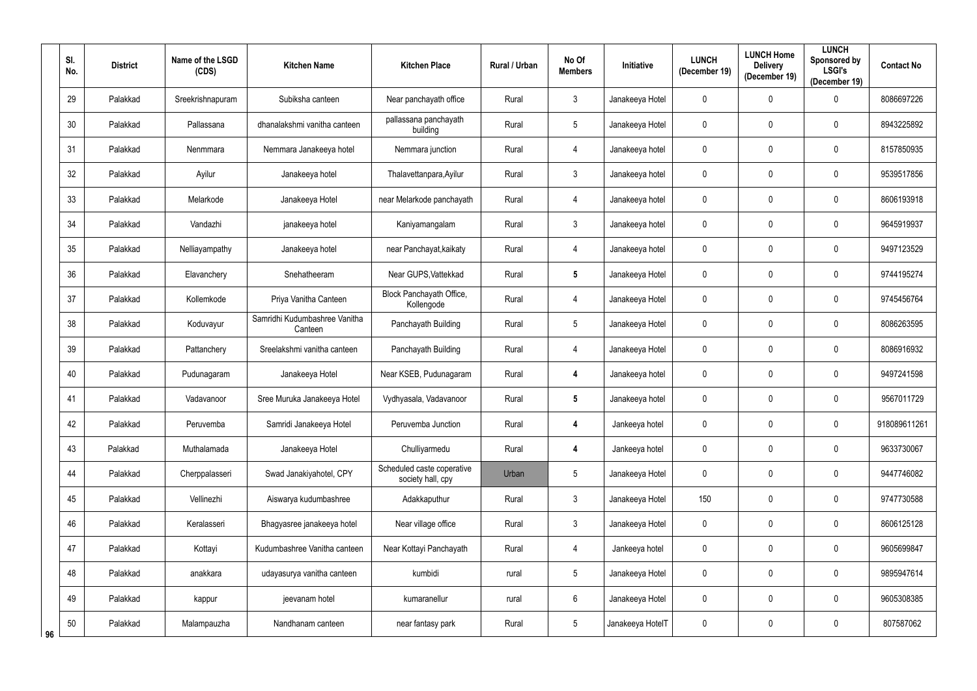|    | SI.<br>No. | <b>District</b> | Name of the LSGD<br>(CDS) | <b>Kitchen Name</b>                      | <b>Kitchen Place</b>                            | Rural / Urban | No Of<br><b>Members</b> | <b>Initiative</b> | <b>LUNCH</b><br>(December 19) | <b>LUNCH Home</b><br><b>Delivery</b><br>(December 19) | <b>LUNCH</b><br>Sponsored by<br><b>LSGI's</b><br>(December 19) | <b>Contact No</b> |
|----|------------|-----------------|---------------------------|------------------------------------------|-------------------------------------------------|---------------|-------------------------|-------------------|-------------------------------|-------------------------------------------------------|----------------------------------------------------------------|-------------------|
|    | 29         | Palakkad        | Sreekrishnapuram          | Subiksha canteen                         | Near panchayath office                          | Rural         | $\mathfrak{Z}$          | Janakeeya Hotel   | $\mathbf 0$                   | 0                                                     | $\overline{0}$                                                 | 8086697226        |
|    | 30         | Palakkad        | Pallassana                | dhanalakshmi vanitha canteen             | pallassana panchayath<br>building               | Rural         | $5\phantom{.0}$         | Janakeeya Hotel   | $\pmb{0}$                     | 0                                                     | $\boldsymbol{0}$                                               | 8943225892        |
|    | 31         | Palakkad        | Nenmmara                  | Nemmara Janakeeya hotel                  | Nemmara junction                                | Rural         | 4                       | Janakeeya hotel   | $\pmb{0}$                     | 0                                                     | $\boldsymbol{0}$                                               | 8157850935        |
|    | 32         | Palakkad        | Ayilur                    | Janakeeya hotel                          | Thalavettanpara, Ayilur                         | Rural         | $\mathfrak{Z}$          | Janakeeya hotel   | $\boldsymbol{0}$              | 0                                                     | $\mathbf 0$                                                    | 9539517856        |
|    | 33         | Palakkad        | Melarkode                 | Janakeeya Hotel                          | near Melarkode panchayath                       | Rural         | 4                       | Janakeeya hotel   | $\pmb{0}$                     | 0                                                     | $\boldsymbol{0}$                                               | 8606193918        |
|    | 34         | Palakkad        | Vandazhi                  | janakeeya hotel                          | Kaniyamangalam                                  | Rural         | $\mathfrak{Z}$          | Janakeeya hotel   | $\mathbf 0$                   | 0                                                     | $\mathbf 0$                                                    | 9645919937        |
|    | 35         | Palakkad        | Nelliayampathy            | Janakeeya hotel                          | near Panchayat, kaikaty                         | Rural         | $\overline{4}$          | Janakeeya hotel   | $\mathbf 0$                   | 0                                                     | $\mathbf 0$                                                    | 9497123529        |
|    | 36         | Palakkad        | Elavanchery               | Snehatheeram                             | Near GUPS, Vattekkad                            | Rural         | $5\phantom{.0}$         | Janakeeya Hotel   | $\mathbf 0$                   | 0                                                     | $\mathbf 0$                                                    | 9744195274        |
|    | 37         | Palakkad        | Kollemkode                | Priya Vanitha Canteen                    | Block Panchayath Office,<br>Kollengode          | Rural         | 4                       | Janakeeya Hotel   | $\overline{0}$                | 0                                                     | $\mathbf 0$                                                    | 9745456764        |
|    | 38         | Palakkad        | Koduvayur                 | Samridhi Kudumbashree Vanitha<br>Canteen | Panchayath Building                             | Rural         | $5\phantom{.0}$         | Janakeeya Hotel   | $\mathbf 0$                   | 0                                                     | $\mathbf 0$                                                    | 8086263595        |
|    | 39         | Palakkad        | Pattanchery               | Sreelakshmi vanitha canteen              | Panchayath Building                             | Rural         | 4                       | Janakeeya Hotel   | $\mathbf 0$                   |                                                       | $\mathbf 0$                                                    | 8086916932        |
|    | 40         | Palakkad        | Pudunagaram               | Janakeeya Hotel                          | Near KSEB, Pudunagaram                          | Rural         | 4                       | Janakeeya hotel   | $\mathbf 0$                   | 0                                                     | $\mathbf 0$                                                    | 9497241598        |
|    | 41         | Palakkad        | Vadavanoor                | Sree Muruka Janakeeya Hotel              | Vydhyasala, Vadavanoor                          | Rural         | $5\phantom{.0}$         | Janakeeya hotel   | $\mathbf 0$                   | 0                                                     | $\mathbf 0$                                                    | 9567011729        |
|    | 42         | Palakkad        | Peruvemba                 | Samridi Janakeeya Hotel                  | Peruvemba Junction                              | Rural         | $\boldsymbol{4}$        | Jankeeya hotel    | $\mathbf 0$                   | 0                                                     | $\mathbf 0$                                                    | 918089611261      |
|    | 43         | Palakkad        | Muthalamada               | Janakeeya Hotel                          | Chulliyarmedu                                   | Rural         | $\overline{\mathbf{4}}$ | Jankeeya hotel    | $\mathbf 0$                   | 0                                                     | $\mathbf 0$                                                    | 9633730067        |
|    | 44         | Palakkad        | Cherppalasseri            | Swad Janakiyahotel, CPY                  | Scheduled caste coperative<br>society hall, cpy | Urban         | $5\phantom{.0}$         | Janakeeya Hotel   | $\mathbf 0$                   | 0                                                     | $\mathbf 0$                                                    | 9447746082        |
|    | 45         | Palakkad        | Vellinezhi                | Aiswarya kudumbashree                    | Adakkaputhur                                    | Rural         | $\mathfrak{Z}$          | Janakeeya Hotel   | 150                           | 0                                                     | $\mathbf 0$                                                    | 9747730588        |
|    | 46         | Palakkad        | Keralasseri               | Bhagyasree janakeeya hotel               | Near village office                             | Rural         | $\mathfrak{Z}$          | Janakeeya Hotel   | $\pmb{0}$                     | 0                                                     | $\mathbf 0$                                                    | 8606125128        |
|    | 47         | Palakkad        | Kottayi                   | Kudumbashree Vanitha canteen             | Near Kottayi Panchayath                         | Rural         | 4                       | Jankeeya hotel    | $\mathbf 0$                   | 0                                                     | $\mathbf 0$                                                    | 9605699847        |
|    | 48         | Palakkad        | anakkara                  | udayasurya vanitha canteen               | kumbidi                                         | rural         | $5\phantom{.0}$         | Janakeeya Hotel   | $\mathbf 0$                   | $\mathbf 0$                                           | $\mathbf 0$                                                    | 9895947614        |
|    | 49         | Palakkad        | kappur                    | jeevanam hotel                           | kumaranellur                                    | rural         | $6\,$                   | Janakeeya Hotel   | $\mathbf 0$                   | 0                                                     | $\mathbf 0$                                                    | 9605308385        |
| 96 | $50\,$     | Palakkad        | Malampauzha               | Nandhanam canteen                        | near fantasy park                               | Rural         | $\overline{5}$          | Janakeeya HotelT  | $\mathbf 0$                   | 0                                                     | $\mathbf 0$                                                    | 807587062         |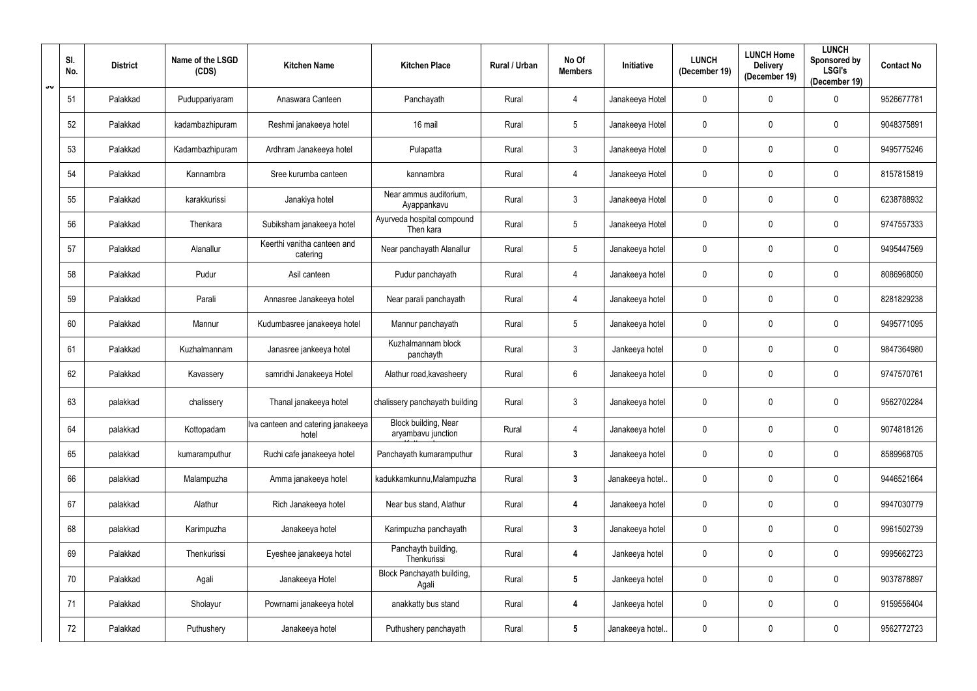| SI.<br>No. | <b>District</b> | Name of the LSGD<br>(CDS) | <b>Kitchen Name</b>                         | <b>Kitchen Place</b>                       | Rural / Urban | No Of<br><b>Members</b> | <b>Initiative</b> | <b>LUNCH</b><br>(December 19) | <b>LUNCH Home</b><br><b>Delivery</b><br>(December 19) | <b>LUNCH</b><br>Sponsored by<br><b>LSGI's</b><br>(December 19) | <b>Contact No</b> |
|------------|-----------------|---------------------------|---------------------------------------------|--------------------------------------------|---------------|-------------------------|-------------------|-------------------------------|-------------------------------------------------------|----------------------------------------------------------------|-------------------|
| 51         | Palakkad        | Puduppariyaram            | Anaswara Canteen                            | Panchayath                                 | Rural         | $\overline{4}$          | Janakeeya Hotel   | $\mathbf 0$                   | 0                                                     | 0                                                              | 9526677781        |
| 52         | Palakkad        | kadambazhipuram           | Reshmi janakeeya hotel                      | 16 mail                                    | Rural         | $\overline{5}$          | Janakeeya Hotel   | $\mathbf 0$                   | 0                                                     | $\mathbf 0$                                                    | 9048375891        |
| 53         | Palakkad        | Kadambazhipuram           | Ardhram Janakeeya hotel                     | Pulapatta                                  | Rural         | $\mathfrak{Z}$          | Janakeeya Hotel   | $\mathbf 0$                   | 0                                                     | $\mathbf 0$                                                    | 9495775246        |
| 54         | Palakkad        | Kannambra                 | Sree kurumba canteen                        | kannambra                                  | Rural         | 4                       | Janakeeya Hotel   | $\mathbf 0$                   |                                                       | $\boldsymbol{0}$                                               | 8157815819        |
| 55         | Palakkad        | karakkurissi              | Janakiya hotel                              | Near ammus auditorium,<br>Ayappankavu      | Rural         | $\mathfrak{Z}$          | Janakeeya Hotel   | $\mathbf 0$                   | 0                                                     | $\mathbf 0$                                                    | 6238788932        |
| 56         | Palakkad        | Thenkara                  | Subiksham janakeeya hotel                   | Ayurveda hospital compound<br>Then kara    | Rural         | 5                       | Janakeeya Hotel   | $\mathbf 0$                   |                                                       | $\mathbf 0$                                                    | 9747557333        |
| 57         | Palakkad        | Alanallur                 | Keerthi vanitha canteen and<br>catering     | Near panchayath Alanallur                  | Rural         | $\sqrt{5}$              | Janakeeya hotel   | $\mathbf 0$                   |                                                       | $\mathbf 0$                                                    | 9495447569        |
| 58         | Palakkad        | Pudur                     | Asil canteen                                | Pudur panchayath                           | Rural         | 4                       | Janakeeya hotel   | $\mathbf 0$                   | 0                                                     | $\mathbf 0$                                                    | 8086968050        |
| 59         | Palakkad        | Parali                    | Annasree Janakeeya hotel                    | Near parali panchayath                     | Rural         | 4                       | Janakeeya hotel   | $\mathbf 0$                   | 0                                                     | $\mathbf 0$                                                    | 8281829238        |
| 60         | Palakkad        | Mannur                    | Kudumbasree janakeeya hotel                 | Mannur panchayath                          | Rural         | $\overline{5}$          | Janakeeya hotel   | $\mathbf 0$                   | 0                                                     | $\mathbf 0$                                                    | 9495771095        |
| 61         | Palakkad        | Kuzhalmannam              | Janasree jankeeya hotel                     | Kuzhalmannam block<br>panchayth            | Rural         | $\mathfrak{Z}$          | Jankeeya hotel    | $\mathbf 0$                   | 0                                                     | $\mathbf 0$                                                    | 9847364980        |
| 62         | Palakkad        | Kavassery                 | samridhi Janakeeya Hotel                    | Alathur road, kavasheery                   | Rural         | $6\,$                   | Janakeeya hotel   | $\mathbf 0$                   | 0                                                     | $\mathbf 0$                                                    | 9747570761        |
| 63         | palakkad        | chalissery                | Thanal janakeeya hotel                      | chalissery panchayath building             | Rural         | 3                       | Janakeeya hotel   | $\mathbf 0$                   |                                                       | 0                                                              | 9562702284        |
| 64         | palakkad        | Kottopadam                | Iva canteen and catering janakeeya<br>hotel | Block building, Near<br>aryambavu junction | Rural         | 4                       | Janakeeya hotel   | $\mathbf 0$                   | 0                                                     | $\boldsymbol{0}$                                               | 9074818126        |
| 65         | palakkad        | kumaramputhur             | Ruchi cafe janakeeya hotel                  | Panchayath kumaramputhur                   | Rural         | $\mathbf{3}$            | Janakeeya hotel   | $\mathbf 0$                   | 0                                                     | $\overline{0}$                                                 | 8589968705        |
| 66         | palakkad        | Malampuzha                | Amma janakeeya hotel                        | kadukkamkunnu, Malampuzha                  | Rural         | $3\phantom{a}$          | Janakeeya hotel   | $\mathbf 0$                   | 0                                                     | $\mathbf 0$                                                    | 9446521664        |
| 67         | palakkad        | Alathur                   | Rich Janakeeya hotel                        | Near bus stand, Alathur                    | Rural         | 4                       | Janakeeya hotel   | $\mathbf 0$                   | 0                                                     | $\mathbf 0$                                                    | 9947030779        |
| 68         | palakkad        | Karimpuzha                | Janakeeya hotel                             | Karimpuzha panchayath                      | Rural         | $\mathbf{3}$            | Janakeeya hotel   | $\mathbf 0$                   | 0                                                     | $\mathbf 0$                                                    | 9961502739        |
| 69         | Palakkad        | Thenkurissi               | Eyeshee janakeeya hotel                     | Panchayth building,<br>Thenkurissi         | Rural         | $\overline{\mathbf{4}}$ | Jankeeya hotel    | $\mathbf 0$                   | 0                                                     | $\mathbf 0$                                                    | 9995662723        |
| 70         | Palakkad        | Agali                     | Janakeeya Hotel                             | Block Panchayath building,<br>Agali        | Rural         | $5\phantom{.0}$         | Jankeeya hotel    | $\mathbf 0$                   | 0                                                     | $\overline{0}$                                                 | 9037878897        |
| 71         | Palakkad        | Sholayur                  | Powrnami janakeeya hotel                    | anakkatty bus stand                        | Rural         | 4                       | Jankeeya hotel    | $\mathbf 0$                   | 0                                                     | $\mathbf 0$                                                    | 9159556404        |
| 72         | Palakkad        | Puthushery                | Janakeeya hotel                             | Puthushery panchayath                      | Rural         | $5\phantom{.0}$         | Janakeeya hotel   | $\mathbf 0$                   | 0                                                     | $\mathbf 0$                                                    | 9562772723        |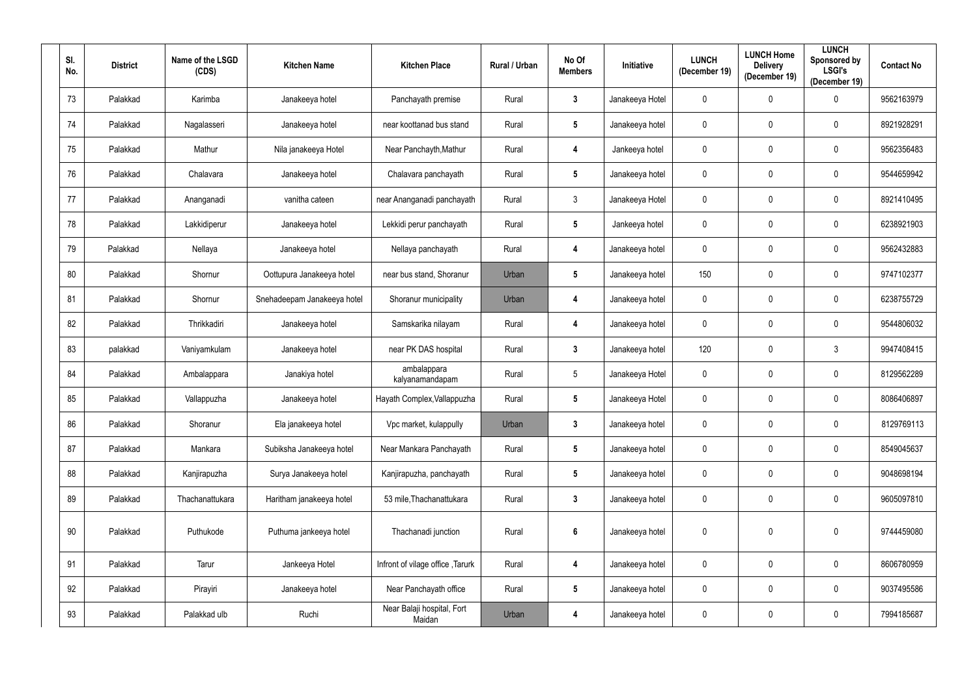| SI.<br>No. | <b>District</b> | Name of the LSGD<br>(CDS) | <b>Kitchen Name</b>         | <b>Kitchen Place</b>                 | Rural / Urban | No Of<br><b>Members</b> | Initiative      | <b>LUNCH</b><br>(December 19) | <b>LUNCH Home</b><br><b>Delivery</b><br>(December 19) | <b>LUNCH</b><br><b>Sponsored by</b><br><b>LSGI's</b><br>(December 19) | <b>Contact No</b> |
|------------|-----------------|---------------------------|-----------------------------|--------------------------------------|---------------|-------------------------|-----------------|-------------------------------|-------------------------------------------------------|-----------------------------------------------------------------------|-------------------|
| 73         | Palakkad        | Karimba                   | Janakeeya hotel             | Panchayath premise                   | Rural         | $\mathbf{3}$            | Janakeeya Hotel | $\mathbf 0$                   | $\mathbf 0$                                           | $\mathbf 0$                                                           | 9562163979        |
| 74         | Palakkad        | Nagalasseri               | Janakeeya hotel             | near koottanad bus stand             | Rural         | $5\phantom{.0}$         | Janakeeya hotel | $\pmb{0}$                     | $\mathbf 0$                                           | $\bf{0}$                                                              | 8921928291        |
| 75         | Palakkad        | Mathur                    | Nila janakeeya Hotel        | Near Panchayth, Mathur               | Rural         | 4                       | Jankeeya hotel  | $\pmb{0}$                     | $\mathbf 0$                                           | $\mathbf 0$                                                           | 9562356483        |
| 76         | Palakkad        | Chalavara                 | Janakeeya hotel             | Chalavara panchayath                 | Rural         | $5\phantom{.0}$         | Janakeeya hotel | $\mathbf 0$                   | $\mathbf 0$                                           | $\mathbf 0$                                                           | 9544659942        |
| 77         | Palakkad        | Ananganadi                | vanitha cateen              | near Ananganadi panchayath           | Rural         | $\mathbf{3}$            | Janakeeya Hotel | $\pmb{0}$                     | $\mathbf 0$                                           | $\mathbf 0$                                                           | 8921410495        |
| 78         | Palakkad        | Lakkidiperur              | Janakeeya hotel             | Lekkidi perur panchayath             | Rural         | $5\phantom{.0}$         | Jankeeya hotel  | $\overline{0}$                | $\mathbf{0}$                                          | $\mathbf 0$                                                           | 6238921903        |
| 79         | Palakkad        | Nellaya                   | Janakeeya hotel             | Nellaya panchayath                   | Rural         | 4                       | Janakeeya hotel | $\pmb{0}$                     | $\mathbf{0}$                                          | $\mathbf 0$                                                           | 9562432883        |
| 80         | Palakkad        | Shornur                   | Oottupura Janakeeya hotel   | near bus stand, Shoranur             | Urban         | $5\phantom{.0}$         | Janakeeya hotel | 150                           | 0                                                     | $\mathbf 0$                                                           | 9747102377        |
| 81         | Palakkad        | Shornur                   | Snehadeepam Janakeeya hotel | Shoranur municipality                | Urban         | 4                       | Janakeeya hotel | $\pmb{0}$                     | $\mathbf 0$                                           | $\mathbf 0$                                                           | 6238755729        |
| 82         | Palakkad        | Thrikkadiri               | Janakeeya hotel             | Samskarika nilayam                   | Rural         | 4                       | Janakeeya hotel | $\mathbf 0$                   | $\mathbf 0$                                           | $\mathbf 0$                                                           | 9544806032        |
| 83         | palakkad        | Vaniyamkulam              | Janakeeya hotel             | near PK DAS hospital                 | Rural         | $\mathbf{3}$            | Janakeeya hotel | 120                           | 0                                                     | $\mathfrak{Z}$                                                        | 9947408415        |
| 84         | Palakkad        | Ambalappara               | Janakiya hotel              | ambalappara<br>kalyanamandapam       | Rural         | $5\phantom{.0}$         | Janakeeya Hotel | $\pmb{0}$                     | $\mathbf 0$                                           | $\mathbf 0$                                                           | 8129562289        |
| 85         | Palakkad        | Vallappuzha               | Janakeeya hotel             | Hayath Complex, Vallappuzha          | Rural         | $5\phantom{.0}$         | Janakeeya Hotel | $\overline{0}$                | $\mathbf{0}$                                          | $\mathbf 0$                                                           | 8086406897        |
| 86         | Palakkad        | Shoranur                  | Ela janakeeya hotel         | Vpc market, kulappully               | Urban         | $\mathbf{3}$            | Janakeeya hotel | $\mathbf 0$                   | $\mathbf 0$                                           | $\mathbf 0$                                                           | 8129769113        |
| 87         | Palakkad        | Mankara                   | Subiksha Janakeeya hotel    | Near Mankara Panchayath              | Rural         | $5\phantom{.0}$         | Janakeeya hotel | $\mathbf 0$                   | $\mathbf 0$                                           | $\mathbf 0$                                                           | 8549045637        |
| 88         | Palakkad        | Kanjirapuzha              | Surya Janakeeya hotel       | Kanjirapuzha, panchayath             | Rural         | $5\phantom{.0}$         | Janakeeya hotel | $\mathbf 0$                   | $\mathbf 0$                                           | $\overline{0}$                                                        | 9048698194        |
| 89         | Palakkad        | Thachanattukara           | Haritham janakeeya hotel    | 53 mile, Thachanattukara             | Rural         | $\mathbf{3}$            | Janakeeya hotel | $\pmb{0}$                     | $\mathbf 0$                                           | $\mathbf 0$                                                           | 9605097810        |
| 90         | Palakkad        | Puthukode                 | Puthuma jankeeya hotel      | Thachanadi junction                  | Rural         | $\boldsymbol{6}$        | Janakeeya hotel | $\pmb{0}$                     | $\mathbf 0$                                           | $\mathbf 0$                                                           | 9744459080        |
| 91         | Palakkad        | Tarur                     | Jankeeya Hotel              | Infront of vilage office, Tarurk     | Rural         | $\overline{\mathbf{4}}$ | Janakeeya hotel | $\mathbf 0$                   | $\mathbf 0$                                           | $\mathbf 0$                                                           | 8606780959        |
| 92         | Palakkad        | Pirayiri                  | Janakeeya hotel             | Near Panchayath office               | Rural         | $5\phantom{.0}$         | Janakeeya hotel | $\mathbf 0$                   | $\mathbf 0$                                           | $\overline{0}$                                                        | 9037495586        |
| 93         | Palakkad        | Palakkad ulb              | Ruchi                       | Near Balaji hospital, Fort<br>Maidan | Urban         | $\overline{\mathbf{4}}$ | Janakeeya hotel | $\pmb{0}$                     | $\mathbf 0$                                           | $\mathbf 0$                                                           | 7994185687        |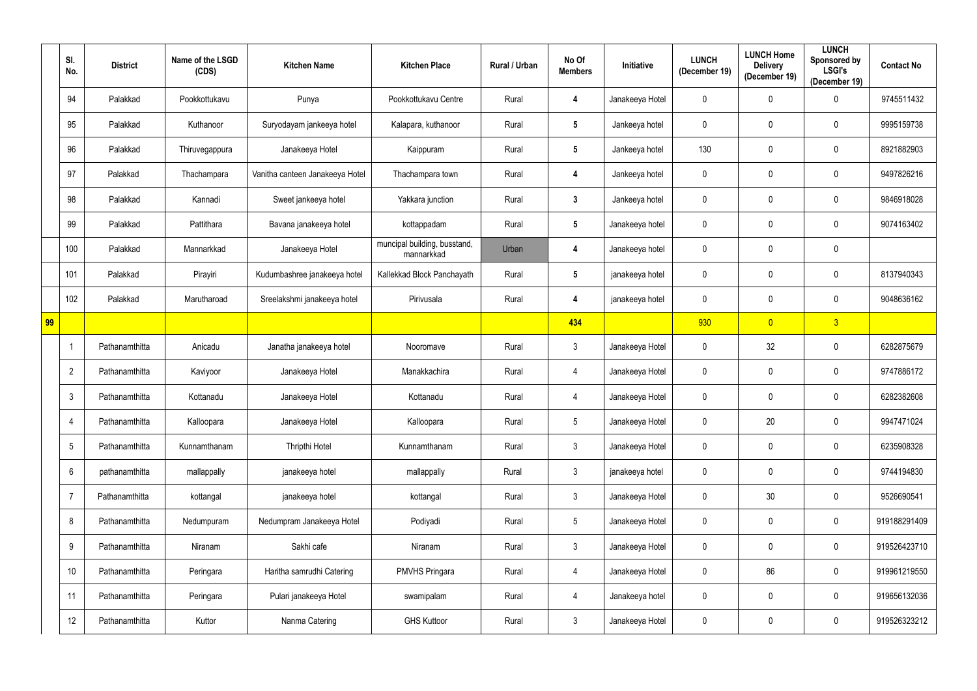|    | SI.<br>No.      | <b>District</b> | Name of the LSGD<br>(CDS) | <b>Kitchen Name</b>             | <b>Kitchen Place</b>                       | Rural / Urban | No Of<br><b>Members</b> | <b>Initiative</b> | <b>LUNCH</b><br>(December 19) | <b>LUNCH Home</b><br><b>Delivery</b><br>(December 19) | <b>LUNCH</b><br>Sponsored by<br><b>LSGI's</b><br>(December 19) | <b>Contact No</b> |
|----|-----------------|-----------------|---------------------------|---------------------------------|--------------------------------------------|---------------|-------------------------|-------------------|-------------------------------|-------------------------------------------------------|----------------------------------------------------------------|-------------------|
|    | 94              | Palakkad        | Pookkottukavu             | Punya                           | Pookkottukavu Centre                       | Rural         | 4                       | Janakeeya Hotel   | 0                             | 0                                                     | $\mathbf 0$                                                    | 9745511432        |
|    | 95              | Palakkad        | Kuthanoor                 | Suryodayam jankeeya hotel       | Kalapara, kuthanoor                        | Rural         | $5\phantom{.0}$         | Jankeeya hotel    | 0                             | 0                                                     | $\mathbf 0$                                                    | 9995159738        |
|    | 96              | Palakkad        | Thiruvegappura            | Janakeeya Hotel                 | Kaippuram                                  | Rural         | $5\phantom{.0}$         | Jankeeya hotel    | 130                           | 0                                                     | $\mathbf 0$                                                    | 8921882903        |
|    | 97              | Palakkad        | Thachampara               | Vanitha canteen Janakeeya Hotel | Thachampara town                           | Rural         | 4                       | Jankeeya hotel    | 0                             | 0                                                     | $\mathbf 0$                                                    | 9497826216        |
|    | 98              | Palakkad        | Kannadi                   | Sweet jankeeya hotel            | Yakkara junction                           | Rural         | $\mathbf{3}$            | Jankeeya hotel    | $\mathbf 0$                   | 0                                                     | $\mathbf 0$                                                    | 9846918028        |
|    | 99              | Palakkad        | Pattithara                | Bavana janakeeya hotel          | kottappadam                                | Rural         | $5\phantom{.0}$         | Janakeeya hotel   | 0                             | 0                                                     | $\mathbf 0$                                                    | 9074163402        |
|    | 100             | Palakkad        | Mannarkkad                | Janakeeya Hotel                 | muncipal building, busstand,<br>mannarkkad | Urban         | 4                       | Janakeeya hotel   | 0                             | 0                                                     | $\mathbf 0$                                                    |                   |
|    | 101             | Palakkad        | Pirayiri                  | Kudumbashree janakeeya hotel    | Kallekkad Block Panchayath                 | Rural         | $5\phantom{.0}$         | janakeeya hotel   | 0                             | 0                                                     | $\mathbf 0$                                                    | 8137940343        |
|    | 102             | Palakkad        | Marutharoad               | Sreelakshmi janakeeya hotel     | Pirivusala                                 | Rural         | 4                       | janakeeya hotel   | 0                             | 0                                                     | $\mathbf 0$                                                    | 9048636162        |
| 99 |                 |                 |                           |                                 |                                            |               | 434                     |                   | 930                           | $\overline{0}$                                        | 3 <sup>2</sup>                                                 |                   |
|    |                 | Pathanamthitta  | Anicadu                   | Janatha janakeeya hotel         | Nooromave                                  | Rural         | $\mathbf{3}$            | Janakeeya Hotel   | $\mathbf 0$                   | 32                                                    | $\mathbf 0$                                                    | 6282875679        |
|    | $\overline{2}$  | Pathanamthitta  | Kaviyoor                  | Janakeeya Hotel                 | Manakkachira                               | Rural         | $\overline{4}$          | Janakeeya Hotel   | 0                             | 0                                                     | $\mathbf 0$                                                    | 9747886172        |
|    | $\mathbf{3}$    | Pathanamthitta  | Kottanadu                 | Janakeeya Hotel                 | Kottanadu                                  | Rural         | $\overline{4}$          | Janakeeya Hotel   | $\mathbf 0$                   | 0                                                     | $\mathbf 0$                                                    | 6282382608        |
|    | 4               | Pathanamthitta  | Kalloopara                | Janakeeya Hotel                 | Kalloopara                                 | Rural         | $\sqrt{5}$              | Janakeeya Hotel   | $\mathbf 0$                   | 20                                                    | $\mathbf 0$                                                    | 9947471024        |
|    | $5\phantom{.0}$ | Pathanamthitta  | Kunnamthanam              | Thripthi Hotel                  | Kunnamthanam                               | Rural         | $\mathfrak{Z}$          | Janakeeya Hotel   | $\mathbf 0$                   | 0                                                     | $\mathbf 0$                                                    | 6235908328        |
|    | $6\overline{6}$ | pathanamthitta  | mallappally               | janakeeya hotel                 | mallappally                                | Rural         | $\mathfrak{Z}$          | janakeeya hotel   | $\mathbf 0$                   | 0                                                     | $\overline{0}$                                                 | 9744194830        |
|    | $\overline{7}$  | Pathanamthitta  | kottangal                 | janakeeya hotel                 | kottangal                                  | Rural         | $\mathfrak{Z}$          | Janakeeya Hotel   | $\mathbf 0$                   | $30\,$                                                | $\mathbf 0$                                                    | 9526690541        |
|    | 8               | Pathanamthitta  | Nedumpuram                | Nedumpram Janakeeya Hotel       | Podiyadi                                   | Rural         | $\sqrt{5}$              | Janakeeya Hotel   | $\mathbf 0$                   | 0                                                     | $\overline{0}$                                                 | 919188291409      |
|    | 9               | Pathanamthitta  | Niranam                   | Sakhi cafe                      | Niranam                                    | Rural         | $\mathbf{3}$            | Janakeeya Hotel   | $\pmb{0}$                     | 0                                                     | $\mathbf 0$                                                    | 919526423710      |
|    | 10              | Pathanamthitta  | Peringara                 | Haritha samrudhi Catering       | <b>PMVHS Pringara</b>                      | Rural         | $\overline{4}$          | Janakeeya Hotel   | $\mathbf 0$                   | 86                                                    | $\overline{0}$                                                 | 919961219550      |
|    | 11              | Pathanamthitta  | Peringara                 | Pulari janakeeya Hotel          | swamipalam                                 | Rural         | $\overline{4}$          | Janakeeya hotel   | $\mathbf 0$                   | 0                                                     | $\mathbf 0$                                                    | 919656132036      |
|    | 12              | Pathanamthitta  | Kuttor                    | Nanma Catering                  | <b>GHS Kuttoor</b>                         | Rural         | $\mathfrak{Z}$          | Janakeeya Hotel   | 0                             | 0                                                     | $\overline{0}$                                                 | 919526323212      |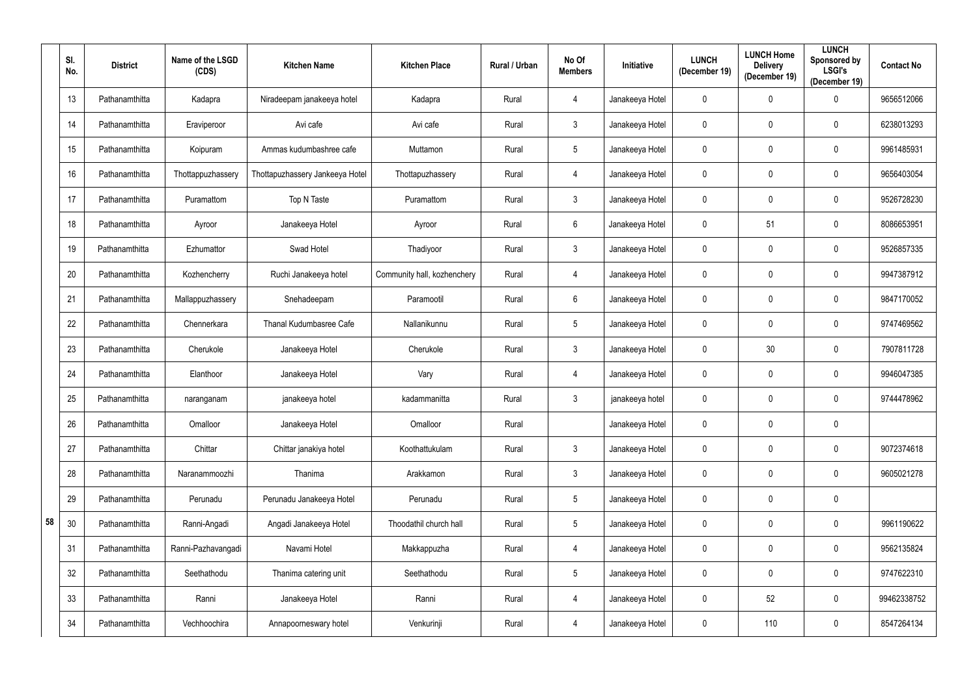|    | SI.<br>No. | <b>District</b> | Name of the LSGD<br>(CDS) | <b>Kitchen Name</b>             | <b>Kitchen Place</b>        | Rural / Urban | No Of<br><b>Members</b> | <b>Initiative</b> | <b>LUNCH</b><br>(December 19) | <b>LUNCH Home</b><br><b>Delivery</b><br>(December 19) | <b>LUNCH</b><br>Sponsored by<br><b>LSGI's</b><br>(December 19) | <b>Contact No</b> |
|----|------------|-----------------|---------------------------|---------------------------------|-----------------------------|---------------|-------------------------|-------------------|-------------------------------|-------------------------------------------------------|----------------------------------------------------------------|-------------------|
|    | 13         | Pathanamthitta  | Kadapra                   | Niradeepam janakeeya hotel      | Kadapra                     | Rural         | 4                       | Janakeeya Hotel   | $\mathbf 0$                   | 0                                                     | $\mathbf 0$                                                    | 9656512066        |
|    | 14         | Pathanamthitta  | Eraviperoor               | Avi cafe                        | Avi cafe                    | Rural         | $\mathbf{3}$            | Janakeeya Hotel   | $\mathbf 0$                   | 0                                                     | $\mathbf 0$                                                    | 6238013293        |
|    | 15         | Pathanamthitta  | Koipuram                  | Ammas kudumbashree cafe         | Muttamon                    | Rural         | $\overline{5}$          | Janakeeya Hotel   | $\mathbf 0$                   | 0                                                     | $\mathbf 0$                                                    | 9961485931        |
|    | 16         | Pathanamthitta  | Thottappuzhassery         | Thottapuzhassery Jankeeya Hotel | Thottapuzhassery            | Rural         | 4                       | Janakeeya Hotel   | $\mathbf 0$                   | 0                                                     | $\mathbf 0$                                                    | 9656403054        |
|    | 17         | Pathanamthitta  | Puramattom                | Top N Taste                     | Puramattom                  | Rural         | $\mathfrak{Z}$          | Janakeeya Hotel   | $\mathbf 0$                   | 0                                                     | $\mathbf 0$                                                    | 9526728230        |
|    | 18         | Pathanamthitta  | Ayroor                    | Janakeeya Hotel                 | Ayroor                      | Rural         | $6\phantom{.}$          | Janakeeya Hotel   | $\mathbf 0$                   | 51                                                    | $\mathbf 0$                                                    | 8086653951        |
|    | 19         | Pathanamthitta  | Ezhumattor                | Swad Hotel                      | Thadiyoor                   | Rural         | $\mathbf{3}$            | Janakeeya Hotel   | $\mathbf 0$                   | 0                                                     | $\mathbf 0$                                                    | 9526857335        |
|    | 20         | Pathanamthitta  | Kozhencherry              | Ruchi Janakeeya hotel           | Community hall, kozhenchery | Rural         | 4                       | Janakeeya Hotel   | $\mathbf 0$                   | 0                                                     | $\mathbf 0$                                                    | 9947387912        |
|    | 21         | Pathanamthitta  | Mallappuzhassery          | Snehadeepam                     | Paramootil                  | Rural         | 6                       | Janakeeya Hotel   | $\mathbf 0$                   | 0                                                     | $\mathbf 0$                                                    | 9847170052        |
|    | 22         | Pathanamthitta  | Chennerkara               | Thanal Kudumbasree Cafe         | Nallanikunnu                | Rural         | $\overline{5}$          | Janakeeya Hotel   | $\mathbf 0$                   | 0                                                     | $\mathbf 0$                                                    | 9747469562        |
|    | 23         | Pathanamthitta  | Cherukole                 | Janakeeya Hotel                 | Cherukole                   | Rural         | $\mathfrak{Z}$          | Janakeeya Hotel   | $\mathbf 0$                   | 30                                                    | $\mathbf 0$                                                    | 7907811728        |
|    | 24         | Pathanamthitta  | Elanthoor                 | Janakeeya Hotel                 | Vary                        | Rural         | 4                       | Janakeeya Hotel   | $\mathbf 0$                   | 0                                                     | $\mathbf 0$                                                    | 9946047385        |
|    | 25         | Pathanamthitta  | naranganam                | janakeeya hotel                 | kadammanitta                | Rural         | $\mathbf{3}$            | janakeeya hotel   | $\mathbf 0$                   | 0                                                     | $\mathbf 0$                                                    | 9744478962        |
|    | 26         | Pathanamthitta  | Omalloor                  | Janakeeya Hotel                 | Omalloor                    | Rural         |                         | Janakeeya Hotel   | $\mathbf 0$                   | 0                                                     | $\mathbf 0$                                                    |                   |
|    | 27         | Pathanamthitta  | Chittar                   | Chittar janakiya hotel          | Koothattukulam              | Rural         | $\mathfrak{Z}$          | Janakeeya Hotel   | $\overline{0}$                | $\mathbf 0$                                           | $\mathbf 0$                                                    | 9072374618        |
|    | 28         | Pathanamthitta  | Naranammoozhi             | Thanima                         | Arakkamon                   | Rural         | $\mathfrak{Z}$          | Janakeeya Hotel   | $\mathbf 0$                   | 0                                                     | $\mathbf 0$                                                    | 9605021278        |
|    | 29         | Pathanamthitta  | Perunadu                  | Perunadu Janakeeya Hotel        | Perunadu                    | Rural         | $\overline{5}$          | Janakeeya Hotel   | $\overline{0}$                | 0                                                     | $\overline{0}$                                                 |                   |
| 58 | 30         | Pathanamthitta  | Ranni-Angadi              | Angadi Janakeeya Hotel          | Thoodathil church hall      | Rural         | $\overline{5}$          | Janakeeya Hotel   | $\mathbf 0$                   | 0                                                     | $\mathbf 0$                                                    | 9961190622        |
|    | 31         | Pathanamthitta  | Ranni-Pazhavangadi        | Navami Hotel                    | Makkappuzha                 | Rural         | $\overline{4}$          | Janakeeya Hotel   | $\mathbf 0$                   | 0                                                     | $\overline{0}$                                                 | 9562135824        |
|    | 32         | Pathanamthitta  | Seethathodu               | Thanima catering unit           | Seethathodu                 | Rural         | $\overline{5}$          | Janakeeya Hotel   | $\mathbf 0$                   | 0                                                     | $\mathbf 0$                                                    | 9747622310        |
|    | 33         | Pathanamthitta  | Ranni                     | Janakeeya Hotel                 | Ranni                       | Rural         | $\overline{4}$          | Janakeeya Hotel   | $\mathbf 0$                   | 52                                                    | $\mathbf 0$                                                    | 99462338752       |
|    | 34         | Pathanamthitta  | Vechhoochira              | Annapoorneswary hotel           | Venkurinji                  | Rural         | 4                       | Janakeeya Hotel   | $\mathbf 0$                   | 110                                                   | $\mathbf 0$                                                    | 8547264134        |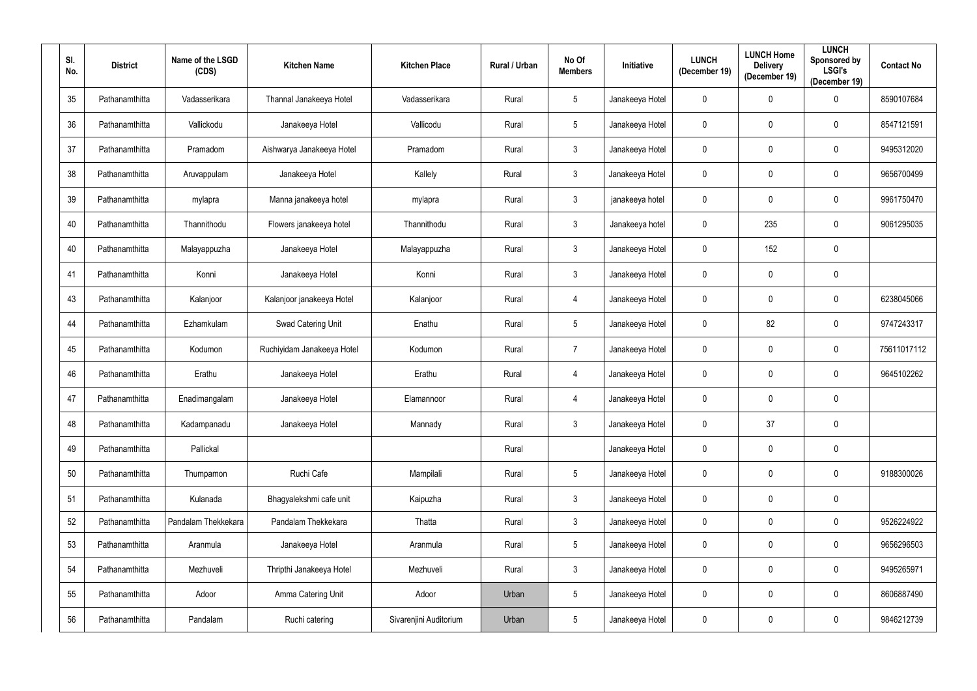| SI.<br>No. | <b>District</b> | Name of the LSGD<br>(CDS) | <b>Kitchen Name</b>        | <b>Kitchen Place</b>   | Rural / Urban | No Of<br><b>Members</b> | Initiative      | <b>LUNCH</b><br>(December 19) | <b>LUNCH Home</b><br><b>Delivery</b><br>(December 19) | <b>LUNCH</b><br>Sponsored by<br><b>LSGI's</b><br>(December 19) | <b>Contact No</b> |
|------------|-----------------|---------------------------|----------------------------|------------------------|---------------|-------------------------|-----------------|-------------------------------|-------------------------------------------------------|----------------------------------------------------------------|-------------------|
| 35         | Pathanamthitta  | Vadasserikara             | Thannal Janakeeya Hotel    | Vadasserikara          | Rural         | $5\phantom{.0}$         | Janakeeya Hotel | $\mathbf 0$                   | $\mathbf 0$                                           | $\overline{0}$                                                 | 8590107684        |
| 36         | Pathanamthitta  | Vallickodu                | Janakeeya Hotel            | Vallicodu              | Rural         | $5\phantom{.0}$         | Janakeeya Hotel | $\mathbf 0$                   | $\boldsymbol{0}$                                      | $\bf{0}$                                                       | 8547121591        |
| 37         | Pathanamthitta  | Pramadom                  | Aishwarya Janakeeya Hotel  | Pramadom               | Rural         | $\mathfrak{Z}$          | Janakeeya Hotel | $\boldsymbol{0}$              | $\boldsymbol{0}$                                      | $\mathbf 0$                                                    | 9495312020        |
| 38         | Pathanamthitta  | Aruvappulam               | Janakeeya Hotel            | Kallely                | Rural         | $\mathbf{3}$            | Janakeeya Hotel | $\mathbf 0$                   | $\mathbf 0$                                           | $\bf{0}$                                                       | 9656700499        |
| 39         | Pathanamthitta  | mylapra                   | Manna janakeeya hotel      | mylapra                | Rural         | $\mathfrak{Z}$          | janakeeya hotel | $\boldsymbol{0}$              | $\mathbf 0$                                           | $\mathbf 0$                                                    | 9961750470        |
| 40         | Pathanamthitta  | Thannithodu               | Flowers janakeeya hotel    | Thannithodu            | Rural         | $\mathbf{3}$            | Janakeeya hotel | $\mathbf 0$                   | 235                                                   | $\mathbf 0$                                                    | 9061295035        |
| 40         | Pathanamthitta  | Malayappuzha              | Janakeeya Hotel            | Malayappuzha           | Rural         | $\mathfrak{Z}$          | Janakeeya Hotel | $\mathbf 0$                   | 152                                                   | $\mathbf 0$                                                    |                   |
| 41         | Pathanamthitta  | Konni                     | Janakeeya Hotel            | Konni                  | Rural         | $\mathfrak{Z}$          | Janakeeya Hotel | $\mathbf 0$                   | 0                                                     | $\bf{0}$                                                       |                   |
| 43         | Pathanamthitta  | Kalanjoor                 | Kalanjoor janakeeya Hotel  | Kalanjoor              | Rural         | 4                       | Janakeeya Hotel | $\mathbf 0$                   | $\mathbf 0$                                           | $\mathbf 0$                                                    | 6238045066        |
| 44         | Pathanamthitta  | Ezhamkulam                | Swad Catering Unit         | Enathu                 | Rural         | $5\phantom{.0}$         | Janakeeya Hotel | $\mathbf 0$                   | 82                                                    | $\mathbf 0$                                                    | 9747243317        |
| 45         | Pathanamthitta  | Kodumon                   | Ruchiyidam Janakeeya Hotel | Kodumon                | Rural         | $\overline{7}$          | Janakeeya Hotel | $\mathbf 0$                   | $\mathbf 0$                                           | $\mathbf 0$                                                    | 75611017112       |
| 46         | Pathanamthitta  | Erathu                    | Janakeeya Hotel            | Erathu                 | Rural         | 4                       | Janakeeya Hotel | $\mathbf 0$                   | 0                                                     | $\bf{0}$                                                       | 9645102262        |
| 47         | Pathanamthitta  | Enadimangalam             | Janakeeya Hotel            | Elamannoor             | Rural         | 4                       | Janakeeya Hotel | $\mathbf 0$                   | $\mathbf 0$                                           | $\mathbf 0$                                                    |                   |
| 48         | Pathanamthitta  | Kadampanadu               | Janakeeya Hotel            | Mannady                | Rural         | $\mathbf{3}$            | Janakeeya Hotel | $\mathbf 0$                   | 37                                                    | $\mathbf 0$                                                    |                   |
| 49         | Pathanamthitta  | Pallickal                 |                            |                        | Rural         |                         | Janakeeya Hotel | $\mathbf 0$                   | $\mathbf 0$                                           | $\mathbf 0$                                                    |                   |
| $50\,$     | Pathanamthitta  | Thumpamon                 | Ruchi Cafe                 | Mampilali              | Rural         | $5\phantom{.0}$         | Janakeeya Hotel | $\boldsymbol{0}$              | $\pmb{0}$                                             | $\mathbf 0$                                                    | 9188300026        |
| 51         | Pathanamthitta  | Kulanada                  | Bhagyalekshmi cafe unit    | Kaipuzha               | Rural         | $\mathfrak{Z}$          | Janakeeya Hotel | $\mathbf 0$                   | $\pmb{0}$                                             | $\mathbf 0$                                                    |                   |
| 52         | Pathanamthitta  | Pandalam Thekkekara       | Pandalam Thekkekara        | Thatta                 | Rural         | $\mathfrak{Z}$          | Janakeeya Hotel | $\mathbf 0$                   | $\mathbf 0$                                           | $\mathbf 0$                                                    | 9526224922        |
| 53         | Pathanamthitta  | Aranmula                  | Janakeeya Hotel            | Aranmula               | Rural         | $5\phantom{.0}$         | Janakeeya Hotel | $\mathbf 0$                   | $\mathbf 0$                                           | $\mathbf 0$                                                    | 9656296503        |
| 54         | Pathanamthitta  | Mezhuveli                 | Thripthi Janakeeya Hotel   | Mezhuveli              | Rural         | $\mathfrak{Z}$          | Janakeeya Hotel | $\mathbf 0$                   | $\mathbf 0$                                           | $\mathbf 0$                                                    | 9495265971        |
| 55         | Pathanamthitta  | Adoor                     | Amma Catering Unit         | Adoor                  | Urban         | $5\phantom{.0}$         | Janakeeya Hotel | $\boldsymbol{0}$              | $\mathbf 0$                                           | $\mathbf 0$                                                    | 8606887490        |
| 56         | Pathanamthitta  | Pandalam                  | Ruchi catering             | Sivarenjini Auditorium | Urban         | $5\phantom{.0}$         | Janakeeya Hotel | $\boldsymbol{0}$              | $\boldsymbol{0}$                                      | $\mathbf 0$                                                    | 9846212739        |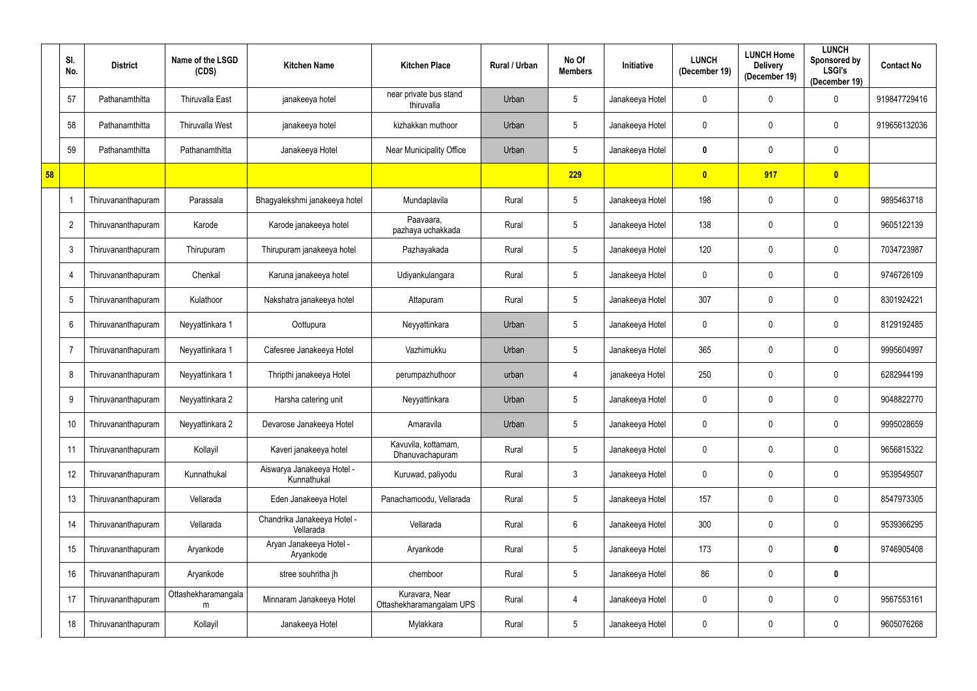|    | SI.<br>No.     | <b>District</b>    | Name of the LSGD<br>(CDS) | <b>Kitchen Name</b>                       | <b>Kitchen Place</b>                       | Rural / Urban | No Of<br><b>Members</b> | Initiative      | <b>LUNCH</b><br>(December 19) | <b>LUNCH Home</b><br><b>Delivery</b><br>(December 19) | <b>LUNCH</b><br>Sponsored by<br><b>LSGI's</b><br>(December 19) | <b>Contact No</b> |
|----|----------------|--------------------|---------------------------|-------------------------------------------|--------------------------------------------|---------------|-------------------------|-----------------|-------------------------------|-------------------------------------------------------|----------------------------------------------------------------|-------------------|
|    | 57             | Pathanamthitta     | <b>Thiruvalla East</b>    | janakeeya hotel                           | near private bus stand<br>thiruvalla       | Urban         | $5\phantom{.0}$         | Janakeeya Hotel | 0                             | 0                                                     | 0                                                              | 919847729416      |
|    | 58             | Pathanamthitta     | <b>Thiruvalla West</b>    | janakeeya hotel                           | kizhakkan muthoor                          | Urban         | $\overline{5}$          | Janakeeya Hotel | $\mathbf 0$                   | 0                                                     | 0                                                              | 919656132036      |
|    | 59             | Pathanamthitta     | Pathanamthitta            | Janakeeya Hotel                           | <b>Near Municipality Office</b>            | Urban         | $\overline{5}$          | Janakeeya Hotel | $\boldsymbol{0}$              | 0                                                     | $\mathbf 0$                                                    |                   |
| 58 |                |                    |                           |                                           |                                            |               | 229                     |                 | $\overline{\mathbf{0}}$       | 917                                                   | $\overline{\mathbf{0}}$                                        |                   |
|    |                | Thiruvananthapuram | Parassala                 | Bhagyalekshmi janakeeya hotel             | Mundaplavila                               | Rural         | $5\phantom{.0}$         | Janakeeya Hotel | 198                           | 0                                                     | 0                                                              | 9895463718        |
|    | $\overline{2}$ | Thiruvananthapuram | Karode                    | Karode janakeeya hotel                    | Paavaara,<br>pazhaya uchakkada             | Rural         | $5\phantom{.0}$         | Janakeeya Hotel | 138                           | 0                                                     | $\mathbf 0$                                                    | 9605122139        |
|    | 3              | Thiruvananthapuram | Thirupuram                | Thirupuram janakeeya hotel                | Pazhayakada                                | Rural         | $5\phantom{.0}$         | Janakeeya Hotel | 120                           | 0                                                     | $\mathbf 0$                                                    | 7034723987        |
|    | 4              | Thiruvananthapuram | Chenkal                   | Karuna janakeeya hotel                    | Udiyankulangara                            | Rural         | $5\phantom{.0}$         | Janakeeya Hotel | $\mathbf 0$                   | 0                                                     | $\mathbf 0$                                                    | 9746726109        |
|    | 5              | Thiruvananthapuram | Kulathoor                 | Nakshatra janakeeya hotel                 | Attapuram                                  | Rural         | $\overline{5}$          | Janakeeya Hotel | 307                           | 0                                                     | 0                                                              | 8301924221        |
|    | 6              | Thiruvananthapuram | Neyyattinkara 1           | Oottupura                                 | Neyyattinkara                              | Urban         | $\overline{5}$          | Janakeeya Hotel | $\mathbf 0$                   | 0                                                     | 0                                                              | 8129192485        |
|    | 7              | Thiruvananthapuram | Neyyattinkara 1           | Cafesree Janakeeya Hotel                  | Vazhimukku                                 | Urban         | $5\phantom{.0}$         | Janakeeya Hotel | 365                           | 0                                                     | $\mathbf 0$                                                    | 9995604997        |
|    | 8              | Thiruvananthapuram | Neyyattinkara 1           | Thripthi janakeeya Hotel                  | perumpazhuthoor                            | urban         | $\overline{4}$          | janakeeya Hotel | 250                           | 0                                                     | $\mathbf 0$                                                    | 6282944199        |
|    | 9              | Thiruvananthapuram | Neyyattinkara 2           | Harsha catering unit                      | Neyyattinkara                              | Urban         | $5\phantom{.0}$         | Janakeeya Hotel | $\boldsymbol{0}$              | 0                                                     | $\mathbf 0$                                                    | 9048822770        |
|    | 10             | Thiruvananthapuram | Neyyattinkara 2           | Devarose Janakeeya Hotel                  | Amaravila                                  | Urban         | $5\phantom{.0}$         | Janakeeya Hotel | $\mathbf 0$                   | 0                                                     | $\mathbf 0$                                                    | 9995028659        |
|    | 11             | Thiruvananthapuram | Kollayil                  | Kaveri janakeeya hotel                    | Kavuvila, kottamam,<br>Dhanuvachapuram     | Rural         | $5\phantom{.0}$         | Janakeeya Hotel | $\pmb{0}$                     | $\mathbf 0$                                           | $\mathbf 0$                                                    | 9656815322        |
|    | 12             | Thiruvananthapuram | Kunnathukal               | Aiswarya Janakeeya Hotel -<br>Kunnathukal | Kuruwad, paliyodu                          | Rural         | $\mathfrak{Z}$          | Janakeeya Hotel | $\pmb{0}$                     | 0                                                     | $\mathbf 0$                                                    | 9539549507        |
|    | 13             | Thiruvananthapuram | Vellarada                 | Eden Janakeeya Hotel                      | Panachamoodu, Vellarada                    | Rural         | $5\phantom{.0}$         | Janakeeya Hotel | 157                           | 0                                                     | 0                                                              | 8547973305        |
|    | 14             | Thiruvananthapuram | Vellarada                 | Chandrika Janakeeya Hotel -<br>Vellarada  | Vellarada                                  | Rural         | $6\,$                   | Janakeeya Hotel | 300                           | 0                                                     | $\mathbf 0$                                                    | 9539366295        |
|    | 15             | Thiruvananthapuram | Aryankode                 | Aryan Janakeeya Hotel -<br>Aryankode      | Aryankode                                  | Rural         | $5\phantom{.0}$         | Janakeeya Hotel | 173                           | $\mathbf 0$                                           | $\bm{0}$                                                       | 9746905408        |
|    | 16             | Thiruvananthapuram | Aryankode                 | stree souhritha jh                        | chemboor                                   | Rural         | $5\phantom{.0}$         | Janakeeya Hotel | 86                            | 0                                                     | $\boldsymbol{0}$                                               |                   |
|    | 17             | Thiruvananthapuram | Ottashekharamangala<br>m  | Minnaram Janakeeya Hotel                  | Kuravara, Near<br>Ottashekharamangalam UPS | Rural         | $\overline{4}$          | Janakeeya Hotel | $\pmb{0}$                     | 0                                                     | $\mathbf 0$                                                    | 9567553161        |
|    | 18             | Thiruvananthapuram | Kollayil                  | Janakeeya Hotel                           | Mylakkara                                  | Rural         | $\sqrt{5}$              | Janakeeya Hotel | $\boldsymbol{0}$              | 0                                                     | 0                                                              | 9605076268        |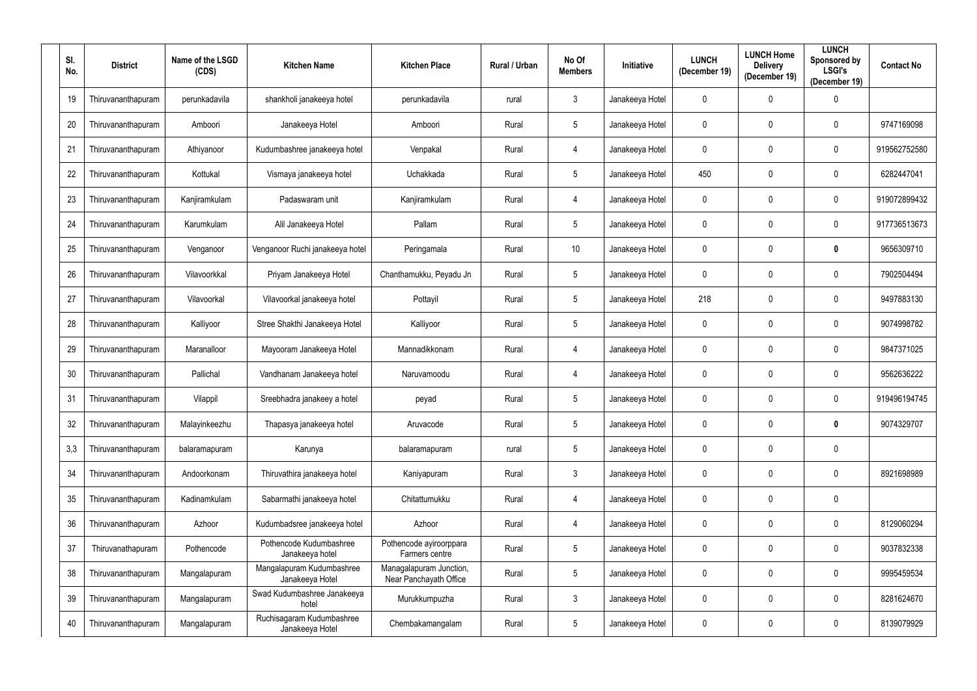| SI.<br>No. | <b>District</b>    | Name of the LSGD<br>(CDS) | <b>Kitchen Name</b>                          | <b>Kitchen Place</b>                              | Rural / Urban | No Of<br><b>Members</b> | <b>Initiative</b> | <b>LUNCH</b><br>(December 19) | <b>LUNCH Home</b><br><b>Delivery</b><br>(December 19) | <b>LUNCH</b><br>Sponsored by<br><b>LSGI's</b><br>(December 19) | <b>Contact No</b> |
|------------|--------------------|---------------------------|----------------------------------------------|---------------------------------------------------|---------------|-------------------------|-------------------|-------------------------------|-------------------------------------------------------|----------------------------------------------------------------|-------------------|
| 19         | Thiruvananthapuram | perunkadavila             | shankholi janakeeya hotel                    | perunkadavila                                     | rural         | $\mathbf{3}$            | Janakeeya Hotel   | $\mathbf 0$                   | $\mathbf 0$                                           | 0                                                              |                   |
| 20         | Thiruvananthapuram | Amboori                   | Janakeeya Hotel                              | Amboori                                           | Rural         | $5\phantom{.0}$         | Janakeeya Hotel   | $\mathbf 0$                   | $\mathbf 0$                                           | $\mathbf 0$                                                    | 9747169098        |
| 21         | Thiruvananthapuram | Athiyanoor                | Kudumbashree janakeeya hotel                 | Venpakal                                          | Rural         | 4                       | Janakeeya Hotel   | $\mathbf 0$                   | $\mathbf 0$                                           | $\pmb{0}$                                                      | 919562752580      |
| 22         | Thiruvananthapuram | Kottukal                  | Vismaya janakeeya hotel                      | Uchakkada                                         | Rural         | $5\phantom{.0}$         | Janakeeya Hotel   | 450                           | $\mathbf 0$                                           | $\mathbf 0$                                                    | 6282447041        |
| 23         | Thiruvananthapuram | Kanjiramkulam             | Padaswaram unit                              | Kanjiramkulam                                     | Rural         | 4                       | Janakeeya Hotel   | $\mathbf 0$                   | $\mathbf 0$                                           | $\pmb{0}$                                                      | 919072899432      |
| 24         | Thiruvananthapuram | Karumkulam                | Alil Janakeeya Hotel                         | Pallam                                            | Rural         | $5\overline{)}$         | Janakeeya Hotel   | $\mathbf 0$                   | 0                                                     | $\mathbf 0$                                                    | 917736513673      |
| 25         | Thiruvananthapuram | Venganoor                 | Venganoor Ruchi janakeeya hotel              | Peringamala                                       | Rural         | 10                      | Janakeeya Hotel   | $\mathbf 0$                   | 0                                                     | $\boldsymbol{0}$                                               | 9656309710        |
| 26         | Thiruvananthapuram | Vilavoorkkal              | Priyam Janakeeya Hotel                       | Chanthamukku, Peyadu Jn                           | Rural         | $5\phantom{.0}$         | Janakeeya Hotel   | $\mathbf 0$                   | $\mathbf 0$                                           | $\mathbf 0$                                                    | 7902504494        |
| 27         | Thiruvananthapuram | Vilavoorkal               | Vilavoorkal janakeeya hotel                  | Pottayil                                          | Rural         | $5\phantom{.0}$         | Janakeeya Hotel   | 218                           | $\mathbf 0$                                           | $\mathbf 0$                                                    | 9497883130        |
| 28         | Thiruvananthapuram | Kalliyoor                 | Stree Shakthi Janakeeya Hotel                | Kalliyoor                                         | Rural         | $5\phantom{.0}$         | Janakeeya Hotel   | $\mathbf 0$                   | $\mathbf 0$                                           | $\mathbf 0$                                                    | 9074998782        |
| 29         | Thiruvananthapuram | Maranalloor               | Mayooram Janakeeya Hotel                     | Mannadikkonam                                     | Rural         | 4                       | Janakeeya Hotel   | $\boldsymbol{0}$              | 0                                                     | $\mathbf 0$                                                    | 9847371025        |
| 30         | Thiruvananthapuram | Pallichal                 | Vandhanam Janakeeya hotel                    | Naruvamoodu                                       | Rural         | 4                       | Janakeeya Hotel   | $\mathbf 0$                   | $\mathbf 0$                                           | $\mathbf 0$                                                    | 9562636222        |
| 31         | Thiruvananthapuram | Vilappil                  | Sreebhadra janakeey a hotel                  | peyad                                             | Rural         | $5\phantom{.0}$         | Janakeeya Hotel   | $\mathbf 0$                   | 0                                                     | $\mathbf 0$                                                    | 919496194745      |
| 32         | Thiruvananthapuram | Malayinkeezhu             | Thapasya janakeeya hotel                     | Aruvacode                                         | Rural         | $5\phantom{.0}$         | Janakeeya Hotel   | $\boldsymbol{0}$              | $\mathbf 0$                                           | 0                                                              | 9074329707        |
| 3,3        | Thiruvananthapuram | balaramapuram             | Karunya                                      | balaramapuram                                     | rural         | $5\phantom{.0}$         | Janakeeya Hotel   | $\mathbf 0$                   | $\mathbf 0$                                           | $\mathbf 0$                                                    |                   |
| 34         | Thiruvananthapuram | Andoorkonam               | Thiruvathira janakeeya hotel                 | Kaniyapuram                                       | Rural         | $\mathfrak{Z}$          | Janakeeya Hotel   | $\mathbf 0$                   | $\mathbf 0$                                           | $\mathbf 0$                                                    | 8921698989        |
| 35         | Thiruvananthapuram | Kadinamkulam              | Sabarmathi janakeeya hotel                   | Chitattumukku                                     | Rural         | 4                       | Janakeeya Hotel   | $\mathbf 0$                   | $\mathbf 0$                                           | $\overline{0}$                                                 |                   |
| 36         | Thiruvananthapuram | Azhoor                    | Kudumbadsree janakeeya hotel                 | Azhoor                                            | Rural         | 4                       | Janakeeya Hotel   | $\mathbf 0$                   | $\mathbf 0$                                           | $\overline{0}$                                                 | 8129060294        |
| 37         | Thiruvanathapuram  | Pothencode                | Pothencode Kudumbashree<br>Janakeeya hotel   | Pothencode ayiroorppara<br>Farmers centre         | Rural         | $5\phantom{.0}$         | Janakeeya Hotel   | $\mathbf 0$                   | $\mathbf 0$                                           | $\pmb{0}$                                                      | 9037832338        |
| 38         | Thiruvananthapuram | Mangalapuram              | Mangalapuram Kudumbashree<br>Janakeeya Hotel | Managalapuram Junction,<br>Near Panchayath Office | Rural         | $5\phantom{.0}$         | Janakeeya Hotel   | $\mathbf 0$                   | 0                                                     | $\mathbf 0$                                                    | 9995459534        |
| 39         | Thiruvananthapuram | Mangalapuram              | Swad Kudumbashree Janakeeya<br>hotel         | Murukkumpuzha                                     | Rural         | $3\phantom{.0}$         | Janakeeya Hotel   | $\mathbf 0$                   | $\mathbf 0$                                           | $\mathbf 0$                                                    | 8281624670        |
| 40         | Thiruvananthapuram | Mangalapuram              | Ruchisagaram Kudumbashree<br>Janakeeya Hotel | Chembakamangalam                                  | Rural         | $5\phantom{.0}$         | Janakeeya Hotel   | $\boldsymbol{0}$              | 0                                                     | $\boldsymbol{0}$                                               | 8139079929        |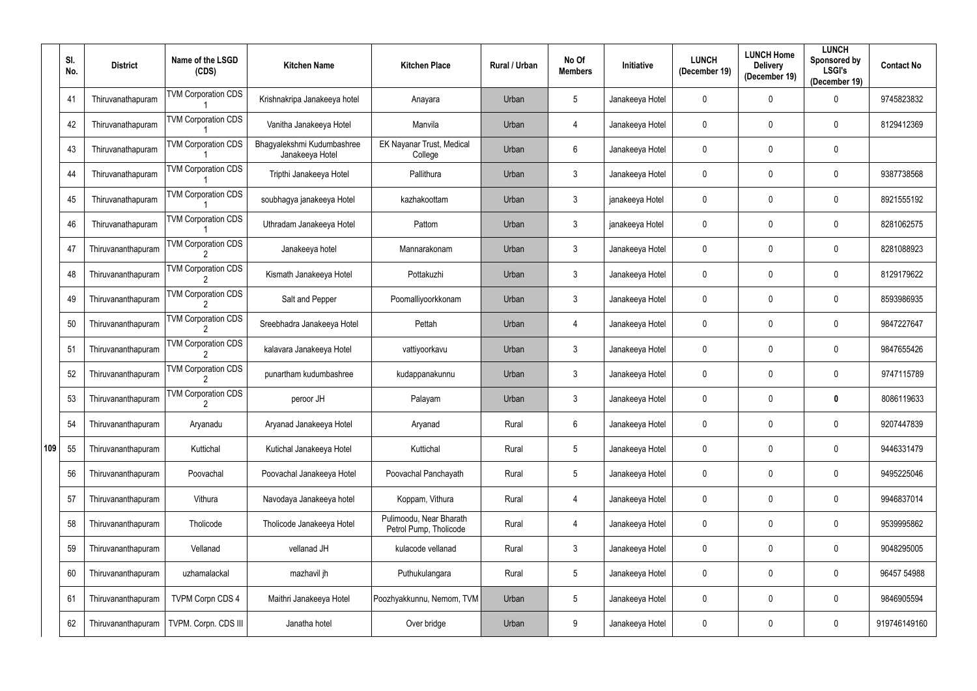|     | SI.<br>No. | <b>District</b>    | Name of the LSGD<br>(CDS)  | <b>Kitchen Name</b>                           | <b>Kitchen Place</b>                              | Rural / Urban | No Of<br><b>Members</b> | Initiative      | <b>LUNCH</b><br>(December 19) | <b>LUNCH Home</b><br><b>Delivery</b><br>(December 19) | <b>LUNCH</b><br>Sponsored by<br><b>LSGI's</b><br>(December 19) | <b>Contact No</b> |
|-----|------------|--------------------|----------------------------|-----------------------------------------------|---------------------------------------------------|---------------|-------------------------|-----------------|-------------------------------|-------------------------------------------------------|----------------------------------------------------------------|-------------------|
|     | 41         | Thiruvanathapuram  | <b>TVM Corporation CDS</b> | Krishnakripa Janakeeya hotel                  | Anayara                                           | Urban         | $\sqrt{5}$              | Janakeeya Hotel | 0                             | 0                                                     | $\mathbf 0$                                                    | 9745823832        |
|     | 42         | Thiruvanathapuram  | <b>TVM Corporation CDS</b> | Vanitha Janakeeya Hotel                       | Manvila                                           | Urban         | 4                       | Janakeeya Hotel | 0                             | 0                                                     | $\mathbf 0$                                                    | 8129412369        |
|     | 43         | Thiruvanathapuram  | <b>TVM Corporation CDS</b> | Bhagyalekshmi Kudumbashree<br>Janakeeya Hotel | EK Nayanar Trust, Medical<br>College              | Urban         | $6\,$                   | Janakeeya Hotel | 0                             | 0                                                     | $\mathbf 0$                                                    |                   |
|     | 44         | Thiruvanathapuram  | <b>TVM Corporation CDS</b> | Tripthi Janakeeya Hotel                       | Pallithura                                        | Urban         | $\mathfrak{Z}$          | Janakeeya Hotel | $\mathbf 0$                   | 0                                                     | $\mathbf 0$                                                    | 9387738568        |
|     | 45         | Thiruvanathapuram  | <b>TVM Corporation CDS</b> | soubhagya janakeeya Hotel                     | kazhakoottam                                      | Urban         | $\mathfrak{Z}$          | janakeeya Hotel | 0                             | 0                                                     | $\mathbf 0$                                                    | 8921555192        |
|     | 46         | Thiruvanathapuram  | <b>TVM Corporation CDS</b> | Uthradam Janakeeya Hotel                      | Pattom                                            | Urban         | $\mathbf{3}$            | janakeeya Hotel | 0                             | 0                                                     | $\mathbf 0$                                                    | 8281062575        |
|     | 47         | Thiruvananthapuram | <b>TVM Corporation CDS</b> | Janakeeya hotel                               | Mannarakonam                                      | Urban         | $\mathbf{3}$            | Janakeeya Hotel | 0                             | 0                                                     | $\mathbf 0$                                                    | 8281088923        |
|     | 48         | Thiruvananthapuram | <b>TVM Corporation CDS</b> | Kismath Janakeeya Hotel                       | Pottakuzhi                                        | Urban         | $\mathbf{3}$            | Janakeeya Hotel | 0                             | 0                                                     | $\mathbf 0$                                                    | 8129179622        |
|     | 49         | Thiruvananthapuram | <b>TVM Corporation CDS</b> | Salt and Pepper                               | Poomalliyoorkkonam                                | Urban         | $\mathfrak{Z}$          | Janakeeya Hotel | 0                             | 0                                                     | $\mathbf 0$                                                    | 8593986935        |
|     | 50         | Thiruvananthapuram | <b>TVM Corporation CDS</b> | Sreebhadra Janakeeya Hotel                    | Pettah                                            | Urban         | 4                       | Janakeeya Hotel | 0                             | 0                                                     | $\mathbf 0$                                                    | 9847227647        |
|     | 51         | Thiruvananthapuram | <b>TVM Corporation CDS</b> | kalavara Janakeeya Hotel                      | vattiyoorkavu                                     | Urban         | $\mathfrak{Z}$          | Janakeeya Hotel | 0                             | 0                                                     | $\mathbf 0$                                                    | 9847655426        |
|     | 52         | Thiruvananthapuram | <b>TVM Corporation CDS</b> | punartham kudumbashree                        | kudappanakunnu                                    | Urban         | $\mathfrak{Z}$          | Janakeeya Hotel | 0                             | 0                                                     | $\mathbf 0$                                                    | 9747115789        |
|     | 53         | Thiruvananthapuram | <b>TVM Corporation CDS</b> | peroor JH                                     | Palayam                                           | Urban         | $\mathbf{3}$            | Janakeeya Hotel | 0                             | 0                                                     | 0                                                              | 8086119633        |
|     | 54         | Thiruvananthapuram | Aryanadu                   | Aryanad Janakeeya Hotel                       | Aryanad                                           | Rural         | $6\,$                   | Janakeeya Hotel | 0                             | 0                                                     | $\mathbf 0$                                                    | 9207447839        |
| 109 | 55         | Thiruvananthapuram | Kuttichal                  | Kutichal Janakeeya Hotel                      | Kuttichal                                         | Rural         | $5\phantom{.0}$         | Janakeeya Hotel | 0                             | 0                                                     | $\mathbf 0$                                                    | 9446331479        |
|     | 56         | Thiruvananthapuram | Poovachal                  | Poovachal Janakeeya Hotel                     | Poovachal Panchayath                              | Rural         | $\sqrt{5}$              | Janakeeya Hotel | 0                             | 0                                                     | $\mathbf 0$                                                    | 9495225046        |
|     | 57         | Thiruvananthapuram | Vithura                    | Navodaya Janakeeya hotel                      | Koppam, Vithura                                   | Rural         | $\overline{4}$          | Janakeeya Hotel | $\mathbf 0$                   | 0                                                     | $\mathbf 0$                                                    | 9946837014        |
|     | 58         | Thiruvananthapuram | Tholicode                  | Tholicode Janakeeya Hotel                     | Pulimoodu, Near Bharath<br>Petrol Pump, Tholicode | Rural         | $\overline{4}$          | Janakeeya Hotel | 0                             | 0                                                     | $\mathbf 0$                                                    | 9539995862        |
|     | 59         | Thiruvananthapuram | Vellanad                   | vellanad JH                                   | kulacode vellanad                                 | Rural         | $\mathbf{3}$            | Janakeeya Hotel | $\pmb{0}$                     | 0                                                     | $\mathbf 0$                                                    | 9048295005        |
|     | 60         | Thiruvananthapuram | uzhamalackal               | mazhavil jh                                   | Puthukulangara                                    | Rural         | $\sqrt{5}$              | Janakeeya Hotel | 0                             | 0                                                     | $\mathbf 0$                                                    | 96457 54988       |
|     | 61         | Thiruvananthapuram | <b>TVPM Corpn CDS 4</b>    | Maithri Janakeeya Hotel                       | Poozhyakkunnu, Nemom, TVM                         | Urban         | $\sqrt{5}$              | Janakeeya Hotel | 0                             | 0                                                     | $\mathbf 0$                                                    | 9846905594        |
|     | 62         | Thiruvananthapuram | TVPM. Corpn. CDS III       | Janatha hotel                                 | Over bridge                                       | Urban         | 9                       | Janakeeya Hotel | 0                             | 0                                                     | $\mathbf 0$                                                    | 919746149160      |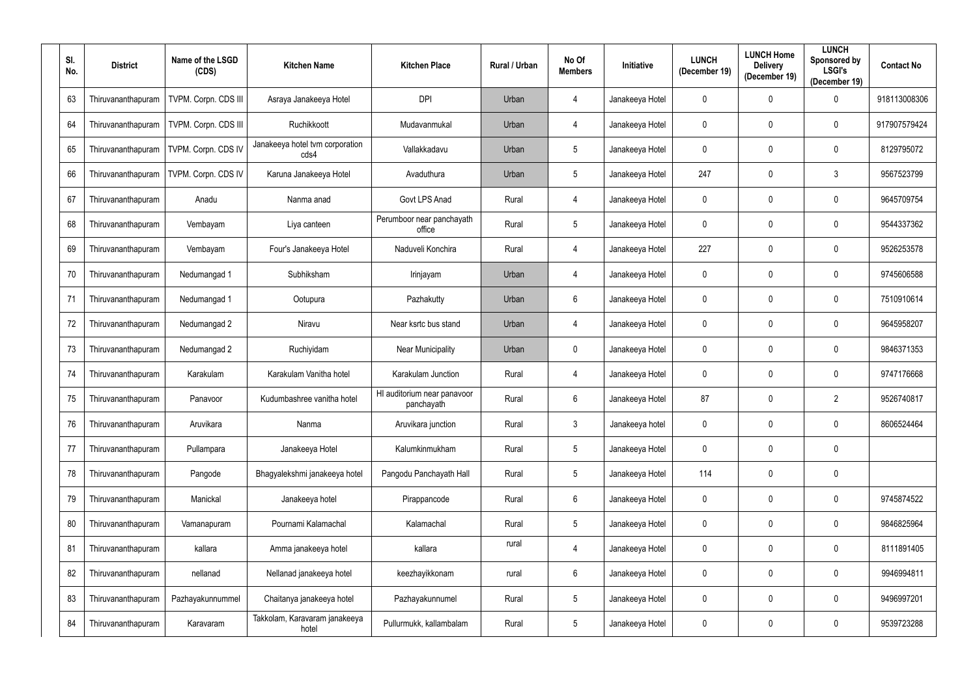| SI.<br>No. | <b>District</b>    | Name of the LSGD<br>(CDS) | <b>Kitchen Name</b>                     | <b>Kitchen Place</b>                      | Rural / Urban | No Of<br><b>Members</b> | Initiative      | <b>LUNCH</b><br>(December 19) | <b>LUNCH Home</b><br><b>Delivery</b><br>(December 19) | <b>LUNCH</b><br>Sponsored by<br><b>LSGI's</b><br>(December 19) | <b>Contact No</b> |
|------------|--------------------|---------------------------|-----------------------------------------|-------------------------------------------|---------------|-------------------------|-----------------|-------------------------------|-------------------------------------------------------|----------------------------------------------------------------|-------------------|
| 63         | Thiruvananthapuram | TVPM. Corpn. CDS III      | Asraya Janakeeya Hotel                  | <b>DPI</b>                                | Urban         | 4                       | Janakeeya Hotel | $\mathbf 0$                   | $\mathbf 0$                                           | $\overline{0}$                                                 | 918113008306      |
| 64         | Thiruvananthapuram | TVPM. Corpn. CDS III      | Ruchikkoott                             | Mudavanmukal                              | Urban         | 4                       | Janakeeya Hotel | $\pmb{0}$                     | $\mathbf 0$                                           | $\boldsymbol{0}$                                               | 917907579424      |
| 65         | Thiruvananthapuram | TVPM. Corpn. CDS IV       | Janakeeya hotel tvm corporation<br>cds4 | Vallakkadavu                              | Urban         | 5                       | Janakeeya Hotel | $\mathbf 0$                   | $\mathbf 0$                                           | $\pmb{0}$                                                      | 8129795072        |
| 66         | Thiruvananthapuram | TVPM. Corpn. CDS IV       | Karuna Janakeeya Hotel                  | Avaduthura                                | Urban         | 5                       | Janakeeya Hotel | 247                           | 0                                                     | $\mathfrak{Z}$                                                 | 9567523799        |
| 67         | Thiruvananthapuram | Anadu                     | Nanma anad                              | Govt LPS Anad                             | Rural         | $\overline{4}$          | Janakeeya Hotel | $\pmb{0}$                     | $\mathbf 0$                                           | $\boldsymbol{0}$                                               | 9645709754        |
| 68         | Thiruvananthapuram | Vembayam                  | Liya canteen                            | Perumboor near panchayath<br>office       | Rural         | $5\phantom{.0}$         | Janakeeya Hotel | $\mathbf 0$                   | $\mathbf 0$                                           | $\boldsymbol{0}$                                               | 9544337362        |
| 69         | Thiruvananthapuram | Vembayam                  | Four's Janakeeya Hotel                  | Naduveli Konchira                         | Rural         | 4                       | Janakeeya Hotel | 227                           | $\mathbf 0$                                           | $\overline{0}$                                                 | 9526253578        |
| 70         | Thiruvananthapuram | Nedumangad 1              | Subhiksham                              | Irinjayam                                 | Urban         | 4                       | Janakeeya Hotel | $\overline{0}$                | $\mathbf 0$                                           | $\mathbf 0$                                                    | 9745606588        |
| 71         | Thiruvananthapuram | Nedumangad 1              | Ootupura                                | Pazhakutty                                | Urban         | $6\phantom{.}$          | Janakeeya Hotel | $\overline{0}$                | $\mathbf 0$                                           | $\boldsymbol{0}$                                               | 7510910614        |
| 72         | Thiruvananthapuram | Nedumangad 2              | Niravu                                  | Near ksrtc bus stand                      | Urban         | 4                       | Janakeeya Hotel | $\pmb{0}$                     | $\mathbf 0$                                           | $\boldsymbol{0}$                                               | 9645958207        |
| 73         | Thiruvananthapuram | Nedumangad 2              | Ruchiyidam                              | <b>Near Municipality</b>                  | Urban         | $\mathbf 0$             | Janakeeya Hotel | $\mathbf 0$                   | 0                                                     | 0                                                              | 9846371353        |
| 74         | Thiruvananthapuram | Karakulam                 | Karakulam Vanitha hotel                 | Karakulam Junction                        | Rural         | 4                       | Janakeeya Hotel | $\pmb{0}$                     | 0                                                     | 0                                                              | 9747176668        |
| 75         | Thiruvananthapuram | Panavoor                  | Kudumbashree vanitha hotel              | HI auditorium near panavoor<br>panchayath | Rural         | 6                       | Janakeeya Hotel | 87                            | 0                                                     | $\overline{2}$                                                 | 9526740817        |
| 76         | Thiruvananthapuram | Aruvikara                 | Nanma                                   | Aruvikara junction                        | Rural         | $\mathbf{3}$            | Janakeeya hotel | $\mathbf 0$                   | $\mathbf 0$                                           | $\mathbf 0$                                                    | 8606524464        |
| 77         | Thiruvananthapuram | Pullampara                | Janakeeya Hotel                         | Kalumkinmukham                            | Rural         | $5\phantom{.0}$         | Janakeeya Hotel | $\mathbf 0$                   | $\mathbf 0$                                           | $\overline{0}$                                                 |                   |
| 78         | Thiruvananthapuram | Pangode                   | Bhagyalekshmi janakeeya hotel           | Pangodu Panchayath Hall                   | Rural         | $5\phantom{.0}$         | Janakeeya Hotel | 114                           | $\mathbf 0$                                           | $\mathbf 0$                                                    |                   |
| 79         | Thiruvananthapuram | Manickal                  | Janakeeya hotel                         | Pirappancode                              | Rural         | $6\,$                   | Janakeeya Hotel | $\mathbf 0$                   | $\mathbf 0$                                           | $\pmb{0}$                                                      | 9745874522        |
| 80         | Thiruvananthapuram | Vamanapuram               | Pournami Kalamachal                     | Kalamachal                                | Rural         | $5\phantom{.0}$         | Janakeeya Hotel | $\mathbf 0$                   | $\mathbf 0$                                           | $\pmb{0}$                                                      | 9846825964        |
| 81         | Thiruvananthapuram | kallara                   | Amma janakeeya hotel                    | kallara                                   | rural         | 4                       | Janakeeya Hotel | $\pmb{0}$                     | $\mathbf 0$                                           | $\pmb{0}$                                                      | 8111891405        |
| 82         | Thiruvananthapuram | nellanad                  | Nellanad janakeeya hotel                | keezhayikkonam                            | rural         | $6\phantom{.}$          | Janakeeya Hotel | $\overline{0}$                | $\mathbf 0$                                           | $\overline{0}$                                                 | 9946994811        |
| 83         | Thiruvananthapuram | Pazhayakunnummel          | Chaitanya janakeeya hotel               | Pazhayakunnumel                           | Rural         | $5\phantom{.0}$         | Janakeeya Hotel | $\mathbf 0$                   | $\mathbf 0$                                           | $\mathbf 0$                                                    | 9496997201        |
| 84         | Thiruvananthapuram | Karavaram                 | Takkolam, Karavaram janakeeya<br>hotel  | Pullurmukk, kallambalam                   | Rural         | $5\phantom{.0}$         | Janakeeya Hotel | $\boldsymbol{0}$              | 0                                                     | $\pmb{0}$                                                      | 9539723288        |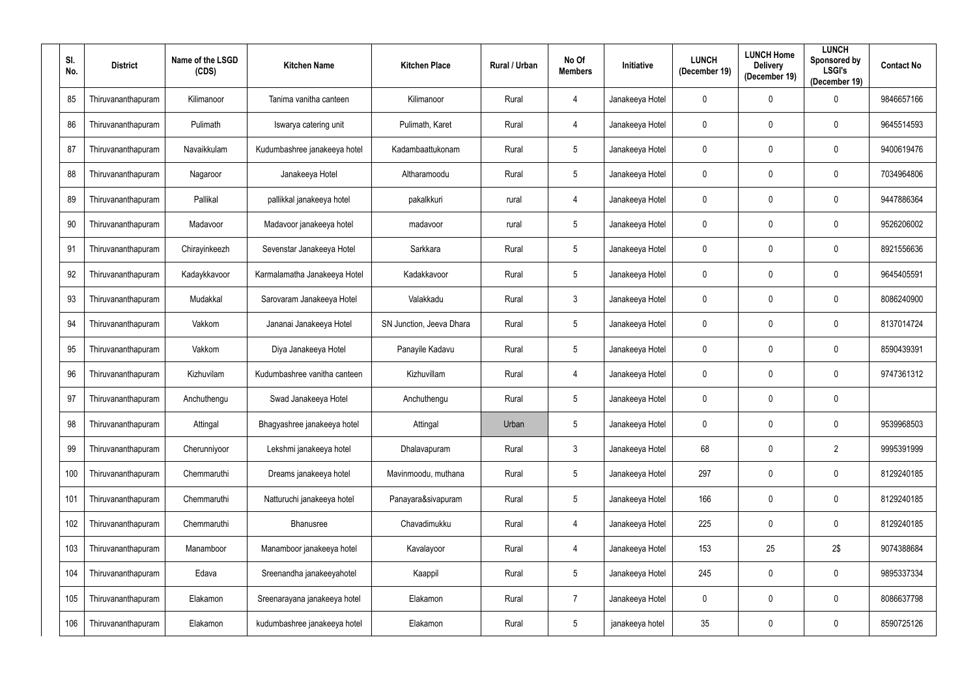| SI.<br>No. | <b>District</b>    | Name of the LSGD<br>(CDS) | <b>Kitchen Name</b>          | <b>Kitchen Place</b>     | Rural / Urban | No Of<br><b>Members</b> | <b>Initiative</b> | <b>LUNCH</b><br>(December 19) | <b>LUNCH Home</b><br><b>Delivery</b><br>(December 19) | <b>LUNCH</b><br>Sponsored by<br><b>LSGI's</b><br>(December 19) | <b>Contact No</b> |
|------------|--------------------|---------------------------|------------------------------|--------------------------|---------------|-------------------------|-------------------|-------------------------------|-------------------------------------------------------|----------------------------------------------------------------|-------------------|
| 85         | Thiruvananthapuram | Kilimanoor                | Tanima vanitha canteen       | Kilimanoor               | Rural         | 4                       | Janakeeya Hotel   | $\mathbf 0$                   | $\mathbf 0$                                           | $\mathbf 0$                                                    | 9846657166        |
| 86         | Thiruvananthapuram | Pulimath                  | Iswarya catering unit        | Pulimath, Karet          | Rural         | 4                       | Janakeeya Hotel   | $\mathbf 0$                   | $\mathbf 0$                                           | $\mathbf 0$                                                    | 9645514593        |
| 87         | Thiruvananthapuram | Navaikkulam               | Kudumbashree janakeeya hotel | Kadambaattukonam         | Rural         | $5\phantom{.0}$         | Janakeeya Hotel   | $\pmb{0}$                     | $\mathbf 0$                                           | $\bf{0}$                                                       | 9400619476        |
| 88         | Thiruvananthapuram | Nagaroor                  | Janakeeya Hotel              | Altharamoodu             | Rural         | $5\overline{)}$         | Janakeeya Hotel   | $\pmb{0}$                     | $\mathbf 0$                                           | $\mathbf 0$                                                    | 7034964806        |
| 89         | Thiruvananthapuram | Pallikal                  | pallikkal janakeeya hotel    | pakalkkuri               | rural         | 4                       | Janakeeya Hotel   | $\mathbf 0$                   | $\mathbf 0$                                           | $\bf{0}$                                                       | 9447886364        |
| 90         | Thiruvananthapuram | Madavoor                  | Madavoor janakeeya hotel     | madavoor                 | rural         | $5\overline{)}$         | Janakeeya Hotel   | $\mathbf 0$                   | $\mathbf 0$                                           | $\mathbf 0$                                                    | 9526206002        |
| 91         | Thiruvananthapuram | Chirayinkeezh             | Sevenstar Janakeeya Hotel    | Sarkkara                 | Rural         | $5\overline{)}$         | Janakeeya Hotel   | $\mathbf 0$                   | $\mathbf 0$                                           | $\mathbf 0$                                                    | 8921556636        |
| 92         | Thiruvananthapuram | Kadaykkavoor              | Karmalamatha Janakeeya Hotel | Kadakkavoor              | Rural         | $5\overline{)}$         | Janakeeya Hotel   | $\mathbf 0$                   | 0                                                     | $\mathbf 0$                                                    | 9645405591        |
| 93         | Thiruvananthapuram | Mudakkal                  | Sarovaram Janakeeya Hotel    | Valakkadu                | Rural         | $\mathbf{3}$            | Janakeeya Hotel   | $\mathbf 0$                   | $\mathbf 0$                                           | $\mathbf 0$                                                    | 8086240900        |
| 94         | Thiruvananthapuram | Vakkom                    | Jananai Janakeeya Hotel      | SN Junction, Jeeva Dhara | Rural         | $5\phantom{.0}$         | Janakeeya Hotel   | $\mathbf 0$                   | $\boldsymbol{0}$                                      | $\mathbf 0$                                                    | 8137014724        |
| 95         | Thiruvananthapuram | Vakkom                    | Diya Janakeeya Hotel         | Panayile Kadavu          | Rural         | $5\overline{)}$         | Janakeeya Hotel   | $\mathbf 0$                   | $\mathbf 0$                                           | $\mathbf 0$                                                    | 8590439391        |
| 96         | Thiruvananthapuram | Kizhuvilam                | Kudumbashree vanitha canteen | Kizhuvillam              | Rural         | 4                       | Janakeeya Hotel   | $\mathbf 0$                   | 0                                                     | $\mathbf 0$                                                    | 9747361312        |
| 97         | Thiruvananthapuram | Anchuthengu               | Swad Janakeeya Hotel         | Anchuthengu              | Rural         | $5\overline{)}$         | Janakeeya Hotel   | $\mathbf 0$                   | $\mathbf 0$                                           | $\mathbf 0$                                                    |                   |
| 98         | Thiruvananthapuram | Attingal                  | Bhagyashree janakeeya hotel  | Attingal                 | Urban         | $5\overline{)}$         | Janakeeya Hotel   | $\mathbf 0$                   | 0                                                     | $\mathbf 0$                                                    | 9539968503        |
| 99         | Thiruvananthapuram | Cherunniyoor              | Lekshmi janakeeya hotel      | Dhalavapuram             | Rural         | $\mathbf{3}$            | Janakeeya Hotel   | 68                            | $\mathbf 0$                                           | $\overline{2}$                                                 | 9995391999        |
| 100        | Thiruvananthapuram | Chemmaruthi               | Dreams janakeeya hotel       | Mavinmoodu, muthana      | Rural         | $5\phantom{.0}$         | Janakeeya Hotel   | 297                           | $\mathbf 0$                                           | $\bm{0}$                                                       | 8129240185        |
| 101        | Thiruvananthapuram | Chemmaruthi               | Natturuchi janakeeya hotel   | Panayara&sivapuram       | Rural         | $5\phantom{.0}$         | Janakeeya Hotel   | 166                           | $\mathbf 0$                                           | $\overline{0}$                                                 | 8129240185        |
| 102        | Thiruvananthapuram | Chemmaruthi               | Bhanusree                    | Chavadimukku             | Rural         | 4                       | Janakeeya Hotel   | 225                           | $\mathbf 0$                                           | $\mathbf 0$                                                    | 8129240185        |
| 103        | Thiruvananthapuram | Manamboor                 | Manamboor janakeeya hotel    | Kavalayoor               | Rural         | 4                       | Janakeeya Hotel   | 153                           | 25                                                    | 2\$                                                            | 9074388684        |
| 104        | Thiruvananthapuram | Edava                     | Sreenandha janakeeyahotel    | Kaappil                  | Rural         | $5\phantom{.0}$         | Janakeeya Hotel   | 245                           | 0                                                     | $\overline{0}$                                                 | 9895337334        |
| 105        | Thiruvananthapuram | Elakamon                  | Sreenarayana janakeeya hotel | Elakamon                 | Rural         | $\overline{7}$          | Janakeeya Hotel   | $\mathbf 0$                   | $\mathbf 0$                                           | $\overline{0}$                                                 | 8086637798        |
| 106        | Thiruvananthapuram | Elakamon                  | kudumbashree janakeeya hotel | Elakamon                 | Rural         | $5\phantom{.0}$         | janakeeya hotel   | $35\,$                        | 0                                                     | $\mathbf 0$                                                    | 8590725126        |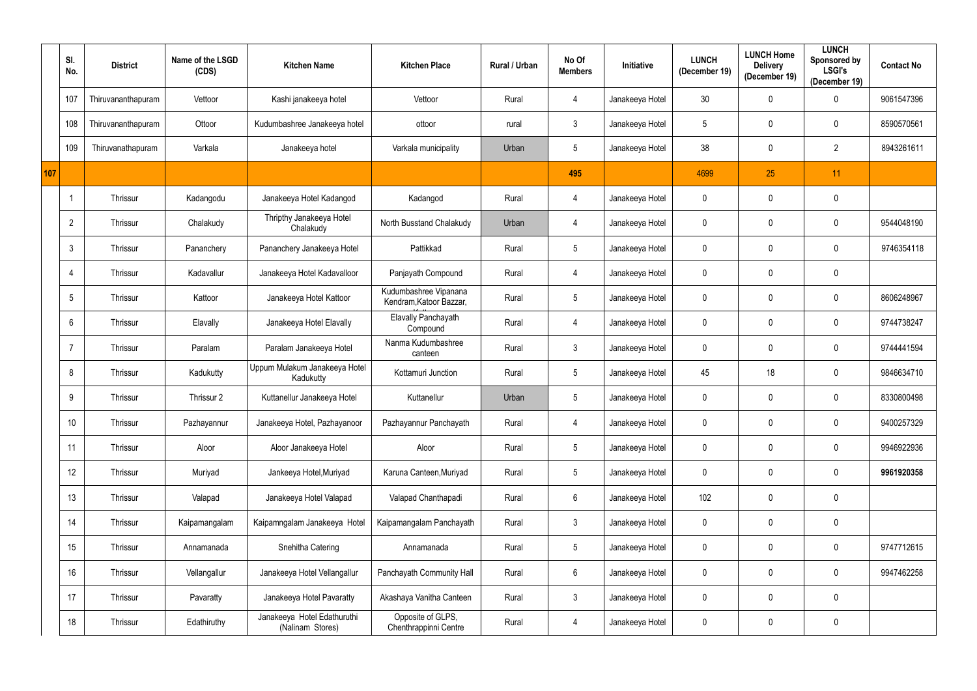|     | SI.<br>No.      | <b>District</b>    | Name of the LSGD<br>(CDS) | <b>Kitchen Name</b>                             | <b>Kitchen Place</b>                             | Rural / Urban | No Of<br><b>Members</b> | Initiative      | <b>LUNCH</b><br>(December 19) | <b>LUNCH Home</b><br><b>Delivery</b><br>(December 19) | <b>LUNCH</b><br>Sponsored by<br><b>LSGI's</b><br>(December 19) | <b>Contact No</b> |
|-----|-----------------|--------------------|---------------------------|-------------------------------------------------|--------------------------------------------------|---------------|-------------------------|-----------------|-------------------------------|-------------------------------------------------------|----------------------------------------------------------------|-------------------|
|     | 107             | Thiruvananthapuram | Vettoor                   | Kashi janakeeya hotel                           | Vettoor                                          | Rural         | $\overline{4}$          | Janakeeya Hotel | 30                            | 0                                                     | $\mathbf 0$                                                    | 9061547396        |
|     | 108             | Thiruvananthapuram | Ottoor                    | Kudumbashree Janakeeya hotel                    | ottoor                                           | rural         | $\mathbf{3}$            | Janakeeya Hotel | 5                             | 0                                                     | $\mathbf 0$                                                    | 8590570561        |
|     | 109             | Thiruvanathapuram  | Varkala                   | Janakeeya hotel                                 | Varkala municipality                             | Urban         | $5\phantom{.0}$         | Janakeeya Hotel | 38                            | 0                                                     | $\overline{2}$                                                 | 8943261611        |
| 107 |                 |                    |                           |                                                 |                                                  |               | 495                     |                 | 4699                          | 25                                                    | 11                                                             |                   |
|     |                 | Thrissur           | Kadangodu                 | Janakeeya Hotel Kadangod                        | Kadangod                                         | Rural         | 4                       | Janakeeya Hotel | $\mathbf 0$                   | 0                                                     | $\mathbf 0$                                                    |                   |
|     | $\overline{2}$  | Thrissur           | Chalakudy                 | Thripthy Janakeeya Hotel<br>Chalakudy           | North Busstand Chalakudy                         | Urban         | 4                       | Janakeeya Hotel | 0                             | 0                                                     | $\mathbf 0$                                                    | 9544048190        |
|     | 3               | Thrissur           | Pananchery                | Pananchery Janakeeya Hotel                      | Pattikkad                                        | Rural         | $\sqrt{5}$              | Janakeeya Hotel | 0                             | 0                                                     | $\mathbf 0$                                                    | 9746354118        |
|     | $\overline{4}$  | Thrissur           | Kadavallur                | Janakeeya Hotel Kadavalloor                     | Panjayath Compound                               | Rural         | $\overline{4}$          | Janakeeya Hotel | 0                             | 0                                                     | $\mathbf 0$                                                    |                   |
|     | $5\phantom{.0}$ | Thrissur           | Kattoor                   | Janakeeya Hotel Kattoor                         | Kudumbashree Vipanana<br>Kendram, Katoor Bazzar, | Rural         | $5\phantom{.0}$         | Janakeeya Hotel | $\mathbf 0$                   | 0                                                     | $\mathbf 0$                                                    | 8606248967        |
|     | 6               | Thrissur           | Elavally                  | Janakeeya Hotel Elavally                        | Elavally Panchayath<br>Compound                  | Rural         | $\overline{4}$          | Janakeeya Hotel | 0                             | 0                                                     | $\mathbf 0$                                                    | 9744738247        |
|     | - 7             | Thrissur           | Paralam                   | Paralam Janakeeya Hotel                         | Nanma Kudumbashree<br>canteen                    | Rural         | $\mathbf{3}$            | Janakeeya Hotel | $\mathbf 0$                   | 0                                                     | $\mathbf 0$                                                    | 9744441594        |
|     | 8               | Thrissur           | Kadukutty                 | Uppum Mulakum Janakeeya Hotel<br>Kadukutty      | Kottamuri Junction                               | Rural         | $\sqrt{5}$              | Janakeeya Hotel | 45                            | 18                                                    | $\mathbf 0$                                                    | 9846634710        |
|     | 9               | Thrissur           | Thrissur 2                | Kuttanellur Janakeeya Hotel                     | Kuttanellur                                      | Urban         | $5\phantom{.0}$         | Janakeeya Hotel | $\mathbf 0$                   | 0                                                     | $\mathbf 0$                                                    | 8330800498        |
|     | 10              | Thrissur           | Pazhayannur               | Janakeeya Hotel, Pazhayanoor                    | Pazhayannur Panchayath                           | Rural         | $\overline{4}$          | Janakeeya Hotel | $\mathbf 0$                   | 0                                                     | $\mathbf 0$                                                    | 9400257329        |
|     | 11              | Thrissur           | Aloor                     | Aloor Janakeeya Hotel                           | Aloor                                            | Rural         | $\sqrt{5}$              | Janakeeya Hotel | $\mathbf 0$                   | 0                                                     | $\mathbf 0$                                                    | 9946922936        |
|     | 12              | Thrissur           | Muriyad                   | Jankeeya Hotel, Muriyad                         | Karuna Canteen, Muriyad                          | Rural         | $\sqrt{5}$              | Janakeeya Hotel | $\mathbf 0$                   | 0                                                     | $\mathbf 0$                                                    | 9961920358        |
|     | 13              | Thrissur           | Valapad                   | Janakeeya Hotel Valapad                         | Valapad Chanthapadi                              | Rural         | $6\,$                   | Janakeeya Hotel | 102                           | 0                                                     | $\mathbf 0$                                                    |                   |
|     | 14              | Thrissur           | Kaipamangalam             | Kaipamngalam Janakeeya Hotel                    | Kaipamangalam Panchayath                         | Rural         | $\mathbf{3}$            | Janakeeya Hotel | $\mathbf 0$                   | 0                                                     | $\mathbf 0$                                                    |                   |
|     | 15              | Thrissur           | Annamanada                | Snehitha Catering                               | Annamanada                                       | Rural         | $5\phantom{.0}$         | Janakeeya Hotel | $\mathbf 0$                   | 0                                                     | $\mathbf 0$                                                    | 9747712615        |
|     | 16              | Thrissur           | Vellangallur              | Janakeeya Hotel Vellangallur                    | Panchayath Community Hall                        | Rural         | $6\,$                   | Janakeeya Hotel | $\mathbf 0$                   | 0                                                     | $\mathbf 0$                                                    | 9947462258        |
|     | 17              | Thrissur           | Pavaratty                 | Janakeeya Hotel Pavaratty                       | Akashaya Vanitha Canteen                         | Rural         | $\mathbf{3}$            | Janakeeya Hotel | $\mathbf 0$                   | 0                                                     | $\mathbf 0$                                                    |                   |
|     | 18              | Thrissur           | Edathiruthy               | Janakeeya Hotel Edathuruthi<br>(Nalinam Stores) | Opposite of GLPS,<br>Chenthrappinni Centre       | Rural         | $\overline{4}$          | Janakeeya Hotel | 0                             | 0                                                     | $\boldsymbol{0}$                                               |                   |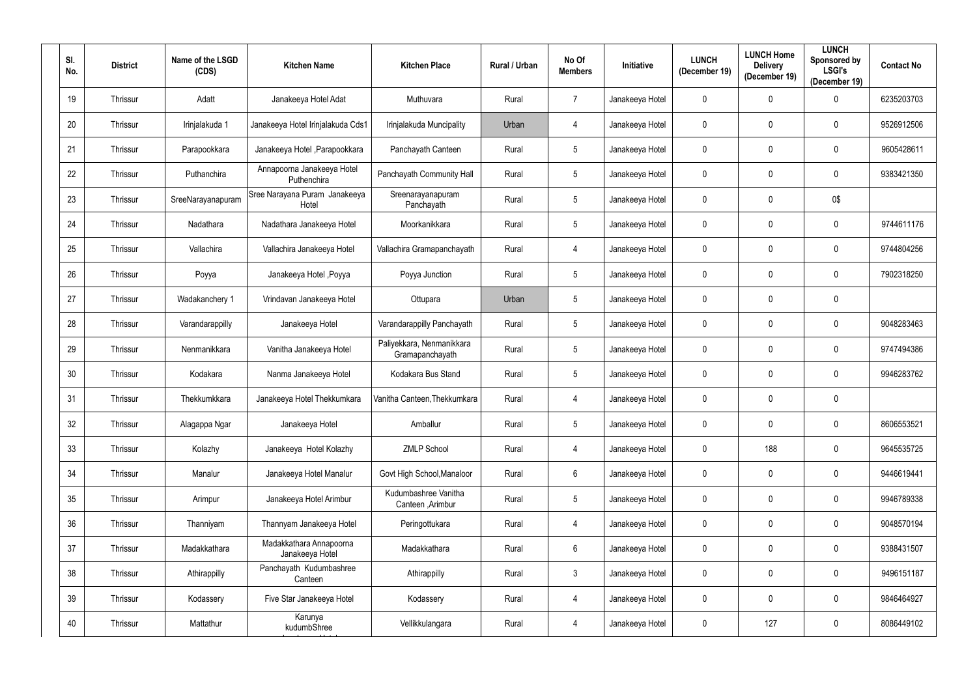| SI.<br>No. | <b>District</b> | Name of the LSGD<br>(CDS) | <b>Kitchen Name</b>                        | <b>Kitchen Place</b>                         | Rural / Urban | No Of<br><b>Members</b> | Initiative      | <b>LUNCH</b><br>(December 19) | <b>LUNCH Home</b><br><b>Delivery</b><br>(December 19) | <b>LUNCH</b><br>Sponsored by<br><b>LSGI's</b><br>(December 19) | <b>Contact No</b> |
|------------|-----------------|---------------------------|--------------------------------------------|----------------------------------------------|---------------|-------------------------|-----------------|-------------------------------|-------------------------------------------------------|----------------------------------------------------------------|-------------------|
| 19         | Thrissur        | Adatt                     | Janakeeya Hotel Adat                       | Muthuvara                                    | Rural         | $\overline{7}$          | Janakeeya Hotel | $\pmb{0}$                     | $\mathbf 0$                                           | $\mathbf 0$                                                    | 6235203703        |
| 20         | Thrissur        | Irinjalakuda 1            | Janakeeya Hotel Irinjalakuda Cds1          | Irinjalakuda Muncipality                     | Urban         | 4                       | Janakeeya Hotel | $\mathbf 0$                   | $\mathbf 0$                                           | $\boldsymbol{0}$                                               | 9526912506        |
| 21         | Thrissur        | Parapookkara              | Janakeeya Hotel , Parapookkara             | Panchayath Canteen                           | Rural         | $5\phantom{.0}$         | Janakeeya Hotel | $\mathbf 0$                   | 0                                                     | $\pmb{0}$                                                      | 9605428611        |
| 22         | Thrissur        | Puthanchira               | Annapoorna Janakeeya Hotel<br>Puthenchira  | Panchayath Community Hall                    | Rural         | $5\phantom{.0}$         | Janakeeya Hotel | $\mathbf 0$                   | $\mathbf 0$                                           | $\boldsymbol{0}$                                               | 9383421350        |
| 23         | Thrissur        | SreeNarayanapuram         | Sree Narayana Puram Janakeeya<br>Hotel     | Sreenarayanapuram<br>Panchayath              | Rural         | $5\phantom{.0}$         | Janakeeya Hotel | $\mathbf 0$                   | $\mathbf 0$                                           | 0\$                                                            |                   |
| 24         | Thrissur        | Nadathara                 | Nadathara Janakeeya Hotel                  | Moorkanikkara                                | Rural         | $5\overline{)}$         | Janakeeya Hotel | $\mathbf 0$                   | $\mathbf 0$                                           | $\boldsymbol{0}$                                               | 9744611176        |
| 25         | Thrissur        | Vallachira                | Vallachira Janakeeya Hotel                 | Vallachira Gramapanchayath                   | Rural         | 4                       | Janakeeya Hotel | $\mathbf 0$                   | $\mathbf 0$                                           | $\boldsymbol{0}$                                               | 9744804256        |
| 26         | Thrissur        | Poyya                     | Janakeeya Hotel , Poyya                    | Poyya Junction                               | Rural         | $5\phantom{.0}$         | Janakeeya Hotel | $\mathbf 0$                   | 0                                                     | $\mathbf 0$                                                    | 7902318250        |
| 27         | Thrissur        | Wadakanchery 1            | Vrindavan Janakeeya Hotel                  | Ottupara                                     | Urban         | $5\phantom{.0}$         | Janakeeya Hotel | $\mathbf 0$                   | $\mathbf 0$                                           | $\mathbf 0$                                                    |                   |
| 28         | Thrissur        | Varandarappilly           | Janakeeya Hotel                            | Varandarappilly Panchayath                   | Rural         | $5\phantom{.0}$         | Janakeeya Hotel | $\mathbf 0$                   | $\mathbf 0$                                           | $\boldsymbol{0}$                                               | 9048283463        |
| 29         | Thrissur        | Nenmanikkara              | Vanitha Janakeeya Hotel                    | Paliyekkara, Nenmanikkara<br>Gramapanchayath | Rural         | $5\phantom{.0}$         | Janakeeya Hotel | $\mathbf 0$                   | $\mathbf 0$                                           | $\boldsymbol{0}$                                               | 9747494386        |
| 30         | Thrissur        | Kodakara                  | Nanma Janakeeya Hotel                      | Kodakara Bus Stand                           | Rural         | $5\phantom{.0}$         | Janakeeya Hotel | $\mathbf 0$                   | 0                                                     | $\boldsymbol{0}$                                               | 9946283762        |
| 31         | Thrissur        | Thekkumkkara              | Janakeeya Hotel Thekkumkara                | Vanitha Canteen, Thekkumkara                 | Rural         | 4                       | Janakeeya Hotel | $\mathbf 0$                   | 0                                                     | $\boldsymbol{0}$                                               |                   |
| 32         | Thrissur        | Alagappa Ngar             | Janakeeya Hotel                            | Amballur                                     | Rural         | $5\overline{)}$         | Janakeeya Hotel | $\mathbf 0$                   | $\mathbf 0$                                           | $\mathbf 0$                                                    | 8606553521        |
| 33         | Thrissur        | Kolazhy                   | Janakeeya Hotel Kolazhy                    | <b>ZMLP School</b>                           | Rural         | $\overline{4}$          | Janakeeya Hotel | $\mathbf 0$                   | 188                                                   | $\mathbf 0$                                                    | 9645535725        |
| 34         | Thrissur        | Manalur                   | Janakeeya Hotel Manalur                    | Govt High School, Manaloor                   | Rural         | $6\,$                   | Janakeeya Hotel | $\pmb{0}$                     | $\mathbf 0$                                           | $\mathbf 0$                                                    | 9446619441        |
| 35         | Thrissur        | Arimpur                   | Janakeeya Hotel Arimbur                    | Kudumbashree Vanitha<br>Canteen, Arimbur     | Rural         | $\overline{5}$          | Janakeeya Hotel | $\mathbf 0$                   | $\mathbf 0$                                           | $\overline{0}$                                                 | 9946789338        |
| 36         | Thrissur        | Thanniyam                 | Thannyam Janakeeya Hotel                   | Peringottukara                               | Rural         | 4                       | Janakeeya Hotel | $\mathbf 0$                   | $\mathbf 0$                                           | $\overline{0}$                                                 | 9048570194        |
| 37         | Thrissur        | Madakkathara              | Madakkathara Annapoorna<br>Janakeeya Hotel | Madakkathara                                 | Rural         | $6\,$                   | Janakeeya Hotel | $\mathbf 0$                   | $\mathbf 0$                                           | $\pmb{0}$                                                      | 9388431507        |
| 38         | Thrissur        | Athirappilly              | Panchayath Kudumbashree<br>Canteen         | Athirappilly                                 | Rural         | $\mathbf{3}$            | Janakeeya Hotel | $\mathbf 0$                   | $\mathbf 0$                                           | $\mathbf 0$                                                    | 9496151187        |
| 39         | Thrissur        | Kodassery                 | Five Star Janakeeya Hotel                  | Kodassery                                    | Rural         | $\overline{4}$          | Janakeeya Hotel | $\mathbf 0$                   | $\mathbf 0$                                           | $\mathbf 0$                                                    | 9846464927        |
| 40         | Thrissur        | Mattathur                 | Karunya<br>kudumbShree                     | Vellikkulangara                              | Rural         | $\overline{4}$          | Janakeeya Hotel | $\mathbf 0$                   | 127                                                   | $\mathbf 0$                                                    | 8086449102        |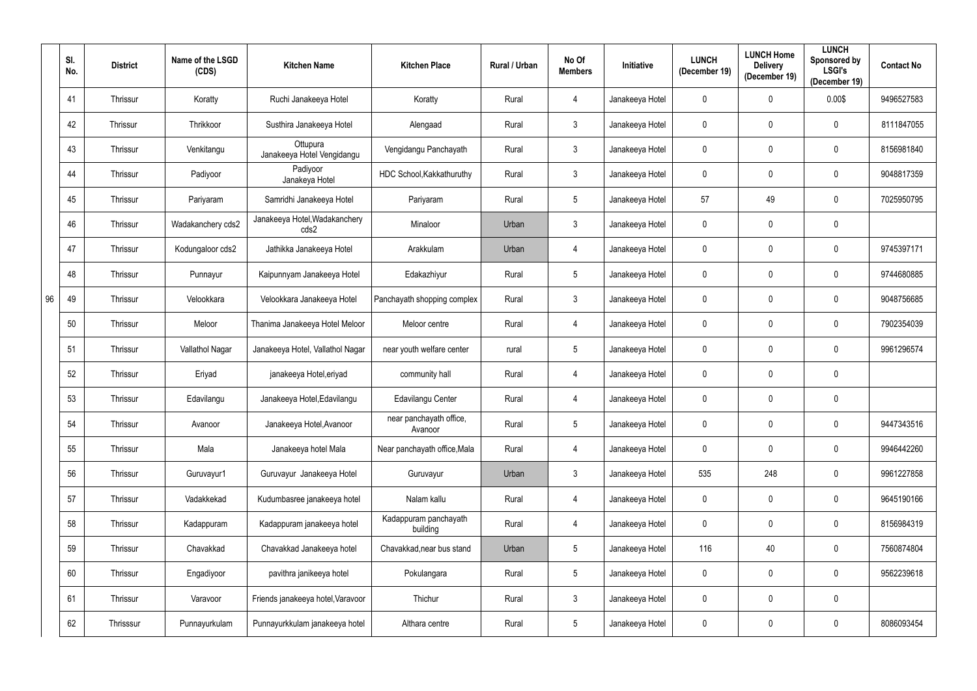|    | SI.<br>No. | <b>District</b> | Name of the LSGD<br>(CDS) | <b>Kitchen Name</b>                    | <b>Kitchen Place</b>               | Rural / Urban | No Of<br><b>Members</b> | <b>Initiative</b> | <b>LUNCH</b><br>(December 19) | <b>LUNCH Home</b><br><b>Delivery</b><br>(December 19) | <b>LUNCH</b><br>Sponsored by<br><b>LSGI's</b><br>(December 19) | <b>Contact No</b> |
|----|------------|-----------------|---------------------------|----------------------------------------|------------------------------------|---------------|-------------------------|-------------------|-------------------------------|-------------------------------------------------------|----------------------------------------------------------------|-------------------|
|    | 41         | Thrissur        | Koratty                   | Ruchi Janakeeya Hotel                  | Koratty                            | Rural         | 4                       | Janakeeya Hotel   | $\mathbf 0$                   | 0                                                     | 0.00\$                                                         | 9496527583        |
|    | 42         | Thrissur        | Thrikkoor                 | Susthira Janakeeya Hotel               | Alengaad                           | Rural         | $\mathbf{3}$            | Janakeeya Hotel   | $\mathbf 0$                   | 0                                                     | $\mathbf 0$                                                    | 8111847055        |
|    | 43         | Thrissur        | Venkitangu                | Ottupura<br>Janakeeya Hotel Vengidangu | Vengidangu Panchayath              | Rural         | $\mathfrak{Z}$          | Janakeeya Hotel   | $\mathbf 0$                   | 0                                                     | $\mathbf 0$                                                    | 8156981840        |
|    | 44         | Thrissur        | Padiyoor                  | Padiyoor<br>Janakeya Hotel             | HDC School, Kakkathuruthy          | Rural         | $\mathfrak{Z}$          | Janakeeya Hotel   | $\mathbf 0$                   | 0                                                     | $\mathbf 0$                                                    | 9048817359        |
|    | 45         | Thrissur        | Pariyaram                 | Samridhi Janakeeya Hotel               | Pariyaram                          | Rural         | $\overline{5}$          | Janakeeya Hotel   | 57                            | 49                                                    | $\mathbf 0$                                                    | 7025950795        |
|    | 46         | Thrissur        | Wadakanchery cds2         | Janakeeya Hotel, Wadakanchery<br>cds2  | Minaloor                           | Urban         | $\mathfrak{Z}$          | Janakeeya Hotel   | $\mathbf 0$                   | 0                                                     | $\mathbf 0$                                                    |                   |
|    | 47         | Thrissur        | Kodungaloor cds2          | Jathikka Janakeeya Hotel               | Arakkulam                          | Urban         | $\overline{4}$          | Janakeeya Hotel   | $\mathbf 0$                   | 0                                                     | $\mathbf 0$                                                    | 9745397171        |
|    | 48         | Thrissur        | Punnayur                  | Kaipunnyam Janakeeya Hotel             | Edakazhiyur                        | Rural         | $5\phantom{.0}$         | Janakeeya Hotel   | $\mathbf 0$                   | 0                                                     | $\mathbf 0$                                                    | 9744680885        |
| 96 | 49         | Thrissur        | Velookkara                | Velookkara Janakeeya Hotel             | Panchayath shopping complex        | Rural         | $\mathfrak{Z}$          | Janakeeya Hotel   | $\mathbf 0$                   | 0                                                     | $\mathbf 0$                                                    | 9048756685        |
|    | 50         | Thrissur        | Meloor                    | Thanima Janakeeya Hotel Meloor         | Meloor centre                      | Rural         | 4                       | Janakeeya Hotel   | $\mathbf 0$                   | 0                                                     | $\mathbf 0$                                                    | 7902354039        |
|    | 51         | Thrissur        | Vallathol Nagar           | Janakeeya Hotel, Vallathol Nagar       | near youth welfare center          | rural         | $\overline{5}$          | Janakeeya Hotel   | $\mathbf 0$                   | 0                                                     | $\mathbf 0$                                                    | 9961296574        |
|    | 52         | Thrissur        | Eriyad                    | janakeeya Hotel, eriyad                | community hall                     | Rural         | 4                       | Janakeeya Hotel   | $\mathbf 0$                   | 0                                                     | $\mathbf 0$                                                    |                   |
|    | 53         | Thrissur        | Edavilangu                | Janakeeya Hotel, Edavilangu            | Edavilangu Center                  | Rural         | $\overline{4}$          | Janakeeya Hotel   | $\mathbf 0$                   | 0                                                     | $\mathbf 0$                                                    |                   |
|    | 54         | Thrissur        | Avanoor                   | Janakeeya Hotel, Avanoor               | near panchayath office,<br>Avanoor | Rural         | $5\phantom{.0}$         | Janakeeya Hotel   | $\mathbf 0$                   | 0                                                     | $\mathbf 0$                                                    | 9447343516        |
|    | 55         | Thrissur        | Mala                      | Janakeeya hotel Mala                   | Near panchayath office, Mala       | Rural         | 4                       | Janakeeya Hotel   | $\mathbf 0$                   | 0                                                     | $\mathbf 0$                                                    | 9946442260        |
|    | 56         | Thrissur        | Guruvayur1                | Guruvayur Janakeeya Hotel              | Guruvayur                          | Urban         | $\mathfrak{Z}$          | Janakeeya Hotel   | 535                           | 248                                                   | $\mathbf 0$                                                    | 9961227858        |
|    | 57         | Thrissur        | Vadakkekad                | Kudumbasree janakeeya hotel            | Nalam kallu                        | Rural         | $\overline{4}$          | Janakeeya Hotel   | $\mathbf 0$                   | $\mathbf 0$                                           | $\overline{0}$                                                 | 9645190166        |
|    | 58         | Thrissur        | Kadappuram                | Kadappuram janakeeya hotel             | Kadappuram panchayath<br>building  | Rural         | 4                       | Janakeeya Hotel   | $\mathbf 0$                   | 0                                                     | $\mathbf 0$                                                    | 8156984319        |
|    | 59         | Thrissur        | Chavakkad                 | Chavakkad Janakeeya hotel              | Chavakkad, near bus stand          | Urban         | $\sqrt{5}$              | Janakeeya Hotel   | 116                           | 40                                                    | $\overline{0}$                                                 | 7560874804        |
|    | 60         | Thrissur        | Engadiyoor                | pavithra janikeeya hotel               | Pokulangara                        | Rural         | $\overline{5}$          | Janakeeya Hotel   | $\mathbf 0$                   | 0                                                     | $\mathbf 0$                                                    | 9562239618        |
|    | 61         | Thrissur        | Varavoor                  | Friends janakeeya hotel, Varavoor      | Thichur                            | Rural         | $\mathfrak{Z}$          | Janakeeya Hotel   | $\mathbf 0$                   | 0                                                     | $\mathbf 0$                                                    |                   |
|    | 62         | Thrisssur       | Punnayurkulam             | Punnayurkkulam janakeeya hotel         | Althara centre                     | Rural         | $\sqrt{5}$              | Janakeeya Hotel   | $\mathbf 0$                   | 0                                                     | $\mathbf 0$                                                    | 8086093454        |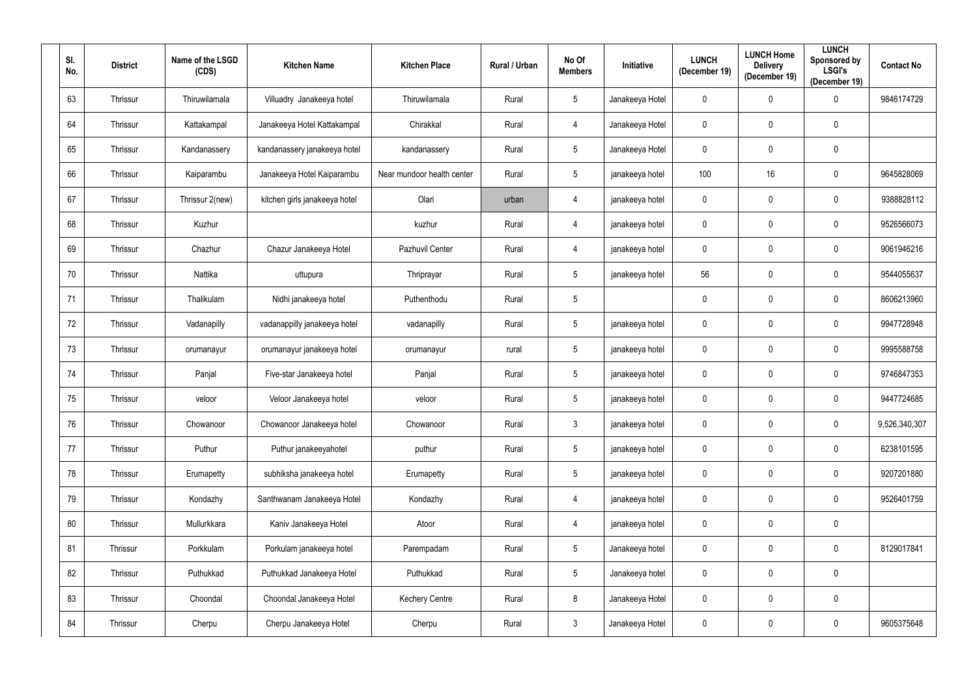| SI.<br>No. | <b>District</b> | Name of the LSGD<br>(CDS) | <b>Kitchen Name</b>           | <b>Kitchen Place</b>       | Rural / Urban | No Of<br><b>Members</b> | Initiative      | <b>LUNCH</b><br>(December 19) | <b>LUNCH Home</b><br><b>Delivery</b><br>(December 19) | <b>LUNCH</b><br>Sponsored by<br><b>LSGI's</b><br>(December 19) | <b>Contact No</b> |
|------------|-----------------|---------------------------|-------------------------------|----------------------------|---------------|-------------------------|-----------------|-------------------------------|-------------------------------------------------------|----------------------------------------------------------------|-------------------|
| 63         | Thrissur        | Thiruwilamala             | Villuadry Janakeeya hotel     | Thiruwilamala              | Rural         | $5\phantom{.0}$         | Janakeeya Hotel | $\mathbf 0$                   | $\mathbf 0$                                           | $\mathbf 0$                                                    | 9846174729        |
| 64         | Thrissur        | Kattakampal               | Janakeeya Hotel Kattakampal   | Chirakkal                  | Rural         | 4                       | Janakeeya Hotel | $\mathbf 0$                   | $\mathbf 0$                                           | $\overline{0}$                                                 |                   |
| 65         | Thrissur        | Kandanassery              | kandanassery janakeeya hotel  | kandanassery               | Rural         | $5\phantom{.0}$         | Janakeeya Hotel | $\mathbf 0$                   | 0                                                     | $\mathbf 0$                                                    |                   |
| 66         | Thrissur        | Kaiparambu                | Janakeeya Hotel Kaiparambu    | Near mundoor health center | Rural         | $5\phantom{.0}$         | janakeeya hotel | 100                           | 16                                                    | $\boldsymbol{0}$                                               | 9645828069        |
| 67         | Thrissur        | Thrissur 2(new)           | kitchen girls janakeeya hotel | Olari                      | urban         | 4                       | janakeeya hotel | $\mathbf 0$                   | $\mathbf 0$                                           | $\pmb{0}$                                                      | 9388828112        |
| 68         | Thrissur        | Kuzhur                    |                               | kuzhur                     | Rural         | 4                       | janakeeya hotel | $\boldsymbol{0}$              | $\mathbf 0$                                           | $\boldsymbol{0}$                                               | 9526566073        |
| 69         | Thrissur        | Chazhur                   | Chazur Janakeeya Hotel        | Pazhuvil Center            | Rural         | 4                       | janakeeya hotel | $\mathbf 0$                   | $\mathbf 0$                                           | $\mathbf 0$                                                    | 9061946216        |
| 70         | Thrissur        | Nattika                   | uttupura                      | Thriprayar                 | Rural         | $5\phantom{.0}$         | janakeeya hotel | 56                            | $\mathbf 0$                                           | $\boldsymbol{0}$                                               | 9544055637        |
| 71         | Thrissur        | Thalikulam                | Nidhi janakeeya hotel         | Puthenthodu                | Rural         | $5\phantom{.0}$         |                 | $\mathbf 0$                   | $\mathbf 0$                                           | $\mathbf 0$                                                    | 8606213960        |
| 72         | Thrissur        | Vadanapilly               | vadanappilly janakeeya hotel  | vadanapilly                | Rural         | $5\phantom{.0}$         | janakeeya hotel | $\mathbf 0$                   | 0                                                     | $\overline{0}$                                                 | 9947728948        |
| 73         | Thrissur        | orumanayur                | orumanayur janakeeya hotel    | orumanayur                 | rural         | $5\phantom{.0}$         | janakeeya hotel | $\mathbf 0$                   | $\mathbf 0$                                           | $\mathbf 0$                                                    | 9995588758        |
| 74         | Thrissur        | Panjal                    | Five-star Janakeeya hotel     | Panjal                     | Rural         | $5\phantom{.0}$         | janakeeya hotel | $\mathbf 0$                   | 0                                                     | $\pmb{0}$                                                      | 9746847353        |
| 75         | Thrissur        | veloor                    | Veloor Janakeeya hotel        | veloor                     | Rural         | $5\overline{)}$         | janakeeya hotel | $\mathbf 0$                   | $\mathbf 0$                                           | $\mathbf 0$                                                    | 9447724685        |
| 76         | Thrissur        | Chowanoor                 | Chowanoor Janakeeya hotel     | Chowanoor                  | Rural         | $3\phantom{.0}$         | janakeeya hotel | $\mathbf 0$                   | $\mathbf 0$                                           | $\mathbf 0$                                                    | 9,526,340,307     |
| 77         | Thrissur        | Puthur                    | Puthur janakeeyahotel         | puthur                     | Rural         | $5\phantom{.0}$         | janakeeya hotel | $\mathbf 0$                   | $\mathbf 0$                                           | $\mathbf 0$                                                    | 6238101595        |
| 78         | Thrissur        | Erumapetty                | subhiksha janakeeya hotel     | Erumapetty                 | Rural         | $5\phantom{.0}$         | janakeeya hotel | $\pmb{0}$                     | $\mathbf 0$                                           | $\overline{0}$                                                 | 9207201880        |
| 79         | Thrissur        | Kondazhy                  | Santhwanam Janakeeya Hotel    | Kondazhy                   | Rural         | 4                       | janakeeya hotel | $\mathbf 0$                   | $\mathbf 0$                                           | $\mathbf 0$                                                    | 9526401759        |
| 80         | Thrissur        | Mullurkkara               | Kaniv Janakeeya Hotel         | Atoor                      | Rural         | $\overline{4}$          | janakeeya hotel | $\pmb{0}$                     | $\mathbf 0$                                           | $\overline{0}$                                                 |                   |
| 81         | Thrissur        | Porkkulam                 | Porkulam janakeeya hotel      | Parempadam                 | Rural         | $\overline{5}$          | Janakeeya hotel | $\pmb{0}$                     | $\mathbf 0$                                           | $\overline{0}$                                                 | 8129017841        |
| 82         | Thrissur        | Puthukkad                 | Puthukkad Janakeeya Hotel     | Puthukkad                  | Rural         | $\overline{5}$          | Janakeeya hotel | $\pmb{0}$                     | $\mathbf 0$                                           | $\overline{0}$                                                 |                   |
| 83         | Thrissur        | Choondal                  | Choondal Janakeeya Hotel      | <b>Kechery Centre</b>      | Rural         | $8\,$                   | Janakeeya Hotel | $\mathbf 0$                   | $\mathbf 0$                                           | $\overline{0}$                                                 |                   |
| 84         | Thrissur        | Cherpu                    | Cherpu Janakeeya Hotel        | Cherpu                     | Rural         | $\mathfrak{Z}$          | Janakeeya Hotel | $\mathbf 0$                   | $\mathbf 0$                                           | $\mathbf 0$                                                    | 9605375648        |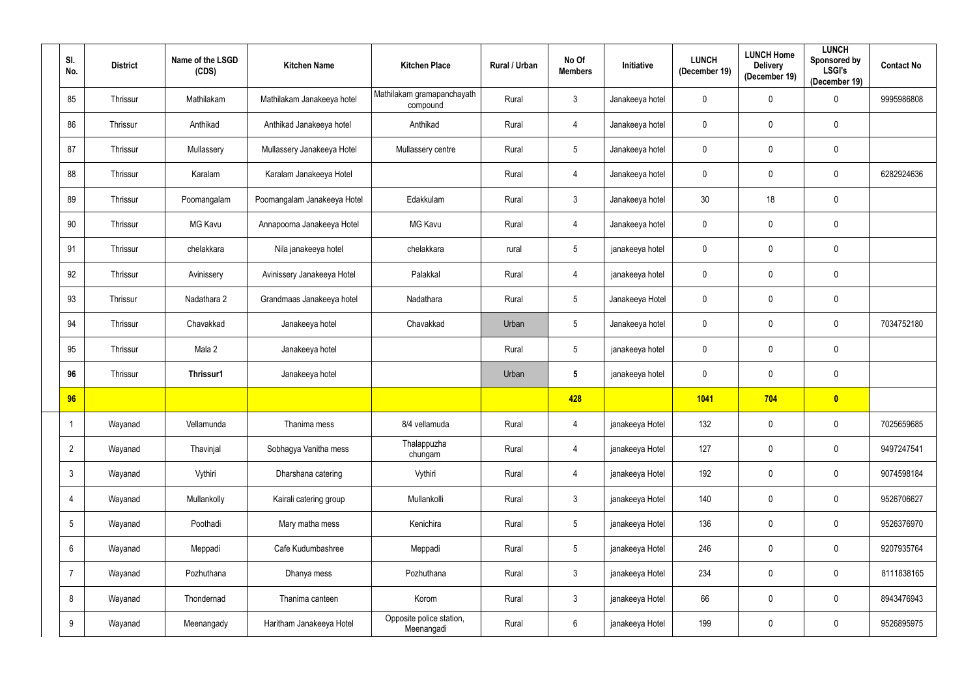| SI.<br>No.      | <b>District</b> | Name of the LSGD<br>(CDS) | <b>Kitchen Name</b>         | <b>Kitchen Place</b>                   | Rural / Urban | No Of<br><b>Members</b> | <b>Initiative</b> | <b>LUNCH</b><br>(December 19) | <b>LUNCH Home</b><br><b>Delivery</b><br>(December 19) | <b>LUNCH</b><br>Sponsored by<br><b>LSGI's</b><br>(December 19) | <b>Contact No</b> |
|-----------------|-----------------|---------------------------|-----------------------------|----------------------------------------|---------------|-------------------------|-------------------|-------------------------------|-------------------------------------------------------|----------------------------------------------------------------|-------------------|
| 85              | Thrissur        | Mathilakam                | Mathilakam Janakeeya hotel  | Mathilakam gramapanchayath<br>compound | Rural         | $\mathfrak{Z}$          | Janakeeya hotel   | $\mathbf 0$                   | 0                                                     | $\mathbf 0$                                                    | 9995986808        |
| 86              | Thrissur        | Anthikad                  | Anthikad Janakeeya hotel    | Anthikad                               | Rural         | 4                       | Janakeeya hotel   | $\mathbf 0$                   | 0                                                     | $\overline{0}$                                                 |                   |
| 87              | Thrissur        | Mullassery                | Mullassery Janakeeya Hotel  | Mullassery centre                      | Rural         | $\sqrt{5}$              | Janakeeya hotel   | $\mathbf 0$                   | 0                                                     | $\overline{0}$                                                 |                   |
| 88              | Thrissur        | Karalam                   | Karalam Janakeeya Hotel     |                                        | Rural         | 4                       | Janakeeya hotel   | $\mathbf 0$                   | 0                                                     | $\boldsymbol{0}$                                               | 6282924636        |
| 89              | Thrissur        | Poomangalam               | Poomangalam Janakeeya Hotel | Edakkulam                              | Rural         | $\mathfrak{Z}$          | Janakeeya hotel   | 30                            | 18                                                    | $\mathbf 0$                                                    |                   |
| 90              | Thrissur        | MG Kavu                   | Annapoorna Janakeeya Hotel  | <b>MG Kavu</b>                         | Rural         | $\overline{4}$          | Janakeeya hotel   | $\mathbf 0$                   | 0                                                     | $\boldsymbol{0}$                                               |                   |
| 91              | Thrissur        | chelakkara                | Nila janakeeya hotel        | chelakkara                             | rural         | $\sqrt{5}$              | janakeeya hotel   | $\mathbf 0$                   | 0                                                     | $\boldsymbol{0}$                                               |                   |
| 92              | Thrissur        | Avinissery                | Avinissery Janakeeya Hotel  | Palakkal                               | Rural         | 4                       | janakeeya hotel   | $\mathbf 0$                   | 0                                                     | $\boldsymbol{0}$                                               |                   |
| 93              | Thrissur        | Nadathara 2               | Grandmaas Janakeeya hotel   | Nadathara                              | Rural         | $\sqrt{5}$              | Janakeeya Hotel   | $\mathbf 0$                   | 0                                                     | $\pmb{0}$                                                      |                   |
| 94              | Thrissur        | Chavakkad                 | Janakeeya hotel             | Chavakkad                              | Urban         | $\overline{5}$          | Janakeeya hotel   | $\mathbf 0$                   | 0                                                     | $\mathbf 0$                                                    | 7034752180        |
| 95              | Thrissur        | Mala 2                    | Janakeeya hotel             |                                        | Rural         | $\sqrt{5}$              | janakeeya hotel   | $\mathbf 0$                   | 0                                                     | $\boldsymbol{0}$                                               |                   |
| 96              | Thrissur        | Thrissur1                 | Janakeeya hotel             |                                        | Urban         | $5\phantom{.0}$         | janakeeya hotel   | $\mathbf 0$                   | 0                                                     | $\boldsymbol{0}$                                               |                   |
| 96              |                 |                           |                             |                                        |               | 428                     |                   | 1041                          | 704                                                   | $\bullet$                                                      |                   |
|                 | Wayanad         | Vellamunda                | Thanima mess                | 8/4 vellamuda                          | Rural         | 4                       | janakeeya Hotel   | 132                           | 0                                                     | $\overline{0}$                                                 | 7025659685        |
| $\overline{2}$  | Wayanad         | Thavinjal                 | Sobhagya Vanitha mess       | Thalappuzha<br>chungam                 | Rural         | $\overline{4}$          | janakeeya Hotel   | 127                           | 0                                                     | $\overline{0}$                                                 | 9497247541        |
| $\mathbf{3}$    | Wayanad         | Vythiri                   | Dharshana catering          | Vythiri                                | Rural         | $\overline{4}$          | janakeeya Hotel   | 192                           | 0                                                     | $\mathbf 0$                                                    | 9074598184        |
| $\overline{4}$  | Wayanad         | Mullankolly               | Kairali catering group      | Mullankolli                            | Rural         | $\mathfrak{Z}$          | janakeeya Hotel   | 140                           | 0                                                     | $\overline{0}$                                                 | 9526706627        |
| $5\overline{)}$ | Wayanad         | Poothadi                  | Mary matha mess             | Kenichira                              | Rural         | $\sqrt{5}$              | janakeeya Hotel   | 136                           | 0                                                     | $\mathbf 0$                                                    | 9526376970        |
| $6\overline{6}$ | Wayanad         | Meppadi                   | Cafe Kudumbashree           | Meppadi                                | Rural         | $\sqrt{5}$              | janakeeya Hotel   | 246                           | 0                                                     | $\pmb{0}$                                                      | 9207935764        |
| $\overline{7}$  | Wayanad         | Pozhuthana                | Dhanya mess                 | Pozhuthana                             | Rural         | $\mathfrak{Z}$          | janakeeya Hotel   | 234                           | 0                                                     | $\overline{0}$                                                 | 8111838165        |
| 8               | Wayanad         | Thondernad                | Thanima canteen             | Korom                                  | Rural         | $\mathbf{3}$            | janakeeya Hotel   | 66                            | 0                                                     | $\overline{0}$                                                 | 8943476943        |
| 9               | Wayanad         | Meenangady                | Haritham Janakeeya Hotel    | Opposite police station,<br>Meenangadi | Rural         | $\,6\,$                 | janakeeya Hotel   | 199                           | 0                                                     | $\mathbf 0$                                                    | 9526895975        |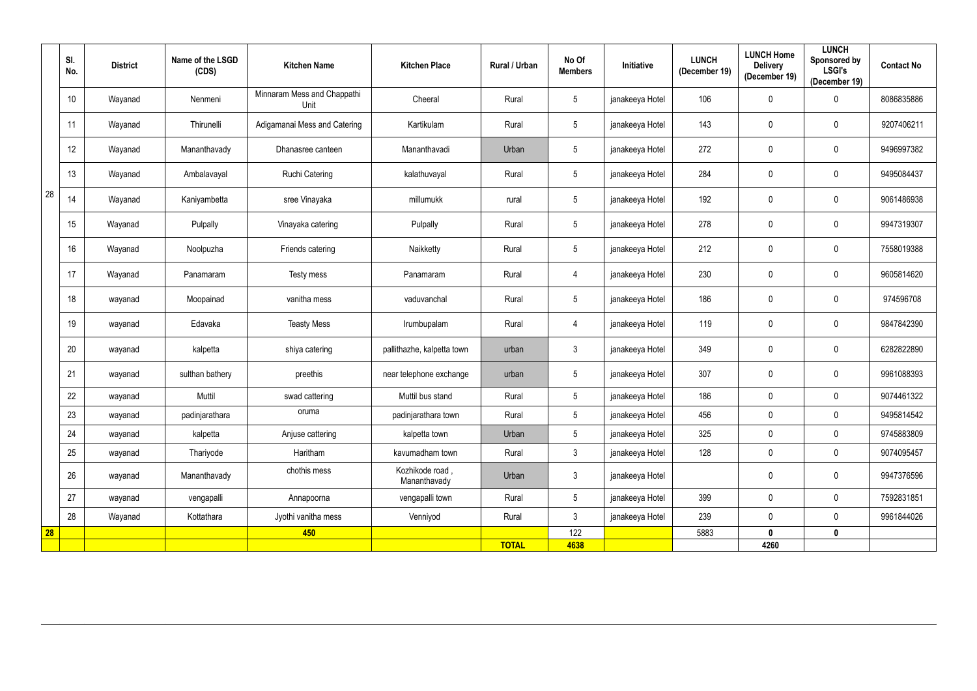|    | SI.<br>No. | <b>District</b> | Name of the LSGD<br>(CDS) | <b>Kitchen Name</b>                 | <b>Kitchen Place</b>            | Rural / Urban | No Of<br><b>Members</b> | <b>Initiative</b> | <b>LUNCH</b><br>(December 19) | <b>LUNCH Home</b><br><b>Delivery</b><br>(December 19) | <b>LUNCH</b><br>Sponsored by<br><b>LSGI's</b><br>(December 19) | <b>Contact No</b> |
|----|------------|-----------------|---------------------------|-------------------------------------|---------------------------------|---------------|-------------------------|-------------------|-------------------------------|-------------------------------------------------------|----------------------------------------------------------------|-------------------|
|    | 10         | Wayanad         | Nenmeni                   | Minnaram Mess and Chappathi<br>Unit | Cheeral                         | Rural         | $5\phantom{.0}$         | janakeeya Hotel   | 106                           | 0                                                     | $\mathbf 0$                                                    | 8086835886        |
|    | 11         | Wayanad         | Thirunelli                | Adigamanai Mess and Catering        | Kartikulam                      | Rural         | $5\phantom{.0}$         | janakeeya Hotel   | 143                           | 0                                                     | $\mathbf 0$                                                    | 9207406211        |
|    | 12         | Wayanad         | Mananthavady              | Dhanasree canteen                   | Mananthavadi                    | Urban         | $5\phantom{.0}$         | janakeeya Hotel   | 272                           | 0                                                     | 0                                                              | 9496997382        |
|    | 13         | Wayanad         | Ambalavayal               | Ruchi Catering                      | kalathuvayal                    | Rural         | $5\phantom{.0}$         | janakeeya Hotel   | 284                           | 0                                                     | 0                                                              | 9495084437        |
| 28 | 14         | Wayanad         | Kaniyambetta              | sree Vinayaka                       | millumukk                       | rural         | $5\phantom{.0}$         | janakeeya Hotel   | 192                           | $\mathbf 0$                                           | 0                                                              | 9061486938        |
|    | 15         | Wayanad         | Pulpally                  | Vinayaka catering                   | Pulpally                        | Rural         | $5\phantom{.0}$         | janakeeya Hotel   | 278                           | 0                                                     | 0                                                              | 9947319307        |
|    | 16         | Wayanad         | Noolpuzha                 | Friends catering                    | Naikketty                       | Rural         | $5\phantom{.0}$         | janakeeya Hotel   | 212                           | $\mathbf 0$                                           | 0                                                              | 7558019388        |
|    | 17         | Wayanad         | Panamaram                 | Testy mess                          | Panamaram                       | Rural         | $\overline{4}$          | janakeeya Hotel   | 230                           | 0                                                     | 0                                                              | 9605814620        |
|    | 18         | wayanad         | Moopainad                 | vanitha mess                        | vaduvanchal                     | Rural         | $5\phantom{.0}$         | janakeeya Hotel   | 186                           | 0                                                     | $\mathbf 0$                                                    | 974596708         |
|    | 19         | wayanad         | Edavaka                   | <b>Teasty Mess</b>                  | Irumbupalam                     | Rural         | $\overline{4}$          | janakeeya Hotel   | 119                           | $\mathbf 0$                                           | 0                                                              | 9847842390        |
|    | 20         | wayanad         | kalpetta                  | shiya catering                      | pallithazhe, kalpetta town      | urban         | $\mathbf{3}$            | janakeeya Hotel   | 349                           | $\mathbf 0$                                           | $\mathbf 0$                                                    | 6282822890        |
|    | 21         | wayanad         | sulthan bathery           | preethis                            | near telephone exchange         | urban         | $5\phantom{.0}$         | janakeeya Hotel   | 307                           | 0                                                     | 0                                                              | 9961088393        |
|    | 22         | wayanad         | Muttil                    | swad cattering                      | Muttil bus stand                | Rural         | $5\phantom{.0}$         | janakeeya Hotel   | 186                           | $\mathbf 0$                                           | 0                                                              | 9074461322        |
|    | 23         | wayanad         | padinjarathara            | oruma                               | padinjarathara town             | Rural         | $5\overline{)}$         | janakeeya Hotel   | 456                           | $\mathbf 0$                                           | $\mathbf 0$                                                    | 9495814542        |
|    | 24         | wayanad         | kalpetta                  | Anjuse cattering                    | kalpetta town                   | Urban         | $5\phantom{.0}$         | janakeeya Hotel   | 325                           | $\mathbf 0$                                           | $\mathbf 0$                                                    | 9745883809        |
|    | 25         | wayanad         | Thariyode                 | Haritham                            | kavumadham town                 | Rural         | $\mathbf{3}$            | janakeeya Hotel   | 128                           | $\mathbf 0$                                           | $\mathbf 0$                                                    | 9074095457        |
|    | 26         | wayanad         | Mananthavady              | chothis mess                        | Kozhikode road,<br>Mananthavady | Urban         | $\mathbf{3}$            | janakeeya Hotel   |                               | 0                                                     | 0                                                              | 9947376596        |
|    | 27         | wayanad         | vengapalli                | Annapoorna                          | vengapalli town                 | Rural         | $5\phantom{.0}$         | janakeeya Hotel   | 399                           | 0                                                     | 0                                                              | 7592831851        |
|    | 28         | Wayanad         | Kottathara                | Jyothi vanitha mess                 | Venniyod                        | Rural         | $\mathbf{3}$            | janakeeya Hotel   | 239                           | $\mathbf 0$                                           | $\mathbf 0$                                                    | 9961844026        |
| 28 |            |                 |                           | 450                                 |                                 |               | 122                     |                   | 5883                          | $\mathbf 0$                                           | $\mathbf 0$                                                    |                   |
|    |            |                 |                           |                                     |                                 | <b>TOTAL</b>  | 4638                    |                   |                               | 4260                                                  |                                                                |                   |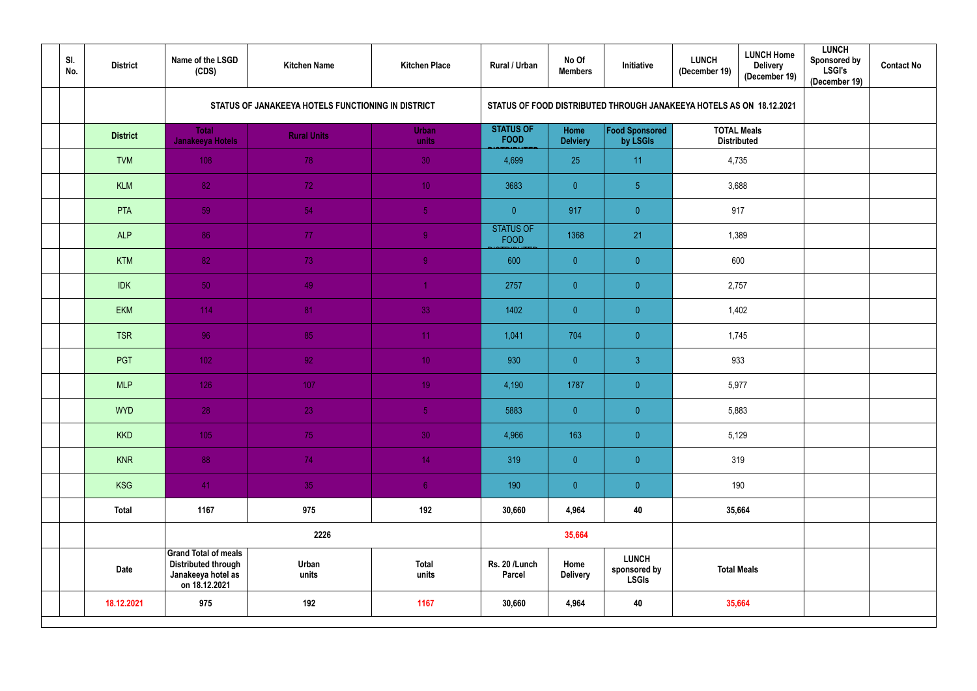| SI.<br>No. | <b>District</b> | Name of the LSGD<br>(CDS)                                                                        | <b>Kitchen Name</b>                                | <b>Kitchen Place</b>  | Rural / Urban                   | No Of<br><b>Members</b> | Initiative                                                           | <b>LUNCH</b><br>(December 19)            | <b>LUNCH Home</b><br><b>Delivery</b><br>(December 19) | <b>LUNCH</b><br><b>Sponsored by</b><br><b>LSGI's</b><br>(December 19) | <b>Contact No</b> |
|------------|-----------------|--------------------------------------------------------------------------------------------------|----------------------------------------------------|-----------------------|---------------------------------|-------------------------|----------------------------------------------------------------------|------------------------------------------|-------------------------------------------------------|-----------------------------------------------------------------------|-------------------|
|            |                 |                                                                                                  | STATUS OF JANAKEEYA HOTELS FUNCTIONING IN DISTRICT |                       |                                 |                         | STATUS OF FOOD DISTRIBUTED THROUGH JANAKEEYA HOTELS AS ON 18.12.2021 |                                          |                                                       |                                                                       |                   |
|            | <b>District</b> | <b>Total</b><br>Janakeeya Hotels                                                                 | <b>Rural Units</b>                                 | <b>Urban</b><br>units | <b>STATUS OF</b><br><b>FOOD</b> | Home<br><b>Delviery</b> | <b>Food Sponsored</b><br>by LSGIs                                    | <b>TOTAL Meals</b><br><b>Distributed</b> |                                                       |                                                                       |                   |
|            | <b>TVM</b>      | 108                                                                                              | 78                                                 | 30                    | 4,699                           | 25                      | 11                                                                   | 4,735                                    |                                                       |                                                                       |                   |
|            | <b>KLM</b>      | 82                                                                                               | 72                                                 | 10 <sub>1</sub>       | 3683                            | $\overline{0}$          | $\sqrt{5}$                                                           | 3,688                                    |                                                       |                                                                       |                   |
|            | <b>PTA</b>      | 59                                                                                               | 54                                                 | 5 <sup>1</sup>        | $\overline{0}$                  | 917                     | $\theta$                                                             | 917                                      |                                                       |                                                                       |                   |
|            | <b>ALP</b>      | 86                                                                                               | 77                                                 | 9 <sup>°</sup>        | STATUS OF<br><b>FOOD</b>        | 1368                    | 21                                                                   | 1,389                                    |                                                       |                                                                       |                   |
|            | <b>KTM</b>      | 82                                                                                               | 73                                                 | 9                     | 600                             | $\overline{0}$          | $\overline{0}$                                                       | 600                                      |                                                       |                                                                       |                   |
|            | <b>IDK</b>      | 50                                                                                               | 49                                                 | $\overline{1}$        | 2757                            | $\overline{0}$          | $\theta$                                                             | 2,757                                    |                                                       |                                                                       |                   |
|            | <b>EKM</b>      | 114                                                                                              | 81                                                 | 33                    | 1402                            | $\overline{0}$          | $\overline{0}$                                                       |                                          | 1,402                                                 |                                                                       |                   |
|            | <b>TSR</b>      | 96                                                                                               | 85                                                 | 11                    | 1,041                           | 704                     | $\theta$                                                             | 1,745                                    |                                                       |                                                                       |                   |
|            | PGT             | 102                                                                                              | 92                                                 | 10 <sub>1</sub>       | 930                             | $\overline{0}$          | $\mathbf{3}$                                                         | 933                                      |                                                       |                                                                       |                   |
|            | <b>MLP</b>      | 126                                                                                              | 107                                                | 19                    | 4,190                           | 1787                    | $\theta$                                                             | 5,977                                    |                                                       |                                                                       |                   |
|            | <b>WYD</b>      | 28                                                                                               | 23 <sup>°</sup>                                    | 5 <sub>1</sub>        | 5883                            | $\overline{0}$          | $\overline{0}$                                                       | 5,883                                    |                                                       |                                                                       |                   |
|            | <b>KKD</b>      | 105                                                                                              | 75                                                 | 30 <sup>°</sup>       | 4,966                           | 163                     | $\overline{0}$                                                       |                                          | 5,129                                                 |                                                                       |                   |
|            | <b>KNR</b>      | 88                                                                                               | 74                                                 | 14 <sub>1</sub>       | 319                             | $\overline{0}$          | $\overline{0}$                                                       | 319                                      |                                                       |                                                                       |                   |
|            | <b>KSG</b>      | 41                                                                                               | 35                                                 | 6 <sub>1</sub>        | 190                             | $\overline{0}$          | $\overline{0}$                                                       | 190                                      |                                                       |                                                                       |                   |
|            | <b>Total</b>    | 1167                                                                                             | 975                                                | 192                   | 30,660                          | 4,964                   | 40                                                                   |                                          | 35,664                                                |                                                                       |                   |
|            |                 | 2226                                                                                             |                                                    |                       |                                 | 35,664                  |                                                                      |                                          |                                                       |                                                                       |                   |
|            | <b>Date</b>     | <b>Grand Total of meals</b><br><b>Distributed through</b><br>Janakeeya hotel as<br>on 18.12.2021 | Urban<br>units                                     | <b>Total</b><br>units | Rs. 20 /Lunch<br><b>Parcel</b>  | Home<br><b>Delivery</b> | <b>LUNCH</b><br>sponsored by<br><b>LSGIs</b>                         | <b>Total Meals</b>                       |                                                       |                                                                       |                   |
|            | 18.12.2021      | 975                                                                                              | 192                                                | 1167                  | 30,660                          | 4,964                   | 40                                                                   | 35,664                                   |                                                       |                                                                       |                   |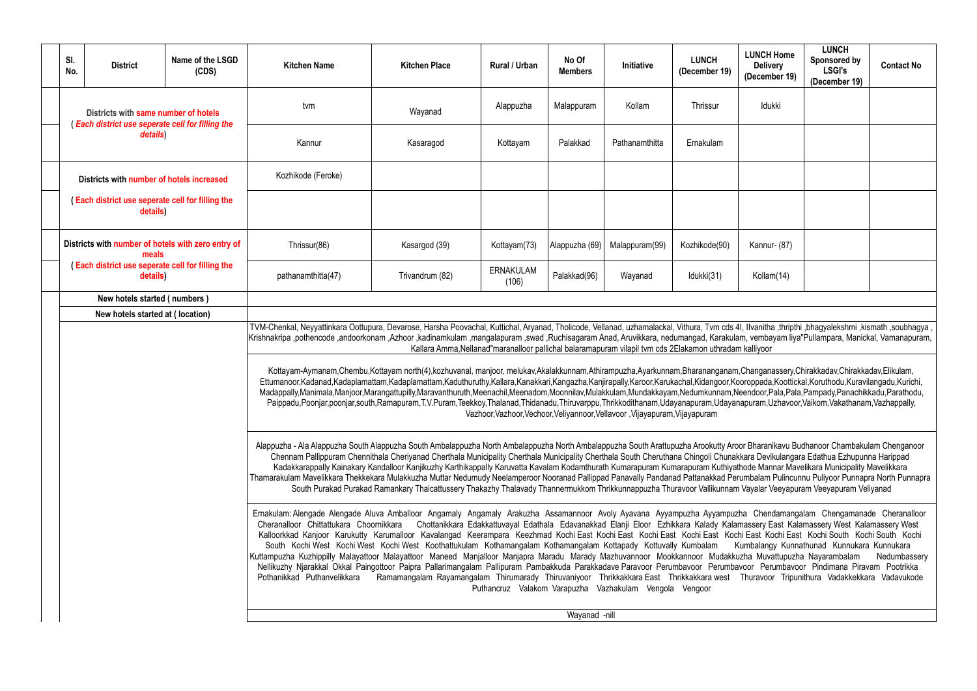| <b>LUNCH Home</b><br><b>Delivery</b><br>(December 19)                                                                                               | <b>LUNCH</b><br>Sponsored by<br><b>LSGI's</b><br>(December 19)                                                                                                                                                           | <b>Contact No</b> |  |  |  |  |  |  |  |  |
|-----------------------------------------------------------------------------------------------------------------------------------------------------|--------------------------------------------------------------------------------------------------------------------------------------------------------------------------------------------------------------------------|-------------------|--|--|--|--|--|--|--|--|
| Idukki                                                                                                                                              |                                                                                                                                                                                                                          |                   |  |  |  |  |  |  |  |  |
|                                                                                                                                                     |                                                                                                                                                                                                                          |                   |  |  |  |  |  |  |  |  |
|                                                                                                                                                     |                                                                                                                                                                                                                          |                   |  |  |  |  |  |  |  |  |
|                                                                                                                                                     |                                                                                                                                                                                                                          |                   |  |  |  |  |  |  |  |  |
| Kannur- (87)                                                                                                                                        |                                                                                                                                                                                                                          |                   |  |  |  |  |  |  |  |  |
| Kollam(14)                                                                                                                                          |                                                                                                                                                                                                                          |                   |  |  |  |  |  |  |  |  |
|                                                                                                                                                     |                                                                                                                                                                                                                          |                   |  |  |  |  |  |  |  |  |
| ll, Ilvanitha ,thripthi ,bhagyalekshmi ,kismath ,soubhagya ,<br>im, vembayam liya"Pullampara, Manickal, Vamanapuram,<br>n kalliyoor                 |                                                                                                                                                                                                                          |                   |  |  |  |  |  |  |  |  |
|                                                                                                                                                     | ,Changanassery,Chirakkadav,Chirakkadav,Elikulam,<br>oroppada, Koottickal, Koruthodu, Kuravilangadu, Kurichi,<br>eendoor, Pala, Pala, Pampady, Panachikkadu, Parathodu,<br>apuram,Uzhavoor,Vaikom,Vakathanam,Vazhappally, |                   |  |  |  |  |  |  |  |  |
| or Bharanikavu Budhanoor Chambakulam Chenganoor<br>kara Devikulangara Edathua Ezhupunna Harippad<br>hode Mannar Mavelikara Municipality Mavelikkara |                                                                                                                                                                                                                          |                   |  |  |  |  |  |  |  |  |

|  | SI.<br>No.                                                                                                                  | <b>District</b>                                                                          | Name of the LSGD<br>(CDS)                                                                                                                                                                                                                                                                                                                                                                                                                                                                                                                                                                                                                                                                                                                                                                                                                                                                                        | <b>Kitchen Name</b>                                                                                                                                                                                                                                                                                                                                                                                                                                                                                                                                                                                                                                                                                                                                                                                                                                                                                                                                                                                                                                                                                                                                                                                                    | <b>Kitchen Place</b>      | Rural / Urban                                                                                                                                                                           | No Of<br><b>Members</b> | <b>Initiative</b> | <b>LUNCH</b><br>(December 19) | <b>LUNCH Home</b><br><b>Delivery</b><br>(December 19) | <b>LUNCH</b><br>Sponsored by<br><b>LSGI's</b><br>(December 19) | <b>Contact No</b> |  |  |
|--|-----------------------------------------------------------------------------------------------------------------------------|------------------------------------------------------------------------------------------|------------------------------------------------------------------------------------------------------------------------------------------------------------------------------------------------------------------------------------------------------------------------------------------------------------------------------------------------------------------------------------------------------------------------------------------------------------------------------------------------------------------------------------------------------------------------------------------------------------------------------------------------------------------------------------------------------------------------------------------------------------------------------------------------------------------------------------------------------------------------------------------------------------------|------------------------------------------------------------------------------------------------------------------------------------------------------------------------------------------------------------------------------------------------------------------------------------------------------------------------------------------------------------------------------------------------------------------------------------------------------------------------------------------------------------------------------------------------------------------------------------------------------------------------------------------------------------------------------------------------------------------------------------------------------------------------------------------------------------------------------------------------------------------------------------------------------------------------------------------------------------------------------------------------------------------------------------------------------------------------------------------------------------------------------------------------------------------------------------------------------------------------|---------------------------|-----------------------------------------------------------------------------------------------------------------------------------------------------------------------------------------|-------------------------|-------------------|-------------------------------|-------------------------------------------------------|----------------------------------------------------------------|-------------------|--|--|
|  |                                                                                                                             | Districts with same number of hotels<br>(Each district use seperate cell for filling the |                                                                                                                                                                                                                                                                                                                                                                                                                                                                                                                                                                                                                                                                                                                                                                                                                                                                                                                  | tvm                                                                                                                                                                                                                                                                                                                                                                                                                                                                                                                                                                                                                                                                                                                                                                                                                                                                                                                                                                                                                                                                                                                                                                                                                    | Wayanad                   | Alappuzha                                                                                                                                                                               | Malappuram              | Kollam            | Thrissur                      | Idukki                                                |                                                                |                   |  |  |
|  |                                                                                                                             | details)                                                                                 |                                                                                                                                                                                                                                                                                                                                                                                                                                                                                                                                                                                                                                                                                                                                                                                                                                                                                                                  | Kannur                                                                                                                                                                                                                                                                                                                                                                                                                                                                                                                                                                                                                                                                                                                                                                                                                                                                                                                                                                                                                                                                                                                                                                                                                 | Kasaragod                 | Kottayam                                                                                                                                                                                | Palakkad                | Pathanamthitta    | Ernakulam                     |                                                       |                                                                |                   |  |  |
|  |                                                                                                                             | Districts with number of hotels increased                                                |                                                                                                                                                                                                                                                                                                                                                                                                                                                                                                                                                                                                                                                                                                                                                                                                                                                                                                                  | Kozhikode (Feroke)                                                                                                                                                                                                                                                                                                                                                                                                                                                                                                                                                                                                                                                                                                                                                                                                                                                                                                                                                                                                                                                                                                                                                                                                     |                           |                                                                                                                                                                                         |                         |                   |                               |                                                       |                                                                |                   |  |  |
|  | <b>Each district use seperate cell for filling the</b><br>details)                                                          |                                                                                          |                                                                                                                                                                                                                                                                                                                                                                                                                                                                                                                                                                                                                                                                                                                                                                                                                                                                                                                  |                                                                                                                                                                                                                                                                                                                                                                                                                                                                                                                                                                                                                                                                                                                                                                                                                                                                                                                                                                                                                                                                                                                                                                                                                        |                           |                                                                                                                                                                                         |                         |                   |                               |                                                       |                                                                |                   |  |  |
|  | Districts with number of hotels with zero entry of<br>meals<br>(Each district use seperate cell for filling the<br>details) |                                                                                          | Thrissur(86)                                                                                                                                                                                                                                                                                                                                                                                                                                                                                                                                                                                                                                                                                                                                                                                                                                                                                                     | Kasargod (39)                                                                                                                                                                                                                                                                                                                                                                                                                                                                                                                                                                                                                                                                                                                                                                                                                                                                                                                                                                                                                                                                                                                                                                                                          | Kottayam(73)              | Alappuzha (69)                                                                                                                                                                          | Malappuram(99)          | Kozhikode(90)     | Kannur- (87)                  |                                                       |                                                                |                   |  |  |
|  |                                                                                                                             |                                                                                          | pathanamthitta(47)                                                                                                                                                                                                                                                                                                                                                                                                                                                                                                                                                                                                                                                                                                                                                                                                                                                                                               | Trivandrum (82)                                                                                                                                                                                                                                                                                                                                                                                                                                                                                                                                                                                                                                                                                                                                                                                                                                                                                                                                                                                                                                                                                                                                                                                                        | <b>ERNAKULAM</b><br>(106) | Palakkad(96)                                                                                                                                                                            | Wayanad                 | Idukki(31)        | Kollam(14)                    |                                                       |                                                                |                   |  |  |
|  | New hotels started (numbers)                                                                                                |                                                                                          |                                                                                                                                                                                                                                                                                                                                                                                                                                                                                                                                                                                                                                                                                                                                                                                                                                                                                                                  |                                                                                                                                                                                                                                                                                                                                                                                                                                                                                                                                                                                                                                                                                                                                                                                                                                                                                                                                                                                                                                                                                                                                                                                                                        |                           |                                                                                                                                                                                         |                         |                   |                               |                                                       |                                                                |                   |  |  |
|  | New hotels started at (location)                                                                                            |                                                                                          |                                                                                                                                                                                                                                                                                                                                                                                                                                                                                                                                                                                                                                                                                                                                                                                                                                                                                                                  |                                                                                                                                                                                                                                                                                                                                                                                                                                                                                                                                                                                                                                                                                                                                                                                                                                                                                                                                                                                                                                                                                                                                                                                                                        |                           |                                                                                                                                                                                         |                         |                   |                               |                                                       |                                                                |                   |  |  |
|  |                                                                                                                             |                                                                                          |                                                                                                                                                                                                                                                                                                                                                                                                                                                                                                                                                                                                                                                                                                                                                                                                                                                                                                                  | TVM-Chenkal, Neyyattinkara Oottupura, Devarose, Harsha Poovachal, Kuttichal, Aryanad, Tholicode, Vellanad, uzhamalackal, Vithura, Tvm cds 41, Ilvanitha ,thripthi ,bhagyalekshmi ,kismath ,soubhagya,<br>Krishnakripa ,pothencode ,andoorkonam ,Azhoor ,kadinamkulam ,mangalapuram ,swad ,Ruchisagaram Anad, Aruvikkara, nedumangad, Karakulam, vembayam liya"Pullampara, Manickal, Vamanapuram,<br>Kottayam-Aymanam,Chembu,Kottayam north(4),kozhuvanal, manjoor, melukav,Akalakkunnam,Athirampuzha,Ayarkunnam,Bharananganam,Changanassery,Chirakkadav,Chirakkadav,Elikulam,<br>Ettumanoor,Kadanad,Kadaplamattam,Kadaplamattam,Kaduthuruthy,Kallara,Kanakkari,Kangazha,Kanjirapally,Karoor,Karukachal,Kidangoor,Kooroppada,Koottickal,Koruthodu,Kuravilangadu,Kurichi,<br>Madappally,Manimala,Manjoor,Marangattupilly,Maravanthuruth,Meenachil,Meenadom,Moonnilav,Mulakkulam,Mundakkayam,Nedumkunnam,Neendoor,Pala,Pala,Pampady,Panachikkadu,Parathodu,<br>Paippadu,Poonjar,poonjar,south,Ramapuram,T.V.Puram,Teekkoy,Thalanad,Thidanadu,Thiruvarppu,Thrikkodithanam,Udayanapuram,Udayanapuram,Uzhavoor,Vaikom,Vakathanam,Vazhappally,                                                                                |                           | Kallara Amma, Nellanad" maranalloor pallichal balaramapuram vilapil tvm cds 2Elakamon uthradam kalliyoor<br>Vazhoor, Vazhoor, Vechoor, Veliyannoor, Vellavoor, Vijayapuram, Vijayapuram |                         |                   |                               |                                                       |                                                                |                   |  |  |
|  |                                                                                                                             |                                                                                          | Alappuzha - Ala Alappuzha South Alappuzha South Ambalappuzha North Ambalappuzha North Ambalappuzha South Arattupuzha Arookutty Aroor Bharanikavu Budhanoor Chambakulam Chenganoor<br>Chennam Pallippuram Chennithala Cheriyanad Cherthala Municipality Cherthala Municipality Cherthala South Cheruthana Chingoli Chunakkara Devikulangara Edathua Ezhupunna Harippad<br>Kadakkarappally Kainakary Kandalloor Kanjikuzhy Karthikappally Karuvatta Kavalam Kodamthurath Kumarapuram Kumarapuram Kuthiyathode Mannar Mavelikara Municipality Mavelikkara<br>Thamarakulam Mavelikkara Thekkekara Mulakkuzha Muttar Nedumudy Neelamperoor Nooranad Pallippad Panavally Pandanad Pattanakkad Perumbalam Pulincunnu Puliyoor Punnapra North Punnapra<br>South Purakad Purakad Ramankary Thaicattussery Thakazhy Thalavady Thannermukkom Thrikkunnappuzha Thuravoor Vallikunnam Vayalar Veeyapuram Veeyapuram Veliyanad |                                                                                                                                                                                                                                                                                                                                                                                                                                                                                                                                                                                                                                                                                                                                                                                                                                                                                                                                                                                                                                                                                                                                                                                                                        |                           |                                                                                                                                                                                         |                         |                   |                               |                                                       |                                                                |                   |  |  |
|  |                                                                                                                             |                                                                                          |                                                                                                                                                                                                                                                                                                                                                                                                                                                                                                                                                                                                                                                                                                                                                                                                                                                                                                                  | Ernakulam: Alengade Alengade Aluva Amballoor Angamaly Angamaly Arakuzha Assamannoor Avoly Ayavana Ayyampuzha Ayyampuzha Chendamangalam Chengamanade Cheranalloor<br>Cheranalloor Chittattukara Choornikkara Chottanikkara Edakkattuvayal Edathala Edavanakkad Elanji Eloor Ezhikkara Kalady Kalamassery East Kalamassery West Kalamassery West Kalamassery West<br>Kalloorkkad Kanjoor Karukutty Karumalloor Kavalangad Keerampara Keezhmad Kochi East Kochi East Kochi East Kochi East Kochi East Kochi South Kochi South Kochi South Kochi<br>South Kochi West Kochi West Kochi West Koothattukulam Kothamangalam Kothamangalam Kottapady Kottuvally Kumbalam Kumbalangy Kunnathunad Kunnukara Kunnukara<br>Kuttampuzha Kuzhippilly Malayattoor Malayattoor Maneed Manjalloor Manjapra Maradu Marady Mazhuvannoor Mookkannoor Mudakkuzha Muvattupuzha Nayarambalam<br>Nellikuzhy Njarakkal Okkal Paingottoor Paipra Pallarimangalam Pallipuram Pambakkuda Parakkadave Paravoor Perumbavoor Perumbavoor Perumbavoor Pindimana Piravam Pootrikka<br>Pothanikkad Puthanvelikkara Ramamangalam Rayamangalam Thirumarady Thiruvaniyoor Thrikkakkara East Thrikkakkara west Thuravoor Tripunithura Vadakkekkara Vadavukode |                           | Puthancruz Valakom Varapuzha Vazhakulam Vengola Vengoor                                                                                                                                 |                         |                   |                               |                                                       |                                                                | Nedumbassery      |  |  |
|  |                                                                                                                             |                                                                                          |                                                                                                                                                                                                                                                                                                                                                                                                                                                                                                                                                                                                                                                                                                                                                                                                                                                                                                                  |                                                                                                                                                                                                                                                                                                                                                                                                                                                                                                                                                                                                                                                                                                                                                                                                                                                                                                                                                                                                                                                                                                                                                                                                                        |                           |                                                                                                                                                                                         | Wayanad -nill           |                   |                               |                                                       |                                                                |                   |  |  |